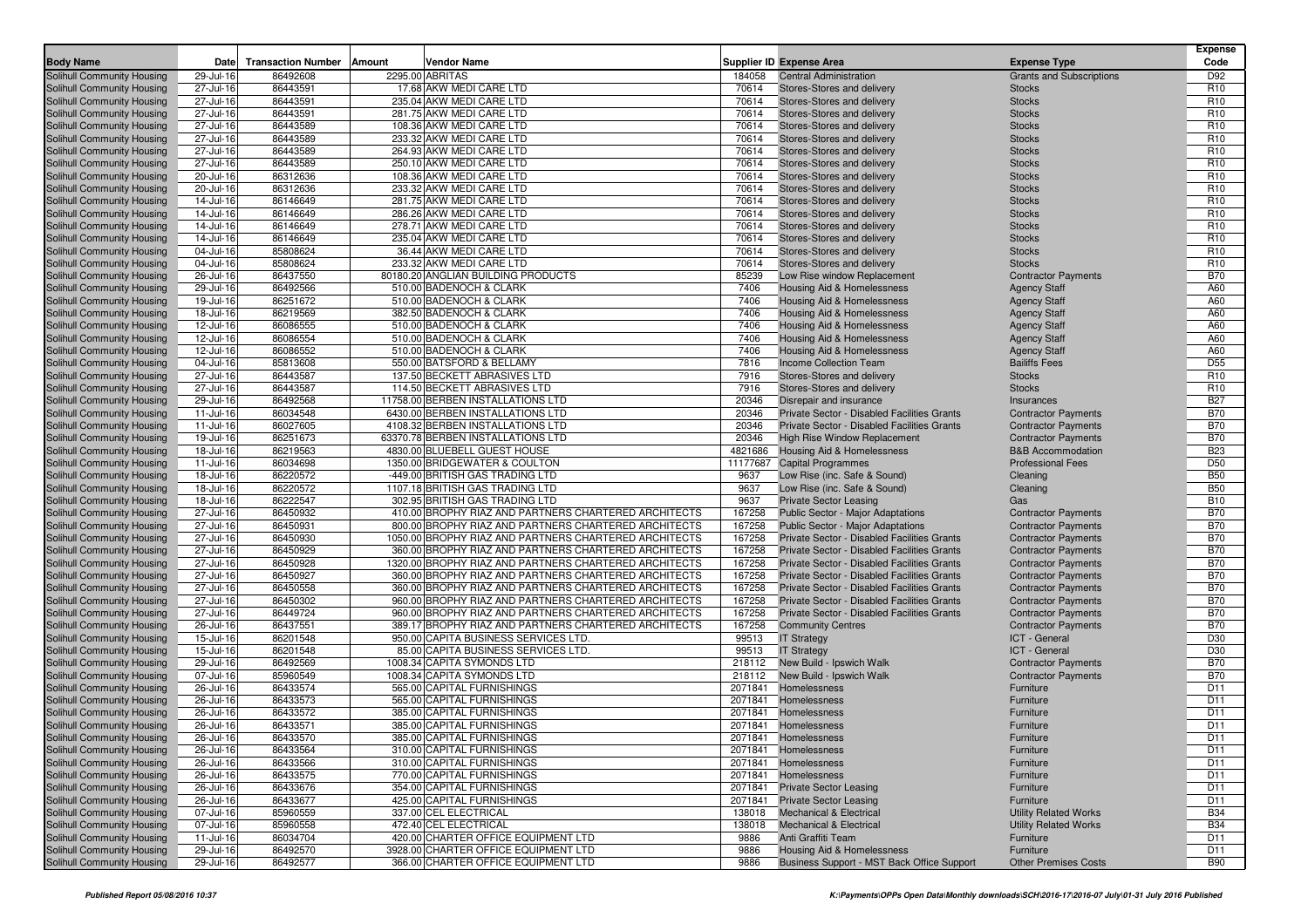|                                                          |                        |                           |                                                                                                              |                  |                                                                                            |                                                          | Expense                            |
|----------------------------------------------------------|------------------------|---------------------------|--------------------------------------------------------------------------------------------------------------|------------------|--------------------------------------------------------------------------------------------|----------------------------------------------------------|------------------------------------|
| <b>Body Name</b>                                         | Date                   | <b>Transaction Number</b> | Vendor Name<br>Amount                                                                                        |                  | <b>Supplier ID Expense Area</b>                                                            | <b>Expense Type</b>                                      | Code                               |
| Solihull Community Housing                               | 29-Jul-16              | 86492608                  | 2295.00 ABRITAS                                                                                              | 184058           | <b>Central Administration</b>                                                              | <b>Grants and Subscriptions</b>                          | D92                                |
| Solihull Community Housing                               | 27-Jul-16              | 86443591                  | 17.68 AKW MEDI CARE LTD                                                                                      | 70614            | Stores-Stores and delivery                                                                 | <b>Stocks</b>                                            | R <sub>10</sub>                    |
| Solihull Community Housing<br>Solihull Community Housing | 27-Jul-16<br>27-Jul-16 | 86443591<br>86443591      | 235.04 AKW MEDI CARE LTD<br>281.75 AKW MEDI CARE LTD                                                         | 70614<br>70614   | Stores-Stores and delivery<br>Stores-Stores and delivery                                   | <b>Stocks</b><br><b>Stocks</b>                           | R <sub>10</sub><br>R <sub>10</sub> |
| Solihull Community Housing                               | 27-Jul-16              | 86443589                  | 108.36 AKW MEDI CARE LTD                                                                                     | 70614            | Stores-Stores and delivery                                                                 | <b>Stocks</b>                                            | R <sub>10</sub>                    |
| Solihull Community Housing                               | 27-Jul-16              | 86443589                  | 233.32 AKW MEDI CARE LTD                                                                                     | 70614            | Stores-Stores and delivery                                                                 | <b>Stocks</b>                                            | R <sub>10</sub>                    |
| Solihull Community Housing                               | 27-Jul-16              | 86443589                  | 264.93 AKW MEDI CARE LTD                                                                                     | 70614            | Stores-Stores and delivery                                                                 | <b>Stocks</b>                                            | R <sub>10</sub>                    |
| Solihull Community Housing                               | 27-Jul-16              | 86443589                  | 250.10 AKW MEDI CARE LTD                                                                                     | 70614            | Stores-Stores and delivery                                                                 | <b>Stocks</b>                                            | R <sub>10</sub>                    |
| Solihull Community Housing                               | 20-Jul-16              | 86312636                  | 108.36 AKW MEDI CARE LTD                                                                                     | 70614            | Stores-Stores and delivery                                                                 | <b>Stocks</b>                                            | R <sub>10</sub>                    |
| Solihull Community Housing                               | 20-Jul-16              | 86312636                  | 233.32 AKW MEDI CARE LTD                                                                                     | 70614            | Stores-Stores and delivery                                                                 | <b>Stocks</b>                                            | R <sub>10</sub>                    |
| Solihull Community Housing                               | 14-Jul-16              | 86146649                  | 281.75 AKW MEDI CARE LTD                                                                                     | 70614            | Stores-Stores and delivery                                                                 | <b>Stocks</b>                                            | R <sub>10</sub>                    |
| Solihull Community Housing                               | 14-Jul-16              | 86146649                  | 286.26 AKW MEDI CARE LTD                                                                                     | 70614            | Stores-Stores and delivery                                                                 | <b>Stocks</b>                                            | R <sub>10</sub>                    |
| Solihull Community Housing                               | 14-Jul-16              | 86146649                  | 278.71 AKW MEDI CARE LTD                                                                                     | 70614            | Stores-Stores and delivery                                                                 | <b>Stocks</b>                                            | R <sub>10</sub>                    |
| Solihull Community Housing                               | 14-Jul-16              | 86146649                  | 235.04 AKW MEDI CARE LTD                                                                                     | 70614            | Stores-Stores and delivery                                                                 | <b>Stocks</b>                                            | R <sub>10</sub>                    |
| Solihull Community Housing                               | 04-Jul-16              | 85808624                  | 36.44 AKW MEDI CARE LTD                                                                                      | 70614            | Stores-Stores and delivery                                                                 | <b>Stocks</b>                                            | R <sub>10</sub>                    |
| Solihull Community Housing                               | 04-Jul-16              | 85808624                  | 233.32 AKW MEDI CARE LTD                                                                                     | 70614            | Stores-Stores and delivery                                                                 | <b>Stocks</b>                                            | R <sub>10</sub>                    |
| Solihull Community Housing                               | 26-Jul-16              | 86437550                  | 80180.20 ANGLIAN BUILDING PRODUCTS                                                                           | 85239            | Low Rise window Replacement                                                                | <b>Contractor Payments</b>                               | <b>B70</b>                         |
| Solihull Community Housing                               | 29-Jul-16              | 86492566                  | 510.00 BADENOCH & CLARK                                                                                      | 7406             | Housing Aid & Homelessness                                                                 | <b>Agency Staff</b>                                      | A60                                |
| Solihull Community Housing                               | 19-Jul-16              | 86251672                  | 510.00 BADENOCH & CLARK                                                                                      | 7406             | Housing Aid & Homelessness                                                                 | <b>Agency Staff</b>                                      | A60                                |
| Solihull Community Housing                               | 18-Jul-16              | 86219569                  | 382.50 BADENOCH & CLARK                                                                                      | 7406             | <b>Housing Aid &amp; Homelessness</b>                                                      | <b>Agency Staff</b>                                      | A60                                |
| Solihull Community Housing                               | 12-Jul-16              | 86086555                  | 510.00 BADENOCH & CLARK                                                                                      | 7406             | Housing Aid & Homelessness                                                                 | <b>Agency Staff</b>                                      | A60                                |
| Solihull Community Housing                               | 12-Jul-16              | 86086554                  | 510.00 BADENOCH & CLARK                                                                                      | 7406             | Housing Aid & Homelessness                                                                 | <b>Agency Staff</b>                                      | A60                                |
| Solihull Community Housing                               | 12-Jul-16              | 86086552                  | 510.00 BADENOCH & CLARK                                                                                      | 7406             | <b>Housing Aid &amp; Homelessness</b>                                                      | <b>Agency Staff</b>                                      | A60                                |
| Solihull Community Housing                               | 04-Jul-16              | 85813608                  | 550.00 BATSFORD & BELLAMY                                                                                    | 7816             | Income Collection Team                                                                     | <b>Bailiffs Fees</b>                                     | D <sub>55</sub>                    |
| Solihull Community Housing                               | 27-Jul-16              | 86443587                  | 137.50 BECKETT ABRASIVES LTD                                                                                 | 7916<br>7916     | Stores-Stores and delivery                                                                 | <b>Stocks</b>                                            | R <sub>10</sub><br>R <sub>10</sub> |
| Solihull Community Housing                               | 27-Jul-16              | 86443587<br>86492568      | 114.50 BECKETT ABRASIVES LTD<br>11758.00 BERBEN INSTALLATIONS LTD                                            | 20346            | Stores-Stores and delivery<br>Disrepair and insurance                                      | <b>Stocks</b><br>Insurances                              | <b>B27</b>                         |
| Solihull Community Housing<br>Solihull Community Housing | 29-Jul-16<br>11-Jul-16 | 86034548                  | 6430.00 BERBEN INSTALLATIONS LTD                                                                             | 20346            | Private Sector - Disabled Facilities Grants                                                | <b>Contractor Payments</b>                               | <b>B70</b>                         |
| Solihull Community Housing                               | 11-Jul-16              | 86027605                  | 4108.32 BERBEN INSTALLATIONS LTD                                                                             | 20346            | Private Sector - Disabled Facilities Grants                                                | <b>Contractor Payments</b>                               | <b>B70</b>                         |
| Solihull Community Housing                               | 19-Jul-16              | 86251673                  | 63370.78 BERBEN INSTALLATIONS LTD                                                                            | 20346            | <b>High Rise Window Replacement</b>                                                        | <b>Contractor Payments</b>                               | <b>B70</b>                         |
| Solihull Community Housing                               | 18-Jul-16              | 86219563                  | 4830.00 BLUEBELL GUEST HOUSE                                                                                 | 4821686          | Housing Aid & Homelessness                                                                 | <b>B&amp;B Accommodation</b>                             | <b>B23</b>                         |
| Solihull Community Housing                               | 11-Jul-16              | 86034698                  | 1350.00 BRIDGEWATER & COULTON                                                                                | 11177687         | <b>Capital Programmes</b>                                                                  | <b>Professional Fees</b>                                 | D <sub>50</sub>                    |
| Solihull Community Housing                               | 18-Jul-16              | 86220572                  | -449.00 BRITISH GAS TRADING LTD                                                                              | 9637             | Low Rise (inc. Safe & Sound)                                                               | Cleaning                                                 | <b>B50</b>                         |
| Solihull Community Housing                               | 18-Jul-16              | 86220572                  | 1107.18 BRITISH GAS TRADING LTD                                                                              | 9637             | Low Rise (inc. Safe & Sound)                                                               | Cleaning                                                 | <b>B50</b>                         |
| Solihull Community Housing                               | 18-Jul-16              | 86222547                  | 302.95 BRITISH GAS TRADING LTD                                                                               | 9637             | <b>Private Sector Leasing</b>                                                              | Gas                                                      | <b>B10</b>                         |
| Solihull Community Housing                               | 27-Jul-16              | 86450932                  | 410.00 BROPHY RIAZ AND PARTNERS CHARTERED ARCHITECTS                                                         | 167258           | <b>Public Sector - Major Adaptations</b>                                                   | <b>Contractor Payments</b>                               | <b>B70</b>                         |
| Solihull Community Housing                               | 27-Jul-16              | 86450931                  | 800.00 BROPHY RIAZ AND PARTNERS CHARTERED ARCHITECTS                                                         | 167258           | Public Sector - Major Adaptations                                                          | <b>Contractor Payments</b>                               | <b>B70</b>                         |
| Solihull Community Housing                               | 27-Jul-16              | 86450930                  | 1050.00 BROPHY RIAZ AND PARTNERS CHARTERED ARCHITECTS                                                        | 167258           | Private Sector - Disabled Facilities Grants                                                | <b>Contractor Payments</b>                               | <b>B70</b>                         |
| Solihull Community Housing                               | 27-Jul-16              | 86450929                  | 360.00 BROPHY RIAZ AND PARTNERS CHARTERED ARCHITECTS                                                         | 167258           | Private Sector - Disabled Facilities Grants                                                | <b>Contractor Payments</b>                               | <b>B70</b>                         |
| Solihull Community Housing                               | 27-Jul-16              | 86450928                  | 1320.00 BROPHY RIAZ AND PARTNERS CHARTERED ARCHITECTS                                                        | 167258           | Private Sector - Disabled Facilities Grants                                                | <b>Contractor Payments</b>                               | <b>B70</b>                         |
| Solihull Community Housing                               | 27-Jul-16              | 86450927                  | 360.00 BROPHY RIAZ AND PARTNERS CHARTERED ARCHITECTS                                                         | 167258           | Private Sector - Disabled Facilities Grants                                                | <b>Contractor Payments</b>                               | <b>B70</b>                         |
| Solihull Community Housing                               | 27-Jul-16              | 86450558                  | 360.00 BROPHY RIAZ AND PARTNERS CHARTERED ARCHITECTS                                                         | 167258           | Private Sector - Disabled Facilities Grants                                                | <b>Contractor Payments</b>                               | <b>B70</b>                         |
| Solihull Community Housing<br>Solihull Community Housing | 27-Jul-16<br>27-Jul-16 | 86450302<br>86449724      | 960.00 BROPHY RIAZ AND PARTNERS CHARTERED ARCHITECTS<br>960.00 BROPHY RIAZ AND PARTNERS CHARTERED ARCHITECTS | 167258<br>167258 | Private Sector - Disabled Facilities Grants<br>Private Sector - Disabled Facilities Grants | <b>Contractor Payments</b><br><b>Contractor Payments</b> | <b>B70</b><br><b>B70</b>           |
| Solihull Community Housing                               | 26-Jul-16              | 86437551                  | 389.17 BROPHY RIAZ AND PARTNERS CHARTERED ARCHITECTS                                                         | 167258           | <b>Community Centres</b>                                                                   | <b>Contractor Payments</b>                               | <b>B70</b>                         |
| Solihull Community Housing                               | 15-Jul-16              | 86201548                  | 950.00 CAPITA BUSINESS SERVICES LTD                                                                          | 99513            | <b>IT Strategy</b>                                                                         | ICT - General                                            | D30                                |
| Solihull Community Housing                               | 15-Jul-16              | 86201548                  | 85.00 CAPITA BUSINESS SERVICES LTD                                                                           | 99513            | <b>IT Strategy</b>                                                                         | ICT - General                                            | D30                                |
| Solihull Community Housing                               | 29-Jul-16              | 86492569                  | 1008.34 CAPITA SYMONDS LTD                                                                                   | 218112           | New Build - Ipswich Walk                                                                   | <b>Contractor Payments</b>                               | <b>B70</b>                         |
| Solihull Community Housing                               | 07-Jul-16              | 85960549                  | 1008.34 CAPITA SYMONDS LTD                                                                                   | 218112           | New Build - Ipswich Walk                                                                   | <b>Contractor Payments</b>                               | <b>B70</b>                         |
| Solihull Community Housing                               | 26-Jul-16              | 86433574                  | 565.00 CAPITAL FURNISHINGS                                                                                   | 2071841          | Homelessness                                                                               | Furniture                                                | D11                                |
| Solihull Community Housing                               | 26-Jul-16              | 86433573                  | 565.00 CAPITAL FURNISHINGS                                                                                   |                  | 2071841 Homelessness                                                                       | Furniture                                                | D11                                |
| Solihull Community Housing                               | 26-Jul-16              | 86433572                  | 385.00 CAPITAL FURNISHINGS                                                                                   |                  | 2071841 Homelessness                                                                       | Furniture                                                | D <sub>11</sub>                    |
| Solihull Community Housing                               | 26-Jul-16              | 86433571                  | 385.00 CAPITAL FURNISHINGS                                                                                   |                  | 2071841 Homelessness                                                                       | Furniture                                                | D <sub>11</sub>                    |
| Solihull Community Housing                               | 26-Jul-16              | 86433570                  | 385.00 CAPITAL FURNISHINGS                                                                                   |                  | 2071841 Homelessness                                                                       | Furniture                                                | D11                                |
| Solihull Community Housing                               | 26-Jul-16              | 86433564                  | 310.00 CAPITAL FURNISHINGS                                                                                   |                  | 2071841 Homelessness                                                                       | Furniture                                                | D11                                |
| Solihull Community Housing                               | 26-Jul-16              | 86433566                  | 310.00 CAPITAL FURNISHINGS                                                                                   |                  | 2071841 Homelessness                                                                       | Furniture                                                | D11                                |
| Solihull Community Housing                               | 26-Jul-16              | 86433575                  | 770.00 CAPITAL FURNISHINGS                                                                                   |                  | 2071841 Homelessness                                                                       | Furniture                                                | D11                                |
| Solihull Community Housing                               | 26-Jul-16              | 86433676                  | 354.00 CAPITAL FURNISHINGS                                                                                   |                  | 2071841 Private Sector Leasing                                                             | Furniture                                                | D11                                |
| Solihull Community Housing                               | 26-Jul-16              | 86433677                  | 425.00 CAPITAL FURNISHINGS                                                                                   |                  | 2071841 Private Sector Leasing                                                             | Furniture                                                | D11                                |
| Solihull Community Housing                               | 07-Jul-16              | 85960559                  | 337.00 CEL ELECTRICAL                                                                                        | 138018           | <b>Mechanical &amp; Electrical</b>                                                         | <b>Utility Related Works</b>                             | <b>B34</b>                         |
| Solihull Community Housing                               | 07-Jul-16              | 85960558                  | 472.40 CEL ELECTRICAL                                                                                        | 138018           | <b>Mechanical &amp; Electrical</b>                                                         | <b>Utility Related Works</b>                             | <b>B34</b>                         |
| Solihull Community Housing                               | 11-Jul-16              | 86034704                  | 420.00 CHARTER OFFICE EQUIPMENT LTD                                                                          | 9886             | Anti Graffiti Team                                                                         | Furniture                                                | D11                                |
| Solihull Community Housing                               | 29-Jul-16              | 86492570                  | 3928.00 CHARTER OFFICE EQUIPMENT LTD                                                                         | 9886             | Housing Aid & Homelessness                                                                 | Furniture                                                | D11                                |
| Solihull Community Housing                               | 29-Jul-16              | 86492577                  | 366.00 CHARTER OFFICE EQUIPMENT LTD                                                                          | 9886             | Business Support - MST Back Office Support                                                 | <b>Other Premises Costs</b>                              | <b>B90</b>                         |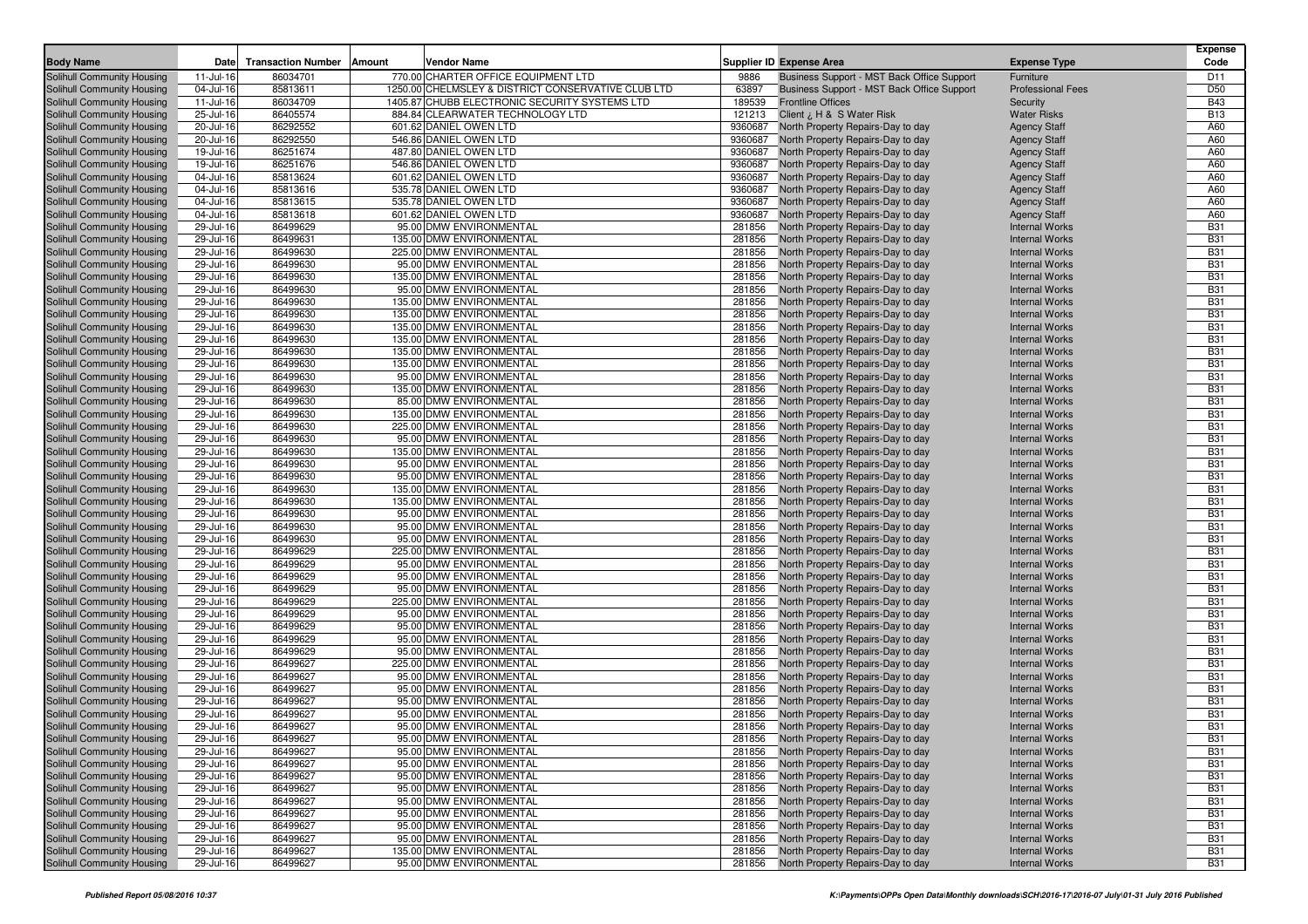| <b>Body Name</b>                                         | Date                   | <b>Transaction Number</b><br>Amount | Vendor Name                                         |                  | <b>Supplier ID Expense Area</b>                                        | <b>Expense Type</b>                            | <b>Expense</b><br>Code   |
|----------------------------------------------------------|------------------------|-------------------------------------|-----------------------------------------------------|------------------|------------------------------------------------------------------------|------------------------------------------------|--------------------------|
| Solihull Community Housing                               | 11-Jul-16              | 86034701                            | 770.00 CHARTER OFFICE EQUIPMENT LTD                 | 9886             | Business Support - MST Back Office Support                             | Furniture                                      | D11                      |
| Solihull Community Housing                               | 04-Jul-16              | 85813611                            | 1250.00 CHELMSLEY & DISTRICT CONSERVATIVE CLUB LTD  | 63897            | Business Support - MST Back Office Support                             | <b>Professional Fees</b>                       | D <sub>50</sub>          |
| Solihull Community Housing                               | 11-Jul-16              | 86034709                            | 1405.87 CHUBB ELECTRONIC SECURITY SYSTEMS LTD       | 189539           | <b>Frontline Offices</b>                                               | Security                                       | <b>B43</b>               |
| Solihull Community Housing                               | 25-Jul-16              | 86405574                            | 884.84 CLEARWATER TECHNOLOGY LTD                    | 121213           | Client ¿ H & S Water Risk                                              | <b>Water Risks</b>                             | <b>B13</b>               |
| Solihull Community Housing                               | 20-Jul-16              | 86292552                            | 601.62 DANIEL OWEN LTD                              | 9360687          | North Property Repairs-Day to day                                      | <b>Agency Staff</b>                            | A60                      |
| Solihull Community Housing                               | 20-Jul-16              | 86292550                            | 546.86 DANIEL OWEN LTD                              | 9360687          | North Property Repairs-Day to day                                      | <b>Agency Staff</b>                            | A60                      |
| Solihull Community Housing                               | 19-Jul-16              | 86251674                            | 487.80 DANIEL OWEN LTD                              | 9360687          | North Property Repairs-Day to day                                      | <b>Agency Staff</b>                            | A60                      |
| Solihull Community Housing                               | 19-Jul-16              | 86251676                            | 546.86 DANIEL OWEN LTD                              | 9360687          | North Property Repairs-Day to day                                      | <b>Agency Staff</b>                            | A60                      |
| Solihull Community Housing                               | 04-Jul-16              | 85813624                            | 601.62 DANIEL OWEN LTD                              | 9360687          | North Property Repairs-Day to day                                      | <b>Agency Staff</b>                            | A60                      |
| Solihull Community Housing                               | 04-Jul-16              | 85813616                            | 535.78 DANIEL OWEN LTD                              | 9360687          | North Property Repairs-Day to day                                      | <b>Agency Staff</b>                            | A60                      |
| Solihull Community Housing                               | 04-Jul-16              | 85813615                            | 535.78 DANIEL OWEN LTD                              | 9360687          | North Property Repairs-Day to day                                      | <b>Agency Staff</b>                            | A60                      |
| Solihull Community Housing                               | 04-Jul-16              | 85813618                            | 601.62 DANIEL OWEN LTD                              | 9360687          | North Property Repairs-Day to day                                      | <b>Agency Staff</b>                            | A60                      |
| Solihull Community Housing                               | 29-Jul-16              | 86499629                            | 95.00 DMW ENVIRONMENTAL                             | 281856           | North Property Repairs-Day to day                                      | <b>Internal Works</b>                          | <b>B31</b>               |
| Solihull Community Housing                               | 29-Jul-16              | 86499631                            | 135.00 DMW ENVIRONMENTAL                            | 281856           | North Property Repairs-Day to day                                      | <b>Internal Works</b>                          | <b>B31</b>               |
| Solihull Community Housing                               | 29-Jul-16              | 86499630                            | 225.00 DMW ENVIRONMENTAL                            | 281856           | North Property Repairs-Day to day                                      | <b>Internal Works</b>                          | <b>B31</b>               |
| Solihull Community Housing                               | 29-Jul-16              | 86499630                            | 95.00 DMW ENVIRONMENTAL                             | 281856           | North Property Repairs-Day to day                                      | <b>Internal Works</b>                          | <b>B31</b>               |
| Solihull Community Housing                               | 29-Jul-16              | 86499630                            | 135.00 DMW ENVIRONMENTAL                            | 281856           | North Property Repairs-Day to day                                      | <b>Internal Works</b>                          | <b>B31</b>               |
| Solihull Community Housing                               | 29-Jul-16              | 86499630                            | 95.00 DMW ENVIRONMENTAL                             | 281856           | North Property Repairs-Day to day                                      | <b>Internal Works</b>                          | <b>B31</b>               |
| Solihull Community Housing                               | 29-Jul-16              | 86499630                            | 135.00 DMW ENVIRONMENTAL                            | 281856           | North Property Repairs-Day to day                                      | <b>Internal Works</b>                          | <b>B31</b>               |
| Solihull Community Housing                               | 29-Jul-16              | 86499630                            | 135.00 DMW ENVIRONMENTAL                            | 281856           | North Property Repairs-Day to day                                      | <b>Internal Works</b>                          | <b>B31</b>               |
| Solihull Community Housing                               | 29-Jul-16              | 86499630                            | 135.00 DMW ENVIRONMENTAL                            | 281856           | North Property Repairs-Day to day                                      | <b>Internal Works</b>                          | <b>B31</b>               |
| Solihull Community Housing                               | 29-Jul-16              | 86499630                            | 135.00 DMW ENVIRONMENTAL                            | 281856           | North Property Repairs-Day to day                                      | <b>Internal Works</b>                          | <b>B31</b>               |
| Solihull Community Housing                               | 29-Jul-16              | 86499630                            | 135.00 DMW ENVIRONMENTAL                            | 281856           | North Property Repairs-Day to day                                      | <b>Internal Works</b>                          | <b>B31</b>               |
| Solihull Community Housing<br>Solihull Community Housing | 29-Jul-16<br>29-Jul-16 | 86499630<br>86499630                | 135.00 DMW ENVIRONMENTAL<br>95.00 DMW ENVIRONMENTAL | 281856<br>281856 | North Property Repairs-Day to day<br>North Property Repairs-Day to day | <b>Internal Works</b><br><b>Internal Works</b> | <b>B31</b><br><b>B31</b> |
| Solihull Community Housing                               | 29-Jul-16              | 86499630                            | 135.00 DMW ENVIRONMENTAL                            | 281856           | North Property Repairs-Day to day                                      | <b>Internal Works</b>                          | <b>B31</b>               |
| Solihull Community Housing                               | 29-Jul-16              | 86499630                            | 85.00 DMW ENVIRONMENTAL                             | 281856           | North Property Repairs-Day to day                                      | <b>Internal Works</b>                          | <b>B31</b>               |
| Solihull Community Housing                               | 29-Jul-16              | 86499630                            | 135.00 DMW ENVIRONMENTAL                            | 281856           | North Property Repairs-Day to day                                      | <b>Internal Works</b>                          | <b>B31</b>               |
| Solihull Community Housing                               | 29-Jul-16              | 86499630                            | 225.00 DMW ENVIRONMENTAL                            | 281856           | North Property Repairs-Day to day                                      | <b>Internal Works</b>                          | <b>B31</b>               |
| Solihull Community Housing                               | 29-Jul-16              | 86499630                            | 95.00 DMW ENVIRONMENTAL                             | 281856           | North Property Repairs-Day to day                                      | <b>Internal Works</b>                          | <b>B31</b>               |
| Solihull Community Housing                               | 29-Jul-16              | 86499630                            | 135.00 DMW ENVIRONMENTAL                            | 281856           | North Property Repairs-Day to day                                      | <b>Internal Works</b>                          | <b>B31</b>               |
| Solihull Community Housing                               | 29-Jul-16              | 86499630                            | 95.00 DMW ENVIRONMENTAL                             | 281856           | North Property Repairs-Day to day                                      | <b>Internal Works</b>                          | <b>B31</b>               |
| Solihull Community Housing                               | 29-Jul-16              | 86499630                            | 95.00 DMW ENVIRONMENTAL                             | 281856           | North Property Repairs-Day to day                                      | <b>Internal Works</b>                          | <b>B31</b>               |
| Solihull Community Housing                               | 29-Jul-16              | 86499630                            | 135.00 DMW ENVIRONMENTAL                            | 281856           | North Property Repairs-Day to day                                      | <b>Internal Works</b>                          | <b>B31</b>               |
| Solihull Community Housing                               | 29-Jul-16              | 86499630                            | 135.00 DMW ENVIRONMENTAL                            | 281856           | North Property Repairs-Day to day                                      | <b>Internal Works</b>                          | <b>B31</b>               |
| Solihull Community Housing                               | 29-Jul-16              | 86499630                            | 95.00 DMW ENVIRONMENTAL                             | 281856           | North Property Repairs-Day to day                                      | <b>Internal Works</b>                          | <b>B31</b>               |
| Solihull Community Housing                               | 29-Jul-16              | 86499630                            | 95.00 DMW ENVIRONMENTAL                             | 281856           | North Property Repairs-Day to day                                      | <b>Internal Works</b>                          | <b>B31</b>               |
| Solihull Community Housing                               | 29-Jul-16              | 86499630                            | 95.00 DMW ENVIRONMENTAL                             | 281856           | North Property Repairs-Day to day                                      | <b>Internal Works</b>                          | <b>B31</b>               |
| Solihull Community Housing                               | 29-Jul-16              | 86499629                            | 225.00 DMW ENVIRONMENTAL                            | 281856           | North Property Repairs-Day to day                                      | <b>Internal Works</b>                          | <b>B31</b>               |
| Solihull Community Housing                               | 29-Jul-16              | 86499629                            | 95.00 DMW ENVIRONMENTAL                             | 281856           | North Property Repairs-Day to day                                      | <b>Internal Works</b>                          | <b>B31</b>               |
| Solihull Community Housing                               | 29-Jul-16              | 86499629                            | 95.00 DMW ENVIRONMENTAL                             | 281856           | North Property Repairs-Day to day                                      | <b>Internal Works</b>                          | <b>B31</b>               |
| Solihull Community Housing                               | 29-Jul-16              | 86499629                            | 95.00 DMW ENVIRONMENTAL                             | 281856           | North Property Repairs-Day to day                                      | <b>Internal Works</b>                          | <b>B31</b><br><b>B31</b> |
| Solihull Community Housing                               | 29-Jul-16              | 86499629<br>86499629                | 225.00 DMW ENVIRONMENTAL                            | 281856<br>281856 | North Property Repairs-Day to day                                      | <b>Internal Works</b>                          | <b>B31</b>               |
| Solihull Community Housing<br>Solihull Community Housing | 29-Jul-16<br>29-Jul-16 | 86499629                            | 95.00 DMW ENVIRONMENTAL<br>95.00 DMW ENVIRONMENTAL  | 281856           | North Property Repairs-Day to day<br>North Property Repairs-Day to day | <b>Internal Works</b><br><b>Internal Works</b> | <b>B31</b>               |
| Solihull Community Housing                               | 29-Jul-16              | 86499629                            | 95.00 DMW ENVIRONMENTAL                             | 281856           | North Property Repairs-Day to day                                      | <b>Internal Works</b>                          | <b>B31</b>               |
| Solihull Community Housing                               | 29-Jul-16              | 86499629                            | 95.00 DMW ENVIRONMENTAL                             | 281856           | North Property Repairs-Day to day                                      | <b>Internal Works</b>                          | <b>B31</b>               |
| Solihull Community Housing                               | 29-Jul-16              | 86499627                            | 225.00 DMW ENVIRONMENTAL                            | 281856           | North Property Repairs-Day to day                                      | <b>Internal Works</b>                          | <b>B31</b>               |
| Solihull Community Housing                               | 29-Jul-16              | 86499627                            | 95.00 DMW ENVIRONMENTAL                             | 281856           | North Property Repairs-Day to day                                      | <b>Internal Works</b>                          | <b>B31</b>               |
| Solihull Community Housing                               | 29-Jul-16              | 86499627                            | 95.00 DMW ENVIRONMENTAL                             | 281856           | North Property Repairs-Day to day                                      | <b>Internal Works</b>                          | <b>B31</b>               |
| Solihull Community Housing                               | 29-Jul-16              | 86499627                            | 95.00 DMW ENVIRONMENTAL                             | 281856           | North Property Repairs-Day to day                                      | <b>Internal Works</b>                          | <b>B31</b>               |
| Solihull Community Housing                               | 29-Jul-16              | 86499627                            | 95.00 DMW ENVIRONMENTAL                             | 281856           | North Property Repairs-Day to day                                      | <b>Internal Works</b>                          | <b>B31</b>               |
| Solihull Community Housing                               | 29-Jul-16              | 86499627                            | 95.00 DMW ENVIRONMENTAL                             | 281856           | North Property Repairs-Day to day                                      | <b>Internal Works</b>                          | <b>B31</b>               |
| Solihull Community Housing                               | 29-Jul-16              | 86499627                            | 95.00 DMW ENVIRONMENTAL                             |                  | 281856 North Property Repairs-Day to day                               | <b>Internal Works</b>                          | <b>B31</b>               |
| Solihull Community Housing                               | 29-Jul-16              | 86499627                            | 95.00 DMW ENVIRONMENTAL                             | 281856           | North Property Repairs-Day to day                                      | <b>Internal Works</b>                          | <b>B31</b>               |
| Solihull Community Housing                               | 29-Jul-16              | 86499627                            | 95.00 DMW ENVIRONMENTAL                             | 281856           | North Property Repairs-Day to day                                      | <b>Internal Works</b>                          | <b>B31</b>               |
| Solihull Community Housing                               | 29-Jul-16              | 86499627                            | 95.00 DMW ENVIRONMENTAL                             | 281856           | North Property Repairs-Day to day                                      | <b>Internal Works</b>                          | <b>B31</b>               |
| Solihull Community Housing                               | 29-Jul-16              | 86499627                            | 95.00 DMW ENVIRONMENTAL                             | 281856           | North Property Repairs-Day to day                                      | <b>Internal Works</b>                          | <b>B31</b>               |
| Solihull Community Housing                               | 29-Jul-16              | 86499627                            | 95.00 DMW ENVIRONMENTAL                             | 281856           | North Property Repairs-Day to day                                      | <b>Internal Works</b>                          | <b>B31</b>               |
| Solihull Community Housing                               | 29-Jul-16              | 86499627                            | 95.00 DMW ENVIRONMENTAL                             | 281856           | North Property Repairs-Day to day                                      | <b>Internal Works</b>                          | <b>B31</b>               |
| Solihull Community Housing                               | 29-Jul-16              | 86499627                            | 95.00 DMW ENVIRONMENTAL                             | 281856           | North Property Repairs-Day to day                                      | <b>Internal Works</b>                          | <b>B31</b>               |
| Solihull Community Housing                               | 29-Jul-16              | 86499627                            | 95.00 DMW ENVIRONMENTAL                             | 281856           | North Property Repairs-Day to day                                      | <b>Internal Works</b>                          | <b>B31</b>               |
| Solihull Community Housing                               | 29-Jul-16              | 86499627                            | 135.00 DMW ENVIRONMENTAL                            | 281856           | North Property Repairs-Day to day                                      | <b>Internal Works</b>                          | <b>B31</b>               |
| Solihull Community Housing                               | 29-Jul-16              | 86499627                            | 95.00 DMW ENVIRONMENTAL                             | 281856           | North Property Repairs-Day to day                                      | <b>Internal Works</b>                          | <b>B31</b>               |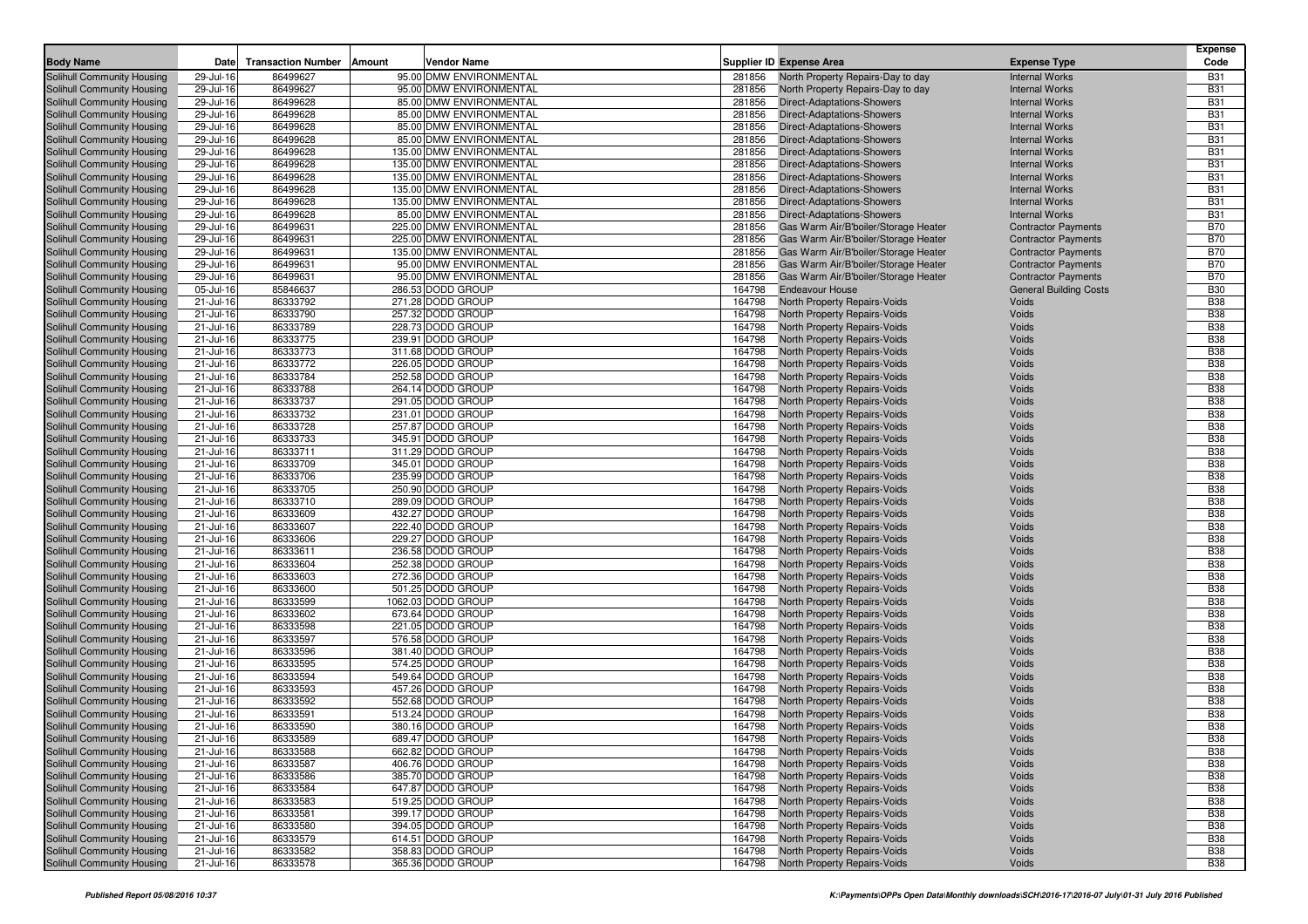| <b>Body Name</b>                                         | Date                   | <b>Transaction Number</b><br>Amount | Vendor Name                            |                  | <b>Supplier ID Expense Area</b>                              | <b>Expense Type</b>           | <b>Expense</b><br>Code   |
|----------------------------------------------------------|------------------------|-------------------------------------|----------------------------------------|------------------|--------------------------------------------------------------|-------------------------------|--------------------------|
| Solihull Community Housing                               | 29-Jul-16              | 86499627                            | 95.00 DMW ENVIRONMENTAL                | 281856           | North Property Repairs-Day to day                            | <b>Internal Works</b>         | <b>B31</b>               |
| Solihull Community Housing                               | 29-Jul-16              | 86499627                            | 95.00 DMW ENVIRONMENTAL                | 281856           | North Property Repairs-Day to day                            | <b>Internal Works</b>         | <b>B31</b>               |
| Solihull Community Housing                               | 29-Jul-16              | 86499628                            | 85.00 DMW ENVIRONMENTAL                | 281856           | <b>Direct-Adaptations-Showers</b>                            | <b>Internal Works</b>         | <b>B31</b>               |
| Solihull Community Housing                               | 29-Jul-16              | 86499628                            | 85.00 DMW ENVIRONMENTAL                | 281856           | <b>Direct-Adaptations-Showers</b>                            | <b>Internal Works</b>         | <b>B31</b>               |
| Solihull Community Housing                               | 29-Jul-16              | 86499628                            | 85.00 DMW ENVIRONMENTAL                | 281856           | Direct-Adaptations-Showers                                   | <b>Internal Works</b>         | <b>B31</b>               |
| Solihull Community Housing                               | 29-Jul-16              | 86499628                            | 85.00 DMW ENVIRONMENTAL                | 281856           | Direct-Adaptations-Showers                                   | <b>Internal Works</b>         | <b>B31</b>               |
| Solihull Community Housing                               | 29-Jul-16              | 86499628                            | 135.00 DMW ENVIRONMENTAL               | 281856           | Direct-Adaptations-Showers                                   | <b>Internal Works</b>         | <b>B31</b>               |
| Solihull Community Housing                               | 29-Jul-16              | 86499628                            | 135.00 DMW ENVIRONMENTAL               | 281856           | <b>Direct-Adaptations-Showers</b>                            | <b>Internal Works</b>         | <b>B31</b>               |
| Solihull Community Housing                               | 29-Jul-16              | 86499628                            | 135.00 DMW ENVIRONMENTAL               | 281856           | Direct-Adaptations-Showers                                   | <b>Internal Works</b>         | <b>B31</b>               |
| Solihull Community Housing                               | 29-Jul-16              | 86499628                            | 135.00 DMW ENVIRONMENTAL               | 281856           | <b>Direct-Adaptations-Showers</b>                            | <b>Internal Works</b>         | <b>B31</b>               |
| Solihull Community Housing                               | 29-Jul-16              | 86499628                            | 135.00 DMW ENVIRONMENTAL               | 281856           | <b>Direct-Adaptations-Showers</b>                            | <b>Internal Works</b>         | <b>B31</b>               |
| Solihull Community Housing                               | 29-Jul-16              | 86499628                            | 85.00 DMW ENVIRONMENTAL                | 281856           | <b>Direct-Adaptations-Showers</b>                            | <b>Internal Works</b>         | <b>B31</b>               |
| Solihull Community Housing                               | 29-Jul-16              | 86499631                            | 225.00 DMW ENVIRONMENTAL               | 281856           | Gas Warm Air/B'boiler/Storage Heater                         | <b>Contractor Payments</b>    | <b>B70</b>               |
| Solihull Community Housing                               | 29-Jul-16              | 86499631                            | 225.00 DMW ENVIRONMENTAL               | 281856           | Gas Warm Air/B'boiler/Storage Heater                         | <b>Contractor Payments</b>    | <b>B70</b>               |
| Solihull Community Housing                               | 29-Jul-16              | 86499631                            | 135.00 DMW ENVIRONMENTAL               | 281856           | Gas Warm Air/B'boiler/Storage Heater                         | <b>Contractor Payments</b>    | <b>B70</b>               |
| Solihull Community Housing                               | 29-Jul-16              | 86499631                            | 95.00 DMW ENVIRONMENTAL                | 281856           | Gas Warm Air/B'boiler/Storage Heater                         | <b>Contractor Payments</b>    | <b>B70</b>               |
| Solihull Community Housing                               | 29-Jul-16              | 86499631                            | 95.00 DMW ENVIRONMENTAL                | 281856           | Gas Warm Air/B'boiler/Storage Heater                         | <b>Contractor Payments</b>    | <b>B70</b>               |
| Solihull Community Housing                               | 05-Jul-16              | 85846637                            | 286.53 DODD GROUP                      | 164798           | <b>Endeavour House</b>                                       | <b>General Building Costs</b> | <b>B30</b>               |
| Solihull Community Housing                               | 21-Jul-16              | 86333792                            | 271.28 DODD GROUP                      | 164798           | North Property Repairs-Voids                                 | Voids                         | <b>B38</b>               |
| Solihull Community Housing                               | 21-Jul-16              | 86333790                            | 257.32 DODD GROUP                      | 164798           | North Property Repairs-Voids                                 | Voids                         | <b>B38</b>               |
| Solihull Community Housing                               | 21-Jul-16              | 86333789                            | 228.73 DODD GROUP                      | 164798           | North Property Repairs-Voids                                 | Voids                         | <b>B38</b>               |
| Solihull Community Housing<br>Solihull Community Housing | 21-Jul-16<br>21-Jul-16 | 86333775<br>86333773                | 239.91 DODD GROUP<br>311.68 DODD GROUP | 164798<br>164798 | North Property Repairs-Voids<br>North Property Repairs-Voids | Voids<br>Voids                | <b>B38</b><br><b>B38</b> |
| Solihull Community Housing                               | 21-Jul-16              | 86333772                            | 226.05 DODD GROUP                      | 164798           | <b>North Property Repairs-Voids</b>                          | Voids                         | <b>B38</b>               |
| Solihull Community Housing                               | 21-Jul-16              | 86333784                            | 252.58 DODD GROUP                      | 164798           | North Property Repairs-Voids                                 | Voids                         | <b>B38</b>               |
| Solihull Community Housing                               | 21-Jul-16              | 86333788                            | 264.14 DODD GROUP                      | 164798           | <b>North Property Repairs-Voids</b>                          | Voids                         | <b>B38</b>               |
| Solihull Community Housing                               | 21-Jul-16              | 86333737                            | 291.05 DODD GROUP                      | 164798           | North Property Repairs-Voids                                 | Voids                         | <b>B38</b>               |
| Solihull Community Housing                               | 21-Jul-16              | 86333732                            | 231.01 DODD GROUP                      | 164798           | <b>North Property Repairs-Voids</b>                          | Voids                         | <b>B38</b>               |
| Solihull Community Housing                               | 21-Jul-16              | 86333728                            | 257.87 DODD GROUP                      | 164798           | North Property Repairs-Voids                                 | Voids                         | <b>B38</b>               |
| Solihull Community Housing                               | 21-Jul-16              | 86333733                            | 345.91 DODD GROUP                      | 164798           | <b>North Property Repairs-Voids</b>                          | Voids                         | <b>B38</b>               |
| Solihull Community Housing                               | 21-Jul-16              | 86333711                            | 311.29 DODD GROUP                      | 164798           | North Property Repairs-Voids                                 | Voids                         | <b>B38</b>               |
| Solihull Community Housing                               | 21-Jul-16              | 86333709                            | 345.01 DODD GROUP                      | 164798           | North Property Repairs-Voids                                 | Voids                         | <b>B38</b>               |
| Solihull Community Housing                               | 21-Jul-16              | 86333706                            | 235.99 DODD GROUP                      | 164798           | North Property Repairs-Voids                                 | Voids                         | <b>B38</b>               |
| Solihull Community Housing                               | 21-Jul-16              | 86333705                            | 250.90 DODD GROUP                      | 164798           | <b>North Property Repairs-Voids</b>                          | Voids                         | <b>B38</b>               |
| Solihull Community Housing                               | 21-Jul-16              | 86333710                            | 289.09 DODD GROUP                      | 164798           | North Property Repairs-Voids                                 | Voids                         | <b>B38</b>               |
| Solihull Community Housing                               | 21-Jul-16              | 86333609                            | 432.27 DODD GROUP                      | 164798           | North Property Repairs-Voids                                 | Voids                         | <b>B38</b>               |
| Solihull Community Housing                               | 21-Jul-16              | 86333607                            | 222.40 DODD GROUP                      | 164798           | North Property Repairs-Voids                                 | Voids                         | <b>B38</b>               |
| Solihull Community Housing                               | 21-Jul-16              | 86333606                            | 229.27 DODD GROUP                      | 164798           | North Property Repairs-Voids                                 | Voids                         | <b>B38</b>               |
| Solihull Community Housing                               | 21-Jul-16              | 86333611                            | 236.58 DODD GROUP                      | 164798           | North Property Repairs-Voids                                 | Voids                         | <b>B38</b>               |
| Solihull Community Housing                               | 21-Jul-16              | 86333604                            | 252.38 DODD GROUP                      | 164798           | North Property Repairs-Voids                                 | Voids                         | <b>B38</b>               |
| Solihull Community Housing                               | 21-Jul-16              | 86333603                            | 272.36 DODD GROUP                      | 164798           | North Property Repairs-Voids                                 | Voids                         | <b>B38</b>               |
| Solihull Community Housing                               | 21-Jul-16              | 86333600                            | 501.25 DODD GROUP                      | 164798           | North Property Repairs-Voids                                 | Voids                         | <b>B38</b>               |
| Solihull Community Housing                               | 21-Jul-16              | 86333599                            | 1062.03 DODD GROUP                     | 164798           | North Property Repairs-Voids                                 | Voids                         | <b>B38</b>               |
| Solihull Community Housing                               | 21-Jul-16              | 86333602                            | 673.64 DODD GROUP                      | 164798           | North Property Repairs-Voids                                 | Voids                         | <b>B38</b>               |
| Solihull Community Housing                               | 21-Jul-16              | 86333598<br>86333597                | 221.05 DODD GROUP<br>576.58 DODD GROUP | 164798<br>164798 | North Property Repairs-Voids                                 | Voids<br>Voids                | <b>B38</b><br><b>B38</b> |
| Solihull Community Housing<br>Solihull Community Housing | 21-Jul-16<br>21-Jul-16 | 86333596                            | 381.40 DODD GROUP                      | 164798           | North Property Repairs-Voids<br>North Property Repairs-Voids | Voids                         | <b>B38</b>               |
| Solihull Community Housing                               | 21-Jul-16              | 86333595                            | 574.25 DODD GROUP                      | 164798           | North Property Repairs-Voids                                 | Voids                         | <b>B38</b>               |
| Solihull Community Housing                               | 21-Jul-16              | 86333594                            | 549.64 DODD GROUP                      | 164798           | North Property Repairs-Voids                                 | Voids                         | <b>B38</b>               |
| Solihull Community Housing                               | 21-Jul-16              | 86333593                            | 457.26 DODD GROUP                      | 164798           | North Property Repairs-Voids                                 | Voids                         | <b>B38</b>               |
| Solihull Community Housing                               | 21-Jul-16              | 86333592                            | 552.68 DODD GROUP                      | 164798           | North Property Repairs-Voids                                 | Voids                         | <b>B38</b>               |
| Solihull Community Housing                               | 21-Jul-16              | 86333591                            | 513.24 DODD GROUP                      | 164798           | North Property Repairs-Voids                                 | Voids                         | <b>B38</b>               |
| Solihull Community Housing                               | 21-Jul-16              | 86333590                            | 380.16 DODD GROUP                      | 164798           | North Property Repairs-Voids                                 | Voids                         | <b>B38</b>               |
| Solihull Community Housing                               | 21-Jul-16              | 86333589                            | 689.47 DODD GROUP                      |                  | 164798 North Property Repairs-Voids                          | Voids                         | <b>B38</b>               |
| Solihull Community Housing                               | 21-Jul-16              | 86333588                            | 662.82 DODD GROUP                      | 164798           | <b>North Property Repairs-Voids</b>                          | Voids                         | <b>B38</b>               |
| Solihull Community Housing                               | 21-Jul-16              | 86333587                            | 406.76 DODD GROUP                      | 164798           | North Property Repairs-Voids                                 | Voids                         | <b>B38</b>               |
| Solihull Community Housing                               | 21-Jul-16              | 86333586                            | 385.70 DODD GROUP                      | 164798           | North Property Repairs-Voids                                 | Voids                         | <b>B38</b>               |
| Solihull Community Housing                               | 21-Jul-16              | 86333584                            | 647.87 DODD GROUP                      | 164798           | North Property Repairs-Voids                                 | Voids                         | <b>B38</b>               |
| Solihull Community Housing                               | 21-Jul-16              | 86333583                            | 519.25 DODD GROUP                      | 164798           | North Property Repairs-Voids                                 | Voids                         | <b>B38</b>               |
| Solihull Community Housing                               | 21-Jul-16              | 86333581                            | 399.17 DODD GROUP                      | 164798           | North Property Repairs-Voids                                 | Voids                         | <b>B38</b>               |
| Solihull Community Housing                               | 21-Jul-16              | 86333580                            | 394.05 DODD GROUP                      | 164798           | North Property Repairs-Voids                                 | Voids                         | <b>B38</b>               |
| Solihull Community Housing                               | 21-Jul-16              | 86333579                            | 614.51 DODD GROUP                      | 164798           | North Property Repairs-Voids                                 | Voids                         | <b>B38</b>               |
| Solihull Community Housing                               | 21-Jul-16              | 86333582                            | 358.83 DODD GROUP                      | 164798           | North Property Repairs-Voids                                 | Voids                         | <b>B38</b>               |
| Solihull Community Housing                               | 21-Jul-16              | 86333578                            | 365.36 DODD GROUP                      | 164798           | North Property Repairs-Voids                                 | Voids                         | <b>B38</b>               |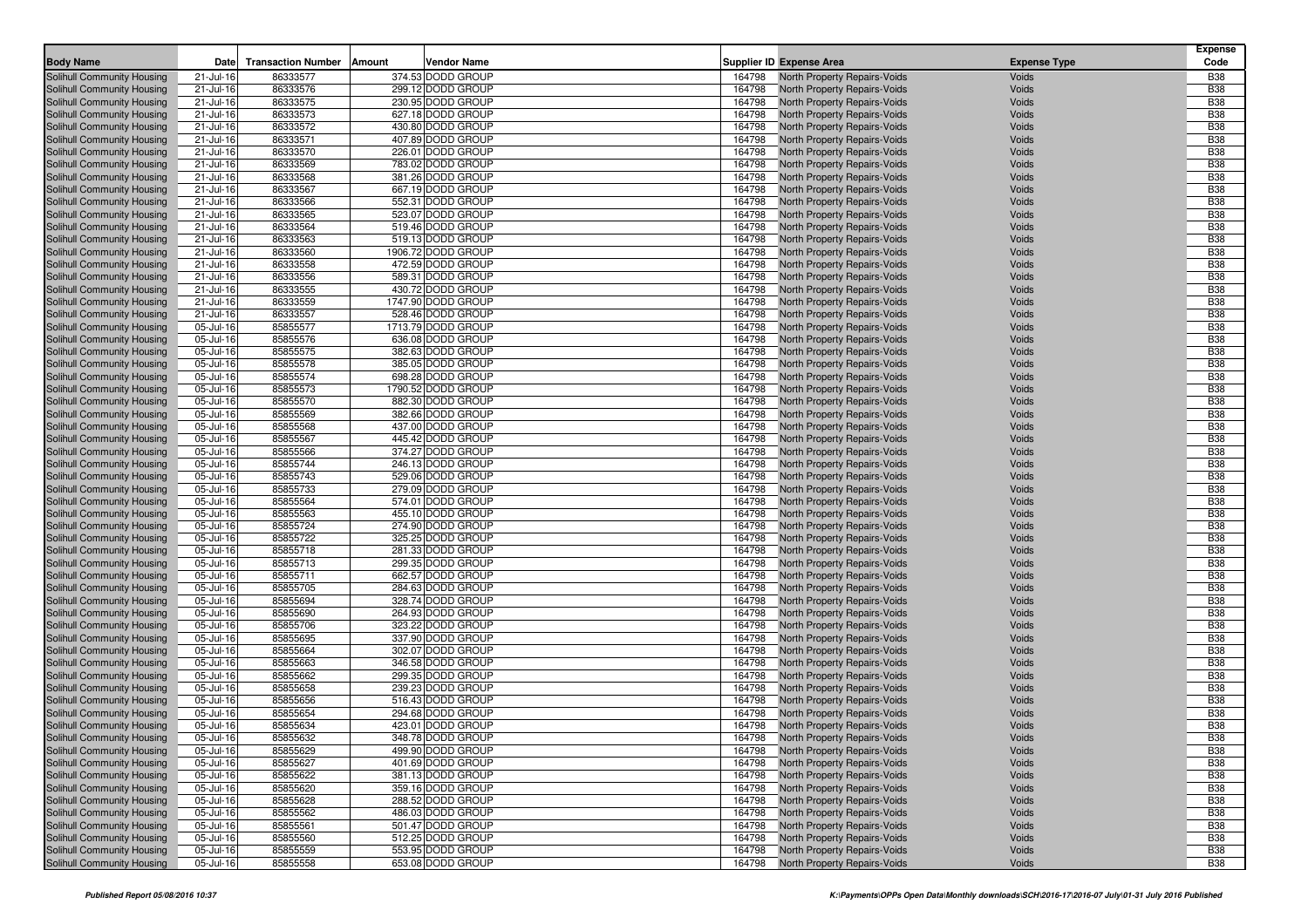| <b>Supplier ID Expense Area</b><br>86333577<br>374.53 DODD GROUP<br>Solihull Community Housing<br>North Property Repairs-Voids<br><b>B38</b><br>21-Jul-16<br>164798<br>Voids<br><b>B38</b><br>Solihull Community Housing<br>21-Jul-16<br>86333576<br>299.12 DODD GROUP<br>164798<br>North Property Repairs-Voids<br>Voids<br>230.95 DODD GROUP<br><b>B38</b><br>Solihull Community Housing<br>21-Jul-16<br>86333575<br>164798<br>North Property Repairs-Voids<br>Voids<br>86333573<br>627.18 DODD GROUP<br>164798<br><b>B38</b><br>Solihull Community Housing<br>21-Jul-16<br>North Property Repairs-Voids<br>Voids<br><b>B38</b><br>86333572<br>Solihull Community Housing<br>21-Jul-16<br>430.80 DODD GROUP<br>164798<br>North Property Repairs-Voids<br>Voids<br><b>B38</b><br>86333571<br>407.89 DODD GROUP<br>164798<br>Solihull Community Housing<br>21-Jul-16<br>North Property Repairs-Voids<br>Voids<br>226.01 DODD GROUP<br><b>B38</b><br>21-Jul-16<br>86333570<br>164798<br>North Property Repairs-Voids<br>Voids<br>Solihull Community Housing<br><b>B38</b><br>86333569<br>783.02 DODD GROUP<br>Solihull Community Housing<br>21-Jul-16<br>164798<br>North Property Repairs-Voids<br>Voids<br>86333568<br><b>B38</b><br>Solihull Community Housing<br>21-Jul-16<br>381.26 DODD GROUP<br>164798<br>North Property Repairs-Voids<br>Voids<br><b>B38</b><br>86333567<br>667.19 DODD GROUP<br>Solihull Community Housing<br>21-Jul-16<br>164798<br>North Property Repairs-Voids<br>Voids<br>86333566<br>552.31 DODD GROUP<br><b>B38</b><br>Solihull Community Housing<br>21-Jul-16<br>164798<br>North Property Repairs-Voids<br>Voids<br>86333565<br><b>B38</b><br>21-Jul-16<br>523.07 DODD GROUP<br>164798<br>Voids<br>Solihull Community Housing<br>North Property Repairs-Voids<br><b>B38</b><br>86333564<br>519.46 DODD GROUP<br>Solihull Community Housing<br>21-Jul-16<br>164798<br>North Property Repairs-Voids<br>Voids<br>86333563<br>519.13 DODD GROUP<br><b>B38</b><br>Solihull Community Housing<br>21-Jul-16<br>164798<br>North Property Repairs-Voids<br>Voids<br><b>B38</b><br>86333560<br>Solihull Community Housing<br>21-Jul-16<br>1906.72 DODD GROUP<br>164798<br>North Property Repairs-Voids<br>Voids<br><b>B38</b><br>Solihull Community Housing<br>21-Jul-16<br>86333558<br>472.59 DODD GROUP<br>164798<br>North Property Repairs-Voids<br>Voids<br>86333556<br>589.31 DODD GROUP<br>164798<br><b>B38</b><br>Solihull Community Housing<br>21-Jul-16<br>North Property Repairs-Voids<br>Voids<br><b>B38</b><br>21-Jul-16<br>86333555<br>430.72 DODD GROUP<br>164798<br>Voids<br>Solihull Community Housing<br>North Property Repairs-Voids<br>86333559<br>1747.90 DODD GROUP<br><b>B38</b><br>Solihull Community Housing<br>21-Jul-16<br>164798<br>North Property Repairs-Voids<br>Voids<br>86333557<br>528.46 DODD GROUP<br>164798<br><b>B38</b><br>Solihull Community Housing<br>21-Jul-16<br>North Property Repairs-Voids<br>Voids<br><b>B38</b><br>05-Jul-16<br>85855577<br>1713.79 DODD GROUP<br>164798<br>Voids<br>Solihull Community Housing<br>North Property Repairs-Voids<br>85855576<br>636.08 DODD GROUP<br><b>B38</b><br>Solihull Community Housing<br>05-Jul-16<br>164798<br>North Property Repairs-Voids<br>Voids<br>85855575<br>382.63 DODD GROUP<br>164798<br><b>B38</b><br>Solihull Community Housing<br>05-Jul-16<br>North Property Repairs-Voids<br>Voids<br><b>B38</b><br>85855578<br>Solihull Community Housing<br>05-Jul-16<br>385.05 DODD GROUP<br>164798<br>North Property Repairs-Voids<br>Voids<br><b>B38</b><br>Solihull Community Housing<br>05-Jul-16<br>85855574<br>698.28 DODD GROUP<br>164798<br>North Property Repairs-Voids<br>Voids<br><b>B38</b><br>85855573<br>1790.52 DODD GROUP<br>164798<br>Solihull Community Housing<br>05-Jul-16<br>North Property Repairs-Voids<br>Voids<br><b>B38</b><br>85855570<br>Solihull Community Housing<br>05-Jul-16<br>882.30 DODD GROUP<br>164798<br>North Property Repairs-Voids<br>Voids<br>85855569<br>382.66 DODD GROUP<br><b>B38</b><br>Solihull Community Housing<br>05-Jul-16<br>164798<br>North Property Repairs-Voids<br>Voids<br>85855568<br>437.00 DODD GROUP<br>164798<br><b>B38</b><br>Solihull Community Housing<br>05-Jul-16<br>North Property Repairs-Voids<br>Voids<br><b>B38</b><br>85855567<br>Solihull Community Housing<br>05-Jul-16<br>445.42 DODD GROUP<br>164798<br>North Property Repairs-Voids<br>Voids<br>85855566<br>374.27 DODD GROUP<br><b>B38</b><br>Solihull Community Housing<br>05-Jul-16<br>164798<br>North Property Repairs-Voids<br>Voids<br>85855744<br>246.13 DODD GROUP<br>164798<br><b>B38</b><br>Solihull Community Housing<br>05-Jul-16<br>North Property Repairs-Voids<br>Voids<br>85855743<br>529.06 DODD GROUP<br><b>B38</b><br>Solihull Community Housing<br>05-Jul-16<br>164798<br>North Property Repairs-Voids<br>Voids<br>85855733<br><b>B38</b><br>Solihull Community Housing<br>05-Jul-16<br>279.09 DODD GROUP<br>164798<br>North Property Repairs-Voids<br>Voids<br><b>B38</b><br>85855564<br>574.01 DODD GROUP<br>Solihull Community Housing<br>05-Jul-16<br>164798<br>North Property Repairs-Voids<br>Voids<br>85855563<br>455.10 DODD GROUP<br><b>B38</b><br>Solihull Community Housing<br>05-Jul-16<br>164798<br>North Property Repairs-Voids<br>Voids<br>274.90 DODD GROUP<br><b>B38</b><br>Solihull Community Housing<br>05-Jul-16<br>85855724<br>164798<br>Voids<br>North Property Repairs-Voids<br><b>B38</b><br>85855722<br>325.25 DODD GROUP<br>164798<br>Solihull Community Housing<br>05-Jul-16<br>North Property Repairs-Voids<br>Voids<br><b>B38</b><br>Solihull Community Housing<br>05-Jul-16<br>85855718<br>281.33 DODD GROUP<br>164798<br>North Property Repairs-Voids<br>Voids<br>299.35 DODD GROUP<br><b>B38</b><br>Solihull Community Housing<br>05-Jul-16<br>85855713<br>164798<br>North Property Repairs-Voids<br>Voids<br>662.57 DODD GROUP<br>164798<br><b>B38</b><br>Solihull Community Housing<br>05-Jul-16<br>85855711<br>North Property Repairs-Voids<br>Voids<br>85855705<br>284.63 DODD GROUP<br><b>B38</b><br>Solihull Community Housing<br>05-Jul-16<br>164798<br>North Property Repairs-Voids<br>Voids<br>85855694<br><b>B38</b><br>Solihull Community Housing<br>05-Jul-16<br>328.74 DODD GROUP<br>164798<br>North Property Repairs-Voids<br>Voids<br>164798<br><b>B38</b><br>Solihull Community Housing<br>05-Jul-16<br>85855690<br>264.93 DODD GROUP<br>North Property Repairs-Voids<br>Voids<br>85855706<br>323.22 DODD GROUP<br><b>B38</b><br>Solihull Community Housing<br>05-Jul-16<br>164798<br>North Property Repairs-Voids<br>Voids<br><b>B38</b><br>Solihull Community Housing<br>05-Jul-16<br>85855695<br>337.90 DODD GROUP<br>164798<br>North Property Repairs-Voids<br>Voids<br><b>B38</b><br>302.07 DODD GROUP<br>Solihull Community Housing<br>05-Jul-16<br>85855664<br>164798<br>North Property Repairs-Voids<br>Voids<br><b>B38</b><br>Solihull Community Housing<br>05-Jul-16<br>85855663<br>346.58 DODD GROUP<br>164798<br>North Property Repairs-Voids<br>Voids<br><b>B38</b><br>85855662<br>299.35 DODD GROUP<br>Solihull Community Housing<br>05-Jul-16<br>164798<br>North Property Repairs-Voids<br>Voids<br><b>B38</b><br>Solihull Community Housing<br>05-Jul-16<br>85855658<br>239.23 DODD GROUP<br>164798<br>North Property Repairs-Voids<br>Voids<br>85855656<br>516.43 DODD GROUP<br>164798<br><b>B38</b><br>Solihull Community Housing<br>05-Jul-16<br><b>North Property Repairs-Voids</b><br>Voids<br><b>B38</b><br>85855654<br>Solihull Community Housing<br>05-Jul-16<br>294.68 DODD GROUP<br>164798<br>North Property Repairs-Voids<br>Voids<br><b>B38</b><br>85855634<br>Solihull Community Housing<br>05-Jul-16<br>423.01 DODD GROUP<br>164798<br>North Property Repairs-Voids<br>Voids<br><b>B38</b><br>Solihull Community Housing<br>05-Jul-16<br>85855632<br>348.78 DODD GROUP<br>164798 North Property Repairs-Voids<br>Voids<br><b>B38</b><br>85855629<br>499.90 DODD GROUP<br>Solihull Community Housing<br><b>North Property Repairs-Voids</b><br>Voids<br>05-Jul-16<br>164798<br>Solihull Community Housing<br>401.69 DODD GROUP<br>North Property Repairs-Voids<br><b>B38</b><br>05-Jul-16<br>85855627<br>164798<br>Voids<br>85855622<br>381.13 DODD GROUP<br>North Property Repairs-Voids<br><b>B38</b><br>Solihull Community Housing<br>05-Jul-16<br>164798<br>Voids<br>85855620<br>359.16 DODD GROUP<br>North Property Repairs-Voids<br><b>B38</b><br>Solihull Community Housing<br>05-Jul-16<br>164798<br>Voids<br>288.52 DODD GROUP<br><b>B38</b><br>Solihull Community Housing<br>05-Jul-16<br>85855628<br>164798<br>North Property Repairs-Voids<br>Voids<br>Solihull Community Housing<br>85855562<br>486.03 DODD GROUP<br>164798<br>North Property Repairs-Voids<br><b>B38</b><br>05-Jul-16<br>Voids<br>85855561<br>501.47 DODD GROUP<br><b>B38</b><br>Solihull Community Housing<br>05-Jul-16<br>164798<br><b>North Property Repairs-Voids</b><br>Voids<br>512.25 DODD GROUP<br><b>B38</b><br>Solihull Community Housing<br>05-Jul-16<br>85855560<br>164798<br><b>North Property Repairs-Voids</b><br>Voids<br>85855559<br>Solihull Community Housing<br>553.95 DODD GROUP<br>164798<br>North Property Repairs-Voids<br><b>B38</b><br>05-Jul-16<br>Voids<br>85855558<br>653.08 DODD GROUP<br><b>B38</b><br>Solihull Community Housing<br>05-Jul-16<br>164798<br>North Property Repairs-Voids<br>Voids |                  |      |                                     |             |  |                     | <b>Expense</b><br>Code |
|--------------------------------------------------------------------------------------------------------------------------------------------------------------------------------------------------------------------------------------------------------------------------------------------------------------------------------------------------------------------------------------------------------------------------------------------------------------------------------------------------------------------------------------------------------------------------------------------------------------------------------------------------------------------------------------------------------------------------------------------------------------------------------------------------------------------------------------------------------------------------------------------------------------------------------------------------------------------------------------------------------------------------------------------------------------------------------------------------------------------------------------------------------------------------------------------------------------------------------------------------------------------------------------------------------------------------------------------------------------------------------------------------------------------------------------------------------------------------------------------------------------------------------------------------------------------------------------------------------------------------------------------------------------------------------------------------------------------------------------------------------------------------------------------------------------------------------------------------------------------------------------------------------------------------------------------------------------------------------------------------------------------------------------------------------------------------------------------------------------------------------------------------------------------------------------------------------------------------------------------------------------------------------------------------------------------------------------------------------------------------------------------------------------------------------------------------------------------------------------------------------------------------------------------------------------------------------------------------------------------------------------------------------------------------------------------------------------------------------------------------------------------------------------------------------------------------------------------------------------------------------------------------------------------------------------------------------------------------------------------------------------------------------------------------------------------------------------------------------------------------------------------------------------------------------------------------------------------------------------------------------------------------------------------------------------------------------------------------------------------------------------------------------------------------------------------------------------------------------------------------------------------------------------------------------------------------------------------------------------------------------------------------------------------------------------------------------------------------------------------------------------------------------------------------------------------------------------------------------------------------------------------------------------------------------------------------------------------------------------------------------------------------------------------------------------------------------------------------------------------------------------------------------------------------------------------------------------------------------------------------------------------------------------------------------------------------------------------------------------------------------------------------------------------------------------------------------------------------------------------------------------------------------------------------------------------------------------------------------------------------------------------------------------------------------------------------------------------------------------------------------------------------------------------------------------------------------------------------------------------------------------------------------------------------------------------------------------------------------------------------------------------------------------------------------------------------------------------------------------------------------------------------------------------------------------------------------------------------------------------------------------------------------------------------------------------------------------------------------------------------------------------------------------------------------------------------------------------------------------------------------------------------------------------------------------------------------------------------------------------------------------------------------------------------------------------------------------------------------------------------------------------------------------------------------------------------------------------------------------------------------------------------------------------------------------------------------------------------------------------------------------------------------------------------------------------------------------------------------------------------------------------------------------------------------------------------------------------------------------------------------------------------------------------------------------------------------------------------------------------------------------------------------------------------------------------------------------------------------------------------------------------------------------------------------------------------------------------------------------------------------------------------------------------------------------------------------------------------------------------------------------------------------------------------------------------------------------------------------------------------------------------------------------------------------------------------------------------------------------------------------------------------------------------------------------------------------------------------------------------------------------------------------------------------------------------------------------------------------------------------------------------------------------------------------------------------------------------------------------------------------------------------------------------------------------------------------------------------------------------------------------------------------------------------------------------------------------------------------------------------------------------------------------------------------------------------------------------------------------------------------------------------------------------------------------------------------------------------------------------------------------------------------------------------------------------------------------------------------------------------------------------------------------------------------------------------------------------------------------------------------------------------------------------------------------------------------------------------------------------------------------------------------------------------------------------------------------------------------------------------------------------------------------------------------------------------------------------------------------------------------------------------------------------------------------------------------------------------------------------------------------------------------------------------------------------------------------------------------------------------------------------------------------------------------------------------------------------------------------------------------------------------------------------------------------------------------------------------------------------------------------------------------------------------------------------------------------------------------------------------------------------------------------------------------------------------------------------------------------------------------------------------------------------------------------------------------------------------------------------------------------------------------------------------------------------------------------|------------------|------|-------------------------------------|-------------|--|---------------------|------------------------|
|                                                                                                                                                                                                                                                                                                                                                                                                                                                                                                                                                                                                                                                                                                                                                                                                                                                                                                                                                                                                                                                                                                                                                                                                                                                                                                                                                                                                                                                                                                                                                                                                                                                                                                                                                                                                                                                                                                                                                                                                                                                                                                                                                                                                                                                                                                                                                                                                                                                                                                                                                                                                                                                                                                                                                                                                                                                                                                                                                                                                                                                                                                                                                                                                                                                                                                                                                                                                                                                                                                                                                                                                                                                                                                                                                                                                                                                                                                                                                                                                                                                                                                                                                                                                                                                                                                                                                                                                                                                                                                                                                                                                                                                                                                                                                                                                                                                                                                                                                                                                                                                                                                                                                                                                                                                                                                                                                                                                                                                                                                                                                                                                                                                                                                                                                                                                                                                                                                                                                                                                                                                                                                                                                                                                                                                                                                                                                                                                                                                                                                                                                                                                                                                                                                                                                                                                                                                                                                                                                                                                                                                                                                                                                                                                                                                                                                                                                                                                                                                                                                                                                                                                                                                                                                                                                                                                                                                                                                                                                                                                                                                                                                                                                                                                                                                                                                                                                                                                                                                                                                                                                                                                                                                                                                                                                                                                                                                                                                                                                                                                                                                                                                                                                                                                                                                                                                                                                                                                                                                              | <b>Body Name</b> | Date | <b>Transaction Number</b><br>Amount | Vendor Name |  | <b>Expense Type</b> |                        |
|                                                                                                                                                                                                                                                                                                                                                                                                                                                                                                                                                                                                                                                                                                                                                                                                                                                                                                                                                                                                                                                                                                                                                                                                                                                                                                                                                                                                                                                                                                                                                                                                                                                                                                                                                                                                                                                                                                                                                                                                                                                                                                                                                                                                                                                                                                                                                                                                                                                                                                                                                                                                                                                                                                                                                                                                                                                                                                                                                                                                                                                                                                                                                                                                                                                                                                                                                                                                                                                                                                                                                                                                                                                                                                                                                                                                                                                                                                                                                                                                                                                                                                                                                                                                                                                                                                                                                                                                                                                                                                                                                                                                                                                                                                                                                                                                                                                                                                                                                                                                                                                                                                                                                                                                                                                                                                                                                                                                                                                                                                                                                                                                                                                                                                                                                                                                                                                                                                                                                                                                                                                                                                                                                                                                                                                                                                                                                                                                                                                                                                                                                                                                                                                                                                                                                                                                                                                                                                                                                                                                                                                                                                                                                                                                                                                                                                                                                                                                                                                                                                                                                                                                                                                                                                                                                                                                                                                                                                                                                                                                                                                                                                                                                                                                                                                                                                                                                                                                                                                                                                                                                                                                                                                                                                                                                                                                                                                                                                                                                                                                                                                                                                                                                                                                                                                                                                                                                                                                                                                              |                  |      |                                     |             |  |                     |                        |
|                                                                                                                                                                                                                                                                                                                                                                                                                                                                                                                                                                                                                                                                                                                                                                                                                                                                                                                                                                                                                                                                                                                                                                                                                                                                                                                                                                                                                                                                                                                                                                                                                                                                                                                                                                                                                                                                                                                                                                                                                                                                                                                                                                                                                                                                                                                                                                                                                                                                                                                                                                                                                                                                                                                                                                                                                                                                                                                                                                                                                                                                                                                                                                                                                                                                                                                                                                                                                                                                                                                                                                                                                                                                                                                                                                                                                                                                                                                                                                                                                                                                                                                                                                                                                                                                                                                                                                                                                                                                                                                                                                                                                                                                                                                                                                                                                                                                                                                                                                                                                                                                                                                                                                                                                                                                                                                                                                                                                                                                                                                                                                                                                                                                                                                                                                                                                                                                                                                                                                                                                                                                                                                                                                                                                                                                                                                                                                                                                                                                                                                                                                                                                                                                                                                                                                                                                                                                                                                                                                                                                                                                                                                                                                                                                                                                                                                                                                                                                                                                                                                                                                                                                                                                                                                                                                                                                                                                                                                                                                                                                                                                                                                                                                                                                                                                                                                                                                                                                                                                                                                                                                                                                                                                                                                                                                                                                                                                                                                                                                                                                                                                                                                                                                                                                                                                                                                                                                                                                                                              |                  |      |                                     |             |  |                     |                        |
|                                                                                                                                                                                                                                                                                                                                                                                                                                                                                                                                                                                                                                                                                                                                                                                                                                                                                                                                                                                                                                                                                                                                                                                                                                                                                                                                                                                                                                                                                                                                                                                                                                                                                                                                                                                                                                                                                                                                                                                                                                                                                                                                                                                                                                                                                                                                                                                                                                                                                                                                                                                                                                                                                                                                                                                                                                                                                                                                                                                                                                                                                                                                                                                                                                                                                                                                                                                                                                                                                                                                                                                                                                                                                                                                                                                                                                                                                                                                                                                                                                                                                                                                                                                                                                                                                                                                                                                                                                                                                                                                                                                                                                                                                                                                                                                                                                                                                                                                                                                                                                                                                                                                                                                                                                                                                                                                                                                                                                                                                                                                                                                                                                                                                                                                                                                                                                                                                                                                                                                                                                                                                                                                                                                                                                                                                                                                                                                                                                                                                                                                                                                                                                                                                                                                                                                                                                                                                                                                                                                                                                                                                                                                                                                                                                                                                                                                                                                                                                                                                                                                                                                                                                                                                                                                                                                                                                                                                                                                                                                                                                                                                                                                                                                                                                                                                                                                                                                                                                                                                                                                                                                                                                                                                                                                                                                                                                                                                                                                                                                                                                                                                                                                                                                                                                                                                                                                                                                                                                                              |                  |      |                                     |             |  |                     |                        |
|                                                                                                                                                                                                                                                                                                                                                                                                                                                                                                                                                                                                                                                                                                                                                                                                                                                                                                                                                                                                                                                                                                                                                                                                                                                                                                                                                                                                                                                                                                                                                                                                                                                                                                                                                                                                                                                                                                                                                                                                                                                                                                                                                                                                                                                                                                                                                                                                                                                                                                                                                                                                                                                                                                                                                                                                                                                                                                                                                                                                                                                                                                                                                                                                                                                                                                                                                                                                                                                                                                                                                                                                                                                                                                                                                                                                                                                                                                                                                                                                                                                                                                                                                                                                                                                                                                                                                                                                                                                                                                                                                                                                                                                                                                                                                                                                                                                                                                                                                                                                                                                                                                                                                                                                                                                                                                                                                                                                                                                                                                                                                                                                                                                                                                                                                                                                                                                                                                                                                                                                                                                                                                                                                                                                                                                                                                                                                                                                                                                                                                                                                                                                                                                                                                                                                                                                                                                                                                                                                                                                                                                                                                                                                                                                                                                                                                                                                                                                                                                                                                                                                                                                                                                                                                                                                                                                                                                                                                                                                                                                                                                                                                                                                                                                                                                                                                                                                                                                                                                                                                                                                                                                                                                                                                                                                                                                                                                                                                                                                                                                                                                                                                                                                                                                                                                                                                                                                                                                                                                              |                  |      |                                     |             |  |                     |                        |
|                                                                                                                                                                                                                                                                                                                                                                                                                                                                                                                                                                                                                                                                                                                                                                                                                                                                                                                                                                                                                                                                                                                                                                                                                                                                                                                                                                                                                                                                                                                                                                                                                                                                                                                                                                                                                                                                                                                                                                                                                                                                                                                                                                                                                                                                                                                                                                                                                                                                                                                                                                                                                                                                                                                                                                                                                                                                                                                                                                                                                                                                                                                                                                                                                                                                                                                                                                                                                                                                                                                                                                                                                                                                                                                                                                                                                                                                                                                                                                                                                                                                                                                                                                                                                                                                                                                                                                                                                                                                                                                                                                                                                                                                                                                                                                                                                                                                                                                                                                                                                                                                                                                                                                                                                                                                                                                                                                                                                                                                                                                                                                                                                                                                                                                                                                                                                                                                                                                                                                                                                                                                                                                                                                                                                                                                                                                                                                                                                                                                                                                                                                                                                                                                                                                                                                                                                                                                                                                                                                                                                                                                                                                                                                                                                                                                                                                                                                                                                                                                                                                                                                                                                                                                                                                                                                                                                                                                                                                                                                                                                                                                                                                                                                                                                                                                                                                                                                                                                                                                                                                                                                                                                                                                                                                                                                                                                                                                                                                                                                                                                                                                                                                                                                                                                                                                                                                                                                                                                                                              |                  |      |                                     |             |  |                     |                        |
|                                                                                                                                                                                                                                                                                                                                                                                                                                                                                                                                                                                                                                                                                                                                                                                                                                                                                                                                                                                                                                                                                                                                                                                                                                                                                                                                                                                                                                                                                                                                                                                                                                                                                                                                                                                                                                                                                                                                                                                                                                                                                                                                                                                                                                                                                                                                                                                                                                                                                                                                                                                                                                                                                                                                                                                                                                                                                                                                                                                                                                                                                                                                                                                                                                                                                                                                                                                                                                                                                                                                                                                                                                                                                                                                                                                                                                                                                                                                                                                                                                                                                                                                                                                                                                                                                                                                                                                                                                                                                                                                                                                                                                                                                                                                                                                                                                                                                                                                                                                                                                                                                                                                                                                                                                                                                                                                                                                                                                                                                                                                                                                                                                                                                                                                                                                                                                                                                                                                                                                                                                                                                                                                                                                                                                                                                                                                                                                                                                                                                                                                                                                                                                                                                                                                                                                                                                                                                                                                                                                                                                                                                                                                                                                                                                                                                                                                                                                                                                                                                                                                                                                                                                                                                                                                                                                                                                                                                                                                                                                                                                                                                                                                                                                                                                                                                                                                                                                                                                                                                                                                                                                                                                                                                                                                                                                                                                                                                                                                                                                                                                                                                                                                                                                                                                                                                                                                                                                                                                                              |                  |      |                                     |             |  |                     |                        |
|                                                                                                                                                                                                                                                                                                                                                                                                                                                                                                                                                                                                                                                                                                                                                                                                                                                                                                                                                                                                                                                                                                                                                                                                                                                                                                                                                                                                                                                                                                                                                                                                                                                                                                                                                                                                                                                                                                                                                                                                                                                                                                                                                                                                                                                                                                                                                                                                                                                                                                                                                                                                                                                                                                                                                                                                                                                                                                                                                                                                                                                                                                                                                                                                                                                                                                                                                                                                                                                                                                                                                                                                                                                                                                                                                                                                                                                                                                                                                                                                                                                                                                                                                                                                                                                                                                                                                                                                                                                                                                                                                                                                                                                                                                                                                                                                                                                                                                                                                                                                                                                                                                                                                                                                                                                                                                                                                                                                                                                                                                                                                                                                                                                                                                                                                                                                                                                                                                                                                                                                                                                                                                                                                                                                                                                                                                                                                                                                                                                                                                                                                                                                                                                                                                                                                                                                                                                                                                                                                                                                                                                                                                                                                                                                                                                                                                                                                                                                                                                                                                                                                                                                                                                                                                                                                                                                                                                                                                                                                                                                                                                                                                                                                                                                                                                                                                                                                                                                                                                                                                                                                                                                                                                                                                                                                                                                                                                                                                                                                                                                                                                                                                                                                                                                                                                                                                                                                                                                                                                              |                  |      |                                     |             |  |                     |                        |
|                                                                                                                                                                                                                                                                                                                                                                                                                                                                                                                                                                                                                                                                                                                                                                                                                                                                                                                                                                                                                                                                                                                                                                                                                                                                                                                                                                                                                                                                                                                                                                                                                                                                                                                                                                                                                                                                                                                                                                                                                                                                                                                                                                                                                                                                                                                                                                                                                                                                                                                                                                                                                                                                                                                                                                                                                                                                                                                                                                                                                                                                                                                                                                                                                                                                                                                                                                                                                                                                                                                                                                                                                                                                                                                                                                                                                                                                                                                                                                                                                                                                                                                                                                                                                                                                                                                                                                                                                                                                                                                                                                                                                                                                                                                                                                                                                                                                                                                                                                                                                                                                                                                                                                                                                                                                                                                                                                                                                                                                                                                                                                                                                                                                                                                                                                                                                                                                                                                                                                                                                                                                                                                                                                                                                                                                                                                                                                                                                                                                                                                                                                                                                                                                                                                                                                                                                                                                                                                                                                                                                                                                                                                                                                                                                                                                                                                                                                                                                                                                                                                                                                                                                                                                                                                                                                                                                                                                                                                                                                                                                                                                                                                                                                                                                                                                                                                                                                                                                                                                                                                                                                                                                                                                                                                                                                                                                                                                                                                                                                                                                                                                                                                                                                                                                                                                                                                                                                                                                                                              |                  |      |                                     |             |  |                     |                        |
|                                                                                                                                                                                                                                                                                                                                                                                                                                                                                                                                                                                                                                                                                                                                                                                                                                                                                                                                                                                                                                                                                                                                                                                                                                                                                                                                                                                                                                                                                                                                                                                                                                                                                                                                                                                                                                                                                                                                                                                                                                                                                                                                                                                                                                                                                                                                                                                                                                                                                                                                                                                                                                                                                                                                                                                                                                                                                                                                                                                                                                                                                                                                                                                                                                                                                                                                                                                                                                                                                                                                                                                                                                                                                                                                                                                                                                                                                                                                                                                                                                                                                                                                                                                                                                                                                                                                                                                                                                                                                                                                                                                                                                                                                                                                                                                                                                                                                                                                                                                                                                                                                                                                                                                                                                                                                                                                                                                                                                                                                                                                                                                                                                                                                                                                                                                                                                                                                                                                                                                                                                                                                                                                                                                                                                                                                                                                                                                                                                                                                                                                                                                                                                                                                                                                                                                                                                                                                                                                                                                                                                                                                                                                                                                                                                                                                                                                                                                                                                                                                                                                                                                                                                                                                                                                                                                                                                                                                                                                                                                                                                                                                                                                                                                                                                                                                                                                                                                                                                                                                                                                                                                                                                                                                                                                                                                                                                                                                                                                                                                                                                                                                                                                                                                                                                                                                                                                                                                                                                                              |                  |      |                                     |             |  |                     |                        |
|                                                                                                                                                                                                                                                                                                                                                                                                                                                                                                                                                                                                                                                                                                                                                                                                                                                                                                                                                                                                                                                                                                                                                                                                                                                                                                                                                                                                                                                                                                                                                                                                                                                                                                                                                                                                                                                                                                                                                                                                                                                                                                                                                                                                                                                                                                                                                                                                                                                                                                                                                                                                                                                                                                                                                                                                                                                                                                                                                                                                                                                                                                                                                                                                                                                                                                                                                                                                                                                                                                                                                                                                                                                                                                                                                                                                                                                                                                                                                                                                                                                                                                                                                                                                                                                                                                                                                                                                                                                                                                                                                                                                                                                                                                                                                                                                                                                                                                                                                                                                                                                                                                                                                                                                                                                                                                                                                                                                                                                                                                                                                                                                                                                                                                                                                                                                                                                                                                                                                                                                                                                                                                                                                                                                                                                                                                                                                                                                                                                                                                                                                                                                                                                                                                                                                                                                                                                                                                                                                                                                                                                                                                                                                                                                                                                                                                                                                                                                                                                                                                                                                                                                                                                                                                                                                                                                                                                                                                                                                                                                                                                                                                                                                                                                                                                                                                                                                                                                                                                                                                                                                                                                                                                                                                                                                                                                                                                                                                                                                                                                                                                                                                                                                                                                                                                                                                                                                                                                                                                              |                  |      |                                     |             |  |                     |                        |
|                                                                                                                                                                                                                                                                                                                                                                                                                                                                                                                                                                                                                                                                                                                                                                                                                                                                                                                                                                                                                                                                                                                                                                                                                                                                                                                                                                                                                                                                                                                                                                                                                                                                                                                                                                                                                                                                                                                                                                                                                                                                                                                                                                                                                                                                                                                                                                                                                                                                                                                                                                                                                                                                                                                                                                                                                                                                                                                                                                                                                                                                                                                                                                                                                                                                                                                                                                                                                                                                                                                                                                                                                                                                                                                                                                                                                                                                                                                                                                                                                                                                                                                                                                                                                                                                                                                                                                                                                                                                                                                                                                                                                                                                                                                                                                                                                                                                                                                                                                                                                                                                                                                                                                                                                                                                                                                                                                                                                                                                                                                                                                                                                                                                                                                                                                                                                                                                                                                                                                                                                                                                                                                                                                                                                                                                                                                                                                                                                                                                                                                                                                                                                                                                                                                                                                                                                                                                                                                                                                                                                                                                                                                                                                                                                                                                                                                                                                                                                                                                                                                                                                                                                                                                                                                                                                                                                                                                                                                                                                                                                                                                                                                                                                                                                                                                                                                                                                                                                                                                                                                                                                                                                                                                                                                                                                                                                                                                                                                                                                                                                                                                                                                                                                                                                                                                                                                                                                                                                                                              |                  |      |                                     |             |  |                     |                        |
|                                                                                                                                                                                                                                                                                                                                                                                                                                                                                                                                                                                                                                                                                                                                                                                                                                                                                                                                                                                                                                                                                                                                                                                                                                                                                                                                                                                                                                                                                                                                                                                                                                                                                                                                                                                                                                                                                                                                                                                                                                                                                                                                                                                                                                                                                                                                                                                                                                                                                                                                                                                                                                                                                                                                                                                                                                                                                                                                                                                                                                                                                                                                                                                                                                                                                                                                                                                                                                                                                                                                                                                                                                                                                                                                                                                                                                                                                                                                                                                                                                                                                                                                                                                                                                                                                                                                                                                                                                                                                                                                                                                                                                                                                                                                                                                                                                                                                                                                                                                                                                                                                                                                                                                                                                                                                                                                                                                                                                                                                                                                                                                                                                                                                                                                                                                                                                                                                                                                                                                                                                                                                                                                                                                                                                                                                                                                                                                                                                                                                                                                                                                                                                                                                                                                                                                                                                                                                                                                                                                                                                                                                                                                                                                                                                                                                                                                                                                                                                                                                                                                                                                                                                                                                                                                                                                                                                                                                                                                                                                                                                                                                                                                                                                                                                                                                                                                                                                                                                                                                                                                                                                                                                                                                                                                                                                                                                                                                                                                                                                                                                                                                                                                                                                                                                                                                                                                                                                                                                                              |                  |      |                                     |             |  |                     |                        |
|                                                                                                                                                                                                                                                                                                                                                                                                                                                                                                                                                                                                                                                                                                                                                                                                                                                                                                                                                                                                                                                                                                                                                                                                                                                                                                                                                                                                                                                                                                                                                                                                                                                                                                                                                                                                                                                                                                                                                                                                                                                                                                                                                                                                                                                                                                                                                                                                                                                                                                                                                                                                                                                                                                                                                                                                                                                                                                                                                                                                                                                                                                                                                                                                                                                                                                                                                                                                                                                                                                                                                                                                                                                                                                                                                                                                                                                                                                                                                                                                                                                                                                                                                                                                                                                                                                                                                                                                                                                                                                                                                                                                                                                                                                                                                                                                                                                                                                                                                                                                                                                                                                                                                                                                                                                                                                                                                                                                                                                                                                                                                                                                                                                                                                                                                                                                                                                                                                                                                                                                                                                                                                                                                                                                                                                                                                                                                                                                                                                                                                                                                                                                                                                                                                                                                                                                                                                                                                                                                                                                                                                                                                                                                                                                                                                                                                                                                                                                                                                                                                                                                                                                                                                                                                                                                                                                                                                                                                                                                                                                                                                                                                                                                                                                                                                                                                                                                                                                                                                                                                                                                                                                                                                                                                                                                                                                                                                                                                                                                                                                                                                                                                                                                                                                                                                                                                                                                                                                                                                              |                  |      |                                     |             |  |                     |                        |
|                                                                                                                                                                                                                                                                                                                                                                                                                                                                                                                                                                                                                                                                                                                                                                                                                                                                                                                                                                                                                                                                                                                                                                                                                                                                                                                                                                                                                                                                                                                                                                                                                                                                                                                                                                                                                                                                                                                                                                                                                                                                                                                                                                                                                                                                                                                                                                                                                                                                                                                                                                                                                                                                                                                                                                                                                                                                                                                                                                                                                                                                                                                                                                                                                                                                                                                                                                                                                                                                                                                                                                                                                                                                                                                                                                                                                                                                                                                                                                                                                                                                                                                                                                                                                                                                                                                                                                                                                                                                                                                                                                                                                                                                                                                                                                                                                                                                                                                                                                                                                                                                                                                                                                                                                                                                                                                                                                                                                                                                                                                                                                                                                                                                                                                                                                                                                                                                                                                                                                                                                                                                                                                                                                                                                                                                                                                                                                                                                                                                                                                                                                                                                                                                                                                                                                                                                                                                                                                                                                                                                                                                                                                                                                                                                                                                                                                                                                                                                                                                                                                                                                                                                                                                                                                                                                                                                                                                                                                                                                                                                                                                                                                                                                                                                                                                                                                                                                                                                                                                                                                                                                                                                                                                                                                                                                                                                                                                                                                                                                                                                                                                                                                                                                                                                                                                                                                                                                                                                                                              |                  |      |                                     |             |  |                     |                        |
|                                                                                                                                                                                                                                                                                                                                                                                                                                                                                                                                                                                                                                                                                                                                                                                                                                                                                                                                                                                                                                                                                                                                                                                                                                                                                                                                                                                                                                                                                                                                                                                                                                                                                                                                                                                                                                                                                                                                                                                                                                                                                                                                                                                                                                                                                                                                                                                                                                                                                                                                                                                                                                                                                                                                                                                                                                                                                                                                                                                                                                                                                                                                                                                                                                                                                                                                                                                                                                                                                                                                                                                                                                                                                                                                                                                                                                                                                                                                                                                                                                                                                                                                                                                                                                                                                                                                                                                                                                                                                                                                                                                                                                                                                                                                                                                                                                                                                                                                                                                                                                                                                                                                                                                                                                                                                                                                                                                                                                                                                                                                                                                                                                                                                                                                                                                                                                                                                                                                                                                                                                                                                                                                                                                                                                                                                                                                                                                                                                                                                                                                                                                                                                                                                                                                                                                                                                                                                                                                                                                                                                                                                                                                                                                                                                                                                                                                                                                                                                                                                                                                                                                                                                                                                                                                                                                                                                                                                                                                                                                                                                                                                                                                                                                                                                                                                                                                                                                                                                                                                                                                                                                                                                                                                                                                                                                                                                                                                                                                                                                                                                                                                                                                                                                                                                                                                                                                                                                                                                                              |                  |      |                                     |             |  |                     |                        |
|                                                                                                                                                                                                                                                                                                                                                                                                                                                                                                                                                                                                                                                                                                                                                                                                                                                                                                                                                                                                                                                                                                                                                                                                                                                                                                                                                                                                                                                                                                                                                                                                                                                                                                                                                                                                                                                                                                                                                                                                                                                                                                                                                                                                                                                                                                                                                                                                                                                                                                                                                                                                                                                                                                                                                                                                                                                                                                                                                                                                                                                                                                                                                                                                                                                                                                                                                                                                                                                                                                                                                                                                                                                                                                                                                                                                                                                                                                                                                                                                                                                                                                                                                                                                                                                                                                                                                                                                                                                                                                                                                                                                                                                                                                                                                                                                                                                                                                                                                                                                                                                                                                                                                                                                                                                                                                                                                                                                                                                                                                                                                                                                                                                                                                                                                                                                                                                                                                                                                                                                                                                                                                                                                                                                                                                                                                                                                                                                                                                                                                                                                                                                                                                                                                                                                                                                                                                                                                                                                                                                                                                                                                                                                                                                                                                                                                                                                                                                                                                                                                                                                                                                                                                                                                                                                                                                                                                                                                                                                                                                                                                                                                                                                                                                                                                                                                                                                                                                                                                                                                                                                                                                                                                                                                                                                                                                                                                                                                                                                                                                                                                                                                                                                                                                                                                                                                                                                                                                                                                              |                  |      |                                     |             |  |                     |                        |
|                                                                                                                                                                                                                                                                                                                                                                                                                                                                                                                                                                                                                                                                                                                                                                                                                                                                                                                                                                                                                                                                                                                                                                                                                                                                                                                                                                                                                                                                                                                                                                                                                                                                                                                                                                                                                                                                                                                                                                                                                                                                                                                                                                                                                                                                                                                                                                                                                                                                                                                                                                                                                                                                                                                                                                                                                                                                                                                                                                                                                                                                                                                                                                                                                                                                                                                                                                                                                                                                                                                                                                                                                                                                                                                                                                                                                                                                                                                                                                                                                                                                                                                                                                                                                                                                                                                                                                                                                                                                                                                                                                                                                                                                                                                                                                                                                                                                                                                                                                                                                                                                                                                                                                                                                                                                                                                                                                                                                                                                                                                                                                                                                                                                                                                                                                                                                                                                                                                                                                                                                                                                                                                                                                                                                                                                                                                                                                                                                                                                                                                                                                                                                                                                                                                                                                                                                                                                                                                                                                                                                                                                                                                                                                                                                                                                                                                                                                                                                                                                                                                                                                                                                                                                                                                                                                                                                                                                                                                                                                                                                                                                                                                                                                                                                                                                                                                                                                                                                                                                                                                                                                                                                                                                                                                                                                                                                                                                                                                                                                                                                                                                                                                                                                                                                                                                                                                                                                                                                                                              |                  |      |                                     |             |  |                     |                        |
|                                                                                                                                                                                                                                                                                                                                                                                                                                                                                                                                                                                                                                                                                                                                                                                                                                                                                                                                                                                                                                                                                                                                                                                                                                                                                                                                                                                                                                                                                                                                                                                                                                                                                                                                                                                                                                                                                                                                                                                                                                                                                                                                                                                                                                                                                                                                                                                                                                                                                                                                                                                                                                                                                                                                                                                                                                                                                                                                                                                                                                                                                                                                                                                                                                                                                                                                                                                                                                                                                                                                                                                                                                                                                                                                                                                                                                                                                                                                                                                                                                                                                                                                                                                                                                                                                                                                                                                                                                                                                                                                                                                                                                                                                                                                                                                                                                                                                                                                                                                                                                                                                                                                                                                                                                                                                                                                                                                                                                                                                                                                                                                                                                                                                                                                                                                                                                                                                                                                                                                                                                                                                                                                                                                                                                                                                                                                                                                                                                                                                                                                                                                                                                                                                                                                                                                                                                                                                                                                                                                                                                                                                                                                                                                                                                                                                                                                                                                                                                                                                                                                                                                                                                                                                                                                                                                                                                                                                                                                                                                                                                                                                                                                                                                                                                                                                                                                                                                                                                                                                                                                                                                                                                                                                                                                                                                                                                                                                                                                                                                                                                                                                                                                                                                                                                                                                                                                                                                                                                                              |                  |      |                                     |             |  |                     |                        |
|                                                                                                                                                                                                                                                                                                                                                                                                                                                                                                                                                                                                                                                                                                                                                                                                                                                                                                                                                                                                                                                                                                                                                                                                                                                                                                                                                                                                                                                                                                                                                                                                                                                                                                                                                                                                                                                                                                                                                                                                                                                                                                                                                                                                                                                                                                                                                                                                                                                                                                                                                                                                                                                                                                                                                                                                                                                                                                                                                                                                                                                                                                                                                                                                                                                                                                                                                                                                                                                                                                                                                                                                                                                                                                                                                                                                                                                                                                                                                                                                                                                                                                                                                                                                                                                                                                                                                                                                                                                                                                                                                                                                                                                                                                                                                                                                                                                                                                                                                                                                                                                                                                                                                                                                                                                                                                                                                                                                                                                                                                                                                                                                                                                                                                                                                                                                                                                                                                                                                                                                                                                                                                                                                                                                                                                                                                                                                                                                                                                                                                                                                                                                                                                                                                                                                                                                                                                                                                                                                                                                                                                                                                                                                                                                                                                                                                                                                                                                                                                                                                                                                                                                                                                                                                                                                                                                                                                                                                                                                                                                                                                                                                                                                                                                                                                                                                                                                                                                                                                                                                                                                                                                                                                                                                                                                                                                                                                                                                                                                                                                                                                                                                                                                                                                                                                                                                                                                                                                                                                              |                  |      |                                     |             |  |                     |                        |
|                                                                                                                                                                                                                                                                                                                                                                                                                                                                                                                                                                                                                                                                                                                                                                                                                                                                                                                                                                                                                                                                                                                                                                                                                                                                                                                                                                                                                                                                                                                                                                                                                                                                                                                                                                                                                                                                                                                                                                                                                                                                                                                                                                                                                                                                                                                                                                                                                                                                                                                                                                                                                                                                                                                                                                                                                                                                                                                                                                                                                                                                                                                                                                                                                                                                                                                                                                                                                                                                                                                                                                                                                                                                                                                                                                                                                                                                                                                                                                                                                                                                                                                                                                                                                                                                                                                                                                                                                                                                                                                                                                                                                                                                                                                                                                                                                                                                                                                                                                                                                                                                                                                                                                                                                                                                                                                                                                                                                                                                                                                                                                                                                                                                                                                                                                                                                                                                                                                                                                                                                                                                                                                                                                                                                                                                                                                                                                                                                                                                                                                                                                                                                                                                                                                                                                                                                                                                                                                                                                                                                                                                                                                                                                                                                                                                                                                                                                                                                                                                                                                                                                                                                                                                                                                                                                                                                                                                                                                                                                                                                                                                                                                                                                                                                                                                                                                                                                                                                                                                                                                                                                                                                                                                                                                                                                                                                                                                                                                                                                                                                                                                                                                                                                                                                                                                                                                                                                                                                                                              |                  |      |                                     |             |  |                     |                        |
|                                                                                                                                                                                                                                                                                                                                                                                                                                                                                                                                                                                                                                                                                                                                                                                                                                                                                                                                                                                                                                                                                                                                                                                                                                                                                                                                                                                                                                                                                                                                                                                                                                                                                                                                                                                                                                                                                                                                                                                                                                                                                                                                                                                                                                                                                                                                                                                                                                                                                                                                                                                                                                                                                                                                                                                                                                                                                                                                                                                                                                                                                                                                                                                                                                                                                                                                                                                                                                                                                                                                                                                                                                                                                                                                                                                                                                                                                                                                                                                                                                                                                                                                                                                                                                                                                                                                                                                                                                                                                                                                                                                                                                                                                                                                                                                                                                                                                                                                                                                                                                                                                                                                                                                                                                                                                                                                                                                                                                                                                                                                                                                                                                                                                                                                                                                                                                                                                                                                                                                                                                                                                                                                                                                                                                                                                                                                                                                                                                                                                                                                                                                                                                                                                                                                                                                                                                                                                                                                                                                                                                                                                                                                                                                                                                                                                                                                                                                                                                                                                                                                                                                                                                                                                                                                                                                                                                                                                                                                                                                                                                                                                                                                                                                                                                                                                                                                                                                                                                                                                                                                                                                                                                                                                                                                                                                                                                                                                                                                                                                                                                                                                                                                                                                                                                                                                                                                                                                                                                                              |                  |      |                                     |             |  |                     |                        |
|                                                                                                                                                                                                                                                                                                                                                                                                                                                                                                                                                                                                                                                                                                                                                                                                                                                                                                                                                                                                                                                                                                                                                                                                                                                                                                                                                                                                                                                                                                                                                                                                                                                                                                                                                                                                                                                                                                                                                                                                                                                                                                                                                                                                                                                                                                                                                                                                                                                                                                                                                                                                                                                                                                                                                                                                                                                                                                                                                                                                                                                                                                                                                                                                                                                                                                                                                                                                                                                                                                                                                                                                                                                                                                                                                                                                                                                                                                                                                                                                                                                                                                                                                                                                                                                                                                                                                                                                                                                                                                                                                                                                                                                                                                                                                                                                                                                                                                                                                                                                                                                                                                                                                                                                                                                                                                                                                                                                                                                                                                                                                                                                                                                                                                                                                                                                                                                                                                                                                                                                                                                                                                                                                                                                                                                                                                                                                                                                                                                                                                                                                                                                                                                                                                                                                                                                                                                                                                                                                                                                                                                                                                                                                                                                                                                                                                                                                                                                                                                                                                                                                                                                                                                                                                                                                                                                                                                                                                                                                                                                                                                                                                                                                                                                                                                                                                                                                                                                                                                                                                                                                                                                                                                                                                                                                                                                                                                                                                                                                                                                                                                                                                                                                                                                                                                                                                                                                                                                                                                              |                  |      |                                     |             |  |                     |                        |
|                                                                                                                                                                                                                                                                                                                                                                                                                                                                                                                                                                                                                                                                                                                                                                                                                                                                                                                                                                                                                                                                                                                                                                                                                                                                                                                                                                                                                                                                                                                                                                                                                                                                                                                                                                                                                                                                                                                                                                                                                                                                                                                                                                                                                                                                                                                                                                                                                                                                                                                                                                                                                                                                                                                                                                                                                                                                                                                                                                                                                                                                                                                                                                                                                                                                                                                                                                                                                                                                                                                                                                                                                                                                                                                                                                                                                                                                                                                                                                                                                                                                                                                                                                                                                                                                                                                                                                                                                                                                                                                                                                                                                                                                                                                                                                                                                                                                                                                                                                                                                                                                                                                                                                                                                                                                                                                                                                                                                                                                                                                                                                                                                                                                                                                                                                                                                                                                                                                                                                                                                                                                                                                                                                                                                                                                                                                                                                                                                                                                                                                                                                                                                                                                                                                                                                                                                                                                                                                                                                                                                                                                                                                                                                                                                                                                                                                                                                                                                                                                                                                                                                                                                                                                                                                                                                                                                                                                                                                                                                                                                                                                                                                                                                                                                                                                                                                                                                                                                                                                                                                                                                                                                                                                                                                                                                                                                                                                                                                                                                                                                                                                                                                                                                                                                                                                                                                                                                                                                                                              |                  |      |                                     |             |  |                     |                        |
|                                                                                                                                                                                                                                                                                                                                                                                                                                                                                                                                                                                                                                                                                                                                                                                                                                                                                                                                                                                                                                                                                                                                                                                                                                                                                                                                                                                                                                                                                                                                                                                                                                                                                                                                                                                                                                                                                                                                                                                                                                                                                                                                                                                                                                                                                                                                                                                                                                                                                                                                                                                                                                                                                                                                                                                                                                                                                                                                                                                                                                                                                                                                                                                                                                                                                                                                                                                                                                                                                                                                                                                                                                                                                                                                                                                                                                                                                                                                                                                                                                                                                                                                                                                                                                                                                                                                                                                                                                                                                                                                                                                                                                                                                                                                                                                                                                                                                                                                                                                                                                                                                                                                                                                                                                                                                                                                                                                                                                                                                                                                                                                                                                                                                                                                                                                                                                                                                                                                                                                                                                                                                                                                                                                                                                                                                                                                                                                                                                                                                                                                                                                                                                                                                                                                                                                                                                                                                                                                                                                                                                                                                                                                                                                                                                                                                                                                                                                                                                                                                                                                                                                                                                                                                                                                                                                                                                                                                                                                                                                                                                                                                                                                                                                                                                                                                                                                                                                                                                                                                                                                                                                                                                                                                                                                                                                                                                                                                                                                                                                                                                                                                                                                                                                                                                                                                                                                                                                                                                                              |                  |      |                                     |             |  |                     |                        |
|                                                                                                                                                                                                                                                                                                                                                                                                                                                                                                                                                                                                                                                                                                                                                                                                                                                                                                                                                                                                                                                                                                                                                                                                                                                                                                                                                                                                                                                                                                                                                                                                                                                                                                                                                                                                                                                                                                                                                                                                                                                                                                                                                                                                                                                                                                                                                                                                                                                                                                                                                                                                                                                                                                                                                                                                                                                                                                                                                                                                                                                                                                                                                                                                                                                                                                                                                                                                                                                                                                                                                                                                                                                                                                                                                                                                                                                                                                                                                                                                                                                                                                                                                                                                                                                                                                                                                                                                                                                                                                                                                                                                                                                                                                                                                                                                                                                                                                                                                                                                                                                                                                                                                                                                                                                                                                                                                                                                                                                                                                                                                                                                                                                                                                                                                                                                                                                                                                                                                                                                                                                                                                                                                                                                                                                                                                                                                                                                                                                                                                                                                                                                                                                                                                                                                                                                                                                                                                                                                                                                                                                                                                                                                                                                                                                                                                                                                                                                                                                                                                                                                                                                                                                                                                                                                                                                                                                                                                                                                                                                                                                                                                                                                                                                                                                                                                                                                                                                                                                                                                                                                                                                                                                                                                                                                                                                                                                                                                                                                                                                                                                                                                                                                                                                                                                                                                                                                                                                                                                              |                  |      |                                     |             |  |                     |                        |
|                                                                                                                                                                                                                                                                                                                                                                                                                                                                                                                                                                                                                                                                                                                                                                                                                                                                                                                                                                                                                                                                                                                                                                                                                                                                                                                                                                                                                                                                                                                                                                                                                                                                                                                                                                                                                                                                                                                                                                                                                                                                                                                                                                                                                                                                                                                                                                                                                                                                                                                                                                                                                                                                                                                                                                                                                                                                                                                                                                                                                                                                                                                                                                                                                                                                                                                                                                                                                                                                                                                                                                                                                                                                                                                                                                                                                                                                                                                                                                                                                                                                                                                                                                                                                                                                                                                                                                                                                                                                                                                                                                                                                                                                                                                                                                                                                                                                                                                                                                                                                                                                                                                                                                                                                                                                                                                                                                                                                                                                                                                                                                                                                                                                                                                                                                                                                                                                                                                                                                                                                                                                                                                                                                                                                                                                                                                                                                                                                                                                                                                                                                                                                                                                                                                                                                                                                                                                                                                                                                                                                                                                                                                                                                                                                                                                                                                                                                                                                                                                                                                                                                                                                                                                                                                                                                                                                                                                                                                                                                                                                                                                                                                                                                                                                                                                                                                                                                                                                                                                                                                                                                                                                                                                                                                                                                                                                                                                                                                                                                                                                                                                                                                                                                                                                                                                                                                                                                                                                                                              |                  |      |                                     |             |  |                     |                        |
|                                                                                                                                                                                                                                                                                                                                                                                                                                                                                                                                                                                                                                                                                                                                                                                                                                                                                                                                                                                                                                                                                                                                                                                                                                                                                                                                                                                                                                                                                                                                                                                                                                                                                                                                                                                                                                                                                                                                                                                                                                                                                                                                                                                                                                                                                                                                                                                                                                                                                                                                                                                                                                                                                                                                                                                                                                                                                                                                                                                                                                                                                                                                                                                                                                                                                                                                                                                                                                                                                                                                                                                                                                                                                                                                                                                                                                                                                                                                                                                                                                                                                                                                                                                                                                                                                                                                                                                                                                                                                                                                                                                                                                                                                                                                                                                                                                                                                                                                                                                                                                                                                                                                                                                                                                                                                                                                                                                                                                                                                                                                                                                                                                                                                                                                                                                                                                                                                                                                                                                                                                                                                                                                                                                                                                                                                                                                                                                                                                                                                                                                                                                                                                                                                                                                                                                                                                                                                                                                                                                                                                                                                                                                                                                                                                                                                                                                                                                                                                                                                                                                                                                                                                                                                                                                                                                                                                                                                                                                                                                                                                                                                                                                                                                                                                                                                                                                                                                                                                                                                                                                                                                                                                                                                                                                                                                                                                                                                                                                                                                                                                                                                                                                                                                                                                                                                                                                                                                                                                                              |                  |      |                                     |             |  |                     |                        |
|                                                                                                                                                                                                                                                                                                                                                                                                                                                                                                                                                                                                                                                                                                                                                                                                                                                                                                                                                                                                                                                                                                                                                                                                                                                                                                                                                                                                                                                                                                                                                                                                                                                                                                                                                                                                                                                                                                                                                                                                                                                                                                                                                                                                                                                                                                                                                                                                                                                                                                                                                                                                                                                                                                                                                                                                                                                                                                                                                                                                                                                                                                                                                                                                                                                                                                                                                                                                                                                                                                                                                                                                                                                                                                                                                                                                                                                                                                                                                                                                                                                                                                                                                                                                                                                                                                                                                                                                                                                                                                                                                                                                                                                                                                                                                                                                                                                                                                                                                                                                                                                                                                                                                                                                                                                                                                                                                                                                                                                                                                                                                                                                                                                                                                                                                                                                                                                                                                                                                                                                                                                                                                                                                                                                                                                                                                                                                                                                                                                                                                                                                                                                                                                                                                                                                                                                                                                                                                                                                                                                                                                                                                                                                                                                                                                                                                                                                                                                                                                                                                                                                                                                                                                                                                                                                                                                                                                                                                                                                                                                                                                                                                                                                                                                                                                                                                                                                                                                                                                                                                                                                                                                                                                                                                                                                                                                                                                                                                                                                                                                                                                                                                                                                                                                                                                                                                                                                                                                                                                              |                  |      |                                     |             |  |                     |                        |
|                                                                                                                                                                                                                                                                                                                                                                                                                                                                                                                                                                                                                                                                                                                                                                                                                                                                                                                                                                                                                                                                                                                                                                                                                                                                                                                                                                                                                                                                                                                                                                                                                                                                                                                                                                                                                                                                                                                                                                                                                                                                                                                                                                                                                                                                                                                                                                                                                                                                                                                                                                                                                                                                                                                                                                                                                                                                                                                                                                                                                                                                                                                                                                                                                                                                                                                                                                                                                                                                                                                                                                                                                                                                                                                                                                                                                                                                                                                                                                                                                                                                                                                                                                                                                                                                                                                                                                                                                                                                                                                                                                                                                                                                                                                                                                                                                                                                                                                                                                                                                                                                                                                                                                                                                                                                                                                                                                                                                                                                                                                                                                                                                                                                                                                                                                                                                                                                                                                                                                                                                                                                                                                                                                                                                                                                                                                                                                                                                                                                                                                                                                                                                                                                                                                                                                                                                                                                                                                                                                                                                                                                                                                                                                                                                                                                                                                                                                                                                                                                                                                                                                                                                                                                                                                                                                                                                                                                                                                                                                                                                                                                                                                                                                                                                                                                                                                                                                                                                                                                                                                                                                                                                                                                                                                                                                                                                                                                                                                                                                                                                                                                                                                                                                                                                                                                                                                                                                                                                                                              |                  |      |                                     |             |  |                     |                        |
|                                                                                                                                                                                                                                                                                                                                                                                                                                                                                                                                                                                                                                                                                                                                                                                                                                                                                                                                                                                                                                                                                                                                                                                                                                                                                                                                                                                                                                                                                                                                                                                                                                                                                                                                                                                                                                                                                                                                                                                                                                                                                                                                                                                                                                                                                                                                                                                                                                                                                                                                                                                                                                                                                                                                                                                                                                                                                                                                                                                                                                                                                                                                                                                                                                                                                                                                                                                                                                                                                                                                                                                                                                                                                                                                                                                                                                                                                                                                                                                                                                                                                                                                                                                                                                                                                                                                                                                                                                                                                                                                                                                                                                                                                                                                                                                                                                                                                                                                                                                                                                                                                                                                                                                                                                                                                                                                                                                                                                                                                                                                                                                                                                                                                                                                                                                                                                                                                                                                                                                                                                                                                                                                                                                                                                                                                                                                                                                                                                                                                                                                                                                                                                                                                                                                                                                                                                                                                                                                                                                                                                                                                                                                                                                                                                                                                                                                                                                                                                                                                                                                                                                                                                                                                                                                                                                                                                                                                                                                                                                                                                                                                                                                                                                                                                                                                                                                                                                                                                                                                                                                                                                                                                                                                                                                                                                                                                                                                                                                                                                                                                                                                                                                                                                                                                                                                                                                                                                                                                                              |                  |      |                                     |             |  |                     |                        |
|                                                                                                                                                                                                                                                                                                                                                                                                                                                                                                                                                                                                                                                                                                                                                                                                                                                                                                                                                                                                                                                                                                                                                                                                                                                                                                                                                                                                                                                                                                                                                                                                                                                                                                                                                                                                                                                                                                                                                                                                                                                                                                                                                                                                                                                                                                                                                                                                                                                                                                                                                                                                                                                                                                                                                                                                                                                                                                                                                                                                                                                                                                                                                                                                                                                                                                                                                                                                                                                                                                                                                                                                                                                                                                                                                                                                                                                                                                                                                                                                                                                                                                                                                                                                                                                                                                                                                                                                                                                                                                                                                                                                                                                                                                                                                                                                                                                                                                                                                                                                                                                                                                                                                                                                                                                                                                                                                                                                                                                                                                                                                                                                                                                                                                                                                                                                                                                                                                                                                                                                                                                                                                                                                                                                                                                                                                                                                                                                                                                                                                                                                                                                                                                                                                                                                                                                                                                                                                                                                                                                                                                                                                                                                                                                                                                                                                                                                                                                                                                                                                                                                                                                                                                                                                                                                                                                                                                                                                                                                                                                                                                                                                                                                                                                                                                                                                                                                                                                                                                                                                                                                                                                                                                                                                                                                                                                                                                                                                                                                                                                                                                                                                                                                                                                                                                                                                                                                                                                                                                              |                  |      |                                     |             |  |                     |                        |
|                                                                                                                                                                                                                                                                                                                                                                                                                                                                                                                                                                                                                                                                                                                                                                                                                                                                                                                                                                                                                                                                                                                                                                                                                                                                                                                                                                                                                                                                                                                                                                                                                                                                                                                                                                                                                                                                                                                                                                                                                                                                                                                                                                                                                                                                                                                                                                                                                                                                                                                                                                                                                                                                                                                                                                                                                                                                                                                                                                                                                                                                                                                                                                                                                                                                                                                                                                                                                                                                                                                                                                                                                                                                                                                                                                                                                                                                                                                                                                                                                                                                                                                                                                                                                                                                                                                                                                                                                                                                                                                                                                                                                                                                                                                                                                                                                                                                                                                                                                                                                                                                                                                                                                                                                                                                                                                                                                                                                                                                                                                                                                                                                                                                                                                                                                                                                                                                                                                                                                                                                                                                                                                                                                                                                                                                                                                                                                                                                                                                                                                                                                                                                                                                                                                                                                                                                                                                                                                                                                                                                                                                                                                                                                                                                                                                                                                                                                                                                                                                                                                                                                                                                                                                                                                                                                                                                                                                                                                                                                                                                                                                                                                                                                                                                                                                                                                                                                                                                                                                                                                                                                                                                                                                                                                                                                                                                                                                                                                                                                                                                                                                                                                                                                                                                                                                                                                                                                                                                                                              |                  |      |                                     |             |  |                     |                        |
|                                                                                                                                                                                                                                                                                                                                                                                                                                                                                                                                                                                                                                                                                                                                                                                                                                                                                                                                                                                                                                                                                                                                                                                                                                                                                                                                                                                                                                                                                                                                                                                                                                                                                                                                                                                                                                                                                                                                                                                                                                                                                                                                                                                                                                                                                                                                                                                                                                                                                                                                                                                                                                                                                                                                                                                                                                                                                                                                                                                                                                                                                                                                                                                                                                                                                                                                                                                                                                                                                                                                                                                                                                                                                                                                                                                                                                                                                                                                                                                                                                                                                                                                                                                                                                                                                                                                                                                                                                                                                                                                                                                                                                                                                                                                                                                                                                                                                                                                                                                                                                                                                                                                                                                                                                                                                                                                                                                                                                                                                                                                                                                                                                                                                                                                                                                                                                                                                                                                                                                                                                                                                                                                                                                                                                                                                                                                                                                                                                                                                                                                                                                                                                                                                                                                                                                                                                                                                                                                                                                                                                                                                                                                                                                                                                                                                                                                                                                                                                                                                                                                                                                                                                                                                                                                                                                                                                                                                                                                                                                                                                                                                                                                                                                                                                                                                                                                                                                                                                                                                                                                                                                                                                                                                                                                                                                                                                                                                                                                                                                                                                                                                                                                                                                                                                                                                                                                                                                                                                                              |                  |      |                                     |             |  |                     |                        |
|                                                                                                                                                                                                                                                                                                                                                                                                                                                                                                                                                                                                                                                                                                                                                                                                                                                                                                                                                                                                                                                                                                                                                                                                                                                                                                                                                                                                                                                                                                                                                                                                                                                                                                                                                                                                                                                                                                                                                                                                                                                                                                                                                                                                                                                                                                                                                                                                                                                                                                                                                                                                                                                                                                                                                                                                                                                                                                                                                                                                                                                                                                                                                                                                                                                                                                                                                                                                                                                                                                                                                                                                                                                                                                                                                                                                                                                                                                                                                                                                                                                                                                                                                                                                                                                                                                                                                                                                                                                                                                                                                                                                                                                                                                                                                                                                                                                                                                                                                                                                                                                                                                                                                                                                                                                                                                                                                                                                                                                                                                                                                                                                                                                                                                                                                                                                                                                                                                                                                                                                                                                                                                                                                                                                                                                                                                                                                                                                                                                                                                                                                                                                                                                                                                                                                                                                                                                                                                                                                                                                                                                                                                                                                                                                                                                                                                                                                                                                                                                                                                                                                                                                                                                                                                                                                                                                                                                                                                                                                                                                                                                                                                                                                                                                                                                                                                                                                                                                                                                                                                                                                                                                                                                                                                                                                                                                                                                                                                                                                                                                                                                                                                                                                                                                                                                                                                                                                                                                                                                              |                  |      |                                     |             |  |                     |                        |
|                                                                                                                                                                                                                                                                                                                                                                                                                                                                                                                                                                                                                                                                                                                                                                                                                                                                                                                                                                                                                                                                                                                                                                                                                                                                                                                                                                                                                                                                                                                                                                                                                                                                                                                                                                                                                                                                                                                                                                                                                                                                                                                                                                                                                                                                                                                                                                                                                                                                                                                                                                                                                                                                                                                                                                                                                                                                                                                                                                                                                                                                                                                                                                                                                                                                                                                                                                                                                                                                                                                                                                                                                                                                                                                                                                                                                                                                                                                                                                                                                                                                                                                                                                                                                                                                                                                                                                                                                                                                                                                                                                                                                                                                                                                                                                                                                                                                                                                                                                                                                                                                                                                                                                                                                                                                                                                                                                                                                                                                                                                                                                                                                                                                                                                                                                                                                                                                                                                                                                                                                                                                                                                                                                                                                                                                                                                                                                                                                                                                                                                                                                                                                                                                                                                                                                                                                                                                                                                                                                                                                                                                                                                                                                                                                                                                                                                                                                                                                                                                                                                                                                                                                                                                                                                                                                                                                                                                                                                                                                                                                                                                                                                                                                                                                                                                                                                                                                                                                                                                                                                                                                                                                                                                                                                                                                                                                                                                                                                                                                                                                                                                                                                                                                                                                                                                                                                                                                                                                                                              |                  |      |                                     |             |  |                     |                        |
|                                                                                                                                                                                                                                                                                                                                                                                                                                                                                                                                                                                                                                                                                                                                                                                                                                                                                                                                                                                                                                                                                                                                                                                                                                                                                                                                                                                                                                                                                                                                                                                                                                                                                                                                                                                                                                                                                                                                                                                                                                                                                                                                                                                                                                                                                                                                                                                                                                                                                                                                                                                                                                                                                                                                                                                                                                                                                                                                                                                                                                                                                                                                                                                                                                                                                                                                                                                                                                                                                                                                                                                                                                                                                                                                                                                                                                                                                                                                                                                                                                                                                                                                                                                                                                                                                                                                                                                                                                                                                                                                                                                                                                                                                                                                                                                                                                                                                                                                                                                                                                                                                                                                                                                                                                                                                                                                                                                                                                                                                                                                                                                                                                                                                                                                                                                                                                                                                                                                                                                                                                                                                                                                                                                                                                                                                                                                                                                                                                                                                                                                                                                                                                                                                                                                                                                                                                                                                                                                                                                                                                                                                                                                                                                                                                                                                                                                                                                                                                                                                                                                                                                                                                                                                                                                                                                                                                                                                                                                                                                                                                                                                                                                                                                                                                                                                                                                                                                                                                                                                                                                                                                                                                                                                                                                                                                                                                                                                                                                                                                                                                                                                                                                                                                                                                                                                                                                                                                                                                                              |                  |      |                                     |             |  |                     |                        |
|                                                                                                                                                                                                                                                                                                                                                                                                                                                                                                                                                                                                                                                                                                                                                                                                                                                                                                                                                                                                                                                                                                                                                                                                                                                                                                                                                                                                                                                                                                                                                                                                                                                                                                                                                                                                                                                                                                                                                                                                                                                                                                                                                                                                                                                                                                                                                                                                                                                                                                                                                                                                                                                                                                                                                                                                                                                                                                                                                                                                                                                                                                                                                                                                                                                                                                                                                                                                                                                                                                                                                                                                                                                                                                                                                                                                                                                                                                                                                                                                                                                                                                                                                                                                                                                                                                                                                                                                                                                                                                                                                                                                                                                                                                                                                                                                                                                                                                                                                                                                                                                                                                                                                                                                                                                                                                                                                                                                                                                                                                                                                                                                                                                                                                                                                                                                                                                                                                                                                                                                                                                                                                                                                                                                                                                                                                                                                                                                                                                                                                                                                                                                                                                                                                                                                                                                                                                                                                                                                                                                                                                                                                                                                                                                                                                                                                                                                                                                                                                                                                                                                                                                                                                                                                                                                                                                                                                                                                                                                                                                                                                                                                                                                                                                                                                                                                                                                                                                                                                                                                                                                                                                                                                                                                                                                                                                                                                                                                                                                                                                                                                                                                                                                                                                                                                                                                                                                                                                                                                              |                  |      |                                     |             |  |                     |                        |
|                                                                                                                                                                                                                                                                                                                                                                                                                                                                                                                                                                                                                                                                                                                                                                                                                                                                                                                                                                                                                                                                                                                                                                                                                                                                                                                                                                                                                                                                                                                                                                                                                                                                                                                                                                                                                                                                                                                                                                                                                                                                                                                                                                                                                                                                                                                                                                                                                                                                                                                                                                                                                                                                                                                                                                                                                                                                                                                                                                                                                                                                                                                                                                                                                                                                                                                                                                                                                                                                                                                                                                                                                                                                                                                                                                                                                                                                                                                                                                                                                                                                                                                                                                                                                                                                                                                                                                                                                                                                                                                                                                                                                                                                                                                                                                                                                                                                                                                                                                                                                                                                                                                                                                                                                                                                                                                                                                                                                                                                                                                                                                                                                                                                                                                                                                                                                                                                                                                                                                                                                                                                                                                                                                                                                                                                                                                                                                                                                                                                                                                                                                                                                                                                                                                                                                                                                                                                                                                                                                                                                                                                                                                                                                                                                                                                                                                                                                                                                                                                                                                                                                                                                                                                                                                                                                                                                                                                                                                                                                                                                                                                                                                                                                                                                                                                                                                                                                                                                                                                                                                                                                                                                                                                                                                                                                                                                                                                                                                                                                                                                                                                                                                                                                                                                                                                                                                                                                                                                                                              |                  |      |                                     |             |  |                     |                        |
|                                                                                                                                                                                                                                                                                                                                                                                                                                                                                                                                                                                                                                                                                                                                                                                                                                                                                                                                                                                                                                                                                                                                                                                                                                                                                                                                                                                                                                                                                                                                                                                                                                                                                                                                                                                                                                                                                                                                                                                                                                                                                                                                                                                                                                                                                                                                                                                                                                                                                                                                                                                                                                                                                                                                                                                                                                                                                                                                                                                                                                                                                                                                                                                                                                                                                                                                                                                                                                                                                                                                                                                                                                                                                                                                                                                                                                                                                                                                                                                                                                                                                                                                                                                                                                                                                                                                                                                                                                                                                                                                                                                                                                                                                                                                                                                                                                                                                                                                                                                                                                                                                                                                                                                                                                                                                                                                                                                                                                                                                                                                                                                                                                                                                                                                                                                                                                                                                                                                                                                                                                                                                                                                                                                                                                                                                                                                                                                                                                                                                                                                                                                                                                                                                                                                                                                                                                                                                                                                                                                                                                                                                                                                                                                                                                                                                                                                                                                                                                                                                                                                                                                                                                                                                                                                                                                                                                                                                                                                                                                                                                                                                                                                                                                                                                                                                                                                                                                                                                                                                                                                                                                                                                                                                                                                                                                                                                                                                                                                                                                                                                                                                                                                                                                                                                                                                                                                                                                                                                                              |                  |      |                                     |             |  |                     |                        |
|                                                                                                                                                                                                                                                                                                                                                                                                                                                                                                                                                                                                                                                                                                                                                                                                                                                                                                                                                                                                                                                                                                                                                                                                                                                                                                                                                                                                                                                                                                                                                                                                                                                                                                                                                                                                                                                                                                                                                                                                                                                                                                                                                                                                                                                                                                                                                                                                                                                                                                                                                                                                                                                                                                                                                                                                                                                                                                                                                                                                                                                                                                                                                                                                                                                                                                                                                                                                                                                                                                                                                                                                                                                                                                                                                                                                                                                                                                                                                                                                                                                                                                                                                                                                                                                                                                                                                                                                                                                                                                                                                                                                                                                                                                                                                                                                                                                                                                                                                                                                                                                                                                                                                                                                                                                                                                                                                                                                                                                                                                                                                                                                                                                                                                                                                                                                                                                                                                                                                                                                                                                                                                                                                                                                                                                                                                                                                                                                                                                                                                                                                                                                                                                                                                                                                                                                                                                                                                                                                                                                                                                                                                                                                                                                                                                                                                                                                                                                                                                                                                                                                                                                                                                                                                                                                                                                                                                                                                                                                                                                                                                                                                                                                                                                                                                                                                                                                                                                                                                                                                                                                                                                                                                                                                                                                                                                                                                                                                                                                                                                                                                                                                                                                                                                                                                                                                                                                                                                                                                              |                  |      |                                     |             |  |                     |                        |
|                                                                                                                                                                                                                                                                                                                                                                                                                                                                                                                                                                                                                                                                                                                                                                                                                                                                                                                                                                                                                                                                                                                                                                                                                                                                                                                                                                                                                                                                                                                                                                                                                                                                                                                                                                                                                                                                                                                                                                                                                                                                                                                                                                                                                                                                                                                                                                                                                                                                                                                                                                                                                                                                                                                                                                                                                                                                                                                                                                                                                                                                                                                                                                                                                                                                                                                                                                                                                                                                                                                                                                                                                                                                                                                                                                                                                                                                                                                                                                                                                                                                                                                                                                                                                                                                                                                                                                                                                                                                                                                                                                                                                                                                                                                                                                                                                                                                                                                                                                                                                                                                                                                                                                                                                                                                                                                                                                                                                                                                                                                                                                                                                                                                                                                                                                                                                                                                                                                                                                                                                                                                                                                                                                                                                                                                                                                                                                                                                                                                                                                                                                                                                                                                                                                                                                                                                                                                                                                                                                                                                                                                                                                                                                                                                                                                                                                                                                                                                                                                                                                                                                                                                                                                                                                                                                                                                                                                                                                                                                                                                                                                                                                                                                                                                                                                                                                                                                                                                                                                                                                                                                                                                                                                                                                                                                                                                                                                                                                                                                                                                                                                                                                                                                                                                                                                                                                                                                                                                                                              |                  |      |                                     |             |  |                     |                        |
|                                                                                                                                                                                                                                                                                                                                                                                                                                                                                                                                                                                                                                                                                                                                                                                                                                                                                                                                                                                                                                                                                                                                                                                                                                                                                                                                                                                                                                                                                                                                                                                                                                                                                                                                                                                                                                                                                                                                                                                                                                                                                                                                                                                                                                                                                                                                                                                                                                                                                                                                                                                                                                                                                                                                                                                                                                                                                                                                                                                                                                                                                                                                                                                                                                                                                                                                                                                                                                                                                                                                                                                                                                                                                                                                                                                                                                                                                                                                                                                                                                                                                                                                                                                                                                                                                                                                                                                                                                                                                                                                                                                                                                                                                                                                                                                                                                                                                                                                                                                                                                                                                                                                                                                                                                                                                                                                                                                                                                                                                                                                                                                                                                                                                                                                                                                                                                                                                                                                                                                                                                                                                                                                                                                                                                                                                                                                                                                                                                                                                                                                                                                                                                                                                                                                                                                                                                                                                                                                                                                                                                                                                                                                                                                                                                                                                                                                                                                                                                                                                                                                                                                                                                                                                                                                                                                                                                                                                                                                                                                                                                                                                                                                                                                                                                                                                                                                                                                                                                                                                                                                                                                                                                                                                                                                                                                                                                                                                                                                                                                                                                                                                                                                                                                                                                                                                                                                                                                                                                                              |                  |      |                                     |             |  |                     |                        |
|                                                                                                                                                                                                                                                                                                                                                                                                                                                                                                                                                                                                                                                                                                                                                                                                                                                                                                                                                                                                                                                                                                                                                                                                                                                                                                                                                                                                                                                                                                                                                                                                                                                                                                                                                                                                                                                                                                                                                                                                                                                                                                                                                                                                                                                                                                                                                                                                                                                                                                                                                                                                                                                                                                                                                                                                                                                                                                                                                                                                                                                                                                                                                                                                                                                                                                                                                                                                                                                                                                                                                                                                                                                                                                                                                                                                                                                                                                                                                                                                                                                                                                                                                                                                                                                                                                                                                                                                                                                                                                                                                                                                                                                                                                                                                                                                                                                                                                                                                                                                                                                                                                                                                                                                                                                                                                                                                                                                                                                                                                                                                                                                                                                                                                                                                                                                                                                                                                                                                                                                                                                                                                                                                                                                                                                                                                                                                                                                                                                                                                                                                                                                                                                                                                                                                                                                                                                                                                                                                                                                                                                                                                                                                                                                                                                                                                                                                                                                                                                                                                                                                                                                                                                                                                                                                                                                                                                                                                                                                                                                                                                                                                                                                                                                                                                                                                                                                                                                                                                                                                                                                                                                                                                                                                                                                                                                                                                                                                                                                                                                                                                                                                                                                                                                                                                                                                                                                                                                                                                              |                  |      |                                     |             |  |                     |                        |
|                                                                                                                                                                                                                                                                                                                                                                                                                                                                                                                                                                                                                                                                                                                                                                                                                                                                                                                                                                                                                                                                                                                                                                                                                                                                                                                                                                                                                                                                                                                                                                                                                                                                                                                                                                                                                                                                                                                                                                                                                                                                                                                                                                                                                                                                                                                                                                                                                                                                                                                                                                                                                                                                                                                                                                                                                                                                                                                                                                                                                                                                                                                                                                                                                                                                                                                                                                                                                                                                                                                                                                                                                                                                                                                                                                                                                                                                                                                                                                                                                                                                                                                                                                                                                                                                                                                                                                                                                                                                                                                                                                                                                                                                                                                                                                                                                                                                                                                                                                                                                                                                                                                                                                                                                                                                                                                                                                                                                                                                                                                                                                                                                                                                                                                                                                                                                                                                                                                                                                                                                                                                                                                                                                                                                                                                                                                                                                                                                                                                                                                                                                                                                                                                                                                                                                                                                                                                                                                                                                                                                                                                                                                                                                                                                                                                                                                                                                                                                                                                                                                                                                                                                                                                                                                                                                                                                                                                                                                                                                                                                                                                                                                                                                                                                                                                                                                                                                                                                                                                                                                                                                                                                                                                                                                                                                                                                                                                                                                                                                                                                                                                                                                                                                                                                                                                                                                                                                                                                                                              |                  |      |                                     |             |  |                     |                        |
|                                                                                                                                                                                                                                                                                                                                                                                                                                                                                                                                                                                                                                                                                                                                                                                                                                                                                                                                                                                                                                                                                                                                                                                                                                                                                                                                                                                                                                                                                                                                                                                                                                                                                                                                                                                                                                                                                                                                                                                                                                                                                                                                                                                                                                                                                                                                                                                                                                                                                                                                                                                                                                                                                                                                                                                                                                                                                                                                                                                                                                                                                                                                                                                                                                                                                                                                                                                                                                                                                                                                                                                                                                                                                                                                                                                                                                                                                                                                                                                                                                                                                                                                                                                                                                                                                                                                                                                                                                                                                                                                                                                                                                                                                                                                                                                                                                                                                                                                                                                                                                                                                                                                                                                                                                                                                                                                                                                                                                                                                                                                                                                                                                                                                                                                                                                                                                                                                                                                                                                                                                                                                                                                                                                                                                                                                                                                                                                                                                                                                                                                                                                                                                                                                                                                                                                                                                                                                                                                                                                                                                                                                                                                                                                                                                                                                                                                                                                                                                                                                                                                                                                                                                                                                                                                                                                                                                                                                                                                                                                                                                                                                                                                                                                                                                                                                                                                                                                                                                                                                                                                                                                                                                                                                                                                                                                                                                                                                                                                                                                                                                                                                                                                                                                                                                                                                                                                                                                                                                                              |                  |      |                                     |             |  |                     |                        |
|                                                                                                                                                                                                                                                                                                                                                                                                                                                                                                                                                                                                                                                                                                                                                                                                                                                                                                                                                                                                                                                                                                                                                                                                                                                                                                                                                                                                                                                                                                                                                                                                                                                                                                                                                                                                                                                                                                                                                                                                                                                                                                                                                                                                                                                                                                                                                                                                                                                                                                                                                                                                                                                                                                                                                                                                                                                                                                                                                                                                                                                                                                                                                                                                                                                                                                                                                                                                                                                                                                                                                                                                                                                                                                                                                                                                                                                                                                                                                                                                                                                                                                                                                                                                                                                                                                                                                                                                                                                                                                                                                                                                                                                                                                                                                                                                                                                                                                                                                                                                                                                                                                                                                                                                                                                                                                                                                                                                                                                                                                                                                                                                                                                                                                                                                                                                                                                                                                                                                                                                                                                                                                                                                                                                                                                                                                                                                                                                                                                                                                                                                                                                                                                                                                                                                                                                                                                                                                                                                                                                                                                                                                                                                                                                                                                                                                                                                                                                                                                                                                                                                                                                                                                                                                                                                                                                                                                                                                                                                                                                                                                                                                                                                                                                                                                                                                                                                                                                                                                                                                                                                                                                                                                                                                                                                                                                                                                                                                                                                                                                                                                                                                                                                                                                                                                                                                                                                                                                                                                              |                  |      |                                     |             |  |                     |                        |
|                                                                                                                                                                                                                                                                                                                                                                                                                                                                                                                                                                                                                                                                                                                                                                                                                                                                                                                                                                                                                                                                                                                                                                                                                                                                                                                                                                                                                                                                                                                                                                                                                                                                                                                                                                                                                                                                                                                                                                                                                                                                                                                                                                                                                                                                                                                                                                                                                                                                                                                                                                                                                                                                                                                                                                                                                                                                                                                                                                                                                                                                                                                                                                                                                                                                                                                                                                                                                                                                                                                                                                                                                                                                                                                                                                                                                                                                                                                                                                                                                                                                                                                                                                                                                                                                                                                                                                                                                                                                                                                                                                                                                                                                                                                                                                                                                                                                                                                                                                                                                                                                                                                                                                                                                                                                                                                                                                                                                                                                                                                                                                                                                                                                                                                                                                                                                                                                                                                                                                                                                                                                                                                                                                                                                                                                                                                                                                                                                                                                                                                                                                                                                                                                                                                                                                                                                                                                                                                                                                                                                                                                                                                                                                                                                                                                                                                                                                                                                                                                                                                                                                                                                                                                                                                                                                                                                                                                                                                                                                                                                                                                                                                                                                                                                                                                                                                                                                                                                                                                                                                                                                                                                                                                                                                                                                                                                                                                                                                                                                                                                                                                                                                                                                                                                                                                                                                                                                                                                                                              |                  |      |                                     |             |  |                     |                        |
|                                                                                                                                                                                                                                                                                                                                                                                                                                                                                                                                                                                                                                                                                                                                                                                                                                                                                                                                                                                                                                                                                                                                                                                                                                                                                                                                                                                                                                                                                                                                                                                                                                                                                                                                                                                                                                                                                                                                                                                                                                                                                                                                                                                                                                                                                                                                                                                                                                                                                                                                                                                                                                                                                                                                                                                                                                                                                                                                                                                                                                                                                                                                                                                                                                                                                                                                                                                                                                                                                                                                                                                                                                                                                                                                                                                                                                                                                                                                                                                                                                                                                                                                                                                                                                                                                                                                                                                                                                                                                                                                                                                                                                                                                                                                                                                                                                                                                                                                                                                                                                                                                                                                                                                                                                                                                                                                                                                                                                                                                                                                                                                                                                                                                                                                                                                                                                                                                                                                                                                                                                                                                                                                                                                                                                                                                                                                                                                                                                                                                                                                                                                                                                                                                                                                                                                                                                                                                                                                                                                                                                                                                                                                                                                                                                                                                                                                                                                                                                                                                                                                                                                                                                                                                                                                                                                                                                                                                                                                                                                                                                                                                                                                                                                                                                                                                                                                                                                                                                                                                                                                                                                                                                                                                                                                                                                                                                                                                                                                                                                                                                                                                                                                                                                                                                                                                                                                                                                                                                                              |                  |      |                                     |             |  |                     |                        |
|                                                                                                                                                                                                                                                                                                                                                                                                                                                                                                                                                                                                                                                                                                                                                                                                                                                                                                                                                                                                                                                                                                                                                                                                                                                                                                                                                                                                                                                                                                                                                                                                                                                                                                                                                                                                                                                                                                                                                                                                                                                                                                                                                                                                                                                                                                                                                                                                                                                                                                                                                                                                                                                                                                                                                                                                                                                                                                                                                                                                                                                                                                                                                                                                                                                                                                                                                                                                                                                                                                                                                                                                                                                                                                                                                                                                                                                                                                                                                                                                                                                                                                                                                                                                                                                                                                                                                                                                                                                                                                                                                                                                                                                                                                                                                                                                                                                                                                                                                                                                                                                                                                                                                                                                                                                                                                                                                                                                                                                                                                                                                                                                                                                                                                                                                                                                                                                                                                                                                                                                                                                                                                                                                                                                                                                                                                                                                                                                                                                                                                                                                                                                                                                                                                                                                                                                                                                                                                                                                                                                                                                                                                                                                                                                                                                                                                                                                                                                                                                                                                                                                                                                                                                                                                                                                                                                                                                                                                                                                                                                                                                                                                                                                                                                                                                                                                                                                                                                                                                                                                                                                                                                                                                                                                                                                                                                                                                                                                                                                                                                                                                                                                                                                                                                                                                                                                                                                                                                                                                              |                  |      |                                     |             |  |                     |                        |
|                                                                                                                                                                                                                                                                                                                                                                                                                                                                                                                                                                                                                                                                                                                                                                                                                                                                                                                                                                                                                                                                                                                                                                                                                                                                                                                                                                                                                                                                                                                                                                                                                                                                                                                                                                                                                                                                                                                                                                                                                                                                                                                                                                                                                                                                                                                                                                                                                                                                                                                                                                                                                                                                                                                                                                                                                                                                                                                                                                                                                                                                                                                                                                                                                                                                                                                                                                                                                                                                                                                                                                                                                                                                                                                                                                                                                                                                                                                                                                                                                                                                                                                                                                                                                                                                                                                                                                                                                                                                                                                                                                                                                                                                                                                                                                                                                                                                                                                                                                                                                                                                                                                                                                                                                                                                                                                                                                                                                                                                                                                                                                                                                                                                                                                                                                                                                                                                                                                                                                                                                                                                                                                                                                                                                                                                                                                                                                                                                                                                                                                                                                                                                                                                                                                                                                                                                                                                                                                                                                                                                                                                                                                                                                                                                                                                                                                                                                                                                                                                                                                                                                                                                                                                                                                                                                                                                                                                                                                                                                                                                                                                                                                                                                                                                                                                                                                                                                                                                                                                                                                                                                                                                                                                                                                                                                                                                                                                                                                                                                                                                                                                                                                                                                                                                                                                                                                                                                                                                                                              |                  |      |                                     |             |  |                     |                        |
|                                                                                                                                                                                                                                                                                                                                                                                                                                                                                                                                                                                                                                                                                                                                                                                                                                                                                                                                                                                                                                                                                                                                                                                                                                                                                                                                                                                                                                                                                                                                                                                                                                                                                                                                                                                                                                                                                                                                                                                                                                                                                                                                                                                                                                                                                                                                                                                                                                                                                                                                                                                                                                                                                                                                                                                                                                                                                                                                                                                                                                                                                                                                                                                                                                                                                                                                                                                                                                                                                                                                                                                                                                                                                                                                                                                                                                                                                                                                                                                                                                                                                                                                                                                                                                                                                                                                                                                                                                                                                                                                                                                                                                                                                                                                                                                                                                                                                                                                                                                                                                                                                                                                                                                                                                                                                                                                                                                                                                                                                                                                                                                                                                                                                                                                                                                                                                                                                                                                                                                                                                                                                                                                                                                                                                                                                                                                                                                                                                                                                                                                                                                                                                                                                                                                                                                                                                                                                                                                                                                                                                                                                                                                                                                                                                                                                                                                                                                                                                                                                                                                                                                                                                                                                                                                                                                                                                                                                                                                                                                                                                                                                                                                                                                                                                                                                                                                                                                                                                                                                                                                                                                                                                                                                                                                                                                                                                                                                                                                                                                                                                                                                                                                                                                                                                                                                                                                                                                                                                                              |                  |      |                                     |             |  |                     |                        |
|                                                                                                                                                                                                                                                                                                                                                                                                                                                                                                                                                                                                                                                                                                                                                                                                                                                                                                                                                                                                                                                                                                                                                                                                                                                                                                                                                                                                                                                                                                                                                                                                                                                                                                                                                                                                                                                                                                                                                                                                                                                                                                                                                                                                                                                                                                                                                                                                                                                                                                                                                                                                                                                                                                                                                                                                                                                                                                                                                                                                                                                                                                                                                                                                                                                                                                                                                                                                                                                                                                                                                                                                                                                                                                                                                                                                                                                                                                                                                                                                                                                                                                                                                                                                                                                                                                                                                                                                                                                                                                                                                                                                                                                                                                                                                                                                                                                                                                                                                                                                                                                                                                                                                                                                                                                                                                                                                                                                                                                                                                                                                                                                                                                                                                                                                                                                                                                                                                                                                                                                                                                                                                                                                                                                                                                                                                                                                                                                                                                                                                                                                                                                                                                                                                                                                                                                                                                                                                                                                                                                                                                                                                                                                                                                                                                                                                                                                                                                                                                                                                                                                                                                                                                                                                                                                                                                                                                                                                                                                                                                                                                                                                                                                                                                                                                                                                                                                                                                                                                                                                                                                                                                                                                                                                                                                                                                                                                                                                                                                                                                                                                                                                                                                                                                                                                                                                                                                                                                                                                              |                  |      |                                     |             |  |                     |                        |
|                                                                                                                                                                                                                                                                                                                                                                                                                                                                                                                                                                                                                                                                                                                                                                                                                                                                                                                                                                                                                                                                                                                                                                                                                                                                                                                                                                                                                                                                                                                                                                                                                                                                                                                                                                                                                                                                                                                                                                                                                                                                                                                                                                                                                                                                                                                                                                                                                                                                                                                                                                                                                                                                                                                                                                                                                                                                                                                                                                                                                                                                                                                                                                                                                                                                                                                                                                                                                                                                                                                                                                                                                                                                                                                                                                                                                                                                                                                                                                                                                                                                                                                                                                                                                                                                                                                                                                                                                                                                                                                                                                                                                                                                                                                                                                                                                                                                                                                                                                                                                                                                                                                                                                                                                                                                                                                                                                                                                                                                                                                                                                                                                                                                                                                                                                                                                                                                                                                                                                                                                                                                                                                                                                                                                                                                                                                                                                                                                                                                                                                                                                                                                                                                                                                                                                                                                                                                                                                                                                                                                                                                                                                                                                                                                                                                                                                                                                                                                                                                                                                                                                                                                                                                                                                                                                                                                                                                                                                                                                                                                                                                                                                                                                                                                                                                                                                                                                                                                                                                                                                                                                                                                                                                                                                                                                                                                                                                                                                                                                                                                                                                                                                                                                                                                                                                                                                                                                                                                                                              |                  |      |                                     |             |  |                     |                        |
|                                                                                                                                                                                                                                                                                                                                                                                                                                                                                                                                                                                                                                                                                                                                                                                                                                                                                                                                                                                                                                                                                                                                                                                                                                                                                                                                                                                                                                                                                                                                                                                                                                                                                                                                                                                                                                                                                                                                                                                                                                                                                                                                                                                                                                                                                                                                                                                                                                                                                                                                                                                                                                                                                                                                                                                                                                                                                                                                                                                                                                                                                                                                                                                                                                                                                                                                                                                                                                                                                                                                                                                                                                                                                                                                                                                                                                                                                                                                                                                                                                                                                                                                                                                                                                                                                                                                                                                                                                                                                                                                                                                                                                                                                                                                                                                                                                                                                                                                                                                                                                                                                                                                                                                                                                                                                                                                                                                                                                                                                                                                                                                                                                                                                                                                                                                                                                                                                                                                                                                                                                                                                                                                                                                                                                                                                                                                                                                                                                                                                                                                                                                                                                                                                                                                                                                                                                                                                                                                                                                                                                                                                                                                                                                                                                                                                                                                                                                                                                                                                                                                                                                                                                                                                                                                                                                                                                                                                                                                                                                                                                                                                                                                                                                                                                                                                                                                                                                                                                                                                                                                                                                                                                                                                                                                                                                                                                                                                                                                                                                                                                                                                                                                                                                                                                                                                                                                                                                                                                                              |                  |      |                                     |             |  |                     |                        |
|                                                                                                                                                                                                                                                                                                                                                                                                                                                                                                                                                                                                                                                                                                                                                                                                                                                                                                                                                                                                                                                                                                                                                                                                                                                                                                                                                                                                                                                                                                                                                                                                                                                                                                                                                                                                                                                                                                                                                                                                                                                                                                                                                                                                                                                                                                                                                                                                                                                                                                                                                                                                                                                                                                                                                                                                                                                                                                                                                                                                                                                                                                                                                                                                                                                                                                                                                                                                                                                                                                                                                                                                                                                                                                                                                                                                                                                                                                                                                                                                                                                                                                                                                                                                                                                                                                                                                                                                                                                                                                                                                                                                                                                                                                                                                                                                                                                                                                                                                                                                                                                                                                                                                                                                                                                                                                                                                                                                                                                                                                                                                                                                                                                                                                                                                                                                                                                                                                                                                                                                                                                                                                                                                                                                                                                                                                                                                                                                                                                                                                                                                                                                                                                                                                                                                                                                                                                                                                                                                                                                                                                                                                                                                                                                                                                                                                                                                                                                                                                                                                                                                                                                                                                                                                                                                                                                                                                                                                                                                                                                                                                                                                                                                                                                                                                                                                                                                                                                                                                                                                                                                                                                                                                                                                                                                                                                                                                                                                                                                                                                                                                                                                                                                                                                                                                                                                                                                                                                                                                              |                  |      |                                     |             |  |                     |                        |
|                                                                                                                                                                                                                                                                                                                                                                                                                                                                                                                                                                                                                                                                                                                                                                                                                                                                                                                                                                                                                                                                                                                                                                                                                                                                                                                                                                                                                                                                                                                                                                                                                                                                                                                                                                                                                                                                                                                                                                                                                                                                                                                                                                                                                                                                                                                                                                                                                                                                                                                                                                                                                                                                                                                                                                                                                                                                                                                                                                                                                                                                                                                                                                                                                                                                                                                                                                                                                                                                                                                                                                                                                                                                                                                                                                                                                                                                                                                                                                                                                                                                                                                                                                                                                                                                                                                                                                                                                                                                                                                                                                                                                                                                                                                                                                                                                                                                                                                                                                                                                                                                                                                                                                                                                                                                                                                                                                                                                                                                                                                                                                                                                                                                                                                                                                                                                                                                                                                                                                                                                                                                                                                                                                                                                                                                                                                                                                                                                                                                                                                                                                                                                                                                                                                                                                                                                                                                                                                                                                                                                                                                                                                                                                                                                                                                                                                                                                                                                                                                                                                                                                                                                                                                                                                                                                                                                                                                                                                                                                                                                                                                                                                                                                                                                                                                                                                                                                                                                                                                                                                                                                                                                                                                                                                                                                                                                                                                                                                                                                                                                                                                                                                                                                                                                                                                                                                                                                                                                                                              |                  |      |                                     |             |  |                     |                        |
|                                                                                                                                                                                                                                                                                                                                                                                                                                                                                                                                                                                                                                                                                                                                                                                                                                                                                                                                                                                                                                                                                                                                                                                                                                                                                                                                                                                                                                                                                                                                                                                                                                                                                                                                                                                                                                                                                                                                                                                                                                                                                                                                                                                                                                                                                                                                                                                                                                                                                                                                                                                                                                                                                                                                                                                                                                                                                                                                                                                                                                                                                                                                                                                                                                                                                                                                                                                                                                                                                                                                                                                                                                                                                                                                                                                                                                                                                                                                                                                                                                                                                                                                                                                                                                                                                                                                                                                                                                                                                                                                                                                                                                                                                                                                                                                                                                                                                                                                                                                                                                                                                                                                                                                                                                                                                                                                                                                                                                                                                                                                                                                                                                                                                                                                                                                                                                                                                                                                                                                                                                                                                                                                                                                                                                                                                                                                                                                                                                                                                                                                                                                                                                                                                                                                                                                                                                                                                                                                                                                                                                                                                                                                                                                                                                                                                                                                                                                                                                                                                                                                                                                                                                                                                                                                                                                                                                                                                                                                                                                                                                                                                                                                                                                                                                                                                                                                                                                                                                                                                                                                                                                                                                                                                                                                                                                                                                                                                                                                                                                                                                                                                                                                                                                                                                                                                                                                                                                                                                                              |                  |      |                                     |             |  |                     |                        |
|                                                                                                                                                                                                                                                                                                                                                                                                                                                                                                                                                                                                                                                                                                                                                                                                                                                                                                                                                                                                                                                                                                                                                                                                                                                                                                                                                                                                                                                                                                                                                                                                                                                                                                                                                                                                                                                                                                                                                                                                                                                                                                                                                                                                                                                                                                                                                                                                                                                                                                                                                                                                                                                                                                                                                                                                                                                                                                                                                                                                                                                                                                                                                                                                                                                                                                                                                                                                                                                                                                                                                                                                                                                                                                                                                                                                                                                                                                                                                                                                                                                                                                                                                                                                                                                                                                                                                                                                                                                                                                                                                                                                                                                                                                                                                                                                                                                                                                                                                                                                                                                                                                                                                                                                                                                                                                                                                                                                                                                                                                                                                                                                                                                                                                                                                                                                                                                                                                                                                                                                                                                                                                                                                                                                                                                                                                                                                                                                                                                                                                                                                                                                                                                                                                                                                                                                                                                                                                                                                                                                                                                                                                                                                                                                                                                                                                                                                                                                                                                                                                                                                                                                                                                                                                                                                                                                                                                                                                                                                                                                                                                                                                                                                                                                                                                                                                                                                                                                                                                                                                                                                                                                                                                                                                                                                                                                                                                                                                                                                                                                                                                                                                                                                                                                                                                                                                                                                                                                                                                              |                  |      |                                     |             |  |                     |                        |
|                                                                                                                                                                                                                                                                                                                                                                                                                                                                                                                                                                                                                                                                                                                                                                                                                                                                                                                                                                                                                                                                                                                                                                                                                                                                                                                                                                                                                                                                                                                                                                                                                                                                                                                                                                                                                                                                                                                                                                                                                                                                                                                                                                                                                                                                                                                                                                                                                                                                                                                                                                                                                                                                                                                                                                                                                                                                                                                                                                                                                                                                                                                                                                                                                                                                                                                                                                                                                                                                                                                                                                                                                                                                                                                                                                                                                                                                                                                                                                                                                                                                                                                                                                                                                                                                                                                                                                                                                                                                                                                                                                                                                                                                                                                                                                                                                                                                                                                                                                                                                                                                                                                                                                                                                                                                                                                                                                                                                                                                                                                                                                                                                                                                                                                                                                                                                                                                                                                                                                                                                                                                                                                                                                                                                                                                                                                                                                                                                                                                                                                                                                                                                                                                                                                                                                                                                                                                                                                                                                                                                                                                                                                                                                                                                                                                                                                                                                                                                                                                                                                                                                                                                                                                                                                                                                                                                                                                                                                                                                                                                                                                                                                                                                                                                                                                                                                                                                                                                                                                                                                                                                                                                                                                                                                                                                                                                                                                                                                                                                                                                                                                                                                                                                                                                                                                                                                                                                                                                                                              |                  |      |                                     |             |  |                     |                        |
|                                                                                                                                                                                                                                                                                                                                                                                                                                                                                                                                                                                                                                                                                                                                                                                                                                                                                                                                                                                                                                                                                                                                                                                                                                                                                                                                                                                                                                                                                                                                                                                                                                                                                                                                                                                                                                                                                                                                                                                                                                                                                                                                                                                                                                                                                                                                                                                                                                                                                                                                                                                                                                                                                                                                                                                                                                                                                                                                                                                                                                                                                                                                                                                                                                                                                                                                                                                                                                                                                                                                                                                                                                                                                                                                                                                                                                                                                                                                                                                                                                                                                                                                                                                                                                                                                                                                                                                                                                                                                                                                                                                                                                                                                                                                                                                                                                                                                                                                                                                                                                                                                                                                                                                                                                                                                                                                                                                                                                                                                                                                                                                                                                                                                                                                                                                                                                                                                                                                                                                                                                                                                                                                                                                                                                                                                                                                                                                                                                                                                                                                                                                                                                                                                                                                                                                                                                                                                                                                                                                                                                                                                                                                                                                                                                                                                                                                                                                                                                                                                                                                                                                                                                                                                                                                                                                                                                                                                                                                                                                                                                                                                                                                                                                                                                                                                                                                                                                                                                                                                                                                                                                                                                                                                                                                                                                                                                                                                                                                                                                                                                                                                                                                                                                                                                                                                                                                                                                                                                                              |                  |      |                                     |             |  |                     |                        |
|                                                                                                                                                                                                                                                                                                                                                                                                                                                                                                                                                                                                                                                                                                                                                                                                                                                                                                                                                                                                                                                                                                                                                                                                                                                                                                                                                                                                                                                                                                                                                                                                                                                                                                                                                                                                                                                                                                                                                                                                                                                                                                                                                                                                                                                                                                                                                                                                                                                                                                                                                                                                                                                                                                                                                                                                                                                                                                                                                                                                                                                                                                                                                                                                                                                                                                                                                                                                                                                                                                                                                                                                                                                                                                                                                                                                                                                                                                                                                                                                                                                                                                                                                                                                                                                                                                                                                                                                                                                                                                                                                                                                                                                                                                                                                                                                                                                                                                                                                                                                                                                                                                                                                                                                                                                                                                                                                                                                                                                                                                                                                                                                                                                                                                                                                                                                                                                                                                                                                                                                                                                                                                                                                                                                                                                                                                                                                                                                                                                                                                                                                                                                                                                                                                                                                                                                                                                                                                                                                                                                                                                                                                                                                                                                                                                                                                                                                                                                                                                                                                                                                                                                                                                                                                                                                                                                                                                                                                                                                                                                                                                                                                                                                                                                                                                                                                                                                                                                                                                                                                                                                                                                                                                                                                                                                                                                                                                                                                                                                                                                                                                                                                                                                                                                                                                                                                                                                                                                                                                              |                  |      |                                     |             |  |                     |                        |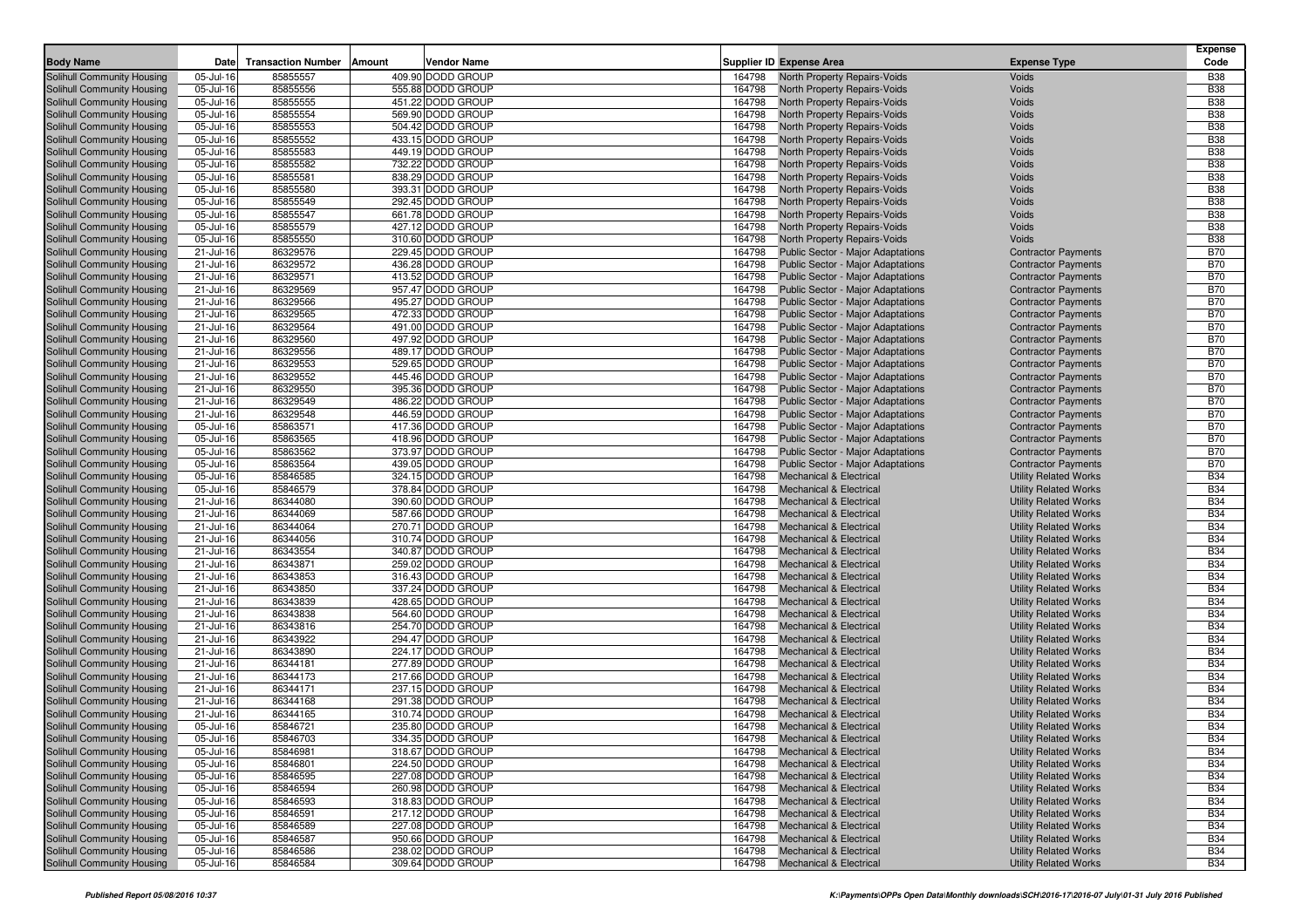| <b>Body Name</b>                                         | Date                   | <b>Transaction Number</b> | Amount | <b>Vendor Name</b>                     |                  | <b>Supplier ID Expense Area</b>                                     | <b>Expense Type</b>                                          | <b>Expense</b><br>Code   |
|----------------------------------------------------------|------------------------|---------------------------|--------|----------------------------------------|------------------|---------------------------------------------------------------------|--------------------------------------------------------------|--------------------------|
|                                                          |                        |                           |        | 409.90 DODD GROUP                      |                  |                                                                     |                                                              |                          |
| Solihull Community Housing<br>Solihull Community Housing | 05-Jul-16              | 85855557<br>85855556      |        | 555.88 DODD GROUP                      | 164798           | North Property Repairs-Voids                                        | Voids<br>Voids                                               | <b>B38</b><br><b>B38</b> |
| Solihull Community Housing                               | 05-Jul-16<br>05-Jul-16 | 85855555                  |        | 451.22 DODD GROUP                      | 164798<br>164798 | North Property Repairs-Voids<br><b>North Property Repairs-Voids</b> | Voids                                                        | <b>B38</b>               |
| Solihull Community Housing                               | 05-Jul-16              | 85855554                  |        | 569.90 DODD GROUP                      | 164798           | North Property Repairs-Voids                                        | Voids                                                        | <b>B38</b>               |
| Solihull Community Housing                               | 05-Jul-16              | 85855553                  |        | 504.42 DODD GROUP                      | 164798           | North Property Repairs-Voids                                        | Voids                                                        | <b>B38</b>               |
| Solihull Community Housing                               | 05-Jul-16              | 85855552                  |        | 433.15 DODD GROUP                      | 164798           | North Property Repairs-Voids                                        | Voids                                                        | <b>B38</b>               |
| Solihull Community Housing                               | 05-Jul-16              | 85855583                  |        | 449.19 DODD GROUP                      | 164798           | North Property Repairs-Voids                                        | Voids                                                        | <b>B38</b>               |
| Solihull Community Housing                               | 05-Jul-16              | 85855582                  |        | 732.22 DODD GROUP                      | 164798           | North Property Repairs-Voids                                        | Voids                                                        | <b>B38</b>               |
| Solihull Community Housing                               | 05-Jul-16              | 85855581                  |        | 838.29 DODD GROUP                      | 164798           | North Property Repairs-Voids                                        | Voids                                                        | <b>B38</b>               |
| Solihull Community Housing                               | 05-Jul-16              | 85855580                  |        | 393.31 DODD GROUP                      | 164798           | North Property Repairs-Voids                                        | Voids                                                        | <b>B38</b>               |
| Solihull Community Housing                               | 05-Jul-16              | 85855549                  |        | 292.45 DODD GROUP                      | 164798           | North Property Repairs-Voids                                        | Voids                                                        | <b>B38</b>               |
| Solihull Community Housing                               | 05-Jul-16              | 85855547                  |        | 661.78 DODD GROUP                      | 164798           | North Property Repairs-Voids                                        | Voids                                                        | <b>B38</b>               |
| Solihull Community Housing                               | 05-Jul-16              | 85855579                  |        | 427.12 DODD GROUP                      | 164798           | North Property Repairs-Voids                                        | Voids                                                        | <b>B38</b>               |
| Solihull Community Housing                               | 05-Jul-16              | 85855550                  |        | 310.60 DODD GROUP                      | 164798           | North Property Repairs-Voids                                        | Voids                                                        | <b>B38</b>               |
| Solihull Community Housing                               | 21-Jul-16              | 86329576                  |        | 229.45 DODD GROUP                      | 164798           | Public Sector - Major Adaptations                                   | <b>Contractor Payments</b>                                   | <b>B70</b>               |
| Solihull Community Housing                               | 21-Jul-16              | 86329572                  |        | 436.28 DODD GROUP                      | 164798           | <b>Public Sector - Major Adaptations</b>                            | <b>Contractor Payments</b>                                   | <b>B70</b>               |
| Solihull Community Housing                               | 21-Jul-16              | 86329571                  |        | 413.52 DODD GROUP                      | 164798           | <b>Public Sector - Major Adaptations</b>                            | <b>Contractor Payments</b>                                   | <b>B70</b>               |
| Solihull Community Housing                               | 21-Jul-16              | 86329569                  |        | 957.47 DODD GROUP                      | 164798           | Public Sector - Major Adaptations                                   | <b>Contractor Payments</b>                                   | <b>B70</b>               |
| Solihull Community Housing                               | 21-Jul-16              | 86329566                  |        | 495.27 DODD GROUP                      | 164798           | <b>Public Sector - Major Adaptations</b>                            | <b>Contractor Payments</b>                                   | <b>B70</b>               |
| Solihull Community Housing                               | 21-Jul-16              | 86329565                  |        | 472.33 DODD GROUP                      | 164798           | <b>Public Sector - Major Adaptations</b>                            | <b>Contractor Payments</b>                                   | <b>B70</b>               |
| Solihull Community Housing                               | 21-Jul-16              | 86329564                  |        | 491.00 DODD GROUP                      | 164798           | Public Sector - Major Adaptations                                   | <b>Contractor Payments</b>                                   | <b>B70</b>               |
| Solihull Community Housing                               | 21-Jul-16              | 86329560                  |        | 497.92 DODD GROUP                      | 164798           | <b>Public Sector - Major Adaptations</b>                            | <b>Contractor Payments</b>                                   | <b>B70</b>               |
| Solihull Community Housing                               | 21-Jul-16              | 86329556                  |        | 489.17 DODD GROUP                      | 164798           | <b>Public Sector - Major Adaptations</b>                            | <b>Contractor Payments</b>                                   | <b>B70</b>               |
| Solihull Community Housing                               | 21-Jul-16              | 86329553                  |        | 529.65 DODD GROUP                      | 164798           | <b>Public Sector - Major Adaptations</b>                            | <b>Contractor Payments</b>                                   | <b>B70</b>               |
| Solihull Community Housing                               | 21-Jul-16              | 86329552                  |        | 445.46 DODD GROUP                      | 164798           | <b>Public Sector - Major Adaptations</b>                            | <b>Contractor Payments</b>                                   | <b>B70</b>               |
| Solihull Community Housing                               | 21-Jul-16              | 86329550                  |        | 395.36 DODD GROUP                      | 164798           | <b>Public Sector - Major Adaptations</b>                            | <b>Contractor Payments</b>                                   | <b>B70</b>               |
| Solihull Community Housing                               | 21-Jul-16              | 86329549                  |        | 486.22 DODD GROUP                      | 164798           | <b>Public Sector - Major Adaptations</b>                            | <b>Contractor Payments</b>                                   | <b>B70</b>               |
| Solihull Community Housing                               | 21-Jul-16              | 86329548                  |        | 446.59 DODD GROUP                      | 164798           | <b>Public Sector - Major Adaptations</b>                            | <b>Contractor Payments</b>                                   | <b>B70</b>               |
| Solihull Community Housing                               | 05-Jul-16              | 85863571                  |        | 417.36 DODD GROUP                      | 164798           | <b>Public Sector - Major Adaptations</b>                            | <b>Contractor Payments</b>                                   | <b>B70</b>               |
| Solihull Community Housing                               | 05-Jul-16              | 85863565                  |        | 418.96 DODD GROUP                      | 164798           | Public Sector - Major Adaptations                                   | <b>Contractor Payments</b>                                   | <b>B70</b>               |
| Solihull Community Housing                               | 05-Jul-16              | 85863562                  |        | 373.97 DODD GROUP                      | 164798           | <b>Public Sector - Major Adaptations</b>                            | <b>Contractor Payments</b>                                   | <b>B70</b>               |
| Solihull Community Housing                               | 05-Jul-16              | 85863564                  |        | 439.05 DODD GROUP                      | 164798           | <b>Public Sector - Major Adaptations</b>                            | <b>Contractor Payments</b>                                   | <b>B70</b>               |
| Solihull Community Housing                               | 05-Jul-16              | 85846585                  |        | 324.15 DODD GROUP                      | 164798           | <b>Mechanical &amp; Electrical</b>                                  | <b>Utility Related Works</b>                                 | <b>B34</b>               |
| Solihull Community Housing                               | 05-Jul-16              | 85846579                  |        | 378.84 DODD GROUP                      | 164798           | <b>Mechanical &amp; Electrical</b>                                  | <b>Utility Related Works</b>                                 | <b>B34</b>               |
| Solihull Community Housing                               | 21-Jul-16              | 86344080                  |        | 390.60 DODD GROUP                      | 164798           | <b>Mechanical &amp; Electrical</b>                                  | <b>Utility Related Works</b>                                 | <b>B34</b>               |
| Solihull Community Housing                               | 21-Jul-16              | 86344069                  |        | 587.66 DODD GROUP                      | 164798           | <b>Mechanical &amp; Electrical</b>                                  | <b>Utility Related Works</b>                                 | <b>B34</b>               |
| Solihull Community Housing                               | 21-Jul-16              | 86344064                  |        | 270.71 DODD GROUP                      | 164798           | <b>Mechanical &amp; Electrical</b>                                  | <b>Utility Related Works</b>                                 | <b>B34</b>               |
| Solihull Community Housing                               | 21-Jul-16              | 86344056                  |        | 310.74 DODD GROUP                      | 164798           | <b>Mechanical &amp; Electrical</b>                                  | <b>Utility Related Works</b>                                 | <b>B34</b>               |
| Solihull Community Housing                               | 21-Jul-16              | 86343554                  |        | 340.87 DODD GROUP                      | 164798           | <b>Mechanical &amp; Electrical</b>                                  | <b>Utility Related Works</b>                                 | <b>B34</b>               |
| Solihull Community Housing                               | 21-Jul-16              | 86343871                  |        | 259.02 DODD GROUP                      | 164798           | <b>Mechanical &amp; Electrical</b>                                  | <b>Utility Related Works</b>                                 | <b>B34</b><br><b>B34</b> |
| Solihull Community Housing                               | 21-Jul-16              | 86343853<br>86343850      |        | 316.43 DODD GROUP<br>337.24 DODD GROUP | 164798<br>164798 | Mechanical & Electrical<br><b>Mechanical &amp; Electrical</b>       | <b>Utility Related Works</b>                                 | <b>B34</b>               |
| Solihull Community Housing<br>Solihull Community Housing | 21-Jul-16<br>21-Jul-16 | 86343839                  |        | 428.65 DODD GROUP                      | 164798           | Mechanical & Electrical                                             | <b>Utility Related Works</b><br><b>Utility Related Works</b> | <b>B34</b>               |
| Solihull Community Housing                               | 21-Jul-16              | 86343838                  |        | 564.60 DODD GROUP                      | 164798           | <b>Mechanical &amp; Electrical</b>                                  | <b>Utility Related Works</b>                                 | <b>B34</b>               |
| Solihull Community Housing                               | 21-Jul-16              | 86343816                  |        | 254.70 DODD GROUP                      | 164798           | Mechanical & Electrical                                             | <b>Utility Related Works</b>                                 | <b>B34</b>               |
| Solihull Community Housing                               | 21-Jul-16              | 86343922                  |        | 294.47 DODD GROUP                      | 164798           | <b>Mechanical &amp; Electrical</b>                                  | <b>Utility Related Works</b>                                 | <b>B34</b>               |
| Solihull Community Housing                               | 21-Jul-16              | 86343890                  |        | 224.17 DODD GROUP                      | 164798           | <b>Mechanical &amp; Electrical</b>                                  | <b>Utility Related Works</b>                                 | <b>B34</b>               |
| Solihull Community Housing                               | 21-Jul-16              | 86344181                  |        | 277.89 DODD GROUP                      | 164798           | Mechanical & Electrical                                             | <b>Utility Related Works</b>                                 | <b>B34</b>               |
| Solihull Community Housing                               | 21-Jul-16              | 86344173                  |        | 217.66 DODD GROUP                      | 164798           | <b>Mechanical &amp; Electrical</b>                                  | <b>Utility Related Works</b>                                 | <b>B34</b>               |
| Solihull Community Housing                               | 21-Jul-16              | 86344171                  |        | 237.15 DODD GROUP                      | 164798           | <b>Mechanical &amp; Electrical</b>                                  | <b>Utility Related Works</b>                                 | <b>B34</b>               |
| Solihull Community Housing                               | 21-Jul-16              | 86344168                  |        | 291.38 DODD GROUP                      | 164798           | <b>Mechanical &amp; Electrical</b>                                  | <b>Utility Related Works</b>                                 | <b>B34</b>               |
| Solihull Community Housing                               | 21-Jul-16              | 86344165                  |        | 310.74 DODD GROUP                      | 164798           | <b>Mechanical &amp; Electrical</b>                                  | <b>Utility Related Works</b>                                 | <b>B34</b>               |
| Solihull Community Housing                               | 05-Jul-16              | 85846721                  |        | 235.80 DODD GROUP                      | 164798           | <b>Mechanical &amp; Electrical</b>                                  | <b>Utility Related Works</b>                                 | <b>B34</b>               |
| Solihull Community Housing                               | 05-Jul-16              | 85846703                  |        | 334.35 DODD GROUP                      |                  | 164798 Mechanical & Electrical                                      | <b>Utility Related Works</b>                                 | <b>B34</b>               |
| Solihull Community Housing                               | 05-Jul-16              | 85846981                  |        | 318.67 DODD GROUP                      | 164798           | <b>Mechanical &amp; Electrical</b>                                  | <b>Utility Related Works</b>                                 | <b>B34</b>               |
| Solihull Community Housing                               | 05-Jul-16              | 85846801                  |        | 224.50 DODD GROUP                      | 164798           | <b>Mechanical &amp; Electrical</b>                                  | <b>Utility Related Works</b>                                 | <b>B34</b>               |
| Solihull Community Housing                               | 05-Jul-16              | 85846595                  |        | 227.08 DODD GROUP                      | 164798           | <b>Mechanical &amp; Electrical</b>                                  | <b>Utility Related Works</b>                                 | <b>B34</b>               |
| Solihull Community Housing                               | 05-Jul-16              | 85846594                  |        | 260.98 DODD GROUP                      | 164798           | <b>Mechanical &amp; Electrical</b>                                  | <b>Utility Related Works</b>                                 | <b>B34</b>               |
| Solihull Community Housing                               | 05-Jul-16              | 85846593                  |        | 318.83 DODD GROUP                      | 164798           | <b>Mechanical &amp; Electrical</b>                                  | <b>Utility Related Works</b>                                 | <b>B34</b>               |
| Solihull Community Housing                               | 05-Jul-16              | 85846591                  |        | 217.12 DODD GROUP                      | 164798           | <b>Mechanical &amp; Electrical</b>                                  | <b>Utility Related Works</b>                                 | <b>B34</b>               |
| Solihull Community Housing                               | 05-Jul-16              | 85846589                  |        | 227.08 DODD GROUP                      | 164798           | <b>Mechanical &amp; Electrical</b>                                  | <b>Utility Related Works</b>                                 | <b>B34</b>               |
| Solihull Community Housing                               | 05-Jul-16              | 85846587                  |        | 950.66 DODD GROUP                      | 164798           | <b>Mechanical &amp; Electrical</b>                                  | <b>Utility Related Works</b>                                 | <b>B34</b>               |
| Solihull Community Housing                               | 05-Jul-16              | 85846586                  |        | 238.02 DODD GROUP                      | 164798           | <b>Mechanical &amp; Electrical</b>                                  | <b>Utility Related Works</b>                                 | <b>B34</b>               |
| Solihull Community Housing                               | 05-Jul-16              | 85846584                  |        | 309.64 DODD GROUP                      | 164798           | <b>Mechanical &amp; Electrical</b>                                  | <b>Utility Related Works</b>                                 | <b>B34</b>               |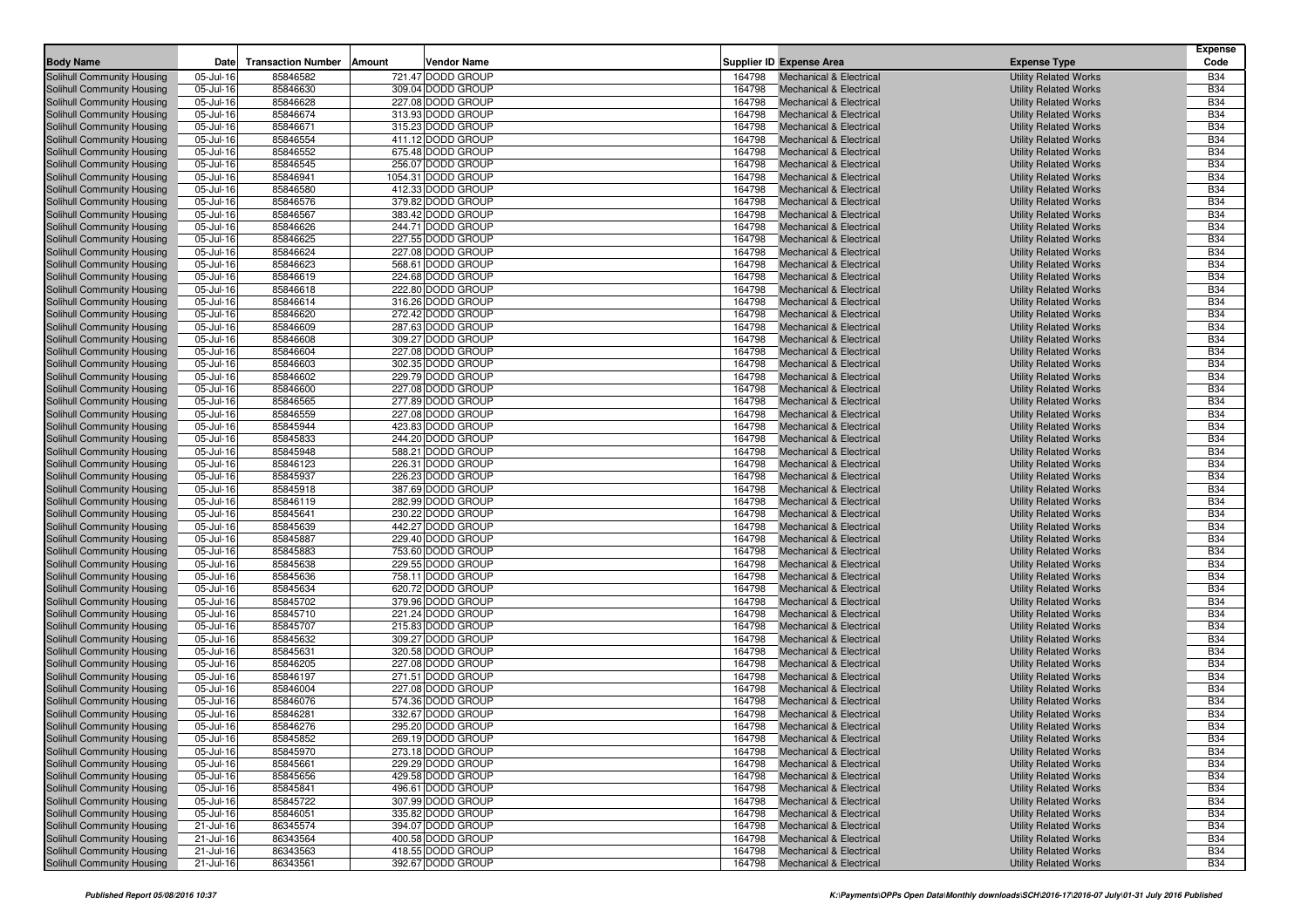| <b>Body Name</b>                                         | Date                   | <b>Transaction Number</b> | Amount | Vendor Name                            |                  | <b>Supplier ID Expense Area</b>                                          | <b>Expense Type</b>                                          | <b>Expense</b><br>Code   |
|----------------------------------------------------------|------------------------|---------------------------|--------|----------------------------------------|------------------|--------------------------------------------------------------------------|--------------------------------------------------------------|--------------------------|
| <b>Solihull Community Housing</b>                        | 05-Jul-16              | 85846582                  |        | 721.47 DODD GROUP                      |                  | <b>Mechanical &amp; Electrical</b>                                       |                                                              | <b>B34</b>               |
| Solihull Community Housing                               | 05-Jul-16              | 85846630                  |        | 309.04 DODD GROUP                      | 164798<br>164798 | <b>Mechanical &amp; Electrical</b>                                       | <b>Utility Related Works</b>                                 | <b>B34</b>               |
| Solihull Community Housing                               | 05-Jul-16              | 85846628                  |        | 227.08 DODD GROUP                      | 164798           | <b>Mechanical &amp; Electrical</b>                                       | <b>Utility Related Works</b><br><b>Utility Related Works</b> | <b>B34</b>               |
| Solihull Community Housing                               | 05-Jul-16              | 85846674                  |        | 313.93 DODD GROUP                      | 164798           | <b>Mechanical &amp; Electrical</b>                                       | <b>Utility Related Works</b>                                 | <b>B34</b>               |
| Solihull Community Housing                               | 05-Jul-16              | 85846671                  |        | 315.23 DODD GROUP                      | 164798           | <b>Mechanical &amp; Electrical</b>                                       | <b>Utility Related Works</b>                                 | <b>B34</b>               |
| Solihull Community Housing                               | 05-Jul-16              | 85846554                  |        | 411.12 DODD GROUP                      | 164798           | <b>Mechanical &amp; Electrical</b>                                       | <b>Utility Related Works</b>                                 | <b>B34</b>               |
| Solihull Community Housing                               | 05-Jul-16              | 85846552                  |        | 675.48 DODD GROUP                      | 164798           | <b>Mechanical &amp; Electrical</b>                                       | <b>Utility Related Works</b>                                 | <b>B34</b>               |
| Solihull Community Housing                               | 05-Jul-16              | 85846545                  |        | 256.07 DODD GROUP                      | 164798           | <b>Mechanical &amp; Electrical</b>                                       | <b>Utility Related Works</b>                                 | <b>B34</b>               |
| Solihull Community Housing                               | 05-Jul-16              | 85846941                  |        | 1054.31 DODD GROUP                     | 164798           | <b>Mechanical &amp; Electrical</b>                                       | <b>Utility Related Works</b>                                 | <b>B34</b>               |
| Solihull Community Housing                               | 05-Jul-16              | 85846580                  |        | 412.33 DODD GROUP                      | 164798           | <b>Mechanical &amp; Electrical</b>                                       | <b>Utility Related Works</b>                                 | <b>B34</b>               |
| Solihull Community Housing                               | 05-Jul-16              | 85846576                  |        | 379.82 DODD GROUP                      | 164798           | <b>Mechanical &amp; Electrical</b>                                       | <b>Utility Related Works</b>                                 | <b>B34</b>               |
| Solihull Community Housing                               | 05-Jul-16              | 85846567                  |        | 383.42 DODD GROUP                      | 164798           | <b>Mechanical &amp; Electrical</b>                                       | <b>Utility Related Works</b>                                 | <b>B34</b>               |
| <b>Solihull Community Housing</b>                        | 05-Jul-16              | 85846626                  |        | 244.71 DODD GROUP                      | 164798           | <b>Mechanical &amp; Electrical</b>                                       | <b>Utility Related Works</b>                                 | <b>B34</b>               |
| Solihull Community Housing                               | 05-Jul-16              | 85846625                  |        | 227.55 DODD GROUP                      | 164798           | <b>Mechanical &amp; Electrical</b>                                       | <b>Utility Related Works</b>                                 | <b>B34</b>               |
| Solihull Community Housing                               | 05-Jul-16              | 85846624                  |        | 227.08 DODD GROUP                      | 164798           | <b>Mechanical &amp; Electrical</b>                                       | <b>Utility Related Works</b>                                 | <b>B34</b>               |
| Solihull Community Housing                               | 05-Jul-16              | 85846623                  |        | 568.61 DODD GROUP                      | 164798           | <b>Mechanical &amp; Electrical</b>                                       | <b>Utility Related Works</b>                                 | <b>B34</b>               |
| Solihull Community Housing                               | 05-Jul-16              | 85846619                  |        | 224.68 DODD GROUP                      | 164798           | <b>Mechanical &amp; Electrical</b>                                       | <b>Utility Related Works</b>                                 | <b>B34</b>               |
| Solihull Community Housing                               | 05-Jul-16              | 85846618                  |        | 222.80 DODD GROUP                      | 164798           | <b>Mechanical &amp; Electrical</b>                                       | <b>Utility Related Works</b>                                 | <b>B34</b>               |
| Solihull Community Housing                               | 05-Jul-16              | 85846614                  |        | 316.26 DODD GROUP                      | 164798           | <b>Mechanical &amp; Electrical</b>                                       | <b>Utility Related Works</b>                                 | <b>B34</b>               |
| Solihull Community Housing                               | 05-Jul-16              | 85846620                  |        | 272.42 DODD GROUP                      | 164798           | <b>Mechanical &amp; Electrical</b>                                       | <b>Utility Related Works</b>                                 | <b>B34</b>               |
| Solihull Community Housing                               | 05-Jul-16              | 85846609                  |        | 287.63 DODD GROUP                      | 164798           | <b>Mechanical &amp; Electrical</b>                                       | <b>Utility Related Works</b>                                 | <b>B34</b>               |
| Solihull Community Housing                               | 05-Jul-16              | 85846608                  |        | 309.27 DODD GROUP                      | 164798           | <b>Mechanical &amp; Electrical</b>                                       | <b>Utility Related Works</b>                                 | <b>B34</b>               |
| Solihull Community Housing                               | 05-Jul-16              | 85846604                  |        | 227.08 DODD GROUP                      | 164798           | <b>Mechanical &amp; Electrical</b>                                       | <b>Utility Related Works</b>                                 | <b>B34</b>               |
| Solihull Community Housing                               | 05-Jul-16              | 85846603                  |        | 302.35 DODD GROUP                      | 164798           | <b>Mechanical &amp; Electrical</b>                                       | <b>Utility Related Works</b>                                 | <b>B34</b>               |
| Solihull Community Housing                               | 05-Jul-16              | 85846602                  |        | 229.79 DODD GROUP                      | 164798           | <b>Mechanical &amp; Electrical</b>                                       | <b>Utility Related Works</b>                                 | <b>B34</b>               |
| Solihull Community Housing                               | 05-Jul-16              | 85846600<br>85846565      |        | 227.08 DODD GROUP                      | 164798           | <b>Mechanical &amp; Electrical</b>                                       | <b>Utility Related Works</b>                                 | <b>B34</b><br><b>B34</b> |
| Solihull Community Housing                               | 05-Jul-16              |                           |        | 277.89 DODD GROUP<br>227.08 DODD GROUP | 164798<br>164798 | <b>Mechanical &amp; Electrical</b><br><b>Mechanical &amp; Electrical</b> | <b>Utility Related Works</b>                                 | <b>B34</b>               |
| Solihull Community Housing<br>Solihull Community Housing | 05-Jul-16<br>05-Jul-16 | 85846559<br>85845944      |        | 423.83 DODD GROUP                      | 164798           | <b>Mechanical &amp; Electrical</b>                                       | <b>Utility Related Works</b><br><b>Utility Related Works</b> | <b>B34</b>               |
| Solihull Community Housing                               | 05-Jul-16              | 85845833                  |        | 244.20 DODD GROUP                      | 164798           | <b>Mechanical &amp; Electrical</b>                                       | <b>Utility Related Works</b>                                 | <b>B34</b>               |
| Solihull Community Housing                               | 05-Jul-16              | 85845948                  |        | 588.21 DODD GROUP                      | 164798           | <b>Mechanical &amp; Electrical</b>                                       | <b>Utility Related Works</b>                                 | <b>B34</b>               |
| Solihull Community Housing                               | 05-Jul-16              | 85846123                  |        | 226.31 DODD GROUP                      | 164798           | <b>Mechanical &amp; Electrical</b>                                       | <b>Utility Related Works</b>                                 | <b>B34</b>               |
| Solihull Community Housing                               | 05-Jul-16              | 85845937                  |        | 226.23 DODD GROUP                      | 164798           | <b>Mechanical &amp; Electrical</b>                                       | <b>Utility Related Works</b>                                 | <b>B34</b>               |
| Solihull Community Housing                               | 05-Jul-16              | 85845918                  |        | 387.69 DODD GROUP                      | 164798           | <b>Mechanical &amp; Electrical</b>                                       | <b>Utility Related Works</b>                                 | <b>B34</b>               |
| Solihull Community Housing                               | 05-Jul-16              | 85846119                  |        | 282.99 DODD GROUP                      | 164798           | <b>Mechanical &amp; Electrical</b>                                       | <b>Utility Related Works</b>                                 | <b>B34</b>               |
| Solihull Community Housing                               | 05-Jul-16              | 85845641                  |        | 230.22 DODD GROUP                      | 164798           | <b>Mechanical &amp; Electrical</b>                                       | <b>Utility Related Works</b>                                 | <b>B34</b>               |
| Solihull Community Housing                               | 05-Jul-16              | 85845639                  |        | 442.27 DODD GROUP                      | 164798           | <b>Mechanical &amp; Electrical</b>                                       | <b>Utility Related Works</b>                                 | <b>B34</b>               |
| Solihull Community Housing                               | 05-Jul-16              | 85845887                  |        | 229.40 DODD GROUP                      | 164798           | <b>Mechanical &amp; Electrical</b>                                       | <b>Utility Related Works</b>                                 | <b>B34</b>               |
| Solihull Community Housing                               | 05-Jul-16              | 85845883                  |        | 753.60 DODD GROUP                      | 164798           | <b>Mechanical &amp; Electrical</b>                                       | <b>Utility Related Works</b>                                 | <b>B34</b>               |
| Solihull Community Housing                               | 05-Jul-16              | 85845638                  |        | 229.55 DODD GROUP                      | 164798           | <b>Mechanical &amp; Electrical</b>                                       | <b>Utility Related Works</b>                                 | <b>B34</b>               |
| Solihull Community Housing                               | 05-Jul-16              | 85845636                  |        | 758.11 DODD GROUP                      | 164798           | <b>Mechanical &amp; Electrical</b>                                       | <b>Utility Related Works</b>                                 | <b>B34</b>               |
| Solihull Community Housing                               | 05-Jul-16              | 85845634                  |        | 620.72 DODD GROUP                      | 164798           | <b>Mechanical &amp; Electrical</b>                                       | <b>Utility Related Works</b>                                 | <b>B34</b>               |
| Solihull Community Housing                               | 05-Jul-16              | 85845702                  |        | 379.96 DODD GROUP<br>221.24 DODD GROUP | 164798<br>164798 | <b>Mechanical &amp; Electrical</b>                                       | <b>Utility Related Works</b>                                 | <b>B34</b><br><b>B34</b> |
| Solihull Community Housing<br>Solihull Community Housing | 05-Jul-16<br>05-Jul-16 | 85845710<br>85845707      |        | 215.83 DODD GROUP                      | 164798           | <b>Mechanical &amp; Electrical</b><br><b>Mechanical &amp; Electrical</b> | <b>Utility Related Works</b><br><b>Utility Related Works</b> | <b>B34</b>               |
| Solihull Community Housing                               | 05-Jul-16              | 85845632                  |        | 309.27 DODD GROUP                      | 164798           | <b>Mechanical &amp; Electrical</b>                                       | <b>Utility Related Works</b>                                 | <b>B34</b>               |
| Solihull Community Housing                               | 05-Jul-16              | 85845631                  |        | 320.58 DODD GROUP                      | 164798           | <b>Mechanical &amp; Electrical</b>                                       | <b>Utility Related Works</b>                                 | <b>B34</b>               |
| Solihull Community Housing                               | 05-Jul-16              | 85846205                  |        | 227.08 DODD GROUP                      | 164798           | <b>Mechanical &amp; Electrical</b>                                       | <b>Utility Related Works</b>                                 | <b>B34</b>               |
| Solihull Community Housing                               | 05-Jul-16              | 85846197                  |        | 271.51 DODD GROUP                      | 164798           | <b>Mechanical &amp; Electrical</b>                                       | <b>Utility Related Works</b>                                 | <b>B34</b>               |
| Solihull Community Housing                               | 05-Jul-16              | 85846004                  |        | 227.08 DODD GROUP                      | 164798           | <b>Mechanical &amp; Electrical</b>                                       | <b>Utility Related Works</b>                                 | <b>B34</b>               |
| Solihull Community Housing                               | 05-Jul-16              | 85846076                  |        | 574.36 DODD GROUP                      | 164798           | <b>Mechanical &amp; Electrical</b>                                       | <b>Utility Related Works</b>                                 | <b>B34</b>               |
| Solihull Community Housing                               | 05-Jul-16              | 85846281                  |        | 332.67 DODD GROUP                      | 164798           | <b>Mechanical &amp; Electrical</b>                                       | <b>Utility Related Works</b>                                 | <b>B34</b>               |
| Solihull Community Housing                               | 05-Jul-16              | 85846276                  |        | 295.20 DODD GROUP                      | 164798           | <b>Mechanical &amp; Electrical</b>                                       | <b>Utility Related Works</b>                                 | <b>B34</b>               |
| Solihull Community Housing                               | 05-Jul-16              | 85845852                  |        | 269.19 DODD GROUP                      |                  | 164798 Mechanical & Electrical                                           | <b>Utility Related Works</b>                                 | <b>B34</b>               |
| Solihull Community Housing                               | 05-Jul-16              | 85845970                  |        | 273.18 DODD GROUP                      | 164798           | <b>Mechanical &amp; Electrical</b>                                       | <b>Utility Related Works</b>                                 | <b>B34</b>               |
| Solihull Community Housing                               | 05-Jul-16              | 85845661                  |        | 229.29 DODD GROUP                      | 164798           | <b>Mechanical &amp; Electrical</b>                                       | <b>Utility Related Works</b>                                 | <b>B34</b>               |
| Solihull Community Housing                               | 05-Jul-16              | 85845656                  |        | 429.58 DODD GROUP                      | 164798           | <b>Mechanical &amp; Electrical</b>                                       | <b>Utility Related Works</b>                                 | <b>B34</b>               |
| Solihull Community Housing                               | 05-Jul-16              | 85845841                  |        | 496.61 DODD GROUP                      | 164798           | <b>Mechanical &amp; Electrical</b>                                       | <b>Utility Related Works</b>                                 | <b>B34</b>               |
| Solihull Community Housing                               | 05-Jul-16              | 85845722                  |        | 307.99 DODD GROUP                      | 164798           | <b>Mechanical &amp; Electrical</b>                                       | <b>Utility Related Works</b>                                 | <b>B34</b>               |
| Solihull Community Housing                               | 05-Jul-16              | 85846051                  |        | 335.82 DODD GROUP                      | 164798           | <b>Mechanical &amp; Electrical</b>                                       | <b>Utility Related Works</b>                                 | <b>B34</b>               |
| Solihull Community Housing                               | 21-Jul-16              | 86345574                  |        | 394.07 DODD GROUP                      | 164798           | <b>Mechanical &amp; Electrical</b>                                       | <b>Utility Related Works</b>                                 | <b>B34</b>               |
| Solihull Community Housing                               | 21-Jul-16              | 86343564                  |        | 400.58 DODD GROUP                      | 164798           | <b>Mechanical &amp; Electrical</b>                                       | <b>Utility Related Works</b>                                 | <b>B34</b>               |
| Solihull Community Housing                               | 21-Jul-16              | 86343563                  |        | 418.55 DODD GROUP                      | 164798           | <b>Mechanical &amp; Electrical</b>                                       | <b>Utility Related Works</b>                                 | <b>B34</b>               |
| Solihull Community Housing                               | 21-Jul-16              | 86343561                  |        | 392.67 DODD GROUP                      | 164798           | <b>Mechanical &amp; Electrical</b>                                       | <b>Utility Related Works</b>                                 | <b>B34</b>               |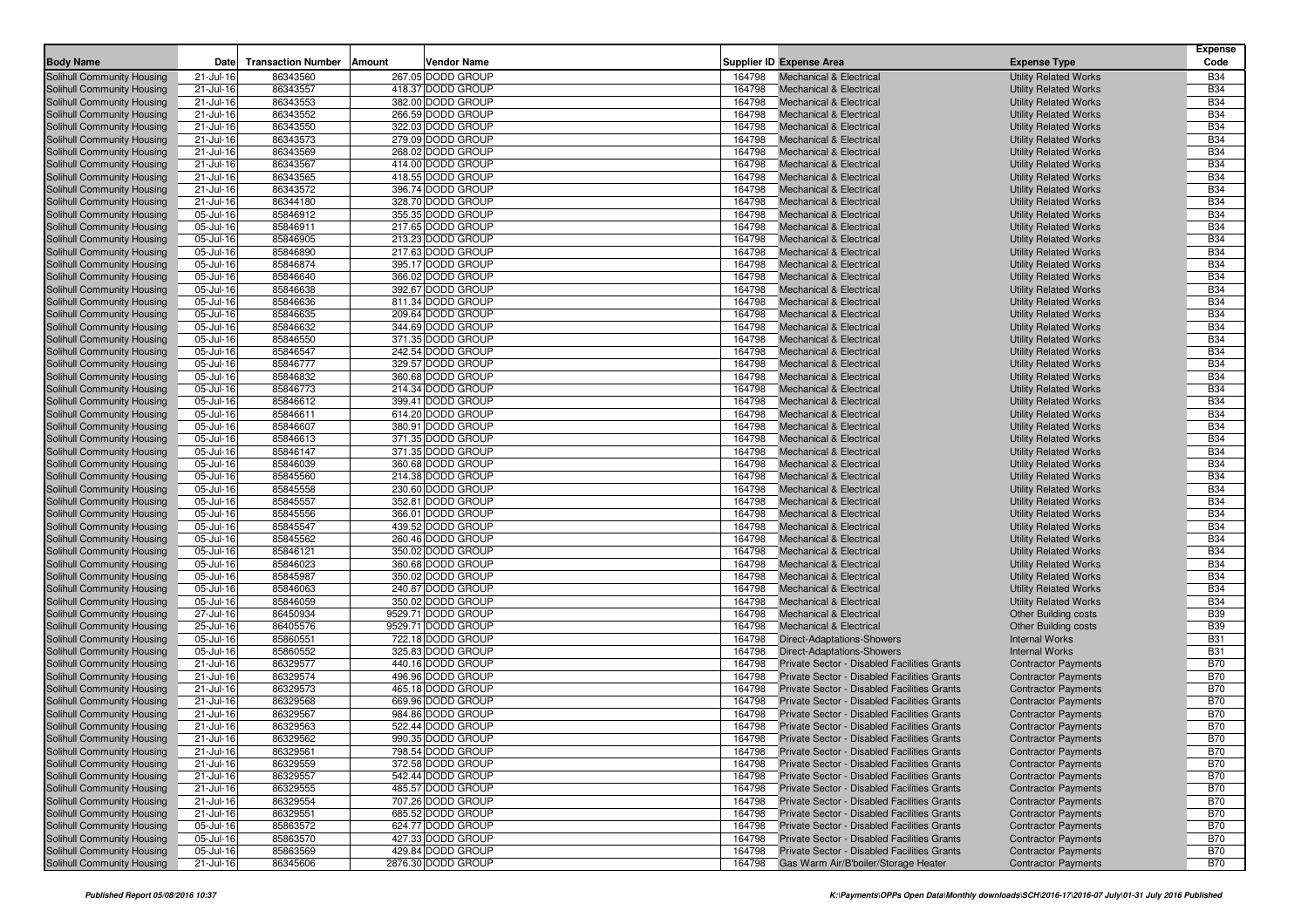| <b>Solihull Community Housing</b><br>267.05 DODD GROUP<br><b>Mechanical &amp; Electrical</b><br><b>Utility Related Works</b><br>21-Jul-16<br>86343560<br>164798<br><b>B34</b><br>86343557<br>418.37 DODD GROUP<br><b>B34</b><br>Solihull Community Housing<br>21-Jul-16<br>164798<br><b>Mechanical &amp; Electrical</b><br><b>Utility Related Works</b><br>86343553<br>382.00 DODD GROUP<br>164798<br><b>B34</b><br>Solihull Community Housing<br>21-Jul-16<br><b>Mechanical &amp; Electrical</b><br><b>Utility Related Works</b><br>86343552<br>266.59 DODD GROUP<br><b>B34</b><br>Solihull Community Housing<br>21-Jul-16<br>164798<br><b>Mechanical &amp; Electrical</b><br><b>Utility Related Works</b><br>86343550<br>322.03 DODD GROUP<br><b>B34</b><br>Solihull Community Housing<br>21-Jul-16<br>164798<br><b>Mechanical &amp; Electrical</b><br><b>Utility Related Works</b><br>86343573<br>279.09 DODD GROUP<br><b>B34</b><br>Solihull Community Housing<br>21-Jul-16<br>164798<br><b>Mechanical &amp; Electrical</b><br><b>Utility Related Works</b><br><b>B34</b><br>Solihull Community Housing<br>21-Jul-16<br>86343569<br>268.02 DODD GROUP<br>164798<br><b>Mechanical &amp; Electrical</b><br><b>Utility Related Works</b><br>86343567<br>414.00 DODD GROUP<br>164798<br><b>Utility Related Works</b><br><b>B34</b><br>Solihull Community Housing<br>21-Jul-16<br><b>Mechanical &amp; Electrical</b><br>418.55 DODD GROUP<br><b>B34</b><br>Solihull Community Housing<br>21-Jul-16<br>86343565<br>164798<br><b>Mechanical &amp; Electrical</b><br><b>Utility Related Works</b><br>21-Jul-16<br>86343572<br>396.74 DODD GROUP<br>164798<br><b>B34</b><br>Solihull Community Housing<br><b>Mechanical &amp; Electrical</b><br><b>Utility Related Works</b><br>86344180<br>328.70 DODD GROUP<br>164798<br><b>Utility Related Works</b><br><b>B34</b><br>Solihull Community Housing<br>21-Jul-16<br><b>Mechanical &amp; Electrical</b><br>355.35 DODD GROUP<br><b>B34</b><br>Solihull Community Housing<br>05-Jul-16<br>85846912<br>164798<br><b>Mechanical &amp; Electrical</b><br><b>Utility Related Works</b><br>85846911<br>217.65 DODD GROUP<br><b>B34</b><br>Solihull Community Housing<br>05-Jul-16<br>164798<br><b>Mechanical &amp; Electrical</b><br><b>Utility Related Works</b><br>85846905<br>213.23 DODD GROUP<br>164798<br><b>B34</b><br>Solihull Community Housing<br>05-Jul-16<br><b>Mechanical &amp; Electrical</b><br><b>Utility Related Works</b><br>85846890<br>217.63 DODD GROUP<br><b>B34</b><br>Solihull Community Housing<br>05-Jul-16<br>164798<br><b>Mechanical &amp; Electrical</b><br><b>Utility Related Works</b><br>395.17 DODD GROUP<br><b>B34</b><br>Solihull Community Housing<br>05-Jul-16<br>85846874<br>164798<br><b>Mechanical &amp; Electrical</b><br><b>Utility Related Works</b><br><b>B34</b><br>85846640<br>366.02 DODD GROUP<br>Solihull Community Housing<br>05-Jul-16<br>164798<br><b>Mechanical &amp; Electrical</b><br><b>Utility Related Works</b><br>392.67 DODD GROUP<br><b>B34</b><br>Solihull Community Housing<br>05-Jul-16<br>85846638<br>164798<br><b>Mechanical &amp; Electrical</b><br><b>Utility Related Works</b><br>85846636<br>811.34 DODD GROUP<br>164798<br><b>Utility Related Works</b><br><b>B34</b><br>Solihull Community Housing<br>05-Jul-16<br><b>Mechanical &amp; Electrical</b><br>85846635<br><b>B34</b><br>Solihull Community Housing<br>05-Jul-16<br>209.64 DODD GROUP<br>164798<br><b>Mechanical &amp; Electrical</b><br><b>Utility Related Works</b><br>344.69 DODD GROUP<br><b>B34</b><br>Solihull Community Housing<br>05-Jul-16<br>85846632<br>164798<br><b>Mechanical &amp; Electrical</b><br><b>Utility Related Works</b><br>85846550<br>371.35 DODD GROUP<br>164798<br><b>B34</b><br>Solihull Community Housing<br>05-Jul-16<br><b>Mechanical &amp; Electrical</b><br><b>Utility Related Works</b><br>85846547<br><b>B34</b><br>Solihull Community Housing<br>05-Jul-16<br>242.54 DODD GROUP<br>164798<br><b>Mechanical &amp; Electrical</b><br><b>Utility Related Works</b><br>85846777<br>329.57 DODD GROUP<br>164798<br><b>B34</b><br>Solihull Community Housing<br>05-Jul-16<br><b>Mechanical &amp; Electrical</b><br><b>Utility Related Works</b><br>85846832<br>360.68 DODD GROUP<br><b>B34</b><br>Solihull Community Housing<br>05-Jul-16<br>164798<br><b>Mechanical &amp; Electrical</b><br><b>Utility Related Works</b><br><b>B34</b><br>85846773<br>214.34 DODD GROUP<br>164798<br>Solihull Community Housing<br>05-Jul-16<br><b>Mechanical &amp; Electrical</b><br><b>Utility Related Works</b><br>399.41 DODD GROUP<br><b>B34</b><br>Solihull Community Housing<br>05-Jul-16<br>85846612<br>164798<br><b>Mechanical &amp; Electrical</b><br><b>Utility Related Works</b><br>85846611<br>614.20 DODD GROUP<br>164798<br><b>B34</b><br>Solihull Community Housing<br>05-Jul-16<br><b>Mechanical &amp; Electrical</b><br><b>Utility Related Works</b><br>85846607<br>380.91 DODD GROUP<br><b>B34</b><br>Solihull Community Housing<br>05-Jul-16<br>164798<br><b>Mechanical &amp; Electrical</b><br><b>Utility Related Works</b><br>371.35 DODD GROUP<br><b>B34</b><br>Solihull Community Housing<br>05-Jul-16<br>85846613<br>164798<br><b>Mechanical &amp; Electrical</b><br><b>Utility Related Works</b><br>85846147<br>371.35 DODD GROUP<br>164798<br><b>B34</b><br>Solihull Community Housing<br>05-Jul-16<br><b>Mechanical &amp; Electrical</b><br><b>Utility Related Works</b><br><b>B34</b><br>85846039<br>360.68 DODD GROUP<br>Solihull Community Housing<br>05-Jul-16<br>164798<br><b>Mechanical &amp; Electrical</b><br><b>Utility Related Works</b><br>85845560<br>214.38 DODD GROUP<br>164798<br><b>B34</b><br>Solihull Community Housing<br>05-Jul-16<br><b>Mechanical &amp; Electrical</b><br><b>Utility Related Works</b><br>85845558<br>230.60 DODD GROUP<br><b>B34</b><br>Solihull Community Housing<br>05-Jul-16<br>164798<br><b>Mechanical &amp; Electrical</b><br><b>Utility Related Works</b><br><b>B34</b><br>05-Jul-16<br>85845557<br>352.81 DODD GROUP<br><b>Utility Related Works</b><br>Solihull Community Housing<br>164798<br><b>Mechanical &amp; Electrical</b><br>366.01 DODD GROUP<br><b>B34</b><br>Solihull Community Housing<br>05-Jul-16<br>85845556<br>164798<br><b>Mechanical &amp; Electrical</b><br><b>Utility Related Works</b><br>439.52 DODD GROUP<br><b>B34</b><br>Solihull Community Housing<br>05-Jul-16<br>85845547<br>164798<br><b>Mechanical &amp; Electrical</b><br><b>Utility Related Works</b><br>85845562<br>260.46 DODD GROUP<br><b>B34</b><br>Solihull Community Housing<br>05-Jul-16<br>164798<br><b>Mechanical &amp; Electrical</b><br><b>Utility Related Works</b><br>350.02 DODD GROUP<br><b>B34</b><br>Solihull Community Housing<br>05-Jul-16<br>85846121<br>164798<br><b>Mechanical &amp; Electrical</b><br><b>Utility Related Works</b><br>360.68 DODD GROUP<br><b>B34</b><br>Solihull Community Housing<br>05-Jul-16<br>85846023<br>164798<br><b>Mechanical &amp; Electrical</b><br><b>Utility Related Works</b><br>85845987<br>350.02 DODD GROUP<br><b>B34</b><br>Solihull Community Housing<br>05-Jul-16<br>164798<br><b>Mechanical &amp; Electrical</b><br><b>Utility Related Works</b><br>85846063<br>240.87 DODD GROUP<br><b>B34</b><br>Solihull Community Housing<br>05-Jul-16<br>164798<br><b>Mechanical &amp; Electrical</b><br><b>Utility Related Works</b><br>350.02 DODD GROUP<br><b>B34</b><br>Solihull Community Housing<br>05-Jul-16<br>85846059<br>164798<br><b>Mechanical &amp; Electrical</b><br><b>Utility Related Works</b><br>27-Jul-16<br>86450934<br>9529.71 DODD GROUP<br>164798<br><b>B39</b><br>Solihull Community Housing<br><b>Mechanical &amp; Electrical</b><br><b>Other Building costs</b><br>9529.71 DODD GROUP<br><b>B39</b><br>Solihull Community Housing<br>25-Jul-16<br>86405576<br>164798<br><b>Mechanical &amp; Electrical</b><br><b>Other Building costs</b><br>85860551<br>722.18 DODD GROUP<br><b>B31</b><br>Solihull Community Housing<br>05-Jul-16<br>164798<br>Direct-Adaptations-Showers<br><b>Internal Works</b><br>05-Jul-16<br>85860552<br>325.83 DODD GROUP<br>164798<br><b>B31</b><br>Solihull Community Housing<br><b>Direct-Adaptations-Showers</b><br><b>Internal Works</b><br>86329577<br><b>B70</b><br>Solihull Community Housing<br>21-Jul-16<br>440.16 DODD GROUP<br>164798<br>Private Sector - Disabled Facilities Grants<br><b>Contractor Payments</b><br>86329574<br>496.96 DODD GROUP<br><b>B70</b><br>Solihull Community Housing<br>21-Jul-16<br>164798<br>Private Sector - Disabled Facilities Grants<br><b>Contractor Payments</b><br>86329573<br>465.18 DODD GROUP<br>164798<br><b>B70</b><br>Solihull Community Housing<br>21-Jul-16<br>Private Sector - Disabled Facilities Grants<br><b>Contractor Payments</b><br><b>B70</b><br>86329568<br>669.96 DODD GROUP<br>Private Sector - Disabled Facilities Grants<br>Solihull Community Housing<br>21-Jul-16<br>164798<br><b>Contractor Payments</b><br>86329567<br>984.86 DODD GROUP<br><b>B70</b><br>Solihull Community Housing<br>21-Jul-16<br>164798<br>Private Sector - Disabled Facilities Grants<br><b>Contractor Payments</b><br>86329563<br>522.44 DODD GROUP<br>Private Sector - Disabled Facilities Grants<br><b>B70</b><br>Solihull Community Housing<br>21-Jul-16<br>164798<br><b>Contractor Payments</b><br><b>B70</b><br>Solihull Community Housing<br>86329562<br>990.35 DODD GROUP<br>164798<br>Private Sector - Disabled Facilities Grants<br>21-Jul-16<br><b>Contractor Payments</b><br>Solihull Community Housing<br>798.54 DODD GROUP<br><b>Contractor Payments</b><br><b>B70</b><br>21-Jul-16<br>86329561<br>164798 Private Sector - Disabled Facilities Grants<br>Solihull Community Housing<br>86329559<br>372.58 DODD GROUP<br><b>Contractor Payments</b><br><b>B70</b><br>21-Jul-16<br>164798<br>Private Sector - Disabled Facilities Grants<br>86329557<br>542.44 DODD GROUP<br><b>B70</b><br>Solihull Community Housing<br>21-Jul-16<br>164798<br>Private Sector - Disabled Facilities Grants<br><b>Contractor Payments</b><br>Solihull Community Housing<br>86329555<br>485.57 DODD GROUP<br>Private Sector - Disabled Facilities Grants<br><b>Contractor Payments</b><br><b>B70</b><br>21-Jul-16<br>164798<br>Solihull Community Housing<br>86329554<br>707.26 DODD GROUP<br><b>Contractor Payments</b><br><b>B70</b><br>21-Jul-16<br>164798<br>Private Sector - Disabled Facilities Grants<br>Solihull Community Housing<br>21-Jul-16<br>86329551<br>685.52 DODD GROUP<br>Private Sector - Disabled Facilities Grants<br><b>B70</b><br>164798<br><b>Contractor Payments</b><br>Solihull Community Housing<br>85863572<br>624.77 DODD GROUP<br>Private Sector - Disabled Facilities Grants<br><b>Contractor Payments</b><br><b>B70</b><br>05-Jul-16<br>164798<br>Solihull Community Housing<br>85863570<br>427.33 DODD GROUP<br>Private Sector - Disabled Facilities Grants<br><b>Contractor Payments</b><br><b>B70</b><br>05-Jul-16<br>164798<br>85863569<br>429.84 DODD GROUP<br>Private Sector - Disabled Facilities Grants<br><b>B70</b><br>Solihull Community Housing<br>05-Jul-16<br>164798<br><b>Contractor Payments</b><br>Solihull Community Housing<br>2876.30 DODD GROUP<br>Gas Warm Air/B'boiler/Storage Heater<br><b>Contractor Payments</b><br><b>B70</b><br>164798 | <b>Body Name</b> | Date      | <b>Transaction Number</b> | Amount | <b>Vendor Name</b> | Supplier ID Expense Area | <b>Expense Type</b> | <b>Expense</b><br>Code |
|---------------------------------------------------------------------------------------------------------------------------------------------------------------------------------------------------------------------------------------------------------------------------------------------------------------------------------------------------------------------------------------------------------------------------------------------------------------------------------------------------------------------------------------------------------------------------------------------------------------------------------------------------------------------------------------------------------------------------------------------------------------------------------------------------------------------------------------------------------------------------------------------------------------------------------------------------------------------------------------------------------------------------------------------------------------------------------------------------------------------------------------------------------------------------------------------------------------------------------------------------------------------------------------------------------------------------------------------------------------------------------------------------------------------------------------------------------------------------------------------------------------------------------------------------------------------------------------------------------------------------------------------------------------------------------------------------------------------------------------------------------------------------------------------------------------------------------------------------------------------------------------------------------------------------------------------------------------------------------------------------------------------------------------------------------------------------------------------------------------------------------------------------------------------------------------------------------------------------------------------------------------------------------------------------------------------------------------------------------------------------------------------------------------------------------------------------------------------------------------------------------------------------------------------------------------------------------------------------------------------------------------------------------------------------------------------------------------------------------------------------------------------------------------------------------------------------------------------------------------------------------------------------------------------------------------------------------------------------------------------------------------------------------------------------------------------------------------------------------------------------------------------------------------------------------------------------------------------------------------------------------------------------------------------------------------------------------------------------------------------------------------------------------------------------------------------------------------------------------------------------------------------------------------------------------------------------------------------------------------------------------------------------------------------------------------------------------------------------------------------------------------------------------------------------------------------------------------------------------------------------------------------------------------------------------------------------------------------------------------------------------------------------------------------------------------------------------------------------------------------------------------------------------------------------------------------------------------------------------------------------------------------------------------------------------------------------------------------------------------------------------------------------------------------------------------------------------------------------------------------------------------------------------------------------------------------------------------------------------------------------------------------------------------------------------------------------------------------------------------------------------------------------------------------------------------------------------------------------------------------------------------------------------------------------------------------------------------------------------------------------------------------------------------------------------------------------------------------------------------------------------------------------------------------------------------------------------------------------------------------------------------------------------------------------------------------------------------------------------------------------------------------------------------------------------------------------------------------------------------------------------------------------------------------------------------------------------------------------------------------------------------------------------------------------------------------------------------------------------------------------------------------------------------------------------------------------------------------------------------------------------------------------------------------------------------------------------------------------------------------------------------------------------------------------------------------------------------------------------------------------------------------------------------------------------------------------------------------------------------------------------------------------------------------------------------------------------------------------------------------------------------------------------------------------------------------------------------------------------------------------------------------------------------------------------------------------------------------------------------------------------------------------------------------------------------------------------------------------------------------------------------------------------------------------------------------------------------------------------------------------------------------------------------------------------------------------------------------------------------------------------------------------------------------------------------------------------------------------------------------------------------------------------------------------------------------------------------------------------------------------------------------------------------------------------------------------------------------------------------------------------------------------------------------------------------------------------------------------------------------------------------------------------------------------------------------------------------------------------------------------------------------------------------------------------------------------------------------------------------------------------------------------------------------------------------------------------------------------------------------------------------------------------------------------------------------------------------------------------------------------------------------------------------------------------------------------------------------------------------------------------------------------------------------------------------------------------------------------------------------------------------------------------------------------------------------------------------------------------------------------------------------------------------------------------------------------------------------------------------------------------------------------------------------------------------------------------------------------------------------------------------------------------------------------------------------------------------------------------------------------------------------------------------------------------------------------------------------------------------------------------------------------------------------------------------------------------------------------------------------------------------------------------------------------------------------------------------------------------------------------------------------------------------------------------------------------------------------------------------------------------------------------------------------------------------------------------------------------------------------------------------------------------------------------------------------------------------------------------------------------------------------------------------------------------------------------------------------------------------------------------------------------------------------------------------------------------------------------------------------------------------------------------------------------------------------------------------------------------------------------------------------------------------------------------------------------------------------------------------------------------------------------------------------------------------------------------------------------------------------------------------------------------------------------------------------------------------------------------------------------------------------------------------------------------------------------------------------------------------------------------------------------------------------------------------------------------------------------------------------------------------------------------------------------------------------------------------------------------------------------------------------------------------------------------------------------------------------------------------------------------------------------------------------------------------------------------------------------------------------------------------------------------------------------------------------------------------------------------------------------------------------------------------------------------------------------------------------------------------------------------------------------------------------------------------------------------------------------------------------------------------------------------------------------------------------------------------------------------------------------------------------------|------------------|-----------|---------------------------|--------|--------------------|--------------------------|---------------------|------------------------|
|                                                                                                                                                                                                                                                                                                                                                                                                                                                                                                                                                                                                                                                                                                                                                                                                                                                                                                                                                                                                                                                                                                                                                                                                                                                                                                                                                                                                                                                                                                                                                                                                                                                                                                                                                                                                                                                                                                                                                                                                                                                                                                                                                                                                                                                                                                                                                                                                                                                                                                                                                                                                                                                                                                                                                                                                                                                                                                                                                                                                                                                                                                                                                                                                                                                                                                                                                                                                                                                                                                                                                                                                                                                                                                                                                                                                                                                                                                                                                                                                                                                                                                                                                                                                                                                                                                                                                                                                                                                                                                                                                                                                                                                                                                                                                                                                                                                                                                                                                                                                                                                                                                                                                                                                                                                                                                                                                                                                                                                                                                                                                                                                                                                                                                                                                                                                                                                                                                                                                                                                                                                                                                                                                                                                                                                                                                                                                                                                                                                                                                                                                                                                                                                                                                                                                                                                                                                                                                                                                                                                                                                                                                                                                                                                                                                                                                                                                                                                                                                                                                                                                                                                                                                                                                                                                                                                                                                                                                                                                                                                                                                                                                                                                                                                                                                                                                                                                                                                                                                                                                                                                                                                                                                                                                                                                                                                                                                                                                                                                                                                                                                                                                                                                                                                                                                                                                                                                                                                                                                                                                                                                                                                                                                                                                                                                                                                                                                                                                                                                                                                                                                                                                                                                                                                                                                                                                                                                                                                                                                                                                                                                                                                                                                                                                                                                                                                                                                                                                                                                                                                                                                                                                                                                                                                                                                                                                                                                                                                   |                  |           |                           |        |                    |                          |                     |                        |
|                                                                                                                                                                                                                                                                                                                                                                                                                                                                                                                                                                                                                                                                                                                                                                                                                                                                                                                                                                                                                                                                                                                                                                                                                                                                                                                                                                                                                                                                                                                                                                                                                                                                                                                                                                                                                                                                                                                                                                                                                                                                                                                                                                                                                                                                                                                                                                                                                                                                                                                                                                                                                                                                                                                                                                                                                                                                                                                                                                                                                                                                                                                                                                                                                                                                                                                                                                                                                                                                                                                                                                                                                                                                                                                                                                                                                                                                                                                                                                                                                                                                                                                                                                                                                                                                                                                                                                                                                                                                                                                                                                                                                                                                                                                                                                                                                                                                                                                                                                                                                                                                                                                                                                                                                                                                                                                                                                                                                                                                                                                                                                                                                                                                                                                                                                                                                                                                                                                                                                                                                                                                                                                                                                                                                                                                                                                                                                                                                                                                                                                                                                                                                                                                                                                                                                                                                                                                                                                                                                                                                                                                                                                                                                                                                                                                                                                                                                                                                                                                                                                                                                                                                                                                                                                                                                                                                                                                                                                                                                                                                                                                                                                                                                                                                                                                                                                                                                                                                                                                                                                                                                                                                                                                                                                                                                                                                                                                                                                                                                                                                                                                                                                                                                                                                                                                                                                                                                                                                                                                                                                                                                                                                                                                                                                                                                                                                                                                                                                                                                                                                                                                                                                                                                                                                                                                                                                                                                                                                                                                                                                                                                                                                                                                                                                                                                                                                                                                                                                                                                                                                                                                                                                                                                                                                                                                                                                                                                                                   |                  |           |                           |        |                    |                          |                     |                        |
|                                                                                                                                                                                                                                                                                                                                                                                                                                                                                                                                                                                                                                                                                                                                                                                                                                                                                                                                                                                                                                                                                                                                                                                                                                                                                                                                                                                                                                                                                                                                                                                                                                                                                                                                                                                                                                                                                                                                                                                                                                                                                                                                                                                                                                                                                                                                                                                                                                                                                                                                                                                                                                                                                                                                                                                                                                                                                                                                                                                                                                                                                                                                                                                                                                                                                                                                                                                                                                                                                                                                                                                                                                                                                                                                                                                                                                                                                                                                                                                                                                                                                                                                                                                                                                                                                                                                                                                                                                                                                                                                                                                                                                                                                                                                                                                                                                                                                                                                                                                                                                                                                                                                                                                                                                                                                                                                                                                                                                                                                                                                                                                                                                                                                                                                                                                                                                                                                                                                                                                                                                                                                                                                                                                                                                                                                                                                                                                                                                                                                                                                                                                                                                                                                                                                                                                                                                                                                                                                                                                                                                                                                                                                                                                                                                                                                                                                                                                                                                                                                                                                                                                                                                                                                                                                                                                                                                                                                                                                                                                                                                                                                                                                                                                                                                                                                                                                                                                                                                                                                                                                                                                                                                                                                                                                                                                                                                                                                                                                                                                                                                                                                                                                                                                                                                                                                                                                                                                                                                                                                                                                                                                                                                                                                                                                                                                                                                                                                                                                                                                                                                                                                                                                                                                                                                                                                                                                                                                                                                                                                                                                                                                                                                                                                                                                                                                                                                                                                                                                                                                                                                                                                                                                                                                                                                                                                                                                                                                                   |                  |           |                           |        |                    |                          |                     |                        |
|                                                                                                                                                                                                                                                                                                                                                                                                                                                                                                                                                                                                                                                                                                                                                                                                                                                                                                                                                                                                                                                                                                                                                                                                                                                                                                                                                                                                                                                                                                                                                                                                                                                                                                                                                                                                                                                                                                                                                                                                                                                                                                                                                                                                                                                                                                                                                                                                                                                                                                                                                                                                                                                                                                                                                                                                                                                                                                                                                                                                                                                                                                                                                                                                                                                                                                                                                                                                                                                                                                                                                                                                                                                                                                                                                                                                                                                                                                                                                                                                                                                                                                                                                                                                                                                                                                                                                                                                                                                                                                                                                                                                                                                                                                                                                                                                                                                                                                                                                                                                                                                                                                                                                                                                                                                                                                                                                                                                                                                                                                                                                                                                                                                                                                                                                                                                                                                                                                                                                                                                                                                                                                                                                                                                                                                                                                                                                                                                                                                                                                                                                                                                                                                                                                                                                                                                                                                                                                                                                                                                                                                                                                                                                                                                                                                                                                                                                                                                                                                                                                                                                                                                                                                                                                                                                                                                                                                                                                                                                                                                                                                                                                                                                                                                                                                                                                                                                                                                                                                                                                                                                                                                                                                                                                                                                                                                                                                                                                                                                                                                                                                                                                                                                                                                                                                                                                                                                                                                                                                                                                                                                                                                                                                                                                                                                                                                                                                                                                                                                                                                                                                                                                                                                                                                                                                                                                                                                                                                                                                                                                                                                                                                                                                                                                                                                                                                                                                                                                                                                                                                                                                                                                                                                                                                                                                                                                                                                                                                   |                  |           |                           |        |                    |                          |                     |                        |
|                                                                                                                                                                                                                                                                                                                                                                                                                                                                                                                                                                                                                                                                                                                                                                                                                                                                                                                                                                                                                                                                                                                                                                                                                                                                                                                                                                                                                                                                                                                                                                                                                                                                                                                                                                                                                                                                                                                                                                                                                                                                                                                                                                                                                                                                                                                                                                                                                                                                                                                                                                                                                                                                                                                                                                                                                                                                                                                                                                                                                                                                                                                                                                                                                                                                                                                                                                                                                                                                                                                                                                                                                                                                                                                                                                                                                                                                                                                                                                                                                                                                                                                                                                                                                                                                                                                                                                                                                                                                                                                                                                                                                                                                                                                                                                                                                                                                                                                                                                                                                                                                                                                                                                                                                                                                                                                                                                                                                                                                                                                                                                                                                                                                                                                                                                                                                                                                                                                                                                                                                                                                                                                                                                                                                                                                                                                                                                                                                                                                                                                                                                                                                                                                                                                                                                                                                                                                                                                                                                                                                                                                                                                                                                                                                                                                                                                                                                                                                                                                                                                                                                                                                                                                                                                                                                                                                                                                                                                                                                                                                                                                                                                                                                                                                                                                                                                                                                                                                                                                                                                                                                                                                                                                                                                                                                                                                                                                                                                                                                                                                                                                                                                                                                                                                                                                                                                                                                                                                                                                                                                                                                                                                                                                                                                                                                                                                                                                                                                                                                                                                                                                                                                                                                                                                                                                                                                                                                                                                                                                                                                                                                                                                                                                                                                                                                                                                                                                                                                                                                                                                                                                                                                                                                                                                                                                                                                                                                                                   |                  |           |                           |        |                    |                          |                     |                        |
|                                                                                                                                                                                                                                                                                                                                                                                                                                                                                                                                                                                                                                                                                                                                                                                                                                                                                                                                                                                                                                                                                                                                                                                                                                                                                                                                                                                                                                                                                                                                                                                                                                                                                                                                                                                                                                                                                                                                                                                                                                                                                                                                                                                                                                                                                                                                                                                                                                                                                                                                                                                                                                                                                                                                                                                                                                                                                                                                                                                                                                                                                                                                                                                                                                                                                                                                                                                                                                                                                                                                                                                                                                                                                                                                                                                                                                                                                                                                                                                                                                                                                                                                                                                                                                                                                                                                                                                                                                                                                                                                                                                                                                                                                                                                                                                                                                                                                                                                                                                                                                                                                                                                                                                                                                                                                                                                                                                                                                                                                                                                                                                                                                                                                                                                                                                                                                                                                                                                                                                                                                                                                                                                                                                                                                                                                                                                                                                                                                                                                                                                                                                                                                                                                                                                                                                                                                                                                                                                                                                                                                                                                                                                                                                                                                                                                                                                                                                                                                                                                                                                                                                                                                                                                                                                                                                                                                                                                                                                                                                                                                                                                                                                                                                                                                                                                                                                                                                                                                                                                                                                                                                                                                                                                                                                                                                                                                                                                                                                                                                                                                                                                                                                                                                                                                                                                                                                                                                                                                                                                                                                                                                                                                                                                                                                                                                                                                                                                                                                                                                                                                                                                                                                                                                                                                                                                                                                                                                                                                                                                                                                                                                                                                                                                                                                                                                                                                                                                                                                                                                                                                                                                                                                                                                                                                                                                                                                                                                                   |                  |           |                           |        |                    |                          |                     |                        |
|                                                                                                                                                                                                                                                                                                                                                                                                                                                                                                                                                                                                                                                                                                                                                                                                                                                                                                                                                                                                                                                                                                                                                                                                                                                                                                                                                                                                                                                                                                                                                                                                                                                                                                                                                                                                                                                                                                                                                                                                                                                                                                                                                                                                                                                                                                                                                                                                                                                                                                                                                                                                                                                                                                                                                                                                                                                                                                                                                                                                                                                                                                                                                                                                                                                                                                                                                                                                                                                                                                                                                                                                                                                                                                                                                                                                                                                                                                                                                                                                                                                                                                                                                                                                                                                                                                                                                                                                                                                                                                                                                                                                                                                                                                                                                                                                                                                                                                                                                                                                                                                                                                                                                                                                                                                                                                                                                                                                                                                                                                                                                                                                                                                                                                                                                                                                                                                                                                                                                                                                                                                                                                                                                                                                                                                                                                                                                                                                                                                                                                                                                                                                                                                                                                                                                                                                                                                                                                                                                                                                                                                                                                                                                                                                                                                                                                                                                                                                                                                                                                                                                                                                                                                                                                                                                                                                                                                                                                                                                                                                                                                                                                                                                                                                                                                                                                                                                                                                                                                                                                                                                                                                                                                                                                                                                                                                                                                                                                                                                                                                                                                                                                                                                                                                                                                                                                                                                                                                                                                                                                                                                                                                                                                                                                                                                                                                                                                                                                                                                                                                                                                                                                                                                                                                                                                                                                                                                                                                                                                                                                                                                                                                                                                                                                                                                                                                                                                                                                                                                                                                                                                                                                                                                                                                                                                                                                                                                                                                   |                  |           |                           |        |                    |                          |                     |                        |
|                                                                                                                                                                                                                                                                                                                                                                                                                                                                                                                                                                                                                                                                                                                                                                                                                                                                                                                                                                                                                                                                                                                                                                                                                                                                                                                                                                                                                                                                                                                                                                                                                                                                                                                                                                                                                                                                                                                                                                                                                                                                                                                                                                                                                                                                                                                                                                                                                                                                                                                                                                                                                                                                                                                                                                                                                                                                                                                                                                                                                                                                                                                                                                                                                                                                                                                                                                                                                                                                                                                                                                                                                                                                                                                                                                                                                                                                                                                                                                                                                                                                                                                                                                                                                                                                                                                                                                                                                                                                                                                                                                                                                                                                                                                                                                                                                                                                                                                                                                                                                                                                                                                                                                                                                                                                                                                                                                                                                                                                                                                                                                                                                                                                                                                                                                                                                                                                                                                                                                                                                                                                                                                                                                                                                                                                                                                                                                                                                                                                                                                                                                                                                                                                                                                                                                                                                                                                                                                                                                                                                                                                                                                                                                                                                                                                                                                                                                                                                                                                                                                                                                                                                                                                                                                                                                                                                                                                                                                                                                                                                                                                                                                                                                                                                                                                                                                                                                                                                                                                                                                                                                                                                                                                                                                                                                                                                                                                                                                                                                                                                                                                                                                                                                                                                                                                                                                                                                                                                                                                                                                                                                                                                                                                                                                                                                                                                                                                                                                                                                                                                                                                                                                                                                                                                                                                                                                                                                                                                                                                                                                                                                                                                                                                                                                                                                                                                                                                                                                                                                                                                                                                                                                                                                                                                                                                                                                                                                                                   |                  |           |                           |        |                    |                          |                     |                        |
|                                                                                                                                                                                                                                                                                                                                                                                                                                                                                                                                                                                                                                                                                                                                                                                                                                                                                                                                                                                                                                                                                                                                                                                                                                                                                                                                                                                                                                                                                                                                                                                                                                                                                                                                                                                                                                                                                                                                                                                                                                                                                                                                                                                                                                                                                                                                                                                                                                                                                                                                                                                                                                                                                                                                                                                                                                                                                                                                                                                                                                                                                                                                                                                                                                                                                                                                                                                                                                                                                                                                                                                                                                                                                                                                                                                                                                                                                                                                                                                                                                                                                                                                                                                                                                                                                                                                                                                                                                                                                                                                                                                                                                                                                                                                                                                                                                                                                                                                                                                                                                                                                                                                                                                                                                                                                                                                                                                                                                                                                                                                                                                                                                                                                                                                                                                                                                                                                                                                                                                                                                                                                                                                                                                                                                                                                                                                                                                                                                                                                                                                                                                                                                                                                                                                                                                                                                                                                                                                                                                                                                                                                                                                                                                                                                                                                                                                                                                                                                                                                                                                                                                                                                                                                                                                                                                                                                                                                                                                                                                                                                                                                                                                                                                                                                                                                                                                                                                                                                                                                                                                                                                                                                                                                                                                                                                                                                                                                                                                                                                                                                                                                                                                                                                                                                                                                                                                                                                                                                                                                                                                                                                                                                                                                                                                                                                                                                                                                                                                                                                                                                                                                                                                                                                                                                                                                                                                                                                                                                                                                                                                                                                                                                                                                                                                                                                                                                                                                                                                                                                                                                                                                                                                                                                                                                                                                                                                                                                                   |                  |           |                           |        |                    |                          |                     |                        |
|                                                                                                                                                                                                                                                                                                                                                                                                                                                                                                                                                                                                                                                                                                                                                                                                                                                                                                                                                                                                                                                                                                                                                                                                                                                                                                                                                                                                                                                                                                                                                                                                                                                                                                                                                                                                                                                                                                                                                                                                                                                                                                                                                                                                                                                                                                                                                                                                                                                                                                                                                                                                                                                                                                                                                                                                                                                                                                                                                                                                                                                                                                                                                                                                                                                                                                                                                                                                                                                                                                                                                                                                                                                                                                                                                                                                                                                                                                                                                                                                                                                                                                                                                                                                                                                                                                                                                                                                                                                                                                                                                                                                                                                                                                                                                                                                                                                                                                                                                                                                                                                                                                                                                                                                                                                                                                                                                                                                                                                                                                                                                                                                                                                                                                                                                                                                                                                                                                                                                                                                                                                                                                                                                                                                                                                                                                                                                                                                                                                                                                                                                                                                                                                                                                                                                                                                                                                                                                                                                                                                                                                                                                                                                                                                                                                                                                                                                                                                                                                                                                                                                                                                                                                                                                                                                                                                                                                                                                                                                                                                                                                                                                                                                                                                                                                                                                                                                                                                                                                                                                                                                                                                                                                                                                                                                                                                                                                                                                                                                                                                                                                                                                                                                                                                                                                                                                                                                                                                                                                                                                                                                                                                                                                                                                                                                                                                                                                                                                                                                                                                                                                                                                                                                                                                                                                                                                                                                                                                                                                                                                                                                                                                                                                                                                                                                                                                                                                                                                                                                                                                                                                                                                                                                                                                                                                                                                                                                                                                   |                  |           |                           |        |                    |                          |                     |                        |
|                                                                                                                                                                                                                                                                                                                                                                                                                                                                                                                                                                                                                                                                                                                                                                                                                                                                                                                                                                                                                                                                                                                                                                                                                                                                                                                                                                                                                                                                                                                                                                                                                                                                                                                                                                                                                                                                                                                                                                                                                                                                                                                                                                                                                                                                                                                                                                                                                                                                                                                                                                                                                                                                                                                                                                                                                                                                                                                                                                                                                                                                                                                                                                                                                                                                                                                                                                                                                                                                                                                                                                                                                                                                                                                                                                                                                                                                                                                                                                                                                                                                                                                                                                                                                                                                                                                                                                                                                                                                                                                                                                                                                                                                                                                                                                                                                                                                                                                                                                                                                                                                                                                                                                                                                                                                                                                                                                                                                                                                                                                                                                                                                                                                                                                                                                                                                                                                                                                                                                                                                                                                                                                                                                                                                                                                                                                                                                                                                                                                                                                                                                                                                                                                                                                                                                                                                                                                                                                                                                                                                                                                                                                                                                                                                                                                                                                                                                                                                                                                                                                                                                                                                                                                                                                                                                                                                                                                                                                                                                                                                                                                                                                                                                                                                                                                                                                                                                                                                                                                                                                                                                                                                                                                                                                                                                                                                                                                                                                                                                                                                                                                                                                                                                                                                                                                                                                                                                                                                                                                                                                                                                                                                                                                                                                                                                                                                                                                                                                                                                                                                                                                                                                                                                                                                                                                                                                                                                                                                                                                                                                                                                                                                                                                                                                                                                                                                                                                                                                                                                                                                                                                                                                                                                                                                                                                                                                                                                                                   |                  |           |                           |        |                    |                          |                     |                        |
|                                                                                                                                                                                                                                                                                                                                                                                                                                                                                                                                                                                                                                                                                                                                                                                                                                                                                                                                                                                                                                                                                                                                                                                                                                                                                                                                                                                                                                                                                                                                                                                                                                                                                                                                                                                                                                                                                                                                                                                                                                                                                                                                                                                                                                                                                                                                                                                                                                                                                                                                                                                                                                                                                                                                                                                                                                                                                                                                                                                                                                                                                                                                                                                                                                                                                                                                                                                                                                                                                                                                                                                                                                                                                                                                                                                                                                                                                                                                                                                                                                                                                                                                                                                                                                                                                                                                                                                                                                                                                                                                                                                                                                                                                                                                                                                                                                                                                                                                                                                                                                                                                                                                                                                                                                                                                                                                                                                                                                                                                                                                                                                                                                                                                                                                                                                                                                                                                                                                                                                                                                                                                                                                                                                                                                                                                                                                                                                                                                                                                                                                                                                                                                                                                                                                                                                                                                                                                                                                                                                                                                                                                                                                                                                                                                                                                                                                                                                                                                                                                                                                                                                                                                                                                                                                                                                                                                                                                                                                                                                                                                                                                                                                                                                                                                                                                                                                                                                                                                                                                                                                                                                                                                                                                                                                                                                                                                                                                                                                                                                                                                                                                                                                                                                                                                                                                                                                                                                                                                                                                                                                                                                                                                                                                                                                                                                                                                                                                                                                                                                                                                                                                                                                                                                                                                                                                                                                                                                                                                                                                                                                                                                                                                                                                                                                                                                                                                                                                                                                                                                                                                                                                                                                                                                                                                                                                                                                                                                                   |                  |           |                           |        |                    |                          |                     |                        |
|                                                                                                                                                                                                                                                                                                                                                                                                                                                                                                                                                                                                                                                                                                                                                                                                                                                                                                                                                                                                                                                                                                                                                                                                                                                                                                                                                                                                                                                                                                                                                                                                                                                                                                                                                                                                                                                                                                                                                                                                                                                                                                                                                                                                                                                                                                                                                                                                                                                                                                                                                                                                                                                                                                                                                                                                                                                                                                                                                                                                                                                                                                                                                                                                                                                                                                                                                                                                                                                                                                                                                                                                                                                                                                                                                                                                                                                                                                                                                                                                                                                                                                                                                                                                                                                                                                                                                                                                                                                                                                                                                                                                                                                                                                                                                                                                                                                                                                                                                                                                                                                                                                                                                                                                                                                                                                                                                                                                                                                                                                                                                                                                                                                                                                                                                                                                                                                                                                                                                                                                                                                                                                                                                                                                                                                                                                                                                                                                                                                                                                                                                                                                                                                                                                                                                                                                                                                                                                                                                                                                                                                                                                                                                                                                                                                                                                                                                                                                                                                                                                                                                                                                                                                                                                                                                                                                                                                                                                                                                                                                                                                                                                                                                                                                                                                                                                                                                                                                                                                                                                                                                                                                                                                                                                                                                                                                                                                                                                                                                                                                                                                                                                                                                                                                                                                                                                                                                                                                                                                                                                                                                                                                                                                                                                                                                                                                                                                                                                                                                                                                                                                                                                                                                                                                                                                                                                                                                                                                                                                                                                                                                                                                                                                                                                                                                                                                                                                                                                                                                                                                                                                                                                                                                                                                                                                                                                                                                                                                   |                  |           |                           |        |                    |                          |                     |                        |
|                                                                                                                                                                                                                                                                                                                                                                                                                                                                                                                                                                                                                                                                                                                                                                                                                                                                                                                                                                                                                                                                                                                                                                                                                                                                                                                                                                                                                                                                                                                                                                                                                                                                                                                                                                                                                                                                                                                                                                                                                                                                                                                                                                                                                                                                                                                                                                                                                                                                                                                                                                                                                                                                                                                                                                                                                                                                                                                                                                                                                                                                                                                                                                                                                                                                                                                                                                                                                                                                                                                                                                                                                                                                                                                                                                                                                                                                                                                                                                                                                                                                                                                                                                                                                                                                                                                                                                                                                                                                                                                                                                                                                                                                                                                                                                                                                                                                                                                                                                                                                                                                                                                                                                                                                                                                                                                                                                                                                                                                                                                                                                                                                                                                                                                                                                                                                                                                                                                                                                                                                                                                                                                                                                                                                                                                                                                                                                                                                                                                                                                                                                                                                                                                                                                                                                                                                                                                                                                                                                                                                                                                                                                                                                                                                                                                                                                                                                                                                                                                                                                                                                                                                                                                                                                                                                                                                                                                                                                                                                                                                                                                                                                                                                                                                                                                                                                                                                                                                                                                                                                                                                                                                                                                                                                                                                                                                                                                                                                                                                                                                                                                                                                                                                                                                                                                                                                                                                                                                                                                                                                                                                                                                                                                                                                                                                                                                                                                                                                                                                                                                                                                                                                                                                                                                                                                                                                                                                                                                                                                                                                                                                                                                                                                                                                                                                                                                                                                                                                                                                                                                                                                                                                                                                                                                                                                                                                                                                                                   |                  |           |                           |        |                    |                          |                     |                        |
|                                                                                                                                                                                                                                                                                                                                                                                                                                                                                                                                                                                                                                                                                                                                                                                                                                                                                                                                                                                                                                                                                                                                                                                                                                                                                                                                                                                                                                                                                                                                                                                                                                                                                                                                                                                                                                                                                                                                                                                                                                                                                                                                                                                                                                                                                                                                                                                                                                                                                                                                                                                                                                                                                                                                                                                                                                                                                                                                                                                                                                                                                                                                                                                                                                                                                                                                                                                                                                                                                                                                                                                                                                                                                                                                                                                                                                                                                                                                                                                                                                                                                                                                                                                                                                                                                                                                                                                                                                                                                                                                                                                                                                                                                                                                                                                                                                                                                                                                                                                                                                                                                                                                                                                                                                                                                                                                                                                                                                                                                                                                                                                                                                                                                                                                                                                                                                                                                                                                                                                                                                                                                                                                                                                                                                                                                                                                                                                                                                                                                                                                                                                                                                                                                                                                                                                                                                                                                                                                                                                                                                                                                                                                                                                                                                                                                                                                                                                                                                                                                                                                                                                                                                                                                                                                                                                                                                                                                                                                                                                                                                                                                                                                                                                                                                                                                                                                                                                                                                                                                                                                                                                                                                                                                                                                                                                                                                                                                                                                                                                                                                                                                                                                                                                                                                                                                                                                                                                                                                                                                                                                                                                                                                                                                                                                                                                                                                                                                                                                                                                                                                                                                                                                                                                                                                                                                                                                                                                                                                                                                                                                                                                                                                                                                                                                                                                                                                                                                                                                                                                                                                                                                                                                                                                                                                                                                                                                                                                                   |                  |           |                           |        |                    |                          |                     |                        |
|                                                                                                                                                                                                                                                                                                                                                                                                                                                                                                                                                                                                                                                                                                                                                                                                                                                                                                                                                                                                                                                                                                                                                                                                                                                                                                                                                                                                                                                                                                                                                                                                                                                                                                                                                                                                                                                                                                                                                                                                                                                                                                                                                                                                                                                                                                                                                                                                                                                                                                                                                                                                                                                                                                                                                                                                                                                                                                                                                                                                                                                                                                                                                                                                                                                                                                                                                                                                                                                                                                                                                                                                                                                                                                                                                                                                                                                                                                                                                                                                                                                                                                                                                                                                                                                                                                                                                                                                                                                                                                                                                                                                                                                                                                                                                                                                                                                                                                                                                                                                                                                                                                                                                                                                                                                                                                                                                                                                                                                                                                                                                                                                                                                                                                                                                                                                                                                                                                                                                                                                                                                                                                                                                                                                                                                                                                                                                                                                                                                                                                                                                                                                                                                                                                                                                                                                                                                                                                                                                                                                                                                                                                                                                                                                                                                                                                                                                                                                                                                                                                                                                                                                                                                                                                                                                                                                                                                                                                                                                                                                                                                                                                                                                                                                                                                                                                                                                                                                                                                                                                                                                                                                                                                                                                                                                                                                                                                                                                                                                                                                                                                                                                                                                                                                                                                                                                                                                                                                                                                                                                                                                                                                                                                                                                                                                                                                                                                                                                                                                                                                                                                                                                                                                                                                                                                                                                                                                                                                                                                                                                                                                                                                                                                                                                                                                                                                                                                                                                                                                                                                                                                                                                                                                                                                                                                                                                                                                                                                   |                  |           |                           |        |                    |                          |                     |                        |
|                                                                                                                                                                                                                                                                                                                                                                                                                                                                                                                                                                                                                                                                                                                                                                                                                                                                                                                                                                                                                                                                                                                                                                                                                                                                                                                                                                                                                                                                                                                                                                                                                                                                                                                                                                                                                                                                                                                                                                                                                                                                                                                                                                                                                                                                                                                                                                                                                                                                                                                                                                                                                                                                                                                                                                                                                                                                                                                                                                                                                                                                                                                                                                                                                                                                                                                                                                                                                                                                                                                                                                                                                                                                                                                                                                                                                                                                                                                                                                                                                                                                                                                                                                                                                                                                                                                                                                                                                                                                                                                                                                                                                                                                                                                                                                                                                                                                                                                                                                                                                                                                                                                                                                                                                                                                                                                                                                                                                                                                                                                                                                                                                                                                                                                                                                                                                                                                                                                                                                                                                                                                                                                                                                                                                                                                                                                                                                                                                                                                                                                                                                                                                                                                                                                                                                                                                                                                                                                                                                                                                                                                                                                                                                                                                                                                                                                                                                                                                                                                                                                                                                                                                                                                                                                                                                                                                                                                                                                                                                                                                                                                                                                                                                                                                                                                                                                                                                                                                                                                                                                                                                                                                                                                                                                                                                                                                                                                                                                                                                                                                                                                                                                                                                                                                                                                                                                                                                                                                                                                                                                                                                                                                                                                                                                                                                                                                                                                                                                                                                                                                                                                                                                                                                                                                                                                                                                                                                                                                                                                                                                                                                                                                                                                                                                                                                                                                                                                                                                                                                                                                                                                                                                                                                                                                                                                                                                                                                                                   |                  |           |                           |        |                    |                          |                     |                        |
|                                                                                                                                                                                                                                                                                                                                                                                                                                                                                                                                                                                                                                                                                                                                                                                                                                                                                                                                                                                                                                                                                                                                                                                                                                                                                                                                                                                                                                                                                                                                                                                                                                                                                                                                                                                                                                                                                                                                                                                                                                                                                                                                                                                                                                                                                                                                                                                                                                                                                                                                                                                                                                                                                                                                                                                                                                                                                                                                                                                                                                                                                                                                                                                                                                                                                                                                                                                                                                                                                                                                                                                                                                                                                                                                                                                                                                                                                                                                                                                                                                                                                                                                                                                                                                                                                                                                                                                                                                                                                                                                                                                                                                                                                                                                                                                                                                                                                                                                                                                                                                                                                                                                                                                                                                                                                                                                                                                                                                                                                                                                                                                                                                                                                                                                                                                                                                                                                                                                                                                                                                                                                                                                                                                                                                                                                                                                                                                                                                                                                                                                                                                                                                                                                                                                                                                                                                                                                                                                                                                                                                                                                                                                                                                                                                                                                                                                                                                                                                                                                                                                                                                                                                                                                                                                                                                                                                                                                                                                                                                                                                                                                                                                                                                                                                                                                                                                                                                                                                                                                                                                                                                                                                                                                                                                                                                                                                                                                                                                                                                                                                                                                                                                                                                                                                                                                                                                                                                                                                                                                                                                                                                                                                                                                                                                                                                                                                                                                                                                                                                                                                                                                                                                                                                                                                                                                                                                                                                                                                                                                                                                                                                                                                                                                                                                                                                                                                                                                                                                                                                                                                                                                                                                                                                                                                                                                                                                                                                                   |                  |           |                           |        |                    |                          |                     |                        |
|                                                                                                                                                                                                                                                                                                                                                                                                                                                                                                                                                                                                                                                                                                                                                                                                                                                                                                                                                                                                                                                                                                                                                                                                                                                                                                                                                                                                                                                                                                                                                                                                                                                                                                                                                                                                                                                                                                                                                                                                                                                                                                                                                                                                                                                                                                                                                                                                                                                                                                                                                                                                                                                                                                                                                                                                                                                                                                                                                                                                                                                                                                                                                                                                                                                                                                                                                                                                                                                                                                                                                                                                                                                                                                                                                                                                                                                                                                                                                                                                                                                                                                                                                                                                                                                                                                                                                                                                                                                                                                                                                                                                                                                                                                                                                                                                                                                                                                                                                                                                                                                                                                                                                                                                                                                                                                                                                                                                                                                                                                                                                                                                                                                                                                                                                                                                                                                                                                                                                                                                                                                                                                                                                                                                                                                                                                                                                                                                                                                                                                                                                                                                                                                                                                                                                                                                                                                                                                                                                                                                                                                                                                                                                                                                                                                                                                                                                                                                                                                                                                                                                                                                                                                                                                                                                                                                                                                                                                                                                                                                                                                                                                                                                                                                                                                                                                                                                                                                                                                                                                                                                                                                                                                                                                                                                                                                                                                                                                                                                                                                                                                                                                                                                                                                                                                                                                                                                                                                                                                                                                                                                                                                                                                                                                                                                                                                                                                                                                                                                                                                                                                                                                                                                                                                                                                                                                                                                                                                                                                                                                                                                                                                                                                                                                                                                                                                                                                                                                                                                                                                                                                                                                                                                                                                                                                                                                                                                                                                   |                  |           |                           |        |                    |                          |                     |                        |
|                                                                                                                                                                                                                                                                                                                                                                                                                                                                                                                                                                                                                                                                                                                                                                                                                                                                                                                                                                                                                                                                                                                                                                                                                                                                                                                                                                                                                                                                                                                                                                                                                                                                                                                                                                                                                                                                                                                                                                                                                                                                                                                                                                                                                                                                                                                                                                                                                                                                                                                                                                                                                                                                                                                                                                                                                                                                                                                                                                                                                                                                                                                                                                                                                                                                                                                                                                                                                                                                                                                                                                                                                                                                                                                                                                                                                                                                                                                                                                                                                                                                                                                                                                                                                                                                                                                                                                                                                                                                                                                                                                                                                                                                                                                                                                                                                                                                                                                                                                                                                                                                                                                                                                                                                                                                                                                                                                                                                                                                                                                                                                                                                                                                                                                                                                                                                                                                                                                                                                                                                                                                                                                                                                                                                                                                                                                                                                                                                                                                                                                                                                                                                                                                                                                                                                                                                                                                                                                                                                                                                                                                                                                                                                                                                                                                                                                                                                                                                                                                                                                                                                                                                                                                                                                                                                                                                                                                                                                                                                                                                                                                                                                                                                                                                                                                                                                                                                                                                                                                                                                                                                                                                                                                                                                                                                                                                                                                                                                                                                                                                                                                                                                                                                                                                                                                                                                                                                                                                                                                                                                                                                                                                                                                                                                                                                                                                                                                                                                                                                                                                                                                                                                                                                                                                                                                                                                                                                                                                                                                                                                                                                                                                                                                                                                                                                                                                                                                                                                                                                                                                                                                                                                                                                                                                                                                                                                                                                                                   |                  |           |                           |        |                    |                          |                     |                        |
|                                                                                                                                                                                                                                                                                                                                                                                                                                                                                                                                                                                                                                                                                                                                                                                                                                                                                                                                                                                                                                                                                                                                                                                                                                                                                                                                                                                                                                                                                                                                                                                                                                                                                                                                                                                                                                                                                                                                                                                                                                                                                                                                                                                                                                                                                                                                                                                                                                                                                                                                                                                                                                                                                                                                                                                                                                                                                                                                                                                                                                                                                                                                                                                                                                                                                                                                                                                                                                                                                                                                                                                                                                                                                                                                                                                                                                                                                                                                                                                                                                                                                                                                                                                                                                                                                                                                                                                                                                                                                                                                                                                                                                                                                                                                                                                                                                                                                                                                                                                                                                                                                                                                                                                                                                                                                                                                                                                                                                                                                                                                                                                                                                                                                                                                                                                                                                                                                                                                                                                                                                                                                                                                                                                                                                                                                                                                                                                                                                                                                                                                                                                                                                                                                                                                                                                                                                                                                                                                                                                                                                                                                                                                                                                                                                                                                                                                                                                                                                                                                                                                                                                                                                                                                                                                                                                                                                                                                                                                                                                                                                                                                                                                                                                                                                                                                                                                                                                                                                                                                                                                                                                                                                                                                                                                                                                                                                                                                                                                                                                                                                                                                                                                                                                                                                                                                                                                                                                                                                                                                                                                                                                                                                                                                                                                                                                                                                                                                                                                                                                                                                                                                                                                                                                                                                                                                                                                                                                                                                                                                                                                                                                                                                                                                                                                                                                                                                                                                                                                                                                                                                                                                                                                                                                                                                                                                                                                                                                                   |                  |           |                           |        |                    |                          |                     |                        |
|                                                                                                                                                                                                                                                                                                                                                                                                                                                                                                                                                                                                                                                                                                                                                                                                                                                                                                                                                                                                                                                                                                                                                                                                                                                                                                                                                                                                                                                                                                                                                                                                                                                                                                                                                                                                                                                                                                                                                                                                                                                                                                                                                                                                                                                                                                                                                                                                                                                                                                                                                                                                                                                                                                                                                                                                                                                                                                                                                                                                                                                                                                                                                                                                                                                                                                                                                                                                                                                                                                                                                                                                                                                                                                                                                                                                                                                                                                                                                                                                                                                                                                                                                                                                                                                                                                                                                                                                                                                                                                                                                                                                                                                                                                                                                                                                                                                                                                                                                                                                                                                                                                                                                                                                                                                                                                                                                                                                                                                                                                                                                                                                                                                                                                                                                                                                                                                                                                                                                                                                                                                                                                                                                                                                                                                                                                                                                                                                                                                                                                                                                                                                                                                                                                                                                                                                                                                                                                                                                                                                                                                                                                                                                                                                                                                                                                                                                                                                                                                                                                                                                                                                                                                                                                                                                                                                                                                                                                                                                                                                                                                                                                                                                                                                                                                                                                                                                                                                                                                                                                                                                                                                                                                                                                                                                                                                                                                                                                                                                                                                                                                                                                                                                                                                                                                                                                                                                                                                                                                                                                                                                                                                                                                                                                                                                                                                                                                                                                                                                                                                                                                                                                                                                                                                                                                                                                                                                                                                                                                                                                                                                                                                                                                                                                                                                                                                                                                                                                                                                                                                                                                                                                                                                                                                                                                                                                                                                                                                   |                  |           |                           |        |                    |                          |                     |                        |
|                                                                                                                                                                                                                                                                                                                                                                                                                                                                                                                                                                                                                                                                                                                                                                                                                                                                                                                                                                                                                                                                                                                                                                                                                                                                                                                                                                                                                                                                                                                                                                                                                                                                                                                                                                                                                                                                                                                                                                                                                                                                                                                                                                                                                                                                                                                                                                                                                                                                                                                                                                                                                                                                                                                                                                                                                                                                                                                                                                                                                                                                                                                                                                                                                                                                                                                                                                                                                                                                                                                                                                                                                                                                                                                                                                                                                                                                                                                                                                                                                                                                                                                                                                                                                                                                                                                                                                                                                                                                                                                                                                                                                                                                                                                                                                                                                                                                                                                                                                                                                                                                                                                                                                                                                                                                                                                                                                                                                                                                                                                                                                                                                                                                                                                                                                                                                                                                                                                                                                                                                                                                                                                                                                                                                                                                                                                                                                                                                                                                                                                                                                                                                                                                                                                                                                                                                                                                                                                                                                                                                                                                                                                                                                                                                                                                                                                                                                                                                                                                                                                                                                                                                                                                                                                                                                                                                                                                                                                                                                                                                                                                                                                                                                                                                                                                                                                                                                                                                                                                                                                                                                                                                                                                                                                                                                                                                                                                                                                                                                                                                                                                                                                                                                                                                                                                                                                                                                                                                                                                                                                                                                                                                                                                                                                                                                                                                                                                                                                                                                                                                                                                                                                                                                                                                                                                                                                                                                                                                                                                                                                                                                                                                                                                                                                                                                                                                                                                                                                                                                                                                                                                                                                                                                                                                                                                                                                                                                                                   |                  |           |                           |        |                    |                          |                     |                        |
|                                                                                                                                                                                                                                                                                                                                                                                                                                                                                                                                                                                                                                                                                                                                                                                                                                                                                                                                                                                                                                                                                                                                                                                                                                                                                                                                                                                                                                                                                                                                                                                                                                                                                                                                                                                                                                                                                                                                                                                                                                                                                                                                                                                                                                                                                                                                                                                                                                                                                                                                                                                                                                                                                                                                                                                                                                                                                                                                                                                                                                                                                                                                                                                                                                                                                                                                                                                                                                                                                                                                                                                                                                                                                                                                                                                                                                                                                                                                                                                                                                                                                                                                                                                                                                                                                                                                                                                                                                                                                                                                                                                                                                                                                                                                                                                                                                                                                                                                                                                                                                                                                                                                                                                                                                                                                                                                                                                                                                                                                                                                                                                                                                                                                                                                                                                                                                                                                                                                                                                                                                                                                                                                                                                                                                                                                                                                                                                                                                                                                                                                                                                                                                                                                                                                                                                                                                                                                                                                                                                                                                                                                                                                                                                                                                                                                                                                                                                                                                                                                                                                                                                                                                                                                                                                                                                                                                                                                                                                                                                                                                                                                                                                                                                                                                                                                                                                                                                                                                                                                                                                                                                                                                                                                                                                                                                                                                                                                                                                                                                                                                                                                                                                                                                                                                                                                                                                                                                                                                                                                                                                                                                                                                                                                                                                                                                                                                                                                                                                                                                                                                                                                                                                                                                                                                                                                                                                                                                                                                                                                                                                                                                                                                                                                                                                                                                                                                                                                                                                                                                                                                                                                                                                                                                                                                                                                                                                                                                                   |                  |           |                           |        |                    |                          |                     |                        |
|                                                                                                                                                                                                                                                                                                                                                                                                                                                                                                                                                                                                                                                                                                                                                                                                                                                                                                                                                                                                                                                                                                                                                                                                                                                                                                                                                                                                                                                                                                                                                                                                                                                                                                                                                                                                                                                                                                                                                                                                                                                                                                                                                                                                                                                                                                                                                                                                                                                                                                                                                                                                                                                                                                                                                                                                                                                                                                                                                                                                                                                                                                                                                                                                                                                                                                                                                                                                                                                                                                                                                                                                                                                                                                                                                                                                                                                                                                                                                                                                                                                                                                                                                                                                                                                                                                                                                                                                                                                                                                                                                                                                                                                                                                                                                                                                                                                                                                                                                                                                                                                                                                                                                                                                                                                                                                                                                                                                                                                                                                                                                                                                                                                                                                                                                                                                                                                                                                                                                                                                                                                                                                                                                                                                                                                                                                                                                                                                                                                                                                                                                                                                                                                                                                                                                                                                                                                                                                                                                                                                                                                                                                                                                                                                                                                                                                                                                                                                                                                                                                                                                                                                                                                                                                                                                                                                                                                                                                                                                                                                                                                                                                                                                                                                                                                                                                                                                                                                                                                                                                                                                                                                                                                                                                                                                                                                                                                                                                                                                                                                                                                                                                                                                                                                                                                                                                                                                                                                                                                                                                                                                                                                                                                                                                                                                                                                                                                                                                                                                                                                                                                                                                                                                                                                                                                                                                                                                                                                                                                                                                                                                                                                                                                                                                                                                                                                                                                                                                                                                                                                                                                                                                                                                                                                                                                                                                                                                                                                   |                  |           |                           |        |                    |                          |                     |                        |
|                                                                                                                                                                                                                                                                                                                                                                                                                                                                                                                                                                                                                                                                                                                                                                                                                                                                                                                                                                                                                                                                                                                                                                                                                                                                                                                                                                                                                                                                                                                                                                                                                                                                                                                                                                                                                                                                                                                                                                                                                                                                                                                                                                                                                                                                                                                                                                                                                                                                                                                                                                                                                                                                                                                                                                                                                                                                                                                                                                                                                                                                                                                                                                                                                                                                                                                                                                                                                                                                                                                                                                                                                                                                                                                                                                                                                                                                                                                                                                                                                                                                                                                                                                                                                                                                                                                                                                                                                                                                                                                                                                                                                                                                                                                                                                                                                                                                                                                                                                                                                                                                                                                                                                                                                                                                                                                                                                                                                                                                                                                                                                                                                                                                                                                                                                                                                                                                                                                                                                                                                                                                                                                                                                                                                                                                                                                                                                                                                                                                                                                                                                                                                                                                                                                                                                                                                                                                                                                                                                                                                                                                                                                                                                                                                                                                                                                                                                                                                                                                                                                                                                                                                                                                                                                                                                                                                                                                                                                                                                                                                                                                                                                                                                                                                                                                                                                                                                                                                                                                                                                                                                                                                                                                                                                                                                                                                                                                                                                                                                                                                                                                                                                                                                                                                                                                                                                                                                                                                                                                                                                                                                                                                                                                                                                                                                                                                                                                                                                                                                                                                                                                                                                                                                                                                                                                                                                                                                                                                                                                                                                                                                                                                                                                                                                                                                                                                                                                                                                                                                                                                                                                                                                                                                                                                                                                                                                                                                                                   |                  |           |                           |        |                    |                          |                     |                        |
|                                                                                                                                                                                                                                                                                                                                                                                                                                                                                                                                                                                                                                                                                                                                                                                                                                                                                                                                                                                                                                                                                                                                                                                                                                                                                                                                                                                                                                                                                                                                                                                                                                                                                                                                                                                                                                                                                                                                                                                                                                                                                                                                                                                                                                                                                                                                                                                                                                                                                                                                                                                                                                                                                                                                                                                                                                                                                                                                                                                                                                                                                                                                                                                                                                                                                                                                                                                                                                                                                                                                                                                                                                                                                                                                                                                                                                                                                                                                                                                                                                                                                                                                                                                                                                                                                                                                                                                                                                                                                                                                                                                                                                                                                                                                                                                                                                                                                                                                                                                                                                                                                                                                                                                                                                                                                                                                                                                                                                                                                                                                                                                                                                                                                                                                                                                                                                                                                                                                                                                                                                                                                                                                                                                                                                                                                                                                                                                                                                                                                                                                                                                                                                                                                                                                                                                                                                                                                                                                                                                                                                                                                                                                                                                                                                                                                                                                                                                                                                                                                                                                                                                                                                                                                                                                                                                                                                                                                                                                                                                                                                                                                                                                                                                                                                                                                                                                                                                                                                                                                                                                                                                                                                                                                                                                                                                                                                                                                                                                                                                                                                                                                                                                                                                                                                                                                                                                                                                                                                                                                                                                                                                                                                                                                                                                                                                                                                                                                                                                                                                                                                                                                                                                                                                                                                                                                                                                                                                                                                                                                                                                                                                                                                                                                                                                                                                                                                                                                                                                                                                                                                                                                                                                                                                                                                                                                                                                                                                                   |                  |           |                           |        |                    |                          |                     |                        |
|                                                                                                                                                                                                                                                                                                                                                                                                                                                                                                                                                                                                                                                                                                                                                                                                                                                                                                                                                                                                                                                                                                                                                                                                                                                                                                                                                                                                                                                                                                                                                                                                                                                                                                                                                                                                                                                                                                                                                                                                                                                                                                                                                                                                                                                                                                                                                                                                                                                                                                                                                                                                                                                                                                                                                                                                                                                                                                                                                                                                                                                                                                                                                                                                                                                                                                                                                                                                                                                                                                                                                                                                                                                                                                                                                                                                                                                                                                                                                                                                                                                                                                                                                                                                                                                                                                                                                                                                                                                                                                                                                                                                                                                                                                                                                                                                                                                                                                                                                                                                                                                                                                                                                                                                                                                                                                                                                                                                                                                                                                                                                                                                                                                                                                                                                                                                                                                                                                                                                                                                                                                                                                                                                                                                                                                                                                                                                                                                                                                                                                                                                                                                                                                                                                                                                                                                                                                                                                                                                                                                                                                                                                                                                                                                                                                                                                                                                                                                                                                                                                                                                                                                                                                                                                                                                                                                                                                                                                                                                                                                                                                                                                                                                                                                                                                                                                                                                                                                                                                                                                                                                                                                                                                                                                                                                                                                                                                                                                                                                                                                                                                                                                                                                                                                                                                                                                                                                                                                                                                                                                                                                                                                                                                                                                                                                                                                                                                                                                                                                                                                                                                                                                                                                                                                                                                                                                                                                                                                                                                                                                                                                                                                                                                                                                                                                                                                                                                                                                                                                                                                                                                                                                                                                                                                                                                                                                                                                                                                   |                  |           |                           |        |                    |                          |                     |                        |
|                                                                                                                                                                                                                                                                                                                                                                                                                                                                                                                                                                                                                                                                                                                                                                                                                                                                                                                                                                                                                                                                                                                                                                                                                                                                                                                                                                                                                                                                                                                                                                                                                                                                                                                                                                                                                                                                                                                                                                                                                                                                                                                                                                                                                                                                                                                                                                                                                                                                                                                                                                                                                                                                                                                                                                                                                                                                                                                                                                                                                                                                                                                                                                                                                                                                                                                                                                                                                                                                                                                                                                                                                                                                                                                                                                                                                                                                                                                                                                                                                                                                                                                                                                                                                                                                                                                                                                                                                                                                                                                                                                                                                                                                                                                                                                                                                                                                                                                                                                                                                                                                                                                                                                                                                                                                                                                                                                                                                                                                                                                                                                                                                                                                                                                                                                                                                                                                                                                                                                                                                                                                                                                                                                                                                                                                                                                                                                                                                                                                                                                                                                                                                                                                                                                                                                                                                                                                                                                                                                                                                                                                                                                                                                                                                                                                                                                                                                                                                                                                                                                                                                                                                                                                                                                                                                                                                                                                                                                                                                                                                                                                                                                                                                                                                                                                                                                                                                                                                                                                                                                                                                                                                                                                                                                                                                                                                                                                                                                                                                                                                                                                                                                                                                                                                                                                                                                                                                                                                                                                                                                                                                                                                                                                                                                                                                                                                                                                                                                                                                                                                                                                                                                                                                                                                                                                                                                                                                                                                                                                                                                                                                                                                                                                                                                                                                                                                                                                                                                                                                                                                                                                                                                                                                                                                                                                                                                                                                                                   |                  |           |                           |        |                    |                          |                     |                        |
|                                                                                                                                                                                                                                                                                                                                                                                                                                                                                                                                                                                                                                                                                                                                                                                                                                                                                                                                                                                                                                                                                                                                                                                                                                                                                                                                                                                                                                                                                                                                                                                                                                                                                                                                                                                                                                                                                                                                                                                                                                                                                                                                                                                                                                                                                                                                                                                                                                                                                                                                                                                                                                                                                                                                                                                                                                                                                                                                                                                                                                                                                                                                                                                                                                                                                                                                                                                                                                                                                                                                                                                                                                                                                                                                                                                                                                                                                                                                                                                                                                                                                                                                                                                                                                                                                                                                                                                                                                                                                                                                                                                                                                                                                                                                                                                                                                                                                                                                                                                                                                                                                                                                                                                                                                                                                                                                                                                                                                                                                                                                                                                                                                                                                                                                                                                                                                                                                                                                                                                                                                                                                                                                                                                                                                                                                                                                                                                                                                                                                                                                                                                                                                                                                                                                                                                                                                                                                                                                                                                                                                                                                                                                                                                                                                                                                                                                                                                                                                                                                                                                                                                                                                                                                                                                                                                                                                                                                                                                                                                                                                                                                                                                                                                                                                                                                                                                                                                                                                                                                                                                                                                                                                                                                                                                                                                                                                                                                                                                                                                                                                                                                                                                                                                                                                                                                                                                                                                                                                                                                                                                                                                                                                                                                                                                                                                                                                                                                                                                                                                                                                                                                                                                                                                                                                                                                                                                                                                                                                                                                                                                                                                                                                                                                                                                                                                                                                                                                                                                                                                                                                                                                                                                                                                                                                                                                                                                                                                                   |                  |           |                           |        |                    |                          |                     |                        |
|                                                                                                                                                                                                                                                                                                                                                                                                                                                                                                                                                                                                                                                                                                                                                                                                                                                                                                                                                                                                                                                                                                                                                                                                                                                                                                                                                                                                                                                                                                                                                                                                                                                                                                                                                                                                                                                                                                                                                                                                                                                                                                                                                                                                                                                                                                                                                                                                                                                                                                                                                                                                                                                                                                                                                                                                                                                                                                                                                                                                                                                                                                                                                                                                                                                                                                                                                                                                                                                                                                                                                                                                                                                                                                                                                                                                                                                                                                                                                                                                                                                                                                                                                                                                                                                                                                                                                                                                                                                                                                                                                                                                                                                                                                                                                                                                                                                                                                                                                                                                                                                                                                                                                                                                                                                                                                                                                                                                                                                                                                                                                                                                                                                                                                                                                                                                                                                                                                                                                                                                                                                                                                                                                                                                                                                                                                                                                                                                                                                                                                                                                                                                                                                                                                                                                                                                                                                                                                                                                                                                                                                                                                                                                                                                                                                                                                                                                                                                                                                                                                                                                                                                                                                                                                                                                                                                                                                                                                                                                                                                                                                                                                                                                                                                                                                                                                                                                                                                                                                                                                                                                                                                                                                                                                                                                                                                                                                                                                                                                                                                                                                                                                                                                                                                                                                                                                                                                                                                                                                                                                                                                                                                                                                                                                                                                                                                                                                                                                                                                                                                                                                                                                                                                                                                                                                                                                                                                                                                                                                                                                                                                                                                                                                                                                                                                                                                                                                                                                                                                                                                                                                                                                                                                                                                                                                                                                                                                                                                   |                  |           |                           |        |                    |                          |                     |                        |
|                                                                                                                                                                                                                                                                                                                                                                                                                                                                                                                                                                                                                                                                                                                                                                                                                                                                                                                                                                                                                                                                                                                                                                                                                                                                                                                                                                                                                                                                                                                                                                                                                                                                                                                                                                                                                                                                                                                                                                                                                                                                                                                                                                                                                                                                                                                                                                                                                                                                                                                                                                                                                                                                                                                                                                                                                                                                                                                                                                                                                                                                                                                                                                                                                                                                                                                                                                                                                                                                                                                                                                                                                                                                                                                                                                                                                                                                                                                                                                                                                                                                                                                                                                                                                                                                                                                                                                                                                                                                                                                                                                                                                                                                                                                                                                                                                                                                                                                                                                                                                                                                                                                                                                                                                                                                                                                                                                                                                                                                                                                                                                                                                                                                                                                                                                                                                                                                                                                                                                                                                                                                                                                                                                                                                                                                                                                                                                                                                                                                                                                                                                                                                                                                                                                                                                                                                                                                                                                                                                                                                                                                                                                                                                                                                                                                                                                                                                                                                                                                                                                                                                                                                                                                                                                                                                                                                                                                                                                                                                                                                                                                                                                                                                                                                                                                                                                                                                                                                                                                                                                                                                                                                                                                                                                                                                                                                                                                                                                                                                                                                                                                                                                                                                                                                                                                                                                                                                                                                                                                                                                                                                                                                                                                                                                                                                                                                                                                                                                                                                                                                                                                                                                                                                                                                                                                                                                                                                                                                                                                                                                                                                                                                                                                                                                                                                                                                                                                                                                                                                                                                                                                                                                                                                                                                                                                                                                                                                                                   |                  |           |                           |        |                    |                          |                     |                        |
|                                                                                                                                                                                                                                                                                                                                                                                                                                                                                                                                                                                                                                                                                                                                                                                                                                                                                                                                                                                                                                                                                                                                                                                                                                                                                                                                                                                                                                                                                                                                                                                                                                                                                                                                                                                                                                                                                                                                                                                                                                                                                                                                                                                                                                                                                                                                                                                                                                                                                                                                                                                                                                                                                                                                                                                                                                                                                                                                                                                                                                                                                                                                                                                                                                                                                                                                                                                                                                                                                                                                                                                                                                                                                                                                                                                                                                                                                                                                                                                                                                                                                                                                                                                                                                                                                                                                                                                                                                                                                                                                                                                                                                                                                                                                                                                                                                                                                                                                                                                                                                                                                                                                                                                                                                                                                                                                                                                                                                                                                                                                                                                                                                                                                                                                                                                                                                                                                                                                                                                                                                                                                                                                                                                                                                                                                                                                                                                                                                                                                                                                                                                                                                                                                                                                                                                                                                                                                                                                                                                                                                                                                                                                                                                                                                                                                                                                                                                                                                                                                                                                                                                                                                                                                                                                                                                                                                                                                                                                                                                                                                                                                                                                                                                                                                                                                                                                                                                                                                                                                                                                                                                                                                                                                                                                                                                                                                                                                                                                                                                                                                                                                                                                                                                                                                                                                                                                                                                                                                                                                                                                                                                                                                                                                                                                                                                                                                                                                                                                                                                                                                                                                                                                                                                                                                                                                                                                                                                                                                                                                                                                                                                                                                                                                                                                                                                                                                                                                                                                                                                                                                                                                                                                                                                                                                                                                                                                                                                                   |                  |           |                           |        |                    |                          |                     |                        |
|                                                                                                                                                                                                                                                                                                                                                                                                                                                                                                                                                                                                                                                                                                                                                                                                                                                                                                                                                                                                                                                                                                                                                                                                                                                                                                                                                                                                                                                                                                                                                                                                                                                                                                                                                                                                                                                                                                                                                                                                                                                                                                                                                                                                                                                                                                                                                                                                                                                                                                                                                                                                                                                                                                                                                                                                                                                                                                                                                                                                                                                                                                                                                                                                                                                                                                                                                                                                                                                                                                                                                                                                                                                                                                                                                                                                                                                                                                                                                                                                                                                                                                                                                                                                                                                                                                                                                                                                                                                                                                                                                                                                                                                                                                                                                                                                                                                                                                                                                                                                                                                                                                                                                                                                                                                                                                                                                                                                                                                                                                                                                                                                                                                                                                                                                                                                                                                                                                                                                                                                                                                                                                                                                                                                                                                                                                                                                                                                                                                                                                                                                                                                                                                                                                                                                                                                                                                                                                                                                                                                                                                                                                                                                                                                                                                                                                                                                                                                                                                                                                                                                                                                                                                                                                                                                                                                                                                                                                                                                                                                                                                                                                                                                                                                                                                                                                                                                                                                                                                                                                                                                                                                                                                                                                                                                                                                                                                                                                                                                                                                                                                                                                                                                                                                                                                                                                                                                                                                                                                                                                                                                                                                                                                                                                                                                                                                                                                                                                                                                                                                                                                                                                                                                                                                                                                                                                                                                                                                                                                                                                                                                                                                                                                                                                                                                                                                                                                                                                                                                                                                                                                                                                                                                                                                                                                                                                                                                                                                   |                  |           |                           |        |                    |                          |                     |                        |
|                                                                                                                                                                                                                                                                                                                                                                                                                                                                                                                                                                                                                                                                                                                                                                                                                                                                                                                                                                                                                                                                                                                                                                                                                                                                                                                                                                                                                                                                                                                                                                                                                                                                                                                                                                                                                                                                                                                                                                                                                                                                                                                                                                                                                                                                                                                                                                                                                                                                                                                                                                                                                                                                                                                                                                                                                                                                                                                                                                                                                                                                                                                                                                                                                                                                                                                                                                                                                                                                                                                                                                                                                                                                                                                                                                                                                                                                                                                                                                                                                                                                                                                                                                                                                                                                                                                                                                                                                                                                                                                                                                                                                                                                                                                                                                                                                                                                                                                                                                                                                                                                                                                                                                                                                                                                                                                                                                                                                                                                                                                                                                                                                                                                                                                                                                                                                                                                                                                                                                                                                                                                                                                                                                                                                                                                                                                                                                                                                                                                                                                                                                                                                                                                                                                                                                                                                                                                                                                                                                                                                                                                                                                                                                                                                                                                                                                                                                                                                                                                                                                                                                                                                                                                                                                                                                                                                                                                                                                                                                                                                                                                                                                                                                                                                                                                                                                                                                                                                                                                                                                                                                                                                                                                                                                                                                                                                                                                                                                                                                                                                                                                                                                                                                                                                                                                                                                                                                                                                                                                                                                                                                                                                                                                                                                                                                                                                                                                                                                                                                                                                                                                                                                                                                                                                                                                                                                                                                                                                                                                                                                                                                                                                                                                                                                                                                                                                                                                                                                                                                                                                                                                                                                                                                                                                                                                                                                                                                                                   |                  |           |                           |        |                    |                          |                     |                        |
|                                                                                                                                                                                                                                                                                                                                                                                                                                                                                                                                                                                                                                                                                                                                                                                                                                                                                                                                                                                                                                                                                                                                                                                                                                                                                                                                                                                                                                                                                                                                                                                                                                                                                                                                                                                                                                                                                                                                                                                                                                                                                                                                                                                                                                                                                                                                                                                                                                                                                                                                                                                                                                                                                                                                                                                                                                                                                                                                                                                                                                                                                                                                                                                                                                                                                                                                                                                                                                                                                                                                                                                                                                                                                                                                                                                                                                                                                                                                                                                                                                                                                                                                                                                                                                                                                                                                                                                                                                                                                                                                                                                                                                                                                                                                                                                                                                                                                                                                                                                                                                                                                                                                                                                                                                                                                                                                                                                                                                                                                                                                                                                                                                                                                                                                                                                                                                                                                                                                                                                                                                                                                                                                                                                                                                                                                                                                                                                                                                                                                                                                                                                                                                                                                                                                                                                                                                                                                                                                                                                                                                                                                                                                                                                                                                                                                                                                                                                                                                                                                                                                                                                                                                                                                                                                                                                                                                                                                                                                                                                                                                                                                                                                                                                                                                                                                                                                                                                                                                                                                                                                                                                                                                                                                                                                                                                                                                                                                                                                                                                                                                                                                                                                                                                                                                                                                                                                                                                                                                                                                                                                                                                                                                                                                                                                                                                                                                                                                                                                                                                                                                                                                                                                                                                                                                                                                                                                                                                                                                                                                                                                                                                                                                                                                                                                                                                                                                                                                                                                                                                                                                                                                                                                                                                                                                                                                                                                                                                                   |                  |           |                           |        |                    |                          |                     |                        |
|                                                                                                                                                                                                                                                                                                                                                                                                                                                                                                                                                                                                                                                                                                                                                                                                                                                                                                                                                                                                                                                                                                                                                                                                                                                                                                                                                                                                                                                                                                                                                                                                                                                                                                                                                                                                                                                                                                                                                                                                                                                                                                                                                                                                                                                                                                                                                                                                                                                                                                                                                                                                                                                                                                                                                                                                                                                                                                                                                                                                                                                                                                                                                                                                                                                                                                                                                                                                                                                                                                                                                                                                                                                                                                                                                                                                                                                                                                                                                                                                                                                                                                                                                                                                                                                                                                                                                                                                                                                                                                                                                                                                                                                                                                                                                                                                                                                                                                                                                                                                                                                                                                                                                                                                                                                                                                                                                                                                                                                                                                                                                                                                                                                                                                                                                                                                                                                                                                                                                                                                                                                                                                                                                                                                                                                                                                                                                                                                                                                                                                                                                                                                                                                                                                                                                                                                                                                                                                                                                                                                                                                                                                                                                                                                                                                                                                                                                                                                                                                                                                                                                                                                                                                                                                                                                                                                                                                                                                                                                                                                                                                                                                                                                                                                                                                                                                                                                                                                                                                                                                                                                                                                                                                                                                                                                                                                                                                                                                                                                                                                                                                                                                                                                                                                                                                                                                                                                                                                                                                                                                                                                                                                                                                                                                                                                                                                                                                                                                                                                                                                                                                                                                                                                                                                                                                                                                                                                                                                                                                                                                                                                                                                                                                                                                                                                                                                                                                                                                                                                                                                                                                                                                                                                                                                                                                                                                                                                                                                   |                  |           |                           |        |                    |                          |                     |                        |
|                                                                                                                                                                                                                                                                                                                                                                                                                                                                                                                                                                                                                                                                                                                                                                                                                                                                                                                                                                                                                                                                                                                                                                                                                                                                                                                                                                                                                                                                                                                                                                                                                                                                                                                                                                                                                                                                                                                                                                                                                                                                                                                                                                                                                                                                                                                                                                                                                                                                                                                                                                                                                                                                                                                                                                                                                                                                                                                                                                                                                                                                                                                                                                                                                                                                                                                                                                                                                                                                                                                                                                                                                                                                                                                                                                                                                                                                                                                                                                                                                                                                                                                                                                                                                                                                                                                                                                                                                                                                                                                                                                                                                                                                                                                                                                                                                                                                                                                                                                                                                                                                                                                                                                                                                                                                                                                                                                                                                                                                                                                                                                                                                                                                                                                                                                                                                                                                                                                                                                                                                                                                                                                                                                                                                                                                                                                                                                                                                                                                                                                                                                                                                                                                                                                                                                                                                                                                                                                                                                                                                                                                                                                                                                                                                                                                                                                                                                                                                                                                                                                                                                                                                                                                                                                                                                                                                                                                                                                                                                                                                                                                                                                                                                                                                                                                                                                                                                                                                                                                                                                                                                                                                                                                                                                                                                                                                                                                                                                                                                                                                                                                                                                                                                                                                                                                                                                                                                                                                                                                                                                                                                                                                                                                                                                                                                                                                                                                                                                                                                                                                                                                                                                                                                                                                                                                                                                                                                                                                                                                                                                                                                                                                                                                                                                                                                                                                                                                                                                                                                                                                                                                                                                                                                                                                                                                                                                                                                                                   |                  |           |                           |        |                    |                          |                     |                        |
|                                                                                                                                                                                                                                                                                                                                                                                                                                                                                                                                                                                                                                                                                                                                                                                                                                                                                                                                                                                                                                                                                                                                                                                                                                                                                                                                                                                                                                                                                                                                                                                                                                                                                                                                                                                                                                                                                                                                                                                                                                                                                                                                                                                                                                                                                                                                                                                                                                                                                                                                                                                                                                                                                                                                                                                                                                                                                                                                                                                                                                                                                                                                                                                                                                                                                                                                                                                                                                                                                                                                                                                                                                                                                                                                                                                                                                                                                                                                                                                                                                                                                                                                                                                                                                                                                                                                                                                                                                                                                                                                                                                                                                                                                                                                                                                                                                                                                                                                                                                                                                                                                                                                                                                                                                                                                                                                                                                                                                                                                                                                                                                                                                                                                                                                                                                                                                                                                                                                                                                                                                                                                                                                                                                                                                                                                                                                                                                                                                                                                                                                                                                                                                                                                                                                                                                                                                                                                                                                                                                                                                                                                                                                                                                                                                                                                                                                                                                                                                                                                                                                                                                                                                                                                                                                                                                                                                                                                                                                                                                                                                                                                                                                                                                                                                                                                                                                                                                                                                                                                                                                                                                                                                                                                                                                                                                                                                                                                                                                                                                                                                                                                                                                                                                                                                                                                                                                                                                                                                                                                                                                                                                                                                                                                                                                                                                                                                                                                                                                                                                                                                                                                                                                                                                                                                                                                                                                                                                                                                                                                                                                                                                                                                                                                                                                                                                                                                                                                                                                                                                                                                                                                                                                                                                                                                                                                                                                                                                                   |                  |           |                           |        |                    |                          |                     |                        |
|                                                                                                                                                                                                                                                                                                                                                                                                                                                                                                                                                                                                                                                                                                                                                                                                                                                                                                                                                                                                                                                                                                                                                                                                                                                                                                                                                                                                                                                                                                                                                                                                                                                                                                                                                                                                                                                                                                                                                                                                                                                                                                                                                                                                                                                                                                                                                                                                                                                                                                                                                                                                                                                                                                                                                                                                                                                                                                                                                                                                                                                                                                                                                                                                                                                                                                                                                                                                                                                                                                                                                                                                                                                                                                                                                                                                                                                                                                                                                                                                                                                                                                                                                                                                                                                                                                                                                                                                                                                                                                                                                                                                                                                                                                                                                                                                                                                                                                                                                                                                                                                                                                                                                                                                                                                                                                                                                                                                                                                                                                                                                                                                                                                                                                                                                                                                                                                                                                                                                                                                                                                                                                                                                                                                                                                                                                                                                                                                                                                                                                                                                                                                                                                                                                                                                                                                                                                                                                                                                                                                                                                                                                                                                                                                                                                                                                                                                                                                                                                                                                                                                                                                                                                                                                                                                                                                                                                                                                                                                                                                                                                                                                                                                                                                                                                                                                                                                                                                                                                                                                                                                                                                                                                                                                                                                                                                                                                                                                                                                                                                                                                                                                                                                                                                                                                                                                                                                                                                                                                                                                                                                                                                                                                                                                                                                                                                                                                                                                                                                                                                                                                                                                                                                                                                                                                                                                                                                                                                                                                                                                                                                                                                                                                                                                                                                                                                                                                                                                                                                                                                                                                                                                                                                                                                                                                                                                                                                                                                   |                  |           |                           |        |                    |                          |                     |                        |
|                                                                                                                                                                                                                                                                                                                                                                                                                                                                                                                                                                                                                                                                                                                                                                                                                                                                                                                                                                                                                                                                                                                                                                                                                                                                                                                                                                                                                                                                                                                                                                                                                                                                                                                                                                                                                                                                                                                                                                                                                                                                                                                                                                                                                                                                                                                                                                                                                                                                                                                                                                                                                                                                                                                                                                                                                                                                                                                                                                                                                                                                                                                                                                                                                                                                                                                                                                                                                                                                                                                                                                                                                                                                                                                                                                                                                                                                                                                                                                                                                                                                                                                                                                                                                                                                                                                                                                                                                                                                                                                                                                                                                                                                                                                                                                                                                                                                                                                                                                                                                                                                                                                                                                                                                                                                                                                                                                                                                                                                                                                                                                                                                                                                                                                                                                                                                                                                                                                                                                                                                                                                                                                                                                                                                                                                                                                                                                                                                                                                                                                                                                                                                                                                                                                                                                                                                                                                                                                                                                                                                                                                                                                                                                                                                                                                                                                                                                                                                                                                                                                                                                                                                                                                                                                                                                                                                                                                                                                                                                                                                                                                                                                                                                                                                                                                                                                                                                                                                                                                                                                                                                                                                                                                                                                                                                                                                                                                                                                                                                                                                                                                                                                                                                                                                                                                                                                                                                                                                                                                                                                                                                                                                                                                                                                                                                                                                                                                                                                                                                                                                                                                                                                                                                                                                                                                                                                                                                                                                                                                                                                                                                                                                                                                                                                                                                                                                                                                                                                                                                                                                                                                                                                                                                                                                                                                                                                                                                                                   |                  |           |                           |        |                    |                          |                     |                        |
|                                                                                                                                                                                                                                                                                                                                                                                                                                                                                                                                                                                                                                                                                                                                                                                                                                                                                                                                                                                                                                                                                                                                                                                                                                                                                                                                                                                                                                                                                                                                                                                                                                                                                                                                                                                                                                                                                                                                                                                                                                                                                                                                                                                                                                                                                                                                                                                                                                                                                                                                                                                                                                                                                                                                                                                                                                                                                                                                                                                                                                                                                                                                                                                                                                                                                                                                                                                                                                                                                                                                                                                                                                                                                                                                                                                                                                                                                                                                                                                                                                                                                                                                                                                                                                                                                                                                                                                                                                                                                                                                                                                                                                                                                                                                                                                                                                                                                                                                                                                                                                                                                                                                                                                                                                                                                                                                                                                                                                                                                                                                                                                                                                                                                                                                                                                                                                                                                                                                                                                                                                                                                                                                                                                                                                                                                                                                                                                                                                                                                                                                                                                                                                                                                                                                                                                                                                                                                                                                                                                                                                                                                                                                                                                                                                                                                                                                                                                                                                                                                                                                                                                                                                                                                                                                                                                                                                                                                                                                                                                                                                                                                                                                                                                                                                                                                                                                                                                                                                                                                                                                                                                                                                                                                                                                                                                                                                                                                                                                                                                                                                                                                                                                                                                                                                                                                                                                                                                                                                                                                                                                                                                                                                                                                                                                                                                                                                                                                                                                                                                                                                                                                                                                                                                                                                                                                                                                                                                                                                                                                                                                                                                                                                                                                                                                                                                                                                                                                                                                                                                                                                                                                                                                                                                                                                                                                                                                                                                                   |                  |           |                           |        |                    |                          |                     |                        |
|                                                                                                                                                                                                                                                                                                                                                                                                                                                                                                                                                                                                                                                                                                                                                                                                                                                                                                                                                                                                                                                                                                                                                                                                                                                                                                                                                                                                                                                                                                                                                                                                                                                                                                                                                                                                                                                                                                                                                                                                                                                                                                                                                                                                                                                                                                                                                                                                                                                                                                                                                                                                                                                                                                                                                                                                                                                                                                                                                                                                                                                                                                                                                                                                                                                                                                                                                                                                                                                                                                                                                                                                                                                                                                                                                                                                                                                                                                                                                                                                                                                                                                                                                                                                                                                                                                                                                                                                                                                                                                                                                                                                                                                                                                                                                                                                                                                                                                                                                                                                                                                                                                                                                                                                                                                                                                                                                                                                                                                                                                                                                                                                                                                                                                                                                                                                                                                                                                                                                                                                                                                                                                                                                                                                                                                                                                                                                                                                                                                                                                                                                                                                                                                                                                                                                                                                                                                                                                                                                                                                                                                                                                                                                                                                                                                                                                                                                                                                                                                                                                                                                                                                                                                                                                                                                                                                                                                                                                                                                                                                                                                                                                                                                                                                                                                                                                                                                                                                                                                                                                                                                                                                                                                                                                                                                                                                                                                                                                                                                                                                                                                                                                                                                                                                                                                                                                                                                                                                                                                                                                                                                                                                                                                                                                                                                                                                                                                                                                                                                                                                                                                                                                                                                                                                                                                                                                                                                                                                                                                                                                                                                                                                                                                                                                                                                                                                                                                                                                                                                                                                                                                                                                                                                                                                                                                                                                                                                                                                   |                  |           |                           |        |                    |                          |                     |                        |
|                                                                                                                                                                                                                                                                                                                                                                                                                                                                                                                                                                                                                                                                                                                                                                                                                                                                                                                                                                                                                                                                                                                                                                                                                                                                                                                                                                                                                                                                                                                                                                                                                                                                                                                                                                                                                                                                                                                                                                                                                                                                                                                                                                                                                                                                                                                                                                                                                                                                                                                                                                                                                                                                                                                                                                                                                                                                                                                                                                                                                                                                                                                                                                                                                                                                                                                                                                                                                                                                                                                                                                                                                                                                                                                                                                                                                                                                                                                                                                                                                                                                                                                                                                                                                                                                                                                                                                                                                                                                                                                                                                                                                                                                                                                                                                                                                                                                                                                                                                                                                                                                                                                                                                                                                                                                                                                                                                                                                                                                                                                                                                                                                                                                                                                                                                                                                                                                                                                                                                                                                                                                                                                                                                                                                                                                                                                                                                                                                                                                                                                                                                                                                                                                                                                                                                                                                                                                                                                                                                                                                                                                                                                                                                                                                                                                                                                                                                                                                                                                                                                                                                                                                                                                                                                                                                                                                                                                                                                                                                                                                                                                                                                                                                                                                                                                                                                                                                                                                                                                                                                                                                                                                                                                                                                                                                                                                                                                                                                                                                                                                                                                                                                                                                                                                                                                                                                                                                                                                                                                                                                                                                                                                                                                                                                                                                                                                                                                                                                                                                                                                                                                                                                                                                                                                                                                                                                                                                                                                                                                                                                                                                                                                                                                                                                                                                                                                                                                                                                                                                                                                                                                                                                                                                                                                                                                                                                                                                                                   |                  |           |                           |        |                    |                          |                     |                        |
|                                                                                                                                                                                                                                                                                                                                                                                                                                                                                                                                                                                                                                                                                                                                                                                                                                                                                                                                                                                                                                                                                                                                                                                                                                                                                                                                                                                                                                                                                                                                                                                                                                                                                                                                                                                                                                                                                                                                                                                                                                                                                                                                                                                                                                                                                                                                                                                                                                                                                                                                                                                                                                                                                                                                                                                                                                                                                                                                                                                                                                                                                                                                                                                                                                                                                                                                                                                                                                                                                                                                                                                                                                                                                                                                                                                                                                                                                                                                                                                                                                                                                                                                                                                                                                                                                                                                                                                                                                                                                                                                                                                                                                                                                                                                                                                                                                                                                                                                                                                                                                                                                                                                                                                                                                                                                                                                                                                                                                                                                                                                                                                                                                                                                                                                                                                                                                                                                                                                                                                                                                                                                                                                                                                                                                                                                                                                                                                                                                                                                                                                                                                                                                                                                                                                                                                                                                                                                                                                                                                                                                                                                                                                                                                                                                                                                                                                                                                                                                                                                                                                                                                                                                                                                                                                                                                                                                                                                                                                                                                                                                                                                                                                                                                                                                                                                                                                                                                                                                                                                                                                                                                                                                                                                                                                                                                                                                                                                                                                                                                                                                                                                                                                                                                                                                                                                                                                                                                                                                                                                                                                                                                                                                                                                                                                                                                                                                                                                                                                                                                                                                                                                                                                                                                                                                                                                                                                                                                                                                                                                                                                                                                                                                                                                                                                                                                                                                                                                                                                                                                                                                                                                                                                                                                                                                                                                                                                                                                                   |                  |           |                           |        |                    |                          |                     |                        |
|                                                                                                                                                                                                                                                                                                                                                                                                                                                                                                                                                                                                                                                                                                                                                                                                                                                                                                                                                                                                                                                                                                                                                                                                                                                                                                                                                                                                                                                                                                                                                                                                                                                                                                                                                                                                                                                                                                                                                                                                                                                                                                                                                                                                                                                                                                                                                                                                                                                                                                                                                                                                                                                                                                                                                                                                                                                                                                                                                                                                                                                                                                                                                                                                                                                                                                                                                                                                                                                                                                                                                                                                                                                                                                                                                                                                                                                                                                                                                                                                                                                                                                                                                                                                                                                                                                                                                                                                                                                                                                                                                                                                                                                                                                                                                                                                                                                                                                                                                                                                                                                                                                                                                                                                                                                                                                                                                                                                                                                                                                                                                                                                                                                                                                                                                                                                                                                                                                                                                                                                                                                                                                                                                                                                                                                                                                                                                                                                                                                                                                                                                                                                                                                                                                                                                                                                                                                                                                                                                                                                                                                                                                                                                                                                                                                                                                                                                                                                                                                                                                                                                                                                                                                                                                                                                                                                                                                                                                                                                                                                                                                                                                                                                                                                                                                                                                                                                                                                                                                                                                                                                                                                                                                                                                                                                                                                                                                                                                                                                                                                                                                                                                                                                                                                                                                                                                                                                                                                                                                                                                                                                                                                                                                                                                                                                                                                                                                                                                                                                                                                                                                                                                                                                                                                                                                                                                                                                                                                                                                                                                                                                                                                                                                                                                                                                                                                                                                                                                                                                                                                                                                                                                                                                                                                                                                                                                                                                                                                   |                  |           |                           |        |                    |                          |                     |                        |
|                                                                                                                                                                                                                                                                                                                                                                                                                                                                                                                                                                                                                                                                                                                                                                                                                                                                                                                                                                                                                                                                                                                                                                                                                                                                                                                                                                                                                                                                                                                                                                                                                                                                                                                                                                                                                                                                                                                                                                                                                                                                                                                                                                                                                                                                                                                                                                                                                                                                                                                                                                                                                                                                                                                                                                                                                                                                                                                                                                                                                                                                                                                                                                                                                                                                                                                                                                                                                                                                                                                                                                                                                                                                                                                                                                                                                                                                                                                                                                                                                                                                                                                                                                                                                                                                                                                                                                                                                                                                                                                                                                                                                                                                                                                                                                                                                                                                                                                                                                                                                                                                                                                                                                                                                                                                                                                                                                                                                                                                                                                                                                                                                                                                                                                                                                                                                                                                                                                                                                                                                                                                                                                                                                                                                                                                                                                                                                                                                                                                                                                                                                                                                                                                                                                                                                                                                                                                                                                                                                                                                                                                                                                                                                                                                                                                                                                                                                                                                                                                                                                                                                                                                                                                                                                                                                                                                                                                                                                                                                                                                                                                                                                                                                                                                                                                                                                                                                                                                                                                                                                                                                                                                                                                                                                                                                                                                                                                                                                                                                                                                                                                                                                                                                                                                                                                                                                                                                                                                                                                                                                                                                                                                                                                                                                                                                                                                                                                                                                                                                                                                                                                                                                                                                                                                                                                                                                                                                                                                                                                                                                                                                                                                                                                                                                                                                                                                                                                                                                                                                                                                                                                                                                                                                                                                                                                                                                                                                                                   |                  |           |                           |        |                    |                          |                     |                        |
|                                                                                                                                                                                                                                                                                                                                                                                                                                                                                                                                                                                                                                                                                                                                                                                                                                                                                                                                                                                                                                                                                                                                                                                                                                                                                                                                                                                                                                                                                                                                                                                                                                                                                                                                                                                                                                                                                                                                                                                                                                                                                                                                                                                                                                                                                                                                                                                                                                                                                                                                                                                                                                                                                                                                                                                                                                                                                                                                                                                                                                                                                                                                                                                                                                                                                                                                                                                                                                                                                                                                                                                                                                                                                                                                                                                                                                                                                                                                                                                                                                                                                                                                                                                                                                                                                                                                                                                                                                                                                                                                                                                                                                                                                                                                                                                                                                                                                                                                                                                                                                                                                                                                                                                                                                                                                                                                                                                                                                                                                                                                                                                                                                                                                                                                                                                                                                                                                                                                                                                                                                                                                                                                                                                                                                                                                                                                                                                                                                                                                                                                                                                                                                                                                                                                                                                                                                                                                                                                                                                                                                                                                                                                                                                                                                                                                                                                                                                                                                                                                                                                                                                                                                                                                                                                                                                                                                                                                                                                                                                                                                                                                                                                                                                                                                                                                                                                                                                                                                                                                                                                                                                                                                                                                                                                                                                                                                                                                                                                                                                                                                                                                                                                                                                                                                                                                                                                                                                                                                                                                                                                                                                                                                                                                                                                                                                                                                                                                                                                                                                                                                                                                                                                                                                                                                                                                                                                                                                                                                                                                                                                                                                                                                                                                                                                                                                                                                                                                                                                                                                                                                                                                                                                                                                                                                                                                                                                                                                                   |                  |           |                           |        |                    |                          |                     |                        |
|                                                                                                                                                                                                                                                                                                                                                                                                                                                                                                                                                                                                                                                                                                                                                                                                                                                                                                                                                                                                                                                                                                                                                                                                                                                                                                                                                                                                                                                                                                                                                                                                                                                                                                                                                                                                                                                                                                                                                                                                                                                                                                                                                                                                                                                                                                                                                                                                                                                                                                                                                                                                                                                                                                                                                                                                                                                                                                                                                                                                                                                                                                                                                                                                                                                                                                                                                                                                                                                                                                                                                                                                                                                                                                                                                                                                                                                                                                                                                                                                                                                                                                                                                                                                                                                                                                                                                                                                                                                                                                                                                                                                                                                                                                                                                                                                                                                                                                                                                                                                                                                                                                                                                                                                                                                                                                                                                                                                                                                                                                                                                                                                                                                                                                                                                                                                                                                                                                                                                                                                                                                                                                                                                                                                                                                                                                                                                                                                                                                                                                                                                                                                                                                                                                                                                                                                                                                                                                                                                                                                                                                                                                                                                                                                                                                                                                                                                                                                                                                                                                                                                                                                                                                                                                                                                                                                                                                                                                                                                                                                                                                                                                                                                                                                                                                                                                                                                                                                                                                                                                                                                                                                                                                                                                                                                                                                                                                                                                                                                                                                                                                                                                                                                                                                                                                                                                                                                                                                                                                                                                                                                                                                                                                                                                                                                                                                                                                                                                                                                                                                                                                                                                                                                                                                                                                                                                                                                                                                                                                                                                                                                                                                                                                                                                                                                                                                                                                                                                                                                                                                                                                                                                                                                                                                                                                                                                                                                                                                   |                  |           |                           |        |                    |                          |                     |                        |
|                                                                                                                                                                                                                                                                                                                                                                                                                                                                                                                                                                                                                                                                                                                                                                                                                                                                                                                                                                                                                                                                                                                                                                                                                                                                                                                                                                                                                                                                                                                                                                                                                                                                                                                                                                                                                                                                                                                                                                                                                                                                                                                                                                                                                                                                                                                                                                                                                                                                                                                                                                                                                                                                                                                                                                                                                                                                                                                                                                                                                                                                                                                                                                                                                                                                                                                                                                                                                                                                                                                                                                                                                                                                                                                                                                                                                                                                                                                                                                                                                                                                                                                                                                                                                                                                                                                                                                                                                                                                                                                                                                                                                                                                                                                                                                                                                                                                                                                                                                                                                                                                                                                                                                                                                                                                                                                                                                                                                                                                                                                                                                                                                                                                                                                                                                                                                                                                                                                                                                                                                                                                                                                                                                                                                                                                                                                                                                                                                                                                                                                                                                                                                                                                                                                                                                                                                                                                                                                                                                                                                                                                                                                                                                                                                                                                                                                                                                                                                                                                                                                                                                                                                                                                                                                                                                                                                                                                                                                                                                                                                                                                                                                                                                                                                                                                                                                                                                                                                                                                                                                                                                                                                                                                                                                                                                                                                                                                                                                                                                                                                                                                                                                                                                                                                                                                                                                                                                                                                                                                                                                                                                                                                                                                                                                                                                                                                                                                                                                                                                                                                                                                                                                                                                                                                                                                                                                                                                                                                                                                                                                                                                                                                                                                                                                                                                                                                                                                                                                                                                                                                                                                                                                                                                                                                                                                                                                                                                                                   |                  |           |                           |        |                    |                          |                     |                        |
|                                                                                                                                                                                                                                                                                                                                                                                                                                                                                                                                                                                                                                                                                                                                                                                                                                                                                                                                                                                                                                                                                                                                                                                                                                                                                                                                                                                                                                                                                                                                                                                                                                                                                                                                                                                                                                                                                                                                                                                                                                                                                                                                                                                                                                                                                                                                                                                                                                                                                                                                                                                                                                                                                                                                                                                                                                                                                                                                                                                                                                                                                                                                                                                                                                                                                                                                                                                                                                                                                                                                                                                                                                                                                                                                                                                                                                                                                                                                                                                                                                                                                                                                                                                                                                                                                                                                                                                                                                                                                                                                                                                                                                                                                                                                                                                                                                                                                                                                                                                                                                                                                                                                                                                                                                                                                                                                                                                                                                                                                                                                                                                                                                                                                                                                                                                                                                                                                                                                                                                                                                                                                                                                                                                                                                                                                                                                                                                                                                                                                                                                                                                                                                                                                                                                                                                                                                                                                                                                                                                                                                                                                                                                                                                                                                                                                                                                                                                                                                                                                                                                                                                                                                                                                                                                                                                                                                                                                                                                                                                                                                                                                                                                                                                                                                                                                                                                                                                                                                                                                                                                                                                                                                                                                                                                                                                                                                                                                                                                                                                                                                                                                                                                                                                                                                                                                                                                                                                                                                                                                                                                                                                                                                                                                                                                                                                                                                                                                                                                                                                                                                                                                                                                                                                                                                                                                                                                                                                                                                                                                                                                                                                                                                                                                                                                                                                                                                                                                                                                                                                                                                                                                                                                                                                                                                                                                                                                                                                                   |                  |           |                           |        |                    |                          |                     |                        |
|                                                                                                                                                                                                                                                                                                                                                                                                                                                                                                                                                                                                                                                                                                                                                                                                                                                                                                                                                                                                                                                                                                                                                                                                                                                                                                                                                                                                                                                                                                                                                                                                                                                                                                                                                                                                                                                                                                                                                                                                                                                                                                                                                                                                                                                                                                                                                                                                                                                                                                                                                                                                                                                                                                                                                                                                                                                                                                                                                                                                                                                                                                                                                                                                                                                                                                                                                                                                                                                                                                                                                                                                                                                                                                                                                                                                                                                                                                                                                                                                                                                                                                                                                                                                                                                                                                                                                                                                                                                                                                                                                                                                                                                                                                                                                                                                                                                                                                                                                                                                                                                                                                                                                                                                                                                                                                                                                                                                                                                                                                                                                                                                                                                                                                                                                                                                                                                                                                                                                                                                                                                                                                                                                                                                                                                                                                                                                                                                                                                                                                                                                                                                                                                                                                                                                                                                                                                                                                                                                                                                                                                                                                                                                                                                                                                                                                                                                                                                                                                                                                                                                                                                                                                                                                                                                                                                                                                                                                                                                                                                                                                                                                                                                                                                                                                                                                                                                                                                                                                                                                                                                                                                                                                                                                                                                                                                                                                                                                                                                                                                                                                                                                                                                                                                                                                                                                                                                                                                                                                                                                                                                                                                                                                                                                                                                                                                                                                                                                                                                                                                                                                                                                                                                                                                                                                                                                                                                                                                                                                                                                                                                                                                                                                                                                                                                                                                                                                                                                                                                                                                                                                                                                                                                                                                                                                                                                                                                                                                   |                  |           |                           |        |                    |                          |                     |                        |
|                                                                                                                                                                                                                                                                                                                                                                                                                                                                                                                                                                                                                                                                                                                                                                                                                                                                                                                                                                                                                                                                                                                                                                                                                                                                                                                                                                                                                                                                                                                                                                                                                                                                                                                                                                                                                                                                                                                                                                                                                                                                                                                                                                                                                                                                                                                                                                                                                                                                                                                                                                                                                                                                                                                                                                                                                                                                                                                                                                                                                                                                                                                                                                                                                                                                                                                                                                                                                                                                                                                                                                                                                                                                                                                                                                                                                                                                                                                                                                                                                                                                                                                                                                                                                                                                                                                                                                                                                                                                                                                                                                                                                                                                                                                                                                                                                                                                                                                                                                                                                                                                                                                                                                                                                                                                                                                                                                                                                                                                                                                                                                                                                                                                                                                                                                                                                                                                                                                                                                                                                                                                                                                                                                                                                                                                                                                                                                                                                                                                                                                                                                                                                                                                                                                                                                                                                                                                                                                                                                                                                                                                                                                                                                                                                                                                                                                                                                                                                                                                                                                                                                                                                                                                                                                                                                                                                                                                                                                                                                                                                                                                                                                                                                                                                                                                                                                                                                                                                                                                                                                                                                                                                                                                                                                                                                                                                                                                                                                                                                                                                                                                                                                                                                                                                                                                                                                                                                                                                                                                                                                                                                                                                                                                                                                                                                                                                                                                                                                                                                                                                                                                                                                                                                                                                                                                                                                                                                                                                                                                                                                                                                                                                                                                                                                                                                                                                                                                                                                                                                                                                                                                                                                                                                                                                                                                                                                                                                                                   |                  |           |                           |        |                    |                          |                     |                        |
|                                                                                                                                                                                                                                                                                                                                                                                                                                                                                                                                                                                                                                                                                                                                                                                                                                                                                                                                                                                                                                                                                                                                                                                                                                                                                                                                                                                                                                                                                                                                                                                                                                                                                                                                                                                                                                                                                                                                                                                                                                                                                                                                                                                                                                                                                                                                                                                                                                                                                                                                                                                                                                                                                                                                                                                                                                                                                                                                                                                                                                                                                                                                                                                                                                                                                                                                                                                                                                                                                                                                                                                                                                                                                                                                                                                                                                                                                                                                                                                                                                                                                                                                                                                                                                                                                                                                                                                                                                                                                                                                                                                                                                                                                                                                                                                                                                                                                                                                                                                                                                                                                                                                                                                                                                                                                                                                                                                                                                                                                                                                                                                                                                                                                                                                                                                                                                                                                                                                                                                                                                                                                                                                                                                                                                                                                                                                                                                                                                                                                                                                                                                                                                                                                                                                                                                                                                                                                                                                                                                                                                                                                                                                                                                                                                                                                                                                                                                                                                                                                                                                                                                                                                                                                                                                                                                                                                                                                                                                                                                                                                                                                                                                                                                                                                                                                                                                                                                                                                                                                                                                                                                                                                                                                                                                                                                                                                                                                                                                                                                                                                                                                                                                                                                                                                                                                                                                                                                                                                                                                                                                                                                                                                                                                                                                                                                                                                                                                                                                                                                                                                                                                                                                                                                                                                                                                                                                                                                                                                                                                                                                                                                                                                                                                                                                                                                                                                                                                                                                                                                                                                                                                                                                                                                                                                                                                                                                                                                                   |                  |           |                           |        |                    |                          |                     |                        |
|                                                                                                                                                                                                                                                                                                                                                                                                                                                                                                                                                                                                                                                                                                                                                                                                                                                                                                                                                                                                                                                                                                                                                                                                                                                                                                                                                                                                                                                                                                                                                                                                                                                                                                                                                                                                                                                                                                                                                                                                                                                                                                                                                                                                                                                                                                                                                                                                                                                                                                                                                                                                                                                                                                                                                                                                                                                                                                                                                                                                                                                                                                                                                                                                                                                                                                                                                                                                                                                                                                                                                                                                                                                                                                                                                                                                                                                                                                                                                                                                                                                                                                                                                                                                                                                                                                                                                                                                                                                                                                                                                                                                                                                                                                                                                                                                                                                                                                                                                                                                                                                                                                                                                                                                                                                                                                                                                                                                                                                                                                                                                                                                                                                                                                                                                                                                                                                                                                                                                                                                                                                                                                                                                                                                                                                                                                                                                                                                                                                                                                                                                                                                                                                                                                                                                                                                                                                                                                                                                                                                                                                                                                                                                                                                                                                                                                                                                                                                                                                                                                                                                                                                                                                                                                                                                                                                                                                                                                                                                                                                                                                                                                                                                                                                                                                                                                                                                                                                                                                                                                                                                                                                                                                                                                                                                                                                                                                                                                                                                                                                                                                                                                                                                                                                                                                                                                                                                                                                                                                                                                                                                                                                                                                                                                                                                                                                                                                                                                                                                                                                                                                                                                                                                                                                                                                                                                                                                                                                                                                                                                                                                                                                                                                                                                                                                                                                                                                                                                                                                                                                                                                                                                                                                                                                                                                                                                                                                                                                   |                  |           |                           |        |                    |                          |                     |                        |
|                                                                                                                                                                                                                                                                                                                                                                                                                                                                                                                                                                                                                                                                                                                                                                                                                                                                                                                                                                                                                                                                                                                                                                                                                                                                                                                                                                                                                                                                                                                                                                                                                                                                                                                                                                                                                                                                                                                                                                                                                                                                                                                                                                                                                                                                                                                                                                                                                                                                                                                                                                                                                                                                                                                                                                                                                                                                                                                                                                                                                                                                                                                                                                                                                                                                                                                                                                                                                                                                                                                                                                                                                                                                                                                                                                                                                                                                                                                                                                                                                                                                                                                                                                                                                                                                                                                                                                                                                                                                                                                                                                                                                                                                                                                                                                                                                                                                                                                                                                                                                                                                                                                                                                                                                                                                                                                                                                                                                                                                                                                                                                                                                                                                                                                                                                                                                                                                                                                                                                                                                                                                                                                                                                                                                                                                                                                                                                                                                                                                                                                                                                                                                                                                                                                                                                                                                                                                                                                                                                                                                                                                                                                                                                                                                                                                                                                                                                                                                                                                                                                                                                                                                                                                                                                                                                                                                                                                                                                                                                                                                                                                                                                                                                                                                                                                                                                                                                                                                                                                                                                                                                                                                                                                                                                                                                                                                                                                                                                                                                                                                                                                                                                                                                                                                                                                                                                                                                                                                                                                                                                                                                                                                                                                                                                                                                                                                                                                                                                                                                                                                                                                                                                                                                                                                                                                                                                                                                                                                                                                                                                                                                                                                                                                                                                                                                                                                                                                                                                                                                                                                                                                                                                                                                                                                                                                                                                                                                                                   |                  |           |                           |        |                    |                          |                     |                        |
|                                                                                                                                                                                                                                                                                                                                                                                                                                                                                                                                                                                                                                                                                                                                                                                                                                                                                                                                                                                                                                                                                                                                                                                                                                                                                                                                                                                                                                                                                                                                                                                                                                                                                                                                                                                                                                                                                                                                                                                                                                                                                                                                                                                                                                                                                                                                                                                                                                                                                                                                                                                                                                                                                                                                                                                                                                                                                                                                                                                                                                                                                                                                                                                                                                                                                                                                                                                                                                                                                                                                                                                                                                                                                                                                                                                                                                                                                                                                                                                                                                                                                                                                                                                                                                                                                                                                                                                                                                                                                                                                                                                                                                                                                                                                                                                                                                                                                                                                                                                                                                                                                                                                                                                                                                                                                                                                                                                                                                                                                                                                                                                                                                                                                                                                                                                                                                                                                                                                                                                                                                                                                                                                                                                                                                                                                                                                                                                                                                                                                                                                                                                                                                                                                                                                                                                                                                                                                                                                                                                                                                                                                                                                                                                                                                                                                                                                                                                                                                                                                                                                                                                                                                                                                                                                                                                                                                                                                                                                                                                                                                                                                                                                                                                                                                                                                                                                                                                                                                                                                                                                                                                                                                                                                                                                                                                                                                                                                                                                                                                                                                                                                                                                                                                                                                                                                                                                                                                                                                                                                                                                                                                                                                                                                                                                                                                                                                                                                                                                                                                                                                                                                                                                                                                                                                                                                                                                                                                                                                                                                                                                                                                                                                                                                                                                                                                                                                                                                                                                                                                                                                                                                                                                                                                                                                                                                                                                                                                                   |                  |           |                           |        |                    |                          |                     |                        |
|                                                                                                                                                                                                                                                                                                                                                                                                                                                                                                                                                                                                                                                                                                                                                                                                                                                                                                                                                                                                                                                                                                                                                                                                                                                                                                                                                                                                                                                                                                                                                                                                                                                                                                                                                                                                                                                                                                                                                                                                                                                                                                                                                                                                                                                                                                                                                                                                                                                                                                                                                                                                                                                                                                                                                                                                                                                                                                                                                                                                                                                                                                                                                                                                                                                                                                                                                                                                                                                                                                                                                                                                                                                                                                                                                                                                                                                                                                                                                                                                                                                                                                                                                                                                                                                                                                                                                                                                                                                                                                                                                                                                                                                                                                                                                                                                                                                                                                                                                                                                                                                                                                                                                                                                                                                                                                                                                                                                                                                                                                                                                                                                                                                                                                                                                                                                                                                                                                                                                                                                                                                                                                                                                                                                                                                                                                                                                                                                                                                                                                                                                                                                                                                                                                                                                                                                                                                                                                                                                                                                                                                                                                                                                                                                                                                                                                                                                                                                                                                                                                                                                                                                                                                                                                                                                                                                                                                                                                                                                                                                                                                                                                                                                                                                                                                                                                                                                                                                                                                                                                                                                                                                                                                                                                                                                                                                                                                                                                                                                                                                                                                                                                                                                                                                                                                                                                                                                                                                                                                                                                                                                                                                                                                                                                                                                                                                                                                                                                                                                                                                                                                                                                                                                                                                                                                                                                                                                                                                                                                                                                                                                                                                                                                                                                                                                                                                                                                                                                                                                                                                                                                                                                                                                                                                                                                                                                                                                                                                   |                  |           |                           |        |                    |                          |                     |                        |
|                                                                                                                                                                                                                                                                                                                                                                                                                                                                                                                                                                                                                                                                                                                                                                                                                                                                                                                                                                                                                                                                                                                                                                                                                                                                                                                                                                                                                                                                                                                                                                                                                                                                                                                                                                                                                                                                                                                                                                                                                                                                                                                                                                                                                                                                                                                                                                                                                                                                                                                                                                                                                                                                                                                                                                                                                                                                                                                                                                                                                                                                                                                                                                                                                                                                                                                                                                                                                                                                                                                                                                                                                                                                                                                                                                                                                                                                                                                                                                                                                                                                                                                                                                                                                                                                                                                                                                                                                                                                                                                                                                                                                                                                                                                                                                                                                                                                                                                                                                                                                                                                                                                                                                                                                                                                                                                                                                                                                                                                                                                                                                                                                                                                                                                                                                                                                                                                                                                                                                                                                                                                                                                                                                                                                                                                                                                                                                                                                                                                                                                                                                                                                                                                                                                                                                                                                                                                                                                                                                                                                                                                                                                                                                                                                                                                                                                                                                                                                                                                                                                                                                                                                                                                                                                                                                                                                                                                                                                                                                                                                                                                                                                                                                                                                                                                                                                                                                                                                                                                                                                                                                                                                                                                                                                                                                                                                                                                                                                                                                                                                                                                                                                                                                                                                                                                                                                                                                                                                                                                                                                                                                                                                                                                                                                                                                                                                                                                                                                                                                                                                                                                                                                                                                                                                                                                                                                                                                                                                                                                                                                                                                                                                                                                                                                                                                                                                                                                                                                                                                                                                                                                                                                                                                                                                                                                                                                                                                                                   |                  |           |                           |        |                    |                          |                     |                        |
|                                                                                                                                                                                                                                                                                                                                                                                                                                                                                                                                                                                                                                                                                                                                                                                                                                                                                                                                                                                                                                                                                                                                                                                                                                                                                                                                                                                                                                                                                                                                                                                                                                                                                                                                                                                                                                                                                                                                                                                                                                                                                                                                                                                                                                                                                                                                                                                                                                                                                                                                                                                                                                                                                                                                                                                                                                                                                                                                                                                                                                                                                                                                                                                                                                                                                                                                                                                                                                                                                                                                                                                                                                                                                                                                                                                                                                                                                                                                                                                                                                                                                                                                                                                                                                                                                                                                                                                                                                                                                                                                                                                                                                                                                                                                                                                                                                                                                                                                                                                                                                                                                                                                                                                                                                                                                                                                                                                                                                                                                                                                                                                                                                                                                                                                                                                                                                                                                                                                                                                                                                                                                                                                                                                                                                                                                                                                                                                                                                                                                                                                                                                                                                                                                                                                                                                                                                                                                                                                                                                                                                                                                                                                                                                                                                                                                                                                                                                                                                                                                                                                                                                                                                                                                                                                                                                                                                                                                                                                                                                                                                                                                                                                                                                                                                                                                                                                                                                                                                                                                                                                                                                                                                                                                                                                                                                                                                                                                                                                                                                                                                                                                                                                                                                                                                                                                                                                                                                                                                                                                                                                                                                                                                                                                                                                                                                                                                                                                                                                                                                                                                                                                                                                                                                                                                                                                                                                                                                                                                                                                                                                                                                                                                                                                                                                                                                                                                                                                                                                                                                                                                                                                                                                                                                                                                                                                                                                                                                                   |                  |           |                           |        |                    |                          |                     |                        |
|                                                                                                                                                                                                                                                                                                                                                                                                                                                                                                                                                                                                                                                                                                                                                                                                                                                                                                                                                                                                                                                                                                                                                                                                                                                                                                                                                                                                                                                                                                                                                                                                                                                                                                                                                                                                                                                                                                                                                                                                                                                                                                                                                                                                                                                                                                                                                                                                                                                                                                                                                                                                                                                                                                                                                                                                                                                                                                                                                                                                                                                                                                                                                                                                                                                                                                                                                                                                                                                                                                                                                                                                                                                                                                                                                                                                                                                                                                                                                                                                                                                                                                                                                                                                                                                                                                                                                                                                                                                                                                                                                                                                                                                                                                                                                                                                                                                                                                                                                                                                                                                                                                                                                                                                                                                                                                                                                                                                                                                                                                                                                                                                                                                                                                                                                                                                                                                                                                                                                                                                                                                                                                                                                                                                                                                                                                                                                                                                                                                                                                                                                                                                                                                                                                                                                                                                                                                                                                                                                                                                                                                                                                                                                                                                                                                                                                                                                                                                                                                                                                                                                                                                                                                                                                                                                                                                                                                                                                                                                                                                                                                                                                                                                                                                                                                                                                                                                                                                                                                                                                                                                                                                                                                                                                                                                                                                                                                                                                                                                                                                                                                                                                                                                                                                                                                                                                                                                                                                                                                                                                                                                                                                                                                                                                                                                                                                                                                                                                                                                                                                                                                                                                                                                                                                                                                                                                                                                                                                                                                                                                                                                                                                                                                                                                                                                                                                                                                                                                                                                                                                                                                                                                                                                                                                                                                                                                                                                                                                   |                  |           |                           |        |                    |                          |                     |                        |
|                                                                                                                                                                                                                                                                                                                                                                                                                                                                                                                                                                                                                                                                                                                                                                                                                                                                                                                                                                                                                                                                                                                                                                                                                                                                                                                                                                                                                                                                                                                                                                                                                                                                                                                                                                                                                                                                                                                                                                                                                                                                                                                                                                                                                                                                                                                                                                                                                                                                                                                                                                                                                                                                                                                                                                                                                                                                                                                                                                                                                                                                                                                                                                                                                                                                                                                                                                                                                                                                                                                                                                                                                                                                                                                                                                                                                                                                                                                                                                                                                                                                                                                                                                                                                                                                                                                                                                                                                                                                                                                                                                                                                                                                                                                                                                                                                                                                                                                                                                                                                                                                                                                                                                                                                                                                                                                                                                                                                                                                                                                                                                                                                                                                                                                                                                                                                                                                                                                                                                                                                                                                                                                                                                                                                                                                                                                                                                                                                                                                                                                                                                                                                                                                                                                                                                                                                                                                                                                                                                                                                                                                                                                                                                                                                                                                                                                                                                                                                                                                                                                                                                                                                                                                                                                                                                                                                                                                                                                                                                                                                                                                                                                                                                                                                                                                                                                                                                                                                                                                                                                                                                                                                                                                                                                                                                                                                                                                                                                                                                                                                                                                                                                                                                                                                                                                                                                                                                                                                                                                                                                                                                                                                                                                                                                                                                                                                                                                                                                                                                                                                                                                                                                                                                                                                                                                                                                                                                                                                                                                                                                                                                                                                                                                                                                                                                                                                                                                                                                                                                                                                                                                                                                                                                                                                                                                                                                                                                                                   |                  |           |                           |        |                    |                          |                     |                        |
|                                                                                                                                                                                                                                                                                                                                                                                                                                                                                                                                                                                                                                                                                                                                                                                                                                                                                                                                                                                                                                                                                                                                                                                                                                                                                                                                                                                                                                                                                                                                                                                                                                                                                                                                                                                                                                                                                                                                                                                                                                                                                                                                                                                                                                                                                                                                                                                                                                                                                                                                                                                                                                                                                                                                                                                                                                                                                                                                                                                                                                                                                                                                                                                                                                                                                                                                                                                                                                                                                                                                                                                                                                                                                                                                                                                                                                                                                                                                                                                                                                                                                                                                                                                                                                                                                                                                                                                                                                                                                                                                                                                                                                                                                                                                                                                                                                                                                                                                                                                                                                                                                                                                                                                                                                                                                                                                                                                                                                                                                                                                                                                                                                                                                                                                                                                                                                                                                                                                                                                                                                                                                                                                                                                                                                                                                                                                                                                                                                                                                                                                                                                                                                                                                                                                                                                                                                                                                                                                                                                                                                                                                                                                                                                                                                                                                                                                                                                                                                                                                                                                                                                                                                                                                                                                                                                                                                                                                                                                                                                                                                                                                                                                                                                                                                                                                                                                                                                                                                                                                                                                                                                                                                                                                                                                                                                                                                                                                                                                                                                                                                                                                                                                                                                                                                                                                                                                                                                                                                                                                                                                                                                                                                                                                                                                                                                                                                                                                                                                                                                                                                                                                                                                                                                                                                                                                                                                                                                                                                                                                                                                                                                                                                                                                                                                                                                                                                                                                                                                                                                                                                                                                                                                                                                                                                                                                                                                                                                                   |                  | 21-Jul-16 | 86345606                  |        |                    |                          |                     |                        |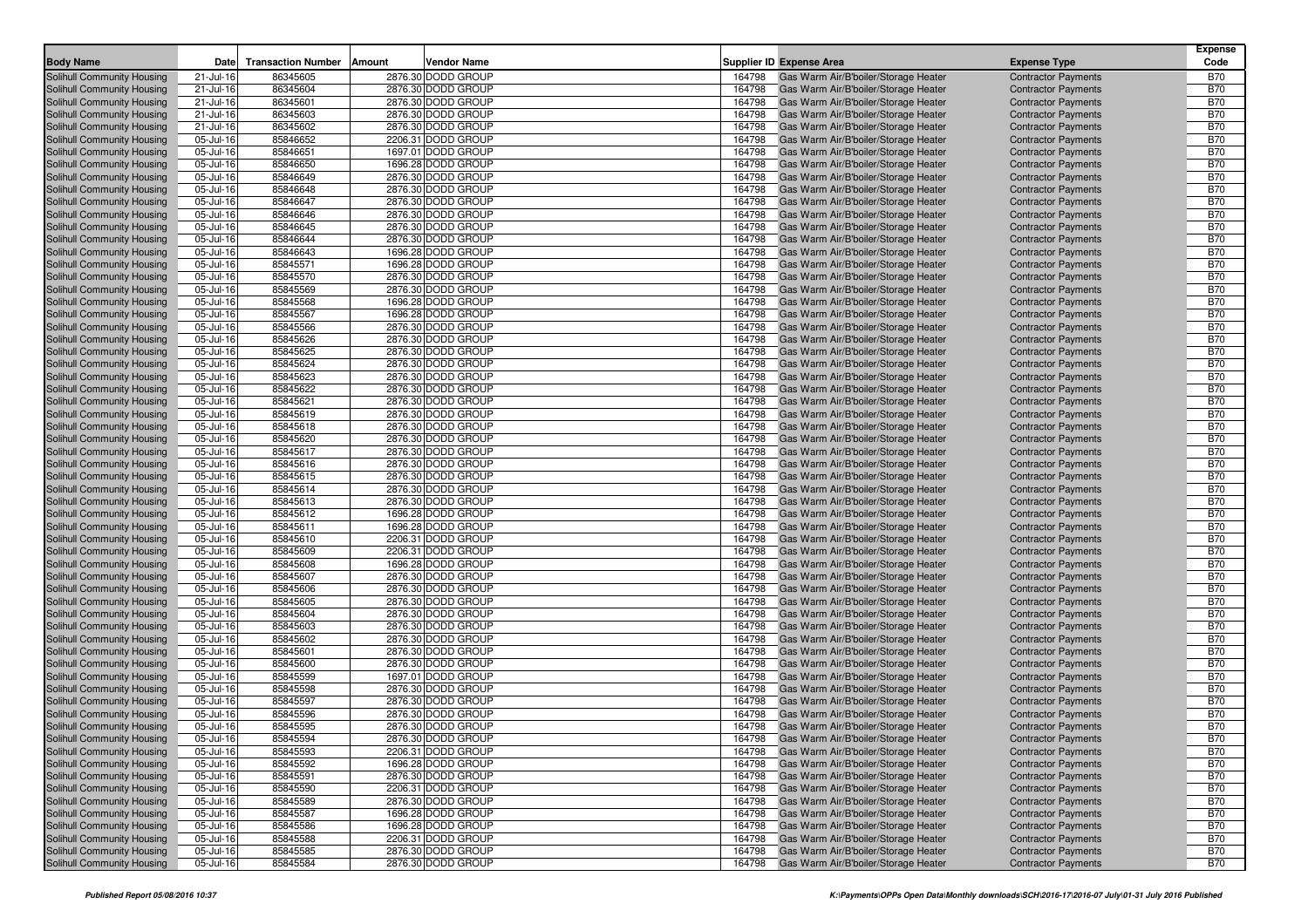|                                                          |                        |                           |        |                                          |                  |                                                                              |                                                          | <b>Expense</b>           |
|----------------------------------------------------------|------------------------|---------------------------|--------|------------------------------------------|------------------|------------------------------------------------------------------------------|----------------------------------------------------------|--------------------------|
| <b>Body Name</b>                                         | Date                   | <b>Transaction Number</b> | Amount | <b>Vendor Name</b>                       |                  | <b>Supplier ID Expense Area</b>                                              | <b>Expense Type</b>                                      | Code                     |
| Solihull Community Housing                               | 21-Jul-16              | 86345605                  |        | 2876.30 DODD GROUP                       | 164798           | Gas Warm Air/B'boiler/Storage Heater                                         | <b>Contractor Payments</b>                               | <b>B70</b>               |
| Solihull Community Housing                               | 21-Jul-16              | 86345604                  |        | 2876.30 DODD GROUP                       | 164798           | Gas Warm Air/B'boiler/Storage Heater                                         | <b>Contractor Payments</b>                               | <b>B70</b>               |
| Solihull Community Housing                               | 21-Jul-16              | 86345601                  |        | 2876.30 DODD GROUP                       | 164798           | Gas Warm Air/B'boiler/Storage Heater                                         | <b>Contractor Payments</b>                               | <b>B70</b>               |
| Solihull Community Housing                               | 21-Jul-16              | 86345603                  |        | 2876.30 DODD GROUP                       | 164798           | Gas Warm Air/B'boiler/Storage Heater                                         | <b>Contractor Payments</b>                               | <b>B70</b>               |
| Solihull Community Housing                               | 21-Jul-16              | 86345602                  |        | 2876.30 DODD GROUP                       | 164798           | Gas Warm Air/B'boiler/Storage Heater                                         | <b>Contractor Payments</b>                               | <b>B70</b>               |
| Solihull Community Housing                               | 05-Jul-16              | 85846652                  |        | 2206.31 DODD GROUP                       | 164798           | Gas Warm Air/B'boiler/Storage Heater                                         | <b>Contractor Payments</b>                               | <b>B70</b>               |
| Solihull Community Housing                               | 05-Jul-16              | 85846651                  |        | 1697.01 DODD GROUP                       | 164798           | Gas Warm Air/B'boiler/Storage Heater                                         | <b>Contractor Payments</b>                               | <b>B70</b>               |
| Solihull Community Housing                               | 05-Jul-16              | 85846650                  |        | 1696.28 DODD GROUP                       | 164798           | Gas Warm Air/B'boiler/Storage Heater                                         | <b>Contractor Payments</b>                               | <b>B70</b>               |
| Solihull Community Housing                               | 05-Jul-16              | 85846649                  |        | 2876.30 DODD GROUP                       | 164798           | Gas Warm Air/B'boiler/Storage Heater                                         | <b>Contractor Payments</b>                               | <b>B70</b><br><b>B70</b> |
| Solihull Community Housing                               | 05-Jul-16              | 85846648<br>85846647      |        | 2876.30 DODD GROUP                       | 164798           | Gas Warm Air/B'boiler/Storage Heater<br>Gas Warm Air/B'boiler/Storage Heater | <b>Contractor Payments</b>                               | <b>B70</b>               |
| Solihull Community Housing                               | 05-Jul-16              | 85846646                  |        | 2876.30 DODD GROUP<br>2876.30 DODD GROUP | 164798<br>164798 |                                                                              | <b>Contractor Payments</b>                               | <b>B70</b>               |
| Solihull Community Housing                               | 05-Jul-16              | 85846645                  |        | 2876.30 DODD GROUP                       |                  | Gas Warm Air/B'boiler/Storage Heater                                         | <b>Contractor Payments</b><br><b>Contractor Payments</b> | <b>B70</b>               |
| Solihull Community Housing<br>Solihull Community Housing | 05-Jul-16<br>05-Jul-16 | 85846644                  |        | 2876.30 DODD GROUP                       | 164798<br>164798 | Gas Warm Air/B'boiler/Storage Heater<br>Gas Warm Air/B'boiler/Storage Heater | <b>Contractor Payments</b>                               | <b>B70</b>               |
| Solihull Community Housing                               | 05-Jul-16              | 85846643                  |        | 1696.28 DODD GROUP                       | 164798           | Gas Warm Air/B'boiler/Storage Heater                                         | <b>Contractor Payments</b>                               | <b>B70</b>               |
| Solihull Community Housing                               | 05-Jul-16              | 85845571                  |        | 1696.28 DODD GROUP                       | 164798           | Gas Warm Air/B'boiler/Storage Heater                                         | <b>Contractor Payments</b>                               | <b>B70</b>               |
| Solihull Community Housing                               | 05-Jul-16              | 85845570                  |        | 2876.30 DODD GROUP                       | 164798           | Gas Warm Air/B'boiler/Storage Heater                                         | <b>Contractor Payments</b>                               | <b>B70</b>               |
| Solihull Community Housing                               | 05-Jul-16              | 85845569                  |        | 2876.30 DODD GROUP                       | 164798           | Gas Warm Air/B'boiler/Storage Heater                                         | <b>Contractor Payments</b>                               | <b>B70</b>               |
| Solihull Community Housing                               | 05-Jul-16              | 85845568                  |        | 1696.28 DODD GROUP                       | 164798           | Gas Warm Air/B'boiler/Storage Heater                                         | <b>Contractor Payments</b>                               | <b>B70</b>               |
| Solihull Community Housing                               | 05-Jul-16              | 85845567                  |        | 1696.28 DODD GROUP                       | 164798           | Gas Warm Air/B'boiler/Storage Heater                                         | <b>Contractor Payments</b>                               | <b>B70</b>               |
| <b>Solihull Community Housing</b>                        | 05-Jul-16              | 85845566                  |        | 2876.30 DODD GROUP                       | 164798           | Gas Warm Air/B'boiler/Storage Heater                                         | <b>Contractor Payments</b>                               | <b>B70</b>               |
| Solihull Community Housing                               | 05-Jul-16              | 85845626                  |        | 2876.30 DODD GROUP                       | 164798           | Gas Warm Air/B'boiler/Storage Heater                                         | <b>Contractor Payments</b>                               | <b>B70</b>               |
| Solihull Community Housing                               | 05-Jul-16              | 85845625                  |        | 2876.30 DODD GROUP                       | 164798           | Gas Warm Air/B'boiler/Storage Heater                                         | <b>Contractor Payments</b>                               | <b>B70</b>               |
| Solihull Community Housing                               | 05-Jul-16              | 85845624                  |        | 2876.30 DODD GROUP                       | 164798           | Gas Warm Air/B'boiler/Storage Heater                                         | <b>Contractor Payments</b>                               | <b>B70</b>               |
| Solihull Community Housing                               | 05-Jul-16              | 85845623                  |        | 2876.30 DODD GROUP                       | 164798           | Gas Warm Air/B'boiler/Storage Heater                                         | <b>Contractor Payments</b>                               | <b>B70</b>               |
| Solihull Community Housing                               | 05-Jul-16              | 85845622                  |        | 2876.30 DODD GROUP                       | 164798           | Gas Warm Air/B'boiler/Storage Heater                                         | <b>Contractor Payments</b>                               | <b>B70</b>               |
| Solihull Community Housing                               | 05-Jul-16              | 85845621                  |        | 2876.30 DODD GROUP                       | 164798           | Gas Warm Air/B'boiler/Storage Heater                                         | <b>Contractor Payments</b>                               | <b>B70</b>               |
| Solihull Community Housing                               | 05-Jul-16              | 85845619                  |        | 2876.30 DODD GROUP                       | 164798           | Gas Warm Air/B'boiler/Storage Heater                                         | <b>Contractor Payments</b>                               | <b>B70</b>               |
| Solihull Community Housing                               | 05-Jul-16              | 85845618                  |        | 2876.30 DODD GROUP                       | 164798           | Gas Warm Air/B'boiler/Storage Heater                                         | <b>Contractor Payments</b>                               | <b>B70</b>               |
| Solihull Community Housing                               | 05-Jul-16              | 85845620                  |        | 2876.30 DODD GROUP                       | 164798           | Gas Warm Air/B'boiler/Storage Heater                                         | <b>Contractor Payments</b>                               | <b>B70</b>               |
| Solihull Community Housing                               | 05-Jul-16              | 85845617                  |        | 2876.30 DODD GROUP                       | 164798           | Gas Warm Air/B'boiler/Storage Heater                                         | <b>Contractor Payments</b>                               | <b>B70</b>               |
| Solihull Community Housing                               | 05-Jul-16              | 85845616                  |        | 2876.30 DODD GROUP                       | 164798           | Gas Warm Air/B'boiler/Storage Heater                                         | <b>Contractor Payments</b>                               | <b>B70</b>               |
| Solihull Community Housing                               | 05-Jul-16              | 85845615                  |        | 2876.30 DODD GROUP                       | 164798           | Gas Warm Air/B'boiler/Storage Heater                                         | <b>Contractor Payments</b>                               | <b>B70</b>               |
| Solihull Community Housing                               | 05-Jul-16              | 85845614                  |        | 2876.30 DODD GROUP                       | 164798           | Gas Warm Air/B'boiler/Storage Heater                                         | <b>Contractor Payments</b>                               | <b>B70</b>               |
| Solihull Community Housing                               | 05-Jul-16              | 85845613                  |        | 2876.30 DODD GROUP                       | 164798           | Gas Warm Air/B'boiler/Storage Heater                                         | <b>Contractor Payments</b>                               | <b>B70</b>               |
| Solihull Community Housing                               | 05-Jul-16              | 85845612                  |        | 1696.28 DODD GROUP                       | 164798           | Gas Warm Air/B'boiler/Storage Heater                                         | <b>Contractor Payments</b>                               | <b>B70</b>               |
| Solihull Community Housing                               | 05-Jul-16              | 85845611                  |        | 1696.28 DODD GROUP                       | 164798           | Gas Warm Air/B'boiler/Storage Heater                                         | <b>Contractor Payments</b>                               | <b>B70</b>               |
| Solihull Community Housing                               | 05-Jul-16              | 85845610                  |        | 2206.31 DODD GROUP                       | 164798           | Gas Warm Air/B'boiler/Storage Heater                                         | <b>Contractor Payments</b>                               | <b>B70</b>               |
| Solihull Community Housing                               | 05-Jul-16              | 85845609                  |        | 2206.31 DODD GROUP                       | 164798           | Gas Warm Air/B'boiler/Storage Heater                                         | <b>Contractor Payments</b>                               | <b>B70</b>               |
| Solihull Community Housing                               | 05-Jul-16              | 85845608                  |        | 1696.28 DODD GROUP                       | 164798           | Gas Warm Air/B'boiler/Storage Heater                                         | <b>Contractor Payments</b>                               | <b>B70</b>               |
| Solihull Community Housing                               | 05-Jul-16              | 85845607                  |        | 2876.30 DODD GROUP                       | 164798           | Gas Warm Air/B'boiler/Storage Heater                                         | <b>Contractor Payments</b>                               | <b>B70</b>               |
| Solihull Community Housing                               | 05-Jul-16              | 85845606                  |        | 2876.30 DODD GROUP                       | 164798           | Gas Warm Air/B'boiler/Storage Heater                                         | <b>Contractor Payments</b>                               | <b>B70</b>               |
| Solihull Community Housing                               | 05-Jul-16              | 85845605                  |        | 2876.30 DODD GROUP                       | 164798           | Gas Warm Air/B'boiler/Storage Heater                                         | <b>Contractor Payments</b>                               | <b>B70</b>               |
| Solihull Community Housing                               | 05-Jul-16              | 85845604                  |        | 2876.30 DODD GROUP                       | 164798           | Gas Warm Air/B'boiler/Storage Heater                                         | <b>Contractor Payments</b>                               | <b>B70</b>               |
| Solihull Community Housing                               | 05-Jul-16              | 85845603                  |        | 2876.30 DODD GROUP                       | 164798           | Gas Warm Air/B'boiler/Storage Heater                                         | <b>Contractor Payments</b>                               | <b>B70</b>               |
| Solihull Community Housing                               | 05-Jul-16              | 85845602                  |        | 2876.30 DODD GROUP                       | 164798           | Gas Warm Air/B'boiler/Storage Heater                                         | <b>Contractor Payments</b>                               | <b>B70</b>               |
| Solihull Community Housing                               | 05-Jul-16              | 85845601                  |        | 2876.30 DODD GROUP                       | 164798           | Gas Warm Air/B'boiler/Storage Heater                                         | <b>Contractor Payments</b>                               | <b>B70</b>               |
| Solihull Community Housing                               | 05-Jul-16              | 85845600                  |        | 2876.30 DODD GROUP                       | 164798           | Gas Warm Air/B'boiler/Storage Heater                                         | <b>Contractor Payments</b>                               | <b>B70</b>               |
| Solihull Community Housing                               | 05-Jul-16              | 85845599                  |        | 1697.01 DODD GROUP                       | 164798           | Gas Warm Air/B'boiler/Storage Heater                                         | <b>Contractor Payments</b>                               | <b>B70</b>               |
| Solihull Community Housing                               | 05-Jul-16              | 85845598                  |        | 2876.30 DODD GROUP                       | 164798           | Gas Warm Air/B'boiler/Storage Heater                                         | <b>Contractor Payments</b>                               | <b>B70</b>               |
| Solihull Community Housing                               | 05-Jul-16              | 85845597                  |        | 2876.30 DODD GROUP                       | 164798           | Gas Warm Air/B'boiler/Storage Heater                                         | <b>Contractor Payments</b>                               | <b>B70</b>               |
| Solihull Community Housing                               | 05-Jul-16              | 85845596                  |        | 2876.30 DODD GROUP                       | 164798           | Gas Warm Air/B'boiler/Storage Heater                                         | <b>Contractor Payments</b>                               | <b>B70</b>               |
| Solihull Community Housing                               | 05-Jul-16              | 85845595                  |        | 2876.30 DODD GROUP                       | 164798           | Gas Warm Air/B'boiler/Storage Heater                                         | <b>Contractor Payments</b>                               | <b>B70</b>               |
| Solihull Community Housing                               | 05-Jul-16              | 85845594                  |        | 2876.30 DODD GROUP                       | 164798           | Gas Warm Air/B'boiler/Storage Heater                                         | <b>Contractor Payments</b>                               | <b>B70</b>               |
| Solihull Community Housing                               | 05-Jul-16              | 85845593                  |        | 2206.31 DODD GROUP                       | 164798           | Gas Warm Air/B'boiler/Storage Heater                                         | <b>Contractor Payments</b>                               | <b>B70</b>               |
| Solihull Community Housing                               | 05-Jul-16              | 85845592                  |        | 1696.28 DODD GROUP                       | 164798           | Gas Warm Air/B'boiler/Storage Heater                                         | <b>Contractor Payments</b>                               | <b>B70</b>               |
| Solihull Community Housing                               | 05-Jul-16              | 85845591                  |        | 2876.30 DODD GROUP                       | 164798           | Gas Warm Air/B'boiler/Storage Heater                                         | <b>Contractor Payments</b>                               | <b>B70</b>               |
| Solihull Community Housing                               | 05-Jul-16              | 85845590                  |        | 2206.31 DODD GROUP                       | 164798           | Gas Warm Air/B'boiler/Storage Heater                                         | <b>Contractor Payments</b>                               | <b>B70</b>               |
| Solihull Community Housing                               | 05-Jul-16              | 85845589                  |        | 2876.30 DODD GROUP                       | 164798           | Gas Warm Air/B'boiler/Storage Heater                                         | <b>Contractor Payments</b>                               | <b>B70</b>               |
| Solihull Community Housing                               | 05-Jul-16              | 85845587                  |        | 1696.28 DODD GROUP                       | 164798           | Gas Warm Air/B'boiler/Storage Heater                                         | <b>Contractor Payments</b>                               | <b>B70</b>               |
| Solihull Community Housing                               | 05-Jul-16              | 85845586                  |        | 1696.28 DODD GROUP                       | 164798           | Gas Warm Air/B'boiler/Storage Heater                                         | <b>Contractor Payments</b>                               | <b>B70</b>               |
| Solihull Community Housing                               | 05-Jul-16              | 85845588                  |        | 2206.31 DODD GROUP                       | 164798           | Gas Warm Air/B'boiler/Storage Heater                                         | <b>Contractor Payments</b>                               | <b>B70</b>               |
| Solihull Community Housing                               | 05-Jul-16              | 85845585                  |        | 2876.30 DODD GROUP                       | 164798           | Gas Warm Air/B'boiler/Storage Heater                                         | <b>Contractor Payments</b>                               | <b>B70</b>               |
| Solihull Community Housing                               | 05-Jul-16              | 85845584                  |        | 2876.30 DODD GROUP                       | 164798           | Gas Warm Air/B'boiler/Storage Heater                                         | <b>Contractor Payments</b>                               | <b>B70</b>               |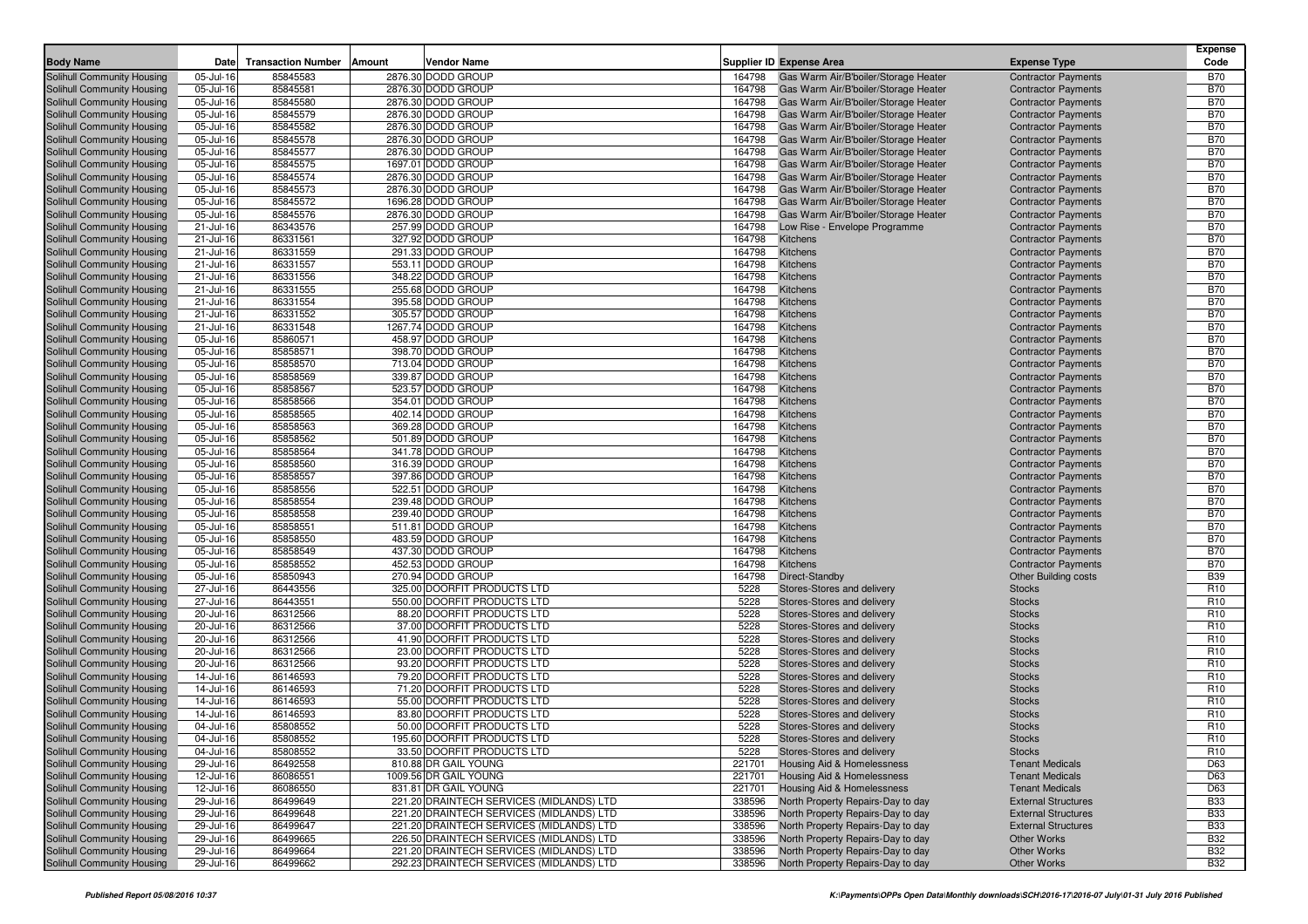|                                                          |                        |                           |        |                                                  |                  |                                                                              |                                                          | <b>Expense</b>                |
|----------------------------------------------------------|------------------------|---------------------------|--------|--------------------------------------------------|------------------|------------------------------------------------------------------------------|----------------------------------------------------------|-------------------------------|
| <b>Body Name</b>                                         | Date                   | <b>Transaction Number</b> | Amount | Vendor Name                                      |                  | Supplier ID Expense Area                                                     | <b>Expense Type</b>                                      | Code                          |
| Solihull Community Housing                               | 05-Jul-16              | 85845583                  |        | 2876.30 DODD GROUP                               | 164798           | Gas Warm Air/B'boiler/Storage Heater                                         | <b>Contractor Payments</b>                               | <b>B70</b>                    |
| Solihull Community Housing                               | 05-Jul-16              | 85845581                  |        | 2876.30 DODD GROUP                               | 164798           | Gas Warm Air/B'boiler/Storage Heater                                         | <b>Contractor Payments</b>                               | <b>B70</b>                    |
| Solihull Community Housing                               | 05-Jul-16              | 85845580                  |        | 2876.30 DODD GROUP                               | 164798           | Gas Warm Air/B'boiler/Storage Heater                                         | <b>Contractor Payments</b>                               | <b>B70</b>                    |
| Solihull Community Housing                               | 05-Jul-16              | 85845579                  |        | 2876.30 DODD GROUP                               | 164798           | Gas Warm Air/B'boiler/Storage Heater                                         | <b>Contractor Payments</b>                               | <b>B70</b>                    |
| Solihull Community Housing                               | 05-Jul-16              | 85845582                  |        | 2876.30 DODD GROUP                               | 164798           | Gas Warm Air/B'boiler/Storage Heater                                         | <b>Contractor Payments</b>                               | <b>B70</b>                    |
| Solihull Community Housing                               | 05-Jul-16              | 85845578                  |        | 2876.30 DODD GROUP                               | 164798           | Gas Warm Air/B'boiler/Storage Heater                                         | <b>Contractor Payments</b>                               | <b>B70</b>                    |
| Solihull Community Housing                               | 05-Jul-16              | 85845577                  |        | 2876.30 DODD GROUP                               | 164798           | Gas Warm Air/B'boiler/Storage Heater                                         | <b>Contractor Payments</b>                               | <b>B70</b>                    |
| Solihull Community Housing<br>Solihull Community Housing | 05-Jul-16<br>05-Jul-16 | 85845575<br>85845574      |        | 1697.01 DODD GROUP<br>2876.30 DODD GROUP         | 164798<br>164798 | Gas Warm Air/B'boiler/Storage Heater<br>Gas Warm Air/B'boiler/Storage Heater | <b>Contractor Payments</b><br><b>Contractor Payments</b> | <b>B70</b><br><b>B70</b>      |
| Solihull Community Housing                               | 05-Jul-16              | 85845573                  |        | 2876.30 DODD GROUP                               | 164798           | Gas Warm Air/B'boiler/Storage Heater                                         | <b>Contractor Payments</b>                               | <b>B70</b>                    |
| Solihull Community Housing                               | 05-Jul-16              | 85845572                  |        | 1696.28 DODD GROUP                               | 164798           | Gas Warm Air/B'boiler/Storage Heater                                         | <b>Contractor Payments</b>                               | <b>B70</b>                    |
| Solihull Community Housing                               | 05-Jul-16              | 85845576                  |        | 2876.30 DODD GROUP                               | 164798           | Gas Warm Air/B'boiler/Storage Heater                                         | <b>Contractor Payments</b>                               | <b>B70</b>                    |
| Solihull Community Housing                               | 21-Jul-16              | 86343576                  |        | 257.99 DODD GROUP                                | 164798           | Low Rise - Envelope Programme                                                | <b>Contractor Payments</b>                               | <b>B70</b>                    |
| Solihull Community Housing                               | 21-Jul-16              | 86331561                  |        | 327.92 DODD GROUP                                | 164798           | Kitchens                                                                     | <b>Contractor Payments</b>                               | <b>B70</b>                    |
| Solihull Community Housing                               | 21-Jul-16              | 86331559                  |        | 291.33 DODD GROUP                                | 164798           | Kitchens                                                                     | <b>Contractor Payments</b>                               | <b>B70</b>                    |
| Solihull Community Housing                               | 21-Jul-16              | 86331557                  |        | 553.11 DODD GROUP                                | 164798           | Kitchens                                                                     | <b>Contractor Payments</b>                               | <b>B70</b>                    |
| Solihull Community Housing                               | 21-Jul-16              | 86331556                  |        | 348.22 DODD GROUP                                | 164798           | Kitchens                                                                     | <b>Contractor Payments</b>                               | <b>B70</b>                    |
| Solihull Community Housing                               | 21-Jul-16              | 86331555                  |        | 255.68 DODD GROUP                                | 164798           | Kitchens                                                                     | <b>Contractor Payments</b>                               | <b>B70</b>                    |
| Solihull Community Housing                               | 21-Jul-16              | 86331554                  |        | 395.58 DODD GROUP                                | 164798           | Kitchens                                                                     | <b>Contractor Payments</b>                               | <b>B70</b>                    |
| Solihull Community Housing                               | 21-Jul-16              | 86331552                  |        | 305.57 DODD GROUP                                | 164798           | Kitchens                                                                     | <b>Contractor Payments</b>                               | <b>B70</b>                    |
| Solihull Community Housing                               | 21-Jul-16              | 86331548                  |        | 1267.74 DODD GROUP                               | 164798           | Kitchens                                                                     | <b>Contractor Payments</b>                               | <b>B70</b>                    |
| Solihull Community Housing                               | 05-Jul-16              | 85860571                  |        | 458.97 DODD GROUP                                | 164798           | Kitchens                                                                     | <b>Contractor Payments</b>                               | <b>B70</b>                    |
| Solihull Community Housing                               | 05-Jul-16              | 85858571                  |        | 398.70 DODD GROUP                                | 164798           | Kitchens                                                                     | <b>Contractor Payments</b>                               | <b>B70</b>                    |
| Solihull Community Housing                               | 05-Jul-16              | 85858570                  |        | 713.04 DODD GROUP                                | 164798           | Kitchens                                                                     | <b>Contractor Payments</b>                               | <b>B70</b>                    |
| Solihull Community Housing                               | 05-Jul-16              | 85858569                  |        | 339.87 DODD GROUP                                | 164798           | Kitchens                                                                     | <b>Contractor Payments</b>                               | <b>B70</b>                    |
| Solihull Community Housing<br>Solihull Community Housing | 05-Jul-16              | 85858567<br>85858566      |        | 523.57 DODD GROUP                                | 164798           | Kitchens                                                                     | <b>Contractor Payments</b>                               | <b>B70</b><br><b>B70</b>      |
| Solihull Community Housing                               | 05-Jul-16<br>05-Jul-16 | 85858565                  |        | 354.01 DODD GROUP<br>402.14 DODD GROUP           | 164798<br>164798 | Kitchens<br>Kitchens                                                         | <b>Contractor Payments</b><br><b>Contractor Payments</b> | <b>B70</b>                    |
| Solihull Community Housing                               | 05-Jul-16              | 85858563                  |        | 369.28 DODD GROUP                                | 164798           | Kitchens                                                                     | <b>Contractor Payments</b>                               | <b>B70</b>                    |
| Solihull Community Housing                               | 05-Jul-16              | 85858562                  |        | 501.89 DODD GROUP                                | 164798           | Kitchens                                                                     | <b>Contractor Payments</b>                               | <b>B70</b>                    |
| Solihull Community Housing                               | 05-Jul-16              | 85858564                  |        | 341.78 DODD GROUP                                | 164798           | Kitchens                                                                     | <b>Contractor Payments</b>                               | <b>B70</b>                    |
| Solihull Community Housing                               | 05-Jul-16              | 85858560                  |        | 316.39 DODD GROUP                                | 164798           | Kitchens                                                                     | <b>Contractor Payments</b>                               | <b>B70</b>                    |
| Solihull Community Housing                               | 05-Jul-16              | 85858557                  |        | 397.86 DODD GROUP                                | 164798           | Kitchens                                                                     | <b>Contractor Payments</b>                               | <b>B70</b>                    |
| Solihull Community Housing                               | 05-Jul-16              | 85858556                  |        | 522.51 DODD GROUP                                | 164798           | Kitchens                                                                     | <b>Contractor Payments</b>                               | <b>B70</b>                    |
| Solihull Community Housing                               | 05-Jul-16              | 85858554                  |        | 239.48 DODD GROUP                                | 164798           | Kitchens                                                                     | <b>Contractor Payments</b>                               | <b>B70</b>                    |
| Solihull Community Housing                               | 05-Jul-16              | 85858558                  |        | 239.40 DODD GROUP                                | 164798           | Kitchens                                                                     | <b>Contractor Payments</b>                               | <b>B70</b>                    |
| Solihull Community Housing                               | 05-Jul-16              | 85858551                  |        | 511.81 DODD GROUP                                | 164798           | Kitchens                                                                     | <b>Contractor Payments</b>                               | <b>B70</b>                    |
| Solihull Community Housing                               | 05-Jul-16              | 85858550                  |        | 483.59 DODD GROUP                                | 164798           | Kitchens                                                                     | <b>Contractor Payments</b>                               | <b>B70</b>                    |
| Solihull Community Housing                               | 05-Jul-16              | 85858549                  |        | 437.30 DODD GROUP                                | 164798           | Kitchens                                                                     | <b>Contractor Payments</b>                               | <b>B70</b>                    |
| Solihull Community Housing                               | 05-Jul-16              | 85858552                  |        | 452.53 DODD GROUP                                | 164798           | Kitchens                                                                     | <b>Contractor Payments</b>                               | <b>B70</b>                    |
| Solihull Community Housing                               | 05-Jul-16              | 85850943                  |        | 270.94 DODD GROUP<br>325.00 DOORFIT PRODUCTS LTD | 164798<br>5228   | Direct-Standby                                                               | <b>Other Building costs</b>                              | <b>B39</b><br>R <sub>10</sub> |
| Solihull Community Housing<br>Solihull Community Housing | 27-Jul-16<br>27-Jul-16 | 86443556<br>86443551      |        | 550.00 DOORFIT PRODUCTS LTD                      | 5228             | Stores-Stores and delivery<br>Stores-Stores and delivery                     | <b>Stocks</b><br><b>Stocks</b>                           | R <sub>10</sub>               |
| Solihull Community Housing                               | 20-Jul-16              | 86312566                  |        | 88.20 DOORFIT PRODUCTS LTD                       | 5228             | Stores-Stores and delivery                                                   | <b>Stocks</b>                                            | R <sub>10</sub>               |
| Solihull Community Housing                               | 20-Jul-16              | 86312566                  |        | 37.00 DOORFIT PRODUCTS LTD                       | 5228             | Stores-Stores and delivery                                                   | <b>Stocks</b>                                            | R <sub>10</sub>               |
| Solihull Community Housing                               | 20-Jul-16              | 86312566                  |        | 41.90 DOORFIT PRODUCTS LTD                       | 5228             | Stores-Stores and delivery                                                   | <b>Stocks</b>                                            | R <sub>10</sub>               |
| Solihull Community Housing                               | 20-Jul-16              | 86312566                  |        | 23.00 DOORFIT PRODUCTS LTD                       | 5228             | Stores-Stores and delivery                                                   | <b>Stocks</b>                                            | R <sub>10</sub>               |
| Solihull Community Housing                               | 20-Jul-16              | 86312566                  |        | 93.20 DOORFIT PRODUCTS LTD                       | 5228             | Stores-Stores and delivery                                                   | <b>Stocks</b>                                            | R <sub>10</sub>               |
| Solihull Community Housing                               | 14-Jul-16              | 86146593                  |        | 79.20 DOORFIT PRODUCTS LTD                       | 5228             | Stores-Stores and delivery                                                   | <b>Stocks</b>                                            | R <sub>10</sub>               |
| Solihull Community Housing                               | 14-Jul-16              | 86146593                  |        | 71.20 DOORFIT PRODUCTS LTD                       | 5228             | Stores-Stores and delivery                                                   | <b>Stocks</b>                                            | R <sub>10</sub>               |
| Solihull Community Housing                               | 14-Jul-16              | 86146593                  |        | 55.00 DOORFIT PRODUCTS LTD                       | 5228             | Stores-Stores and delivery                                                   | <b>Stocks</b>                                            | R <sub>10</sub>               |
| Solihull Community Housing                               | 14-Jul-16              | 86146593                  |        | 83.80 DOORFIT PRODUCTS LTD                       | 5228             | Stores-Stores and delivery                                                   | <b>Stocks</b>                                            | R <sub>10</sub>               |
| Solihull Community Housing                               | 04-Jul-16              | 85808552                  |        | 50.00 DOORFIT PRODUCTS LTD                       | 5228             | Stores-Stores and delivery                                                   | <b>Stocks</b>                                            | R <sub>10</sub>               |
| Solihull Community Housing                               | 04-Jul-16              | 85808552                  |        | 195.60 DOORFIT PRODUCTS LTD                      | 5228             | Stores-Stores and delivery                                                   | <b>Stocks</b>                                            | R <sub>10</sub>               |
| Solihull Community Housing                               | 04-Jul-16              | 85808552                  |        | 33.50 DOORFIT PRODUCTS LTD                       | 5228             | Stores-Stores and delivery                                                   | <b>Stocks</b>                                            | R <sub>10</sub>               |
| Solihull Community Housing                               | 29-Jul-16              | 86492558                  |        | 810.88 DR GAIL YOUNG<br>1009.56 DR GAIL YOUNG    | 221701           | Housing Aid & Homelessness                                                   | <b>Tenant Medicals</b>                                   | D63                           |
| Solihull Community Housing                               | 12-Jul-16              | 86086551<br>86086550      |        | 831.81 DR GAIL YOUNG                             | 221701           | Housing Aid & Homelessness                                                   | <b>Tenant Medicals</b>                                   | D63<br>D63                    |
| Solihull Community Housing<br>Solihull Community Housing | 12-Jul-16<br>29-Jul-16 | 86499649                  |        | 221.20 DRAINTECH SERVICES (MIDLANDS) LTD         | 221701<br>338596 | Housing Aid & Homelessness<br>North Property Repairs-Day to day              | <b>Tenant Medicals</b><br><b>External Structures</b>     | <b>B33</b>                    |
| Solihull Community Housing                               | 29-Jul-16              | 86499648                  |        | 221.20 DRAINTECH SERVICES (MIDLANDS) LTD         | 338596           | North Property Repairs-Day to day                                            | <b>External Structures</b>                               | <b>B33</b>                    |
| Solihull Community Housing                               | 29-Jul-16              | 86499647                  |        | 221.20 DRAINTECH SERVICES (MIDLANDS) LTD         | 338596           | North Property Repairs-Day to day                                            | <b>External Structures</b>                               | <b>B33</b>                    |
| Solihull Community Housing                               | 29-Jul-16              | 86499665                  |        | 226.50 DRAINTECH SERVICES (MIDLANDS) LTD         | 338596           | North Property Repairs-Day to day                                            | <b>Other Works</b>                                       | <b>B32</b>                    |
| Solihull Community Housing                               | 29-Jul-16              | 86499664                  |        | 221.20 DRAINTECH SERVICES (MIDLANDS) LTD         | 338596           | North Property Repairs-Day to day                                            | Other Works                                              | <b>B32</b>                    |
| Solihull Community Housing                               | 29-Jul-16              | 86499662                  |        | 292.23 DRAINTECH SERVICES (MIDLANDS) LTD         | 338596           | North Property Repairs-Day to day                                            | Other Works                                              | <b>B32</b>                    |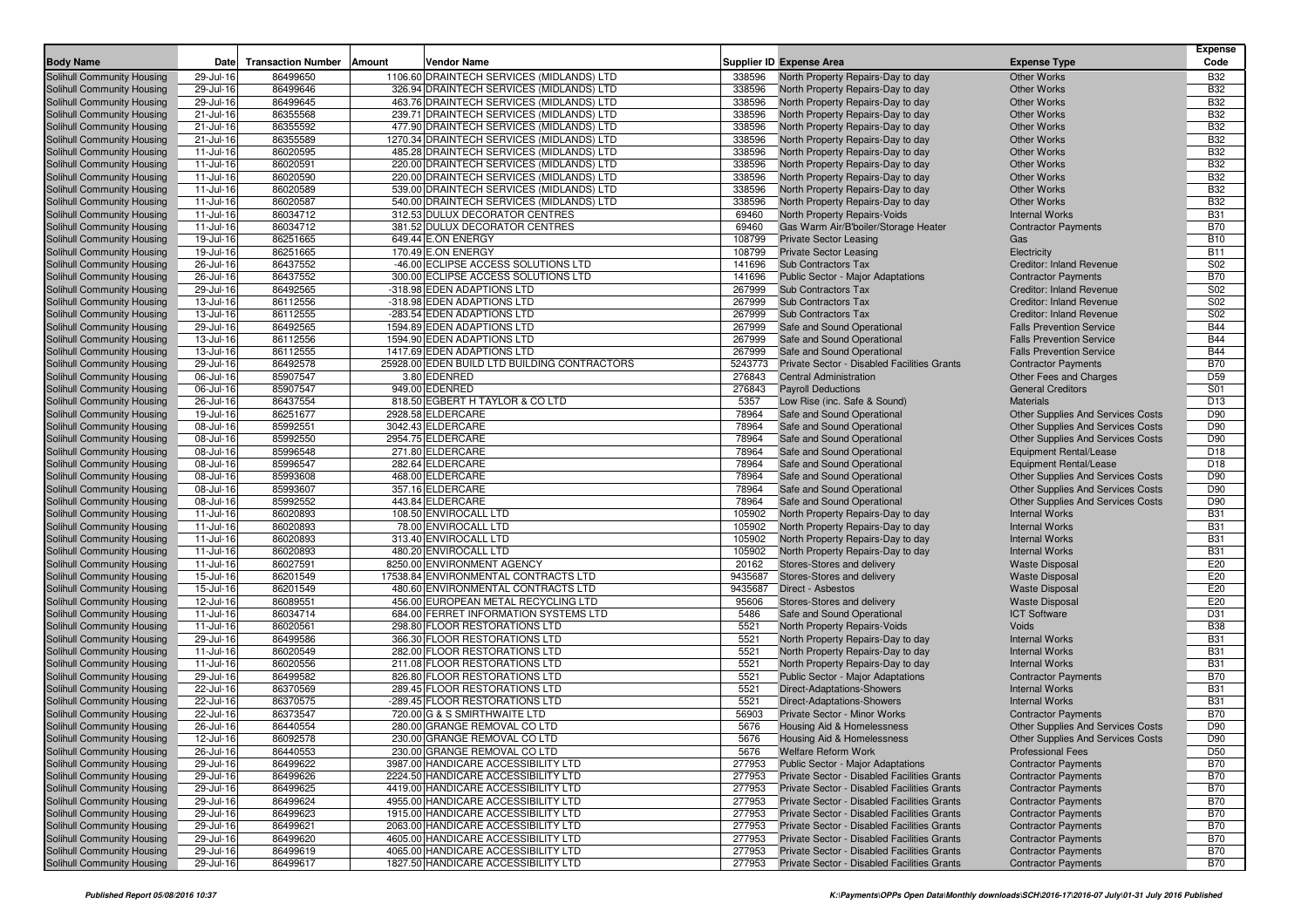| <b>Body Name</b>                                         | Date                   | <b>Transaction Number</b> | Amount | <b>Vendor Name</b>                                                         |                  | <b>Supplier ID Expense Area</b>                                                            | <b>Expense Type</b>                                                | <b>Expense</b><br>Code        |
|----------------------------------------------------------|------------------------|---------------------------|--------|----------------------------------------------------------------------------|------------------|--------------------------------------------------------------------------------------------|--------------------------------------------------------------------|-------------------------------|
| <b>Solihull Community Housing</b>                        | 29-Jul-16              | 86499650                  |        | 1106.60 DRAINTECH SERVICES (MIDLANDS) LTD                                  | 338596           | North Property Repairs-Day to day                                                          | <b>Other Works</b>                                                 | <b>B32</b>                    |
| Solihull Community Housing                               | 29-Jul-16              | 86499646                  |        | 326.94 DRAINTECH SERVICES (MIDLANDS) LTD                                   | 338596           | North Property Repairs-Day to day                                                          | <b>Other Works</b>                                                 | <b>B32</b>                    |
| Solihull Community Housing                               | 29-Jul-16              | 86499645                  |        | 463.76 DRAINTECH SERVICES (MIDLANDS) LTD                                   | 338596           | North Property Repairs-Day to day                                                          | <b>Other Works</b>                                                 | <b>B32</b>                    |
| Solihull Community Housing                               | 21-Jul-16              | 86355568                  |        | 239.71 DRAINTECH SERVICES (MIDLANDS) LTD                                   | 338596           | North Property Repairs-Day to day                                                          | <b>Other Works</b>                                                 | <b>B32</b>                    |
| Solihull Community Housing                               | 21-Jul-16              | 86355592                  |        | 477.90 DRAINTECH SERVICES (MIDLANDS) LTD                                   | 338596           | North Property Repairs-Day to day                                                          | <b>Other Works</b>                                                 | <b>B32</b>                    |
| Solihull Community Housing                               | 21-Jul-16              | 86355589                  |        | 1270.34 DRAINTECH SERVICES (MIDLANDS) LTD                                  | 338596           | North Property Repairs-Day to day                                                          | <b>Other Works</b>                                                 | <b>B32</b>                    |
| Solihull Community Housing                               | 11-Jul-16              | 86020595                  |        | 485.28 DRAINTECH SERVICES (MIDLANDS) LTD                                   | 338596           | North Property Repairs-Day to day                                                          | <b>Other Works</b>                                                 | <b>B32</b>                    |
| Solihull Community Housing                               | 11-Jul-16              | 86020591                  |        | 220.00 DRAINTECH SERVICES (MIDLANDS) LTD                                   | 338596           | North Property Repairs-Day to day                                                          | <b>Other Works</b>                                                 | <b>B32</b>                    |
| Solihull Community Housing                               | 11-Jul-16              | 86020590                  |        | 220.00 DRAINTECH SERVICES (MIDLANDS) LTD                                   | 338596           | North Property Repairs-Day to day                                                          | <b>Other Works</b>                                                 | <b>B32</b>                    |
| Solihull Community Housing                               | 11-Jul-16              | 86020589                  |        | 539.00 DRAINTECH SERVICES (MIDLANDS) LTD                                   | 338596           | North Property Repairs-Day to day                                                          | <b>Other Works</b>                                                 | <b>B32</b>                    |
| Solihull Community Housing                               | 11-Jul-16              | 86020587                  |        | 540.00 DRAINTECH SERVICES (MIDLANDS) LTD                                   | 338596           | North Property Repairs-Day to day                                                          | <b>Other Works</b>                                                 | <b>B32</b>                    |
| Solihull Community Housing                               | 11-Jul-16              | 86034712                  |        | 312.53 DULUX DECORATOR CENTRES                                             | 69460            | North Property Repairs-Voids                                                               | <b>Internal Works</b>                                              | <b>B31</b>                    |
| Solihull Community Housing                               | 11-Jul-16              | 86034712                  |        | 381.52 DULUX DECORATOR CENTRES                                             | 69460            | Gas Warm Air/B'boiler/Storage Heater                                                       | <b>Contractor Payments</b>                                         | <b>B70</b>                    |
| Solihull Community Housing                               | 19-Jul-16              | 86251665                  |        | 649.44 E.ON ENERGY                                                         | 108799           | <b>Private Sector Leasing</b>                                                              | Gas                                                                | <b>B10</b>                    |
| Solihull Community Housing                               | 19-Jul-16              | 86251665                  |        | 170.49 E.ON ENERGY                                                         | 108799           | <b>Private Sector Leasing</b>                                                              | Electricity                                                        | <b>B11</b>                    |
| Solihull Community Housing                               | 26-Jul-16              | 86437552                  |        | -46.00 ECLIPSE ACCESS SOLUTIONS LTD                                        | 141696           | Sub Contractors Tax                                                                        | <b>Creditor: Inland Revenue</b>                                    | S02                           |
| Solihull Community Housing                               | 26-Jul-16              | 86437552                  |        | 300.00 ECLIPSE ACCESS SOLUTIONS LTD                                        | 141696           | <b>Public Sector - Major Adaptations</b>                                                   | <b>Contractor Payments</b>                                         | <b>B70</b>                    |
| Solihull Community Housing                               | 29-Jul-16              | 86492565                  |        | -318.98 EDEN ADAPTIONS LTD                                                 | 267999           | Sub Contractors Tax                                                                        | Creditor: Inland Revenue                                           | S02                           |
| Solihull Community Housing                               | 13-Jul-16              | 86112556                  |        | -318.98 EDEN ADAPTIONS LTD                                                 | 267999           | Sub Contractors Tax                                                                        | Creditor: Inland Revenue                                           | S02                           |
| Solihull Community Housing                               | 13-Jul-16              | 86112555                  |        | -283.54 EDEN ADAPTIONS LTD                                                 | 267999           | Sub Contractors Tax                                                                        | <b>Creditor: Inland Revenue</b>                                    | S <sub>02</sub><br><b>B44</b> |
| Solihull Community Housing                               | 29-Jul-16              | 86492565                  |        | 1594.89 EDEN ADAPTIONS LTD                                                 | 267999           | Safe and Sound Operational                                                                 | <b>Falls Prevention Service</b>                                    |                               |
| Solihull Community Housing                               | 13-Jul-16              | 86112556<br>86112555      |        | 1594.90 EDEN ADAPTIONS LTD<br>1417.69 EDEN ADAPTIONS LTD                   | 267999<br>267999 | Safe and Sound Operational                                                                 | <b>Falls Prevention Service</b><br><b>Falls Prevention Service</b> | <b>B44</b><br><b>B44</b>      |
| Solihull Community Housing                               | 13-Jul-16              | 86492578                  |        | 25928.00 EDEN BUILD LTD BUILDING CONTRACTORS                               | 5243773          | Safe and Sound Operational                                                                 |                                                                    | <b>B70</b>                    |
| Solihull Community Housing<br>Solihull Community Housing | 29-Jul-16<br>06-Jul-16 | 85907547                  |        | 3.80 EDENRED                                                               | 276843           | Private Sector - Disabled Facilities Grants<br><b>Central Administration</b>               | <b>Contractor Payments</b><br>Other Fees and Charges               | D <sub>59</sub>               |
|                                                          |                        | 85907547                  |        | 949.00 EDENRED                                                             | 276843           | <b>Payroll Deductions</b>                                                                  | <b>General Creditors</b>                                           | S01                           |
| Solihull Community Housing<br>Solihull Community Housing | 06-Jul-16<br>26-Jul-16 | 86437554                  |        | 818.50 EGBERT H TAYLOR & CO LTD                                            | 5357             | Low Rise (inc. Safe & Sound)                                                               | <b>Materials</b>                                                   | D <sub>13</sub>               |
| Solihull Community Housing                               | 19-Jul-16              | 86251677                  |        | 2928.58 ELDERCARE                                                          | 78964            | Safe and Sound Operational                                                                 | <b>Other Supplies And Services Costs</b>                           | D90                           |
| Solihull Community Housing                               | 08-Jul-16              | 85992551                  |        | 3042.43 ELDERCARE                                                          | 78964            | Safe and Sound Operational                                                                 | <b>Other Supplies And Services Costs</b>                           | D90                           |
| Solihull Community Housing                               | 08-Jul-16              | 85992550                  |        | 2954.75 ELDERCARE                                                          | 78964            | Safe and Sound Operational                                                                 | <b>Other Supplies And Services Costs</b>                           | D90                           |
| Solihull Community Housing                               | 08-Jul-16              | 85996548                  |        | 271.80 ELDERCARE                                                           | 78964            | Safe and Sound Operational                                                                 | Equipment Rental/Lease                                             | D <sub>18</sub>               |
| Solihull Community Housing                               | 08-Jul-16              | 85996547                  |        | 282.64 ELDERCARE                                                           | 78964            | Safe and Sound Operational                                                                 | Equipment Rental/Lease                                             | D <sub>18</sub>               |
| Solihull Community Housing                               | 08-Jul-16              | 85993608                  |        | 468.00 ELDERCARE                                                           | 78964            | Safe and Sound Operational                                                                 | <b>Other Supplies And Services Costs</b>                           | D90                           |
| Solihull Community Housing                               | 08-Jul-16              | 85993607                  |        | 357.16 ELDERCARE                                                           | 78964            | Safe and Sound Operational                                                                 | <b>Other Supplies And Services Costs</b>                           | D90                           |
| Solihull Community Housing                               | 08-Jul-16              | 85992552                  |        | 443.84 ELDERCARE                                                           | 78964            | Safe and Sound Operational                                                                 | <b>Other Supplies And Services Costs</b>                           | D90                           |
| Solihull Community Housing                               | 11-Jul-16              | 86020893                  |        | 108.50 ENVIROCALL LTD                                                      | 105902           | North Property Repairs-Day to day                                                          | <b>Internal Works</b>                                              | <b>B31</b>                    |
| Solihull Community Housing                               | 11-Jul-16              | 86020893                  |        | 78.00 ENVIROCALL LTD                                                       | 105902           | North Property Repairs-Day to day                                                          | <b>Internal Works</b>                                              | <b>B31</b>                    |
| Solihull Community Housing                               | 11-Jul-16              | 86020893                  |        | 313.40 ENVIROCALL LTD                                                      | 105902           | North Property Repairs-Day to day                                                          | <b>Internal Works</b>                                              | <b>B31</b>                    |
| Solihull Community Housing                               | 11-Jul-16              | 86020893                  |        | 480.20 ENVIROCALL LTD                                                      | 105902           | North Property Repairs-Day to day                                                          | <b>Internal Works</b>                                              | <b>B31</b>                    |
| Solihull Community Housing                               | 11-Jul-16              | 86027591                  |        | 8250.00 ENVIRONMENT AGENCY                                                 | 20162            | Stores-Stores and delivery                                                                 | <b>Waste Disposal</b>                                              | E20                           |
| Solihull Community Housing                               | 15-Jul-16              | 86201549                  |        | 17538.84 ENVIRONMENTAL CONTRACTS LTD                                       | 9435687          | Stores-Stores and delivery                                                                 | <b>Waste Disposal</b>                                              | E20                           |
| Solihull Community Housing                               | 15-Jul-16              | 86201549                  |        | 480.60 ENVIRONMENTAL CONTRACTS LTD                                         | 9435687          | Direct - Asbestos                                                                          | <b>Waste Disposal</b>                                              | E20                           |
| Solihull Community Housing                               | 12-Jul-16              | 86089551                  |        | 456.00 EUROPEAN METAL RECYCLING LTD                                        | 95606            | Stores-Stores and delivery                                                                 | <b>Waste Disposal</b>                                              | E20                           |
| Solihull Community Housing                               | $11$ -Jul-16           | 86034714                  |        | 684.00 FERRET INFORMATION SYSTEMS LTD                                      | 5486             | Safe and Sound Operational                                                                 | <b>ICT Software</b>                                                | D31                           |
| Solihull Community Housing                               | 11-Jul-16              | 86020561                  |        | 298.80 FLOOR RESTORATIONS LTD                                              | 5521             | North Property Repairs-Voids                                                               | Voids                                                              | <b>B38</b>                    |
| Solihull Community Housing                               | 29-Jul-16              | 86499586                  |        | 366.30 FLOOR RESTORATIONS LTD                                              | 5521             | North Property Repairs-Day to day                                                          | <b>Internal Works</b>                                              | <b>B31</b>                    |
| Solihull Community Housing                               | 11-Jul-16              | 86020549                  |        | 282.00 FLOOR RESTORATIONS LTD                                              | 5521             | North Property Repairs-Day to day                                                          | <b>Internal Works</b>                                              | <b>B31</b>                    |
| Solihull Community Housing                               | 11-Jul-16              | 86020556                  |        | 211.08 FLOOR RESTORATIONS LTD                                              | 5521             | North Property Repairs-Day to day                                                          | <b>Internal Works</b>                                              | <b>B31</b>                    |
| Solihull Community Housing                               | 29-Jul-16              | 86499582                  |        | 826.80 FLOOR RESTORATIONS LTD                                              | 5521             | Public Sector - Major Adaptations                                                          | <b>Contractor Payments</b>                                         | <b>B70</b>                    |
| Solihull Community Housing                               | 22-Jul-16              | 86370569                  |        | 289.45 FLOOR RESTORATIONS LTD                                              | 5521             | <b>Direct-Adaptations-Showers</b>                                                          | <b>Internal Works</b>                                              | <b>B31</b>                    |
| Solihull Community Housing                               | 22-Jul-16              | 86370575                  |        | -289.45 FLOOR RESTORATIONS LTD                                             | 5521             | <b>Direct-Adaptations-Showers</b>                                                          | <b>Internal Works</b>                                              | <b>B31</b>                    |
| Solihull Community Housing                               | 22-Jul-16              | 86373547                  |        | 720.00 G & S SMIRTHWAITE LTD                                               | 56903            | <b>Private Sector - Minor Works</b>                                                        | <b>Contractor Payments</b>                                         | <b>B70</b>                    |
| <b>Solihull Community Housing</b>                        | 26-Jul-16              | 86440554                  |        | 280.00 GRANGE REMOVAL CO LTD                                               | 5676             | Housing Aid & Homelessness                                                                 | <b>Other Supplies And Services Costs</b>                           | D90                           |
| Solihull Community Housing                               | 12-Jul-16              | 86092578                  |        | 230.00 GRANGE REMOVAL CO LTD                                               | 5676             | Housing Aid & Homelessness                                                                 | Other Supplies And Services Costs                                  | D90                           |
| Solihull Community Housing                               | 26-Jul-16              | 86440553                  |        | 230.00 GRANGE REMOVAL CO LTD                                               | 5676             | Welfare Reform Work                                                                        | <b>Professional Fees</b>                                           | D50                           |
| Solihull Community Housing                               | 29-Jul-16              | 86499622                  |        | 3987.00 HANDICARE ACCESSIBILITY LTD                                        | 277953           | <b>Public Sector - Major Adaptations</b>                                                   | <b>Contractor Payments</b>                                         | <b>B70</b>                    |
| Solihull Community Housing                               | 29-Jul-16              | 86499626                  |        | 2224.50 HANDICARE ACCESSIBILITY LTD                                        | 277953           | Private Sector - Disabled Facilities Grants                                                | <b>Contractor Payments</b>                                         | <b>B70</b>                    |
| Solihull Community Housing                               | 29-Jul-16              | 86499625                  |        | 4419.00 HANDICARE ACCESSIBILITY LTD                                        | 277953           | Private Sector - Disabled Facilities Grants                                                | <b>Contractor Payments</b>                                         | <b>B70</b>                    |
| Solihull Community Housing                               | 29-Jul-16              | 86499624                  |        | 4955.00 HANDICARE ACCESSIBILITY LTD                                        | 277953           | Private Sector - Disabled Facilities Grants                                                | <b>Contractor Payments</b>                                         | <b>B70</b>                    |
| Solihull Community Housing                               | 29-Jul-16              | 86499623                  |        | 1915.00 HANDICARE ACCESSIBILITY LTD<br>2063.00 HANDICARE ACCESSIBILITY LTD | 277953           | Private Sector - Disabled Facilities Grants                                                | <b>Contractor Payments</b><br><b>Contractor Payments</b>           | <b>B70</b>                    |
| Solihull Community Housing                               | 29-Jul-16              | 86499621                  |        |                                                                            | 277953           | Private Sector - Disabled Facilities Grants                                                | <b>Contractor Payments</b>                                         | <b>B70</b>                    |
| Solihull Community Housing<br>Solihull Community Housing | 29-Jul-16<br>29-Jul-16 | 86499620<br>86499619      |        | 4605.00 HANDICARE ACCESSIBILITY LTD<br>4065.00 HANDICARE ACCESSIBILITY LTD | 277953<br>277953 | Private Sector - Disabled Facilities Grants<br>Private Sector - Disabled Facilities Grants | <b>Contractor Payments</b>                                         | <b>B70</b><br><b>B70</b>      |
| Solihull Community Housing                               |                        | 86499617                  |        | 1827.50 HANDICARE ACCESSIBILITY LTD                                        | 277953           | <b>Private Sector - Disabled Facilities Grants</b>                                         | <b>Contractor Payments</b>                                         | <b>B70</b>                    |
|                                                          | 29-Jul-16              |                           |        |                                                                            |                  |                                                                                            |                                                                    |                               |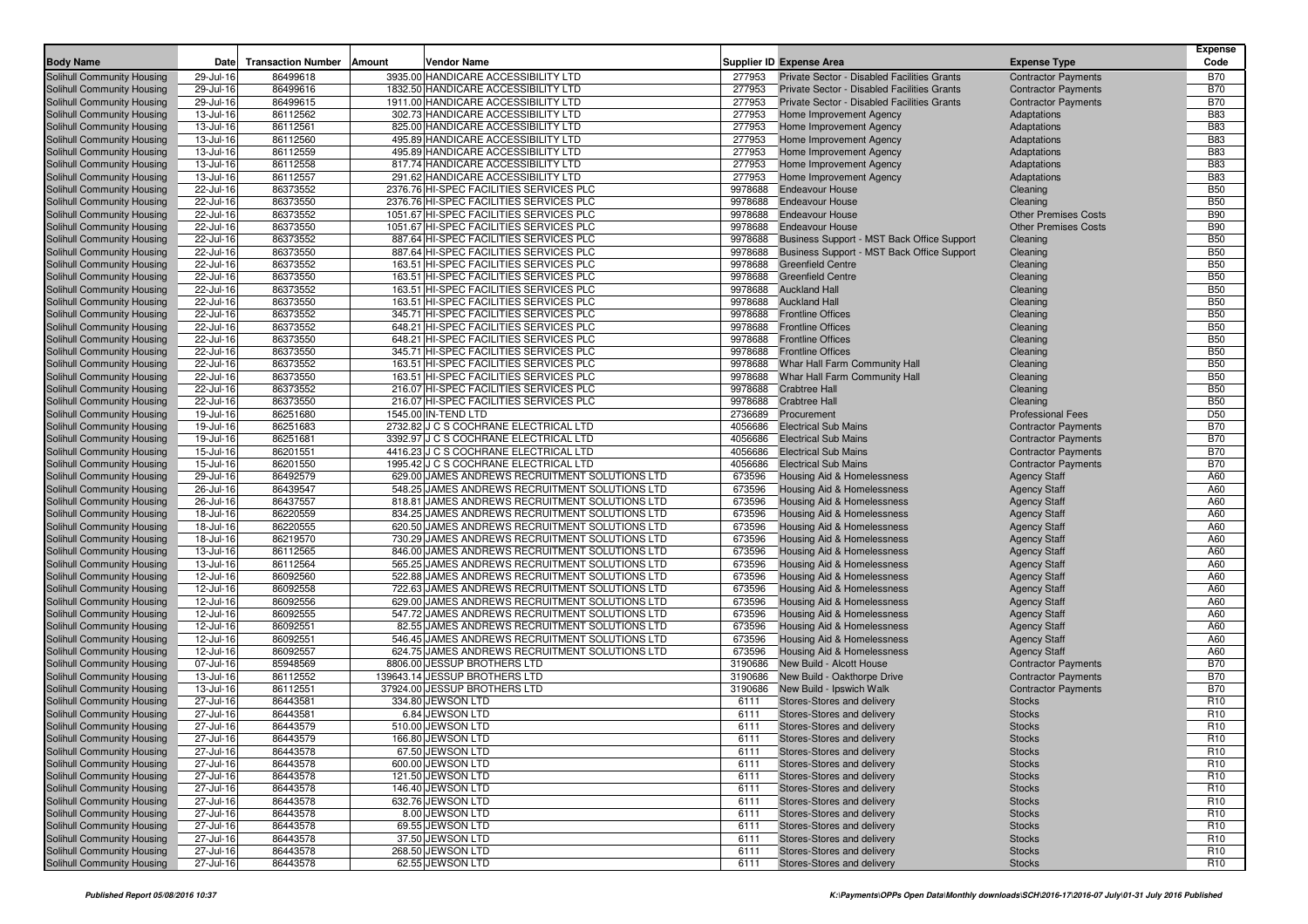| <b>Body Name</b>                                         | Date                   | <b>Transaction Number</b> | Amount<br>Vendor Name                                                                            |                    | <b>Supplier ID Expense Area</b>                          | <b>Expense Type</b>                        | <b>Expense</b><br>Code   |
|----------------------------------------------------------|------------------------|---------------------------|--------------------------------------------------------------------------------------------------|--------------------|----------------------------------------------------------|--------------------------------------------|--------------------------|
| Solihull Community Housing                               | 29-Jul-16              | 86499618                  | 3935.00 HANDICARE ACCESSIBILITY LTD                                                              | 277953             | Private Sector - Disabled Facilities Grants              | <b>Contractor Payments</b>                 | <b>B70</b>               |
| Solihull Community Housing                               | 29-Jul-16              | 86499616                  | 1832.50 HANDICARE ACCESSIBILITY LTD                                                              | 277953             | Private Sector - Disabled Facilities Grants              | <b>Contractor Payments</b>                 | <b>B70</b>               |
| Solihull Community Housing                               | 29-Jul-16              | 86499615                  | 1911.00 HANDICARE ACCESSIBILITY LTD                                                              | 277953             | Private Sector - Disabled Facilities Grants              | <b>Contractor Payments</b>                 | <b>B70</b>               |
| Solihull Community Housing                               | 13-Jul-16              | 86112562                  | 302.73 HANDICARE ACCESSIBILITY LTD                                                               | 277953             | Home Improvement Agency                                  | Adaptations                                | <b>B83</b>               |
| Solihull Community Housing                               | 13-Jul-16              | 86112561                  | 825.00 HANDICARE ACCESSIBILITY LTD                                                               | 277953             | Home Improvement Agency                                  | Adaptations                                | <b>B83</b>               |
| Solihull Community Housing                               | 13-Jul-16              | 86112560                  | 495.89 HANDICARE ACCESSIBILITY LTD                                                               | 277953             | Home Improvement Agency                                  | Adaptations                                | <b>B83</b>               |
| Solihull Community Housing                               | 13-Jul-16              | 86112559                  | 495.89 HANDICARE ACCESSIBILITY LTD                                                               | 277953             | Home Improvement Agency                                  | Adaptations                                | <b>B83</b>               |
| Solihull Community Housing                               | 13-Jul-16              | 86112558                  | 817.74 HANDICARE ACCESSIBILITY LTD                                                               | 277953             | Home Improvement Agency                                  | Adaptations                                | <b>B83</b>               |
| Solihull Community Housing                               | 13-Jul-16              | 86112557                  | 291.62 HANDICARE ACCESSIBILITY LTD                                                               | 277953             | Home Improvement Agency                                  | Adaptations                                | <b>B83</b>               |
| Solihull Community Housing                               | 22-Jul-16              | 86373552                  | 2376.76 HI-SPEC FACILITIES SERVICES PLC                                                          | 9978688            | <b>Endeavour House</b>                                   | Cleaning                                   | <b>B50</b>               |
| Solihull Community Housing                               | 22-Jul-16              | 86373550                  | 2376.76 HI-SPEC FACILITIES SERVICES PLC                                                          | 9978688            | <b>Endeavour House</b>                                   | Cleaning                                   | <b>B50</b>               |
| Solihull Community Housing                               | 22-Jul-16              | 86373552                  | 1051.67 HI-SPEC FACILITIES SERVICES PLC                                                          |                    | 9978688 Endeavour House                                  | <b>Other Premises Costs</b>                | <b>B90</b>               |
| Solihull Community Housing                               | 22-Jul-16              | 86373550                  | 1051.67 HI-SPEC FACILITIES SERVICES PLC                                                          | 9978688            | <b>Endeavour House</b>                                   | <b>Other Premises Costs</b>                | <b>B90</b>               |
| Solihull Community Housing                               | 22-Jul-16              | 86373552                  | 887.64 HI-SPEC FACILITIES SERVICES PLC                                                           | 9978688            | Business Support - MST Back Office Support               | Cleaning                                   | <b>B50</b>               |
| Solihull Community Housing                               | 22-Jul-16              | 86373550                  | 887.64 HI-SPEC FACILITIES SERVICES PLC                                                           | 9978688            | Business Support - MST Back Office Support               | Cleaning                                   | <b>B50</b>               |
| Solihull Community Housing                               | 22-Jul-16              | 86373552                  | 163.51 HI-SPEC FACILITIES SERVICES PLC                                                           | 9978688            | <b>Greenfield Centre</b>                                 | Cleaning                                   | <b>B50</b>               |
| Solihull Community Housing<br>Solihull Community Housing | 22-Jul-16<br>22-Jul-16 | 86373550<br>86373552      | 163.51 HI-SPEC FACILITIES SERVICES PLC<br>163.51 HI-SPEC FACILITIES SERVICES PLC                 | 9978688<br>9978688 | <b>Greenfield Centre</b><br><b>Auckland Hall</b>         | Cleaning<br>Cleaning                       | <b>B50</b><br><b>B50</b> |
| Solihull Community Housing                               | 22-Jul-16              | 86373550                  | 163.51 HI-SPEC FACILITIES SERVICES PLC                                                           | 9978688            | <b>Auckland Hall</b>                                     | Cleaning                                   | <b>B50</b>               |
| Solihull Community Housing                               | 22-Jul-16              | 86373552                  | 345.71 HI-SPEC FACILITIES SERVICES PLC                                                           | 9978688            | <b>Frontline Offices</b>                                 | Cleaning                                   | <b>B50</b>               |
| Solihull Community Housing                               | 22-Jul-16              | 86373552                  | 648.21 HI-SPEC FACILITIES SERVICES PLC                                                           | 9978688            | <b>Frontline Offices</b>                                 | Cleaning                                   | <b>B50</b>               |
| Solihull Community Housing                               | 22-Jul-16              | 86373550                  | 648.21 HI-SPEC FACILITIES SERVICES PLC                                                           | 9978688            | <b>Frontline Offices</b>                                 | Cleaning                                   | <b>B50</b>               |
| Solihull Community Housing                               | 22-Jul-16              | 86373550                  | 345.71 HI-SPEC FACILITIES SERVICES PLC                                                           | 9978688            | <b>Frontline Offices</b>                                 | Cleaning                                   | <b>B50</b>               |
| Solihull Community Housing                               | 22-Jul-16              | 86373552                  | 163.51 HI-SPEC FACILITIES SERVICES PLC                                                           | 9978688            | Whar Hall Farm Community Hall                            | Cleaning                                   | <b>B50</b>               |
| Solihull Community Housing                               | 22-Jul-16              | 86373550                  | 163.51 HI-SPEC FACILITIES SERVICES PLC                                                           | 9978688            | Whar Hall Farm Community Hall                            | Cleaning                                   | <b>B50</b>               |
| Solihull Community Housing                               | 22-Jul-16              | 86373552                  | 216.07 HI-SPEC FACILITIES SERVICES PLC                                                           | 9978688            | <b>Crabtree Hall</b>                                     | Cleaning                                   | <b>B50</b>               |
| Solihull Community Housing                               | 22-Jul-16              | 86373550                  | 216.07 HI-SPEC FACILITIES SERVICES PLC                                                           | 9978688            | <b>Crabtree Hall</b>                                     | Cleaning                                   | <b>B50</b>               |
| Solihull Community Housing                               | 19-Jul-16              | 86251680                  | 1545.00 IN-TEND LTD                                                                              | 2736689            | Procurement                                              | <b>Professional Fees</b>                   | D <sub>50</sub>          |
| Solihull Community Housing                               | 19-Jul-16              | 86251683                  | 2732.82 J C S COCHRANE ELECTRICAL LTD                                                            | 4056686            | <b>Electrical Sub Mains</b>                              | <b>Contractor Payments</b>                 | <b>B70</b>               |
| Solihull Community Housing                               | 19-Jul-16              | 86251681                  | 3392.97 J C S COCHRANE ELECTRICAL LTD                                                            | 4056686            | <b>Electrical Sub Mains</b>                              | <b>Contractor Payments</b>                 | <b>B70</b>               |
| Solihull Community Housing                               | 15-Jul-16              | 86201551                  | 4416.23 J C S COCHRANE ELECTRICAL LTD                                                            | 4056686            | <b>Electrical Sub Mains</b>                              | <b>Contractor Payments</b>                 | <b>B70</b>               |
| Solihull Community Housing                               | 15-Jul-16              | 86201550                  | 1995.42 J C S COCHRANE ELECTRICAL LTD                                                            | 4056686            | <b>Electrical Sub Mains</b>                              | <b>Contractor Payments</b>                 | <b>B70</b>               |
| Solihull Community Housing                               | 29-Jul-16              | 86492579                  | 629.00 JAMES ANDREWS RECRUITMENT SOLUTIONS LTD                                                   | 673596             | Housing Aid & Homelessness                               | <b>Agency Staff</b>                        | A60                      |
| Solihull Community Housing                               | 26-Jul-16              | 86439547                  | 548.25 JAMES ANDREWS RECRUITMENT SOLUTIONS LTD                                                   | 673596             | <b>Housing Aid &amp; Homelessness</b>                    | <b>Agency Staff</b>                        | A60                      |
| Solihull Community Housing                               | 26-Jul-16              | 86437557                  | 818.81 JAMES ANDREWS RECRUITMENT SOLUTIONS LTD                                                   | 673596             | Housing Aid & Homelessness                               | <b>Agency Staff</b>                        | A60                      |
| Solihull Community Housing                               | 18-Jul-16              | 86220559                  | 834.25 JAMES ANDREWS RECRUITMENT SOLUTIONS LTD                                                   | 673596             | Housing Aid & Homelessness                               | <b>Agency Staff</b>                        | A60                      |
| Solihull Community Housing                               | 18-Jul-16              | 86220555                  | 620.50 JAMES ANDREWS RECRUITMENT SOLUTIONS LTD                                                   | 673596             | <b>Housing Aid &amp; Homelessness</b>                    | <b>Agency Staff</b>                        | A60                      |
| Solihull Community Housing                               | 18-Jul-16              | 86219570                  | 730.29 JAMES ANDREWS RECRUITMENT SOLUTIONS LTD                                                   | 673596             | Housing Aid & Homelessness                               | <b>Agency Staff</b>                        | A60                      |
| Solihull Community Housing                               | 13-Jul-16              | 86112565                  | 846.00 JAMES ANDREWS RECRUITMENT SOLUTIONS LTD                                                   | 673596             | Housing Aid & Homelessness                               | <b>Agency Staff</b>                        | A60                      |
| Solihull Community Housing                               | 13-Jul-16              | 86112564                  | 565.25 JAMES ANDREWS RECRUITMENT SOLUTIONS LTD                                                   | 673596             | Housing Aid & Homelessness                               | <b>Agency Staff</b>                        | A60<br>A60               |
| Solihull Community Housing                               | 12-Jul-16              | 86092560                  | 522.88 JAMES ANDREWS RECRUITMENT SOLUTIONS LTD                                                   | 673596             | Housing Aid & Homelessness                               | <b>Agency Staff</b>                        | A60                      |
| Solihull Community Housing<br>Solihull Community Housing | 12-Jul-16<br>12-Jul-16 | 86092558<br>86092556      | 722.63 JAMES ANDREWS RECRUITMENT SOLUTIONS LTD<br>629.00 JAMES ANDREWS RECRUITMENT SOLUTIONS LTD | 673596<br>673596   | Housing Aid & Homelessness<br>Housing Aid & Homelessness | <b>Agency Staff</b>                        | A60                      |
| Solihull Community Housing                               | 12-Jul-16              | 86092555                  | 547.72 JAMES ANDREWS RECRUITMENT SOLUTIONS LTD                                                   | 673596             | Housing Aid & Homelessness                               | <b>Agency Staff</b><br><b>Agency Staff</b> | A60                      |
| Solihull Community Housing                               | 12-Jul-16              | 86092551                  | 82.55 JAMES ANDREWS RECRUITMENT SOLUTIONS LTD                                                    | 673596             | Housing Aid & Homelessness                               | <b>Agency Staff</b>                        | A60                      |
| Solihull Community Housing                               | 12-Jul-16              | 86092551                  | 546.45 JAMES ANDREWS RECRUITMENT SOLUTIONS LTD                                                   | 673596             | <b>Housing Aid &amp; Homelessness</b>                    | <b>Agency Staff</b>                        | A60                      |
| Solihull Community Housing                               | 12-Jul-16              | 86092557                  | 624.75 JAMES ANDREWS RECRUITMENT SOLUTIONS LTD                                                   | 673596             | Housing Aid & Homelessness                               | <b>Agency Staff</b>                        | A60                      |
| Solihull Community Housing                               | 07-Jul-16              | 85948569                  | 8806.00 JESSUP BROTHERS LTD                                                                      | 3190686            | New Build - Alcott House                                 | <b>Contractor Payments</b>                 | <b>B70</b>               |
| Solihull Community Housing                               | 13-Jul-16              | 86112552                  | 139643.14 JESSUP BROTHERS LTD                                                                    | 3190686            | New Build - Oakthorpe Drive                              | <b>Contractor Payments</b>                 | <b>B70</b>               |
| Solihull Community Housing                               | 13-Jul-16              | 86112551                  | 37924.00 JESSUP BROTHERS LTD                                                                     | 3190686            | New Build - Ipswich Walk                                 | <b>Contractor Payments</b>                 | <b>B70</b>               |
| Solihull Community Housing                               | 27-Jul-16              | 86443581                  | 334.80 JEWSON LTD                                                                                | 6111               | Stores-Stores and delivery                               | <b>Stocks</b>                              | R <sub>10</sub>          |
| Solihull Community Housing                               | 27-Jul-16              | 86443581                  | 6.84 JEWSON LTD                                                                                  | 6111               | Stores-Stores and delivery                               | <b>Stocks</b>                              | R <sub>10</sub>          |
| Solihull Community Housing                               | 27-Jul-16              | 86443579                  | 510.00 JEWSON LTD                                                                                | 6111               | Stores-Stores and delivery                               | <b>Stocks</b>                              | R <sub>10</sub>          |
| Solihull Community Housing                               | 27-Jul-16              | 86443579                  | 166.80 JEWSON LTD                                                                                | 6111               | Stores-Stores and delivery                               | <b>Stocks</b>                              | R <sub>10</sub>          |
| Solihull Community Housing                               | 27-Jul-16              | 86443578                  | 67.50 JEWSON LTD                                                                                 | 6111               | Stores-Stores and delivery                               | <b>Stocks</b>                              | R <sub>10</sub>          |
| Solihull Community Housing                               | 27-Jul-16              | 86443578                  | 600.00 JEWSON LTD                                                                                | 6111               | Stores-Stores and delivery                               | <b>Stocks</b>                              | R <sub>10</sub>          |
| Solihull Community Housing                               | 27-Jul-16              | 86443578                  | 121.50 JEWSON LTD                                                                                | 6111               | Stores-Stores and delivery                               | <b>Stocks</b>                              | R <sub>10</sub>          |
| Solihull Community Housing                               | 27-Jul-16              | 86443578                  | 146.40 JEWSON LTD                                                                                | 6111               | Stores-Stores and delivery                               | <b>Stocks</b>                              | R <sub>10</sub>          |
| Solihull Community Housing                               | 27-Jul-16              | 86443578                  | 632.76 JEWSON LTD                                                                                | 6111               | Stores-Stores and delivery                               | <b>Stocks</b>                              | R <sub>10</sub>          |
| Solihull Community Housing                               | 27-Jul-16              | 86443578                  | 8.00 JEWSON LTD                                                                                  | 6111               | Stores-Stores and delivery                               | <b>Stocks</b>                              | R <sub>10</sub>          |
| Solihull Community Housing                               | 27-Jul-16              | 86443578                  | 69.55 JEWSON LTD                                                                                 | 6111               | Stores-Stores and delivery                               | <b>Stocks</b>                              | R <sub>10</sub>          |
| Solihull Community Housing                               | $27 -$ Jul-16          | 86443578                  | 37.50 JEWSON LTD                                                                                 | 6111               | Stores-Stores and delivery                               | <b>Stocks</b>                              | R <sub>10</sub>          |
| Solihull Community Housing                               | 27-Jul-16              | 86443578                  | 268.50 JEWSON LTD                                                                                | 6111               | Stores-Stores and delivery                               | <b>Stocks</b>                              | R <sub>10</sub>          |
| Solihull Community Housing                               | 27-Jul-16              | 86443578                  | 62.55 JEWSON LTD                                                                                 | 6111               | Stores-Stores and delivery                               | <b>Stocks</b>                              | R <sub>10</sub>          |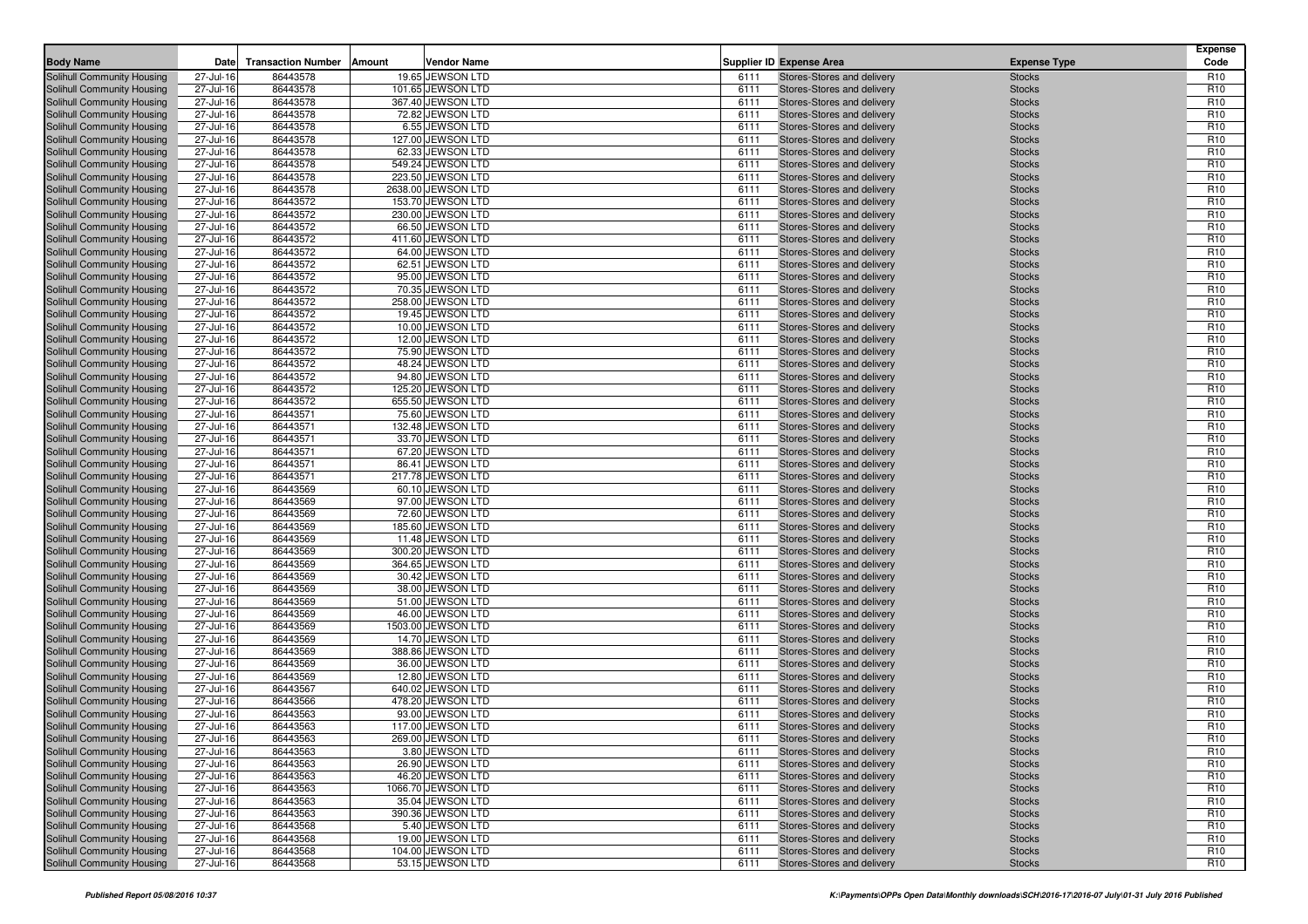| <b>Body Name</b>                                         | Date                   | <b>Transaction Number</b> | Amount<br>Vendor Name                 |              | <b>Supplier ID Expense Area</b>                          | <b>Expense Type</b>            | <b>Expense</b><br>Code             |
|----------------------------------------------------------|------------------------|---------------------------|---------------------------------------|--------------|----------------------------------------------------------|--------------------------------|------------------------------------|
|                                                          |                        |                           |                                       |              |                                                          |                                |                                    |
| Solihull Community Housing<br>Solihull Community Housing | 27-Jul-16<br>27-Jul-16 | 86443578<br>86443578      | 19.65 JEWSON LTD<br>101.65 JEWSON LTD | 6111<br>6111 | Stores-Stores and delivery<br>Stores-Stores and delivery | <b>Stocks</b><br><b>Stocks</b> | R <sub>10</sub><br>R <sub>10</sub> |
| Solihull Community Housing                               | 27-Jul-16              | 86443578                  | 367.40 JEWSON LTD                     | 6111         | Stores-Stores and delivery                               | <b>Stocks</b>                  | R <sub>10</sub>                    |
| Solihull Community Housing                               | 27-Jul-16              | 86443578                  | 72.82 JEWSON LTD                      | 6111         | Stores-Stores and delivery                               | <b>Stocks</b>                  | R <sub>10</sub>                    |
| Solihull Community Housing                               | 27-Jul-16              | 86443578                  | 6.55 JEWSON LTD                       | 6111         | Stores-Stores and delivery                               | <b>Stocks</b>                  | R <sub>10</sub>                    |
| Solihull Community Housing                               | 27-Jul-16              | 86443578                  | 127.00 JEWSON LTD                     | 6111         | Stores-Stores and delivery                               | <b>Stocks</b>                  | R <sub>10</sub>                    |
| Solihull Community Housing                               | 27-Jul-16              | 86443578                  | 62.33 JEWSON LTD                      | 6111         | Stores-Stores and delivery                               | <b>Stocks</b>                  | R <sub>10</sub>                    |
| Solihull Community Housing                               | 27-Jul-16              | 86443578                  | 549.24 JEWSON LTD                     | 6111         | Stores-Stores and delivery                               | <b>Stocks</b>                  | R <sub>10</sub>                    |
| Solihull Community Housing                               | 27-Jul-16              | 86443578                  | 223.50 JEWSON LTD                     | 6111         | Stores-Stores and delivery                               | <b>Stocks</b>                  | R <sub>10</sub>                    |
| Solihull Community Housing                               | 27-Jul-16              | 86443578                  | 2638.00 JEWSON LTD                    | 6111         | Stores-Stores and delivery                               | <b>Stocks</b>                  | R <sub>10</sub>                    |
| Solihull Community Housing                               | 27-Jul-16              | 86443572                  | 153.70 JEWSON LTD                     | 6111         | Stores-Stores and delivery                               | <b>Stocks</b>                  | R <sub>10</sub>                    |
| Solihull Community Housing                               | 27-Jul-16              | 86443572                  | 230.00 JEWSON LTD                     | 6111         | Stores-Stores and delivery                               | <b>Stocks</b>                  | R <sub>10</sub>                    |
| Solihull Community Housing                               | 27-Jul-16              | 86443572                  | 66.50 JEWSON LTD                      | 6111         | Stores-Stores and delivery                               | <b>Stocks</b>                  | R <sub>10</sub>                    |
| Solihull Community Housing                               | 27-Jul-16              | 86443572                  | 411.60 JEWSON LTD                     | 6111         | Stores-Stores and delivery                               | <b>Stocks</b>                  | R <sub>10</sub>                    |
| Solihull Community Housing                               | 27-Jul-16              | 86443572                  | 64.00 JEWSON LTD                      | 6111         | Stores-Stores and delivery                               | <b>Stocks</b>                  | R <sub>10</sub>                    |
| Solihull Community Housing                               | 27-Jul-16              | 86443572                  | 62.51 JEWSON LTD                      | 6111         | Stores-Stores and delivery                               | <b>Stocks</b>                  | R <sub>10</sub><br>R <sub>10</sub> |
| Solihull Community Housing<br>Solihull Community Housing | 27-Jul-16<br>27-Jul-16 | 86443572<br>86443572      | 95.00 JEWSON LTD<br>70.35 JEWSON LTD  | 6111<br>6111 | Stores-Stores and delivery<br>Stores-Stores and delivery | <b>Stocks</b><br><b>Stocks</b> | R <sub>10</sub>                    |
| Solihull Community Housing                               | 27-Jul-16              | 86443572                  | 258.00 JEWSON LTD                     | 6111         | Stores-Stores and delivery                               | <b>Stocks</b>                  | R <sub>10</sub>                    |
| Solihull Community Housing                               | 27-Jul-16              | 86443572                  | 19.45 JEWSON LTD                      | 6111         | Stores-Stores and delivery                               | <b>Stocks</b>                  | R <sub>10</sub>                    |
| Solihull Community Housing                               | 27-Jul-16              | 86443572                  | 10.00 JEWSON LTD                      | 6111         | Stores-Stores and delivery                               | <b>Stocks</b>                  | R <sub>10</sub>                    |
| Solihull Community Housing                               | 27-Jul-16              | 86443572                  | 12.00 JEWSON LTD                      | 6111         | Stores-Stores and delivery                               | <b>Stocks</b>                  | R <sub>10</sub>                    |
| Solihull Community Housing                               | 27-Jul-16              | 86443572                  | 75.90 JEWSON LTD                      | 6111         | Stores-Stores and delivery                               | <b>Stocks</b>                  | R <sub>10</sub>                    |
| Solihull Community Housing                               | 27-Jul-16              | 86443572                  | 48.24 JEWSON LTD                      | 6111         | Stores-Stores and delivery                               | <b>Stocks</b>                  | R <sub>10</sub>                    |
| Solihull Community Housing                               | 27-Jul-16              | 86443572                  | 94.80 JEWSON LTD                      | 6111         | Stores-Stores and delivery                               | <b>Stocks</b>                  | R <sub>10</sub>                    |
| <b>Solihull Community Housing</b>                        | 27-Jul-16              | 86443572                  | 125.20 JEWSON LTD                     | 6111         | Stores-Stores and delivery                               | <b>Stocks</b>                  | R <sub>10</sub>                    |
| Solihull Community Housing                               | 27-Jul-16              | 86443572                  | 655.50 JEWSON LTD                     | 6111         | Stores-Stores and delivery                               | <b>Stocks</b>                  | R <sub>10</sub>                    |
| Solihull Community Housing                               | 27-Jul-16              | 86443571                  | 75.60 JEWSON LTD                      | 6111         | Stores-Stores and delivery                               | <b>Stocks</b>                  | R <sub>10</sub>                    |
| Solihull Community Housing                               | 27-Jul-16              | 86443571                  | 132.48 JEWSON LTD                     | 6111         | Stores-Stores and delivery                               | <b>Stocks</b>                  | R <sub>10</sub>                    |
| Solihull Community Housing                               | 27-Jul-16              | 86443571                  | 33.70 JEWSON LTD                      | 6111         | Stores-Stores and delivery                               | <b>Stocks</b>                  | R <sub>10</sub>                    |
| Solihull Community Housing                               | 27-Jul-16              | 86443571                  | 67.20 JEWSON LTD                      | 6111         | Stores-Stores and delivery                               | <b>Stocks</b>                  | R <sub>10</sub>                    |
| Solihull Community Housing                               | 27-Jul-16              | 86443571                  | 86.41 JEWSON LTD                      | 6111         | Stores-Stores and delivery                               | <b>Stocks</b>                  | R <sub>10</sub>                    |
| Solihull Community Housing<br>Solihull Community Housing | 27-Jul-16<br>27-Jul-16 | 86443571<br>86443569      | 217.78 JEWSON LTD<br>60.10 JEWSON LTD | 6111<br>6111 | Stores-Stores and delivery<br>Stores-Stores and delivery | <b>Stocks</b><br><b>Stocks</b> | R <sub>10</sub><br>R <sub>10</sub> |
| Solihull Community Housing                               | 27-Jul-16              | 86443569                  | 97.00 JEWSON LTD                      | 6111         | Stores-Stores and delivery                               | <b>Stocks</b>                  | R <sub>10</sub>                    |
| Solihull Community Housing                               | 27-Jul-16              | 86443569                  | 72.60 JEWSON LTD                      | 6111         | Stores-Stores and delivery                               | <b>Stocks</b>                  | R <sub>10</sub>                    |
| <b>Solihull Community Housing</b>                        | 27-Jul-16              | 86443569                  | 185.60 JEWSON LTD                     | 6111         | Stores-Stores and delivery                               | <b>Stocks</b>                  | R <sub>10</sub>                    |
| Solihull Community Housing                               | 27-Jul-16              | 86443569                  | 11.48 JEWSON LTD                      | 6111         | Stores-Stores and delivery                               | <b>Stocks</b>                  | R <sub>10</sub>                    |
| Solihull Community Housing                               | 27-Jul-16              | 86443569                  | 300.20 JEWSON LTD                     | 6111         | Stores-Stores and delivery                               | <b>Stocks</b>                  | R <sub>10</sub>                    |
| Solihull Community Housing                               | 27-Jul-16              | 86443569                  | 364.65 JEWSON LTD                     | 6111         | Stores-Stores and delivery                               | <b>Stocks</b>                  | R <sub>10</sub>                    |
| Solihull Community Housing                               | 27-Jul-16              | 86443569                  | 30.42 JEWSON LTD                      | 6111         | Stores-Stores and delivery                               | <b>Stocks</b>                  | R <sub>10</sub>                    |
| Solihull Community Housing                               | 27-Jul-16              | 86443569                  | 38.00 JEWSON LTD                      | 6111         | Stores-Stores and delivery                               | <b>Stocks</b>                  | R <sub>10</sub>                    |
| Solihull Community Housing                               | 27-Jul-16              | 86443569                  | 51.00 JEWSON LTD                      | 6111         | Stores-Stores and delivery                               | <b>Stocks</b>                  | R <sub>10</sub>                    |
| Solihull Community Housing                               | 27-Jul-16              | 86443569                  | 46.00 JEWSON LTD                      | 6111         | Stores-Stores and delivery                               | <b>Stocks</b>                  | R <sub>10</sub>                    |
| Solihull Community Housing                               | 27-Jul-16              | 86443569                  | 1503.00 JEWSON LTD                    | 6111         | Stores-Stores and delivery                               | <b>Stocks</b>                  | R <sub>10</sub>                    |
| Solihull Community Housing                               | 27-Jul-16              | 86443569                  | 14.70 JEWSON LTD                      | 6111         | Stores-Stores and delivery                               | <b>Stocks</b>                  | R <sub>10</sub>                    |
| Solihull Community Housing<br>Solihull Community Housing | 27-Jul-16<br>27-Jul-16 | 86443569<br>86443569      | 388.86 JEWSON LTD<br>36.00 JEWSON LTD | 6111<br>6111 | Stores-Stores and delivery<br>Stores-Stores and delivery | <b>Stocks</b><br><b>Stocks</b> | R <sub>10</sub><br>R <sub>10</sub> |
| Solihull Community Housing                               | 27-Jul-16              | 86443569                  | 12.80 JEWSON LTD                      | 6111         | Stores-Stores and delivery                               | <b>Stocks</b>                  | R <sub>10</sub>                    |
| Solihull Community Housing                               | 27-Jul-16              | 86443567                  | 640.02 JEWSON LTD                     | 6111         | Stores-Stores and delivery                               | <b>Stocks</b>                  | R <sub>10</sub>                    |
| Solihull Community Housing                               | 27-Jul-16              | 86443566                  | 478.20 JEWSON LTD                     | 6111         | Stores-Stores and delivery                               | <b>Stocks</b>                  | R <sub>10</sub>                    |
| Solihull Community Housing                               | 27-Jul-16              | 86443563                  | 93.00 JEWSON LTD                      | 6111         | Stores-Stores and delivery                               | <b>Stocks</b>                  | R <sub>10</sub>                    |
| Solihull Community Housing                               | 27-Jul-16              | 86443563                  | 117.00 JEWSON LTD                     | 6111         | Stores-Stores and delivery                               | <b>Stocks</b>                  | R <sub>10</sub>                    |
| Solihull Community Housing                               | 27-Jul-16              | 86443563                  | 269.00 JEWSON LTD                     | 6111         | Stores-Stores and delivery                               | <b>Stocks</b>                  | R <sub>10</sub>                    |
| Solihull Community Housing                               | 27-Jul-16              | 86443563                  | 3.80 JEWSON LTD                       | 6111         | Stores-Stores and delivery                               | <b>Stocks</b>                  | R <sub>10</sub>                    |
| <b>Solihull Community Housing</b>                        | 27-Jul-16              | 86443563                  | 26.90 JEWSON LTD                      | 6111         | Stores-Stores and delivery                               | <b>Stocks</b>                  | R <sub>10</sub>                    |
| Solihull Community Housing                               | 27-Jul-16              | 86443563                  | 46.20 JEWSON LTD                      | 6111         | Stores-Stores and delivery                               | <b>Stocks</b>                  | R <sub>10</sub>                    |
| Solihull Community Housing                               | 27-Jul-16              | 86443563                  | 1066.70 JEWSON LTD                    | 6111         | Stores-Stores and delivery                               | <b>Stocks</b>                  | R <sub>10</sub>                    |
| Solihull Community Housing                               | 27-Jul-16              | 86443563                  | 35.04 JEWSON LTD                      | 6111         | Stores-Stores and delivery                               | <b>Stocks</b>                  | R <sub>10</sub>                    |
| Solihull Community Housing                               | 27-Jul-16              | 86443563                  | 390.36 JEWSON LTD                     | 6111         | Stores-Stores and delivery                               | <b>Stocks</b>                  | R <sub>10</sub>                    |
| Solihull Community Housing                               | 27-Jul-16              | 86443568                  | 5.40 JEWSON LTD                       | 6111         | Stores-Stores and delivery                               | <b>Stocks</b>                  | R <sub>10</sub>                    |
| Solihull Community Housing                               | 27-Jul-16              | 86443568                  | 19.00 JEWSON LTD<br>104.00 JEWSON LTD | 6111         | Stores-Stores and delivery<br>Stores-Stores and delivery | <b>Stocks</b>                  | R <sub>10</sub>                    |
| Solihull Community Housing<br>Solihull Community Housing | 27-Jul-16<br>27-Jul-16 | 86443568<br>86443568      | 53.15 JEWSON LTD                      | 6111<br>6111 | Stores-Stores and delivery                               | <b>Stocks</b><br><b>Stocks</b> | R <sub>10</sub><br>R <sub>10</sub> |
|                                                          |                        |                           |                                       |              |                                                          |                                |                                    |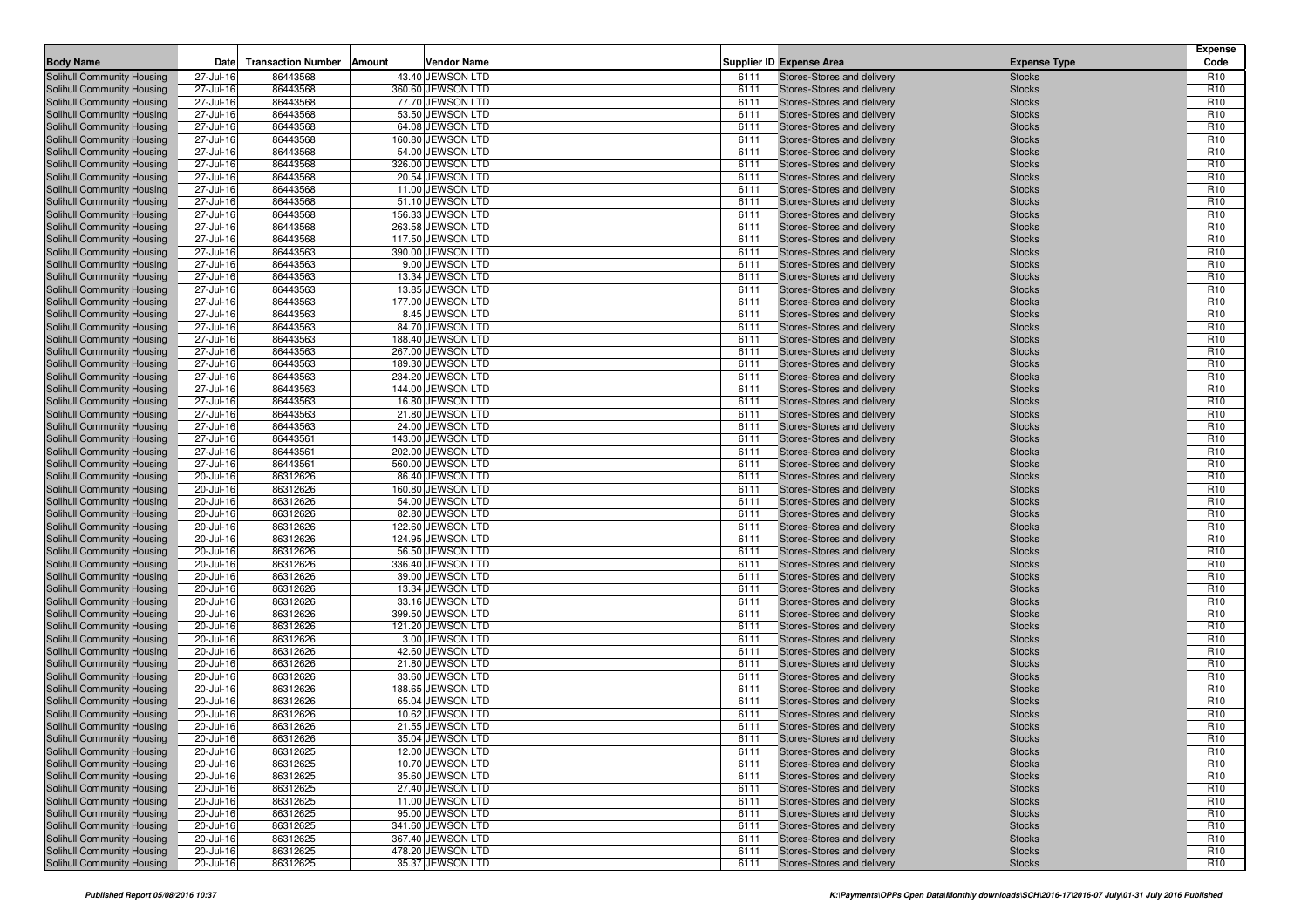| <b>Body Name</b>                                         | Date                   | <b>Transaction Number</b> | Amount<br>Vendor Name                 |              | <b>Supplier ID Expense Area</b>                          | <b>Expense Type</b>            | <b>Expense</b><br>Code             |
|----------------------------------------------------------|------------------------|---------------------------|---------------------------------------|--------------|----------------------------------------------------------|--------------------------------|------------------------------------|
|                                                          | 27-Jul-16              | 86443568                  | 43.40 JEWSON LTD                      | 6111         | Stores-Stores and delivery                               |                                | R <sub>10</sub>                    |
| Solihull Community Housing<br>Solihull Community Housing | 27-Jul-16              | 86443568                  | 360.60 JEWSON LTD                     | 6111         | Stores-Stores and delivery                               | <b>Stocks</b><br><b>Stocks</b> | R <sub>10</sub>                    |
| Solihull Community Housing                               | 27-Jul-16              | 86443568                  | 77.70 JEWSON LTD                      | 6111         | Stores-Stores and delivery                               | <b>Stocks</b>                  | R <sub>10</sub>                    |
| Solihull Community Housing                               | 27-Jul-16              | 86443568                  | 53.50 JEWSON LTD                      | 6111         | Stores-Stores and delivery                               | <b>Stocks</b>                  | R <sub>10</sub>                    |
| Solihull Community Housing                               | 27-Jul-16              | 86443568                  | 64.08 JEWSON LTD                      | 6111         | Stores-Stores and delivery                               | <b>Stocks</b>                  | R <sub>10</sub>                    |
| Solihull Community Housing                               | 27-Jul-16              | 86443568                  | 160.80 JEWSON LTD                     | 6111         | Stores-Stores and delivery                               | <b>Stocks</b>                  | R <sub>10</sub>                    |
| Solihull Community Housing                               | 27-Jul-16              | 86443568                  | 54.00 JEWSON LTD                      | 6111         | Stores-Stores and delivery                               | <b>Stocks</b>                  | R <sub>10</sub>                    |
| Solihull Community Housing                               | 27-Jul-16              | 86443568                  | 326.00 JEWSON LTD                     | 6111         | Stores-Stores and delivery                               | <b>Stocks</b>                  | R <sub>10</sub>                    |
| Solihull Community Housing                               | 27-Jul-16              | 86443568                  | 20.54 JEWSON LTD                      | 6111         | Stores-Stores and delivery                               | <b>Stocks</b>                  | R <sub>10</sub>                    |
| Solihull Community Housing                               | 27-Jul-16              | 86443568                  | 11.00 JEWSON LTD                      | 6111         | Stores-Stores and delivery                               | <b>Stocks</b>                  | R <sub>10</sub>                    |
| Solihull Community Housing                               | 27-Jul-16              | 86443568                  | 51.10 JEWSON LTD                      | 6111         | Stores-Stores and delivery                               | <b>Stocks</b>                  | R <sub>10</sub>                    |
| Solihull Community Housing                               | 27-Jul-16              | 86443568                  | 156.33 JEWSON LTD                     | 6111         | Stores-Stores and delivery                               | <b>Stocks</b>                  | R <sub>10</sub>                    |
| Solihull Community Housing                               | 27-Jul-16              | 86443568                  | 263.58 JEWSON LTD                     | 6111         | Stores-Stores and delivery                               | <b>Stocks</b>                  | R <sub>10</sub>                    |
| Solihull Community Housing                               | 27-Jul-16              | 86443568                  | 117.50 JEWSON LTD                     | 6111         | Stores-Stores and delivery                               | <b>Stocks</b>                  | R <sub>10</sub>                    |
| Solihull Community Housing                               | 27-Jul-16              | 86443563                  | 390.00 JEWSON LTD                     | 6111         | Stores-Stores and delivery                               | <b>Stocks</b>                  | R <sub>10</sub>                    |
| Solihull Community Housing                               | 27-Jul-16              | 86443563                  | 9.00 JEWSON LTD                       | 6111         | Stores-Stores and delivery                               | <b>Stocks</b>                  | R <sub>10</sub><br>R <sub>10</sub> |
| Solihull Community Housing<br>Solihull Community Housing | 27-Jul-16<br>27-Jul-16 | 86443563<br>86443563      | 13.34 JEWSON LTD<br>13.85 JEWSON LTD  | 6111<br>6111 | Stores-Stores and delivery<br>Stores-Stores and delivery | <b>Stocks</b><br><b>Stocks</b> | R <sub>10</sub>                    |
| Solihull Community Housing                               | 27-Jul-16              | 86443563                  | 177.00 JEWSON LTD                     | 6111         | Stores-Stores and delivery                               | <b>Stocks</b>                  | R <sub>10</sub>                    |
| Solihull Community Housing                               | 27-Jul-16              | 86443563                  | 8.45 JEWSON LTD                       | 6111         | Stores-Stores and delivery                               | <b>Stocks</b>                  | R <sub>10</sub>                    |
| Solihull Community Housing                               | 27-Jul-16              | 86443563                  | 84.70 JEWSON LTD                      | 6111         | Stores-Stores and delivery                               | <b>Stocks</b>                  | R <sub>10</sub>                    |
| Solihull Community Housing                               | 27-Jul-16              | 86443563                  | 188.40 JEWSON LTD                     | 6111         | Stores-Stores and delivery                               | <b>Stocks</b>                  | R <sub>10</sub>                    |
| Solihull Community Housing                               | 27-Jul-16              | 86443563                  | 267.00 JEWSON LTD                     | 6111         | Stores-Stores and delivery                               | <b>Stocks</b>                  | R <sub>10</sub>                    |
| Solihull Community Housing                               | 27-Jul-16              | 86443563                  | 189.30 JEWSON LTD                     | 6111         | Stores-Stores and delivery                               | <b>Stocks</b>                  | R <sub>10</sub>                    |
| Solihull Community Housing                               | 27-Jul-16              | 86443563                  | 234.20 JEWSON LTD                     | 6111         | Stores-Stores and delivery                               | <b>Stocks</b>                  | R <sub>10</sub>                    |
| <b>Solihull Community Housing</b>                        | 27-Jul-16              | 86443563                  | 144.00 JEWSON LTD                     | 6111         | Stores-Stores and delivery                               | <b>Stocks</b>                  | R <sub>10</sub>                    |
| Solihull Community Housing                               | 27-Jul-16              | 86443563                  | 16.80 JEWSON LTD                      | 6111         | Stores-Stores and delivery                               | <b>Stocks</b>                  | R <sub>10</sub>                    |
| Solihull Community Housing                               | 27-Jul-16              | 86443563                  | 21.80 JEWSON LTD                      | 6111         | Stores-Stores and delivery                               | <b>Stocks</b>                  | R <sub>10</sub>                    |
| Solihull Community Housing                               | 27-Jul-16              | 86443563                  | 24.00 JEWSON LTD                      | 6111         | Stores-Stores and delivery                               | <b>Stocks</b>                  | R <sub>10</sub>                    |
| Solihull Community Housing                               | 27-Jul-16              | 86443561                  | 143.00 JEWSON LTD                     | 6111         | Stores-Stores and delivery                               | <b>Stocks</b>                  | R <sub>10</sub>                    |
| Solihull Community Housing                               | 27-Jul-16              | 86443561                  | 202.00 JEWSON LTD                     | 6111         | Stores-Stores and delivery                               | <b>Stocks</b>                  | R <sub>10</sub>                    |
| Solihull Community Housing                               | 27-Jul-16              | 86443561                  | 560.00 JEWSON LTD                     | 6111         | Stores-Stores and delivery                               | <b>Stocks</b>                  | R <sub>10</sub>                    |
| Solihull Community Housing<br>Solihull Community Housing | 20-Jul-16<br>20-Jul-16 | 86312626<br>86312626      | 86.40 JEWSON LTD<br>160.80 JEWSON LTD | 6111<br>6111 | Stores-Stores and delivery<br>Stores-Stores and delivery | <b>Stocks</b><br><b>Stocks</b> | R <sub>10</sub><br>R <sub>10</sub> |
| Solihull Community Housing                               | 20-Jul-16              | 86312626                  | 54.00 JEWSON LTD                      | 6111         | Stores-Stores and delivery                               | <b>Stocks</b>                  | R <sub>10</sub>                    |
| Solihull Community Housing                               | 20-Jul-16              | 86312626                  | 82.80 JEWSON LTD                      | 6111         | Stores-Stores and delivery                               | <b>Stocks</b>                  | R <sub>10</sub>                    |
| Solihull Community Housing                               | 20-Jul-16              | 86312626                  | 122.60 JEWSON LTD                     | 6111         | Stores-Stores and delivery                               | <b>Stocks</b>                  | R <sub>10</sub>                    |
| Solihull Community Housing                               | 20-Jul-16              | 86312626                  | 124.95 JEWSON LTD                     | 6111         | Stores-Stores and delivery                               | <b>Stocks</b>                  | R <sub>10</sub>                    |
| Solihull Community Housing                               | 20-Jul-16              | 86312626                  | 56.50 JEWSON LTD                      | 6111         | Stores-Stores and delivery                               | <b>Stocks</b>                  | R <sub>10</sub>                    |
| Solihull Community Housing                               | 20-Jul-16              | 86312626                  | 336.40 JEWSON LTD                     | 6111         | Stores-Stores and delivery                               | <b>Stocks</b>                  | R <sub>10</sub>                    |
| Solihull Community Housing                               | 20-Jul-16              | 86312626                  | 39.00 JEWSON LTD                      | 6111         | Stores-Stores and delivery                               | <b>Stocks</b>                  | R <sub>10</sub>                    |
| Solihull Community Housing                               | 20-Jul-16              | 86312626                  | 13.34 JEWSON LTD                      | 6111         | Stores-Stores and delivery                               | <b>Stocks</b>                  | R <sub>10</sub>                    |
| Solihull Community Housing                               | 20-Jul-16              | 86312626                  | 33.16 JEWSON LTD                      | 6111         | Stores-Stores and delivery                               | <b>Stocks</b>                  | R <sub>10</sub>                    |
| Solihull Community Housing                               | 20-Jul-16              | 86312626                  | 399.50 JEWSON LTD                     | 6111         | Stores-Stores and delivery                               | <b>Stocks</b>                  | R <sub>10</sub>                    |
| Solihull Community Housing                               | 20-Jul-16              | 86312626                  | 121.20 JEWSON LTD                     | 6111         | Stores-Stores and delivery                               | <b>Stocks</b>                  | R <sub>10</sub>                    |
| Solihull Community Housing<br>Solihull Community Housing | 20-Jul-16              | 86312626                  | 3.00 JEWSON LTD                       | 6111         | Stores-Stores and delivery                               | <b>Stocks</b>                  | R <sub>10</sub>                    |
| Solihull Community Housing                               | 20-Jul-16<br>20-Jul-16 | 86312626<br>86312626      | 42.60 JEWSON LTD<br>21.80 JEWSON LTD  | 6111<br>6111 | Stores-Stores and delivery<br>Stores-Stores and delivery | <b>Stocks</b><br><b>Stocks</b> | R <sub>10</sub><br>R <sub>10</sub> |
| Solihull Community Housing                               | 20-Jul-16              | 86312626                  | 33.60 JEWSON LTD                      | 6111         | Stores-Stores and delivery                               | <b>Stocks</b>                  | R <sub>10</sub>                    |
| Solihull Community Housing                               | 20-Jul-16              | 86312626                  | 188.65 JEWSON LTD                     | 6111         | Stores-Stores and delivery                               | <b>Stocks</b>                  | R <sub>10</sub>                    |
| Solihull Community Housing                               | 20-Jul-16              | 86312626                  | 65.04 JEWSON LTD                      | 6111         | Stores-Stores and delivery                               | <b>Stocks</b>                  | R <sub>10</sub>                    |
| Solihull Community Housing                               | 20-Jul-16              | 86312626                  | 10.62 JEWSON LTD                      | 6111         | Stores-Stores and delivery                               | <b>Stocks</b>                  | R <sub>10</sub>                    |
| Solihull Community Housing                               | 20-Jul-16              | 86312626                  | 21.55 JEWSON LTD                      | 6111         | Stores-Stores and delivery                               | <b>Stocks</b>                  | R <sub>10</sub>                    |
| Solihull Community Housing                               | 20-Jul-16              | 86312626                  | 35.04 JEWSON LTD                      | 6111         | Stores-Stores and delivery                               | <b>Stocks</b>                  | R <sub>10</sub>                    |
| Solihull Community Housing                               | 20-Jul-16              | 86312625                  | 12.00 JEWSON LTD                      | 6111         | Stores-Stores and delivery                               | <b>Stocks</b>                  | R <sub>10</sub>                    |
| <b>Solihull Community Housing</b>                        | 20-Jul-16              | 86312625                  | 10.70 JEWSON LTD                      | 6111         | Stores-Stores and delivery                               | <b>Stocks</b>                  | R <sub>10</sub>                    |
| Solihull Community Housing                               | 20-Jul-16              | 86312625                  | 35.60 JEWSON LTD                      | 6111         | Stores-Stores and delivery                               | <b>Stocks</b>                  | R <sub>10</sub>                    |
| Solihull Community Housing                               | 20-Jul-16              | 86312625                  | 27.40 JEWSON LTD                      | 6111         | Stores-Stores and delivery                               | <b>Stocks</b>                  | R <sub>10</sub>                    |
| Solihull Community Housing                               | 20-Jul-16              | 86312625                  | 11.00 JEWSON LTD                      | 6111         | Stores-Stores and delivery                               | <b>Stocks</b>                  | R <sub>10</sub>                    |
| Solihull Community Housing                               | 20-Jul-16              | 86312625                  | 95.00 JEWSON LTD                      | 6111         | Stores-Stores and delivery                               | <b>Stocks</b>                  | R <sub>10</sub>                    |
| Solihull Community Housing                               | 20-Jul-16              | 86312625                  | 341.60 JEWSON LTD                     | 6111         | Stores-Stores and delivery                               | <b>Stocks</b>                  | R <sub>10</sub>                    |
| Solihull Community Housing                               | 20-Jul-16              | 86312625                  | 367.40 JEWSON LTD                     | 6111         | Stores-Stores and delivery                               | <b>Stocks</b>                  | R <sub>10</sub>                    |
| Solihull Community Housing                               | 20-Jul-16              | 86312625                  | 478.20 JEWSON LTD                     | 6111         | Stores-Stores and delivery                               | <b>Stocks</b>                  | R <sub>10</sub>                    |
| Solihull Community Housing                               | 20-Jul-16              | 86312625                  | 35.37 JEWSON LTD                      | 6111         | Stores-Stores and delivery                               | <b>Stocks</b>                  | R <sub>10</sub>                    |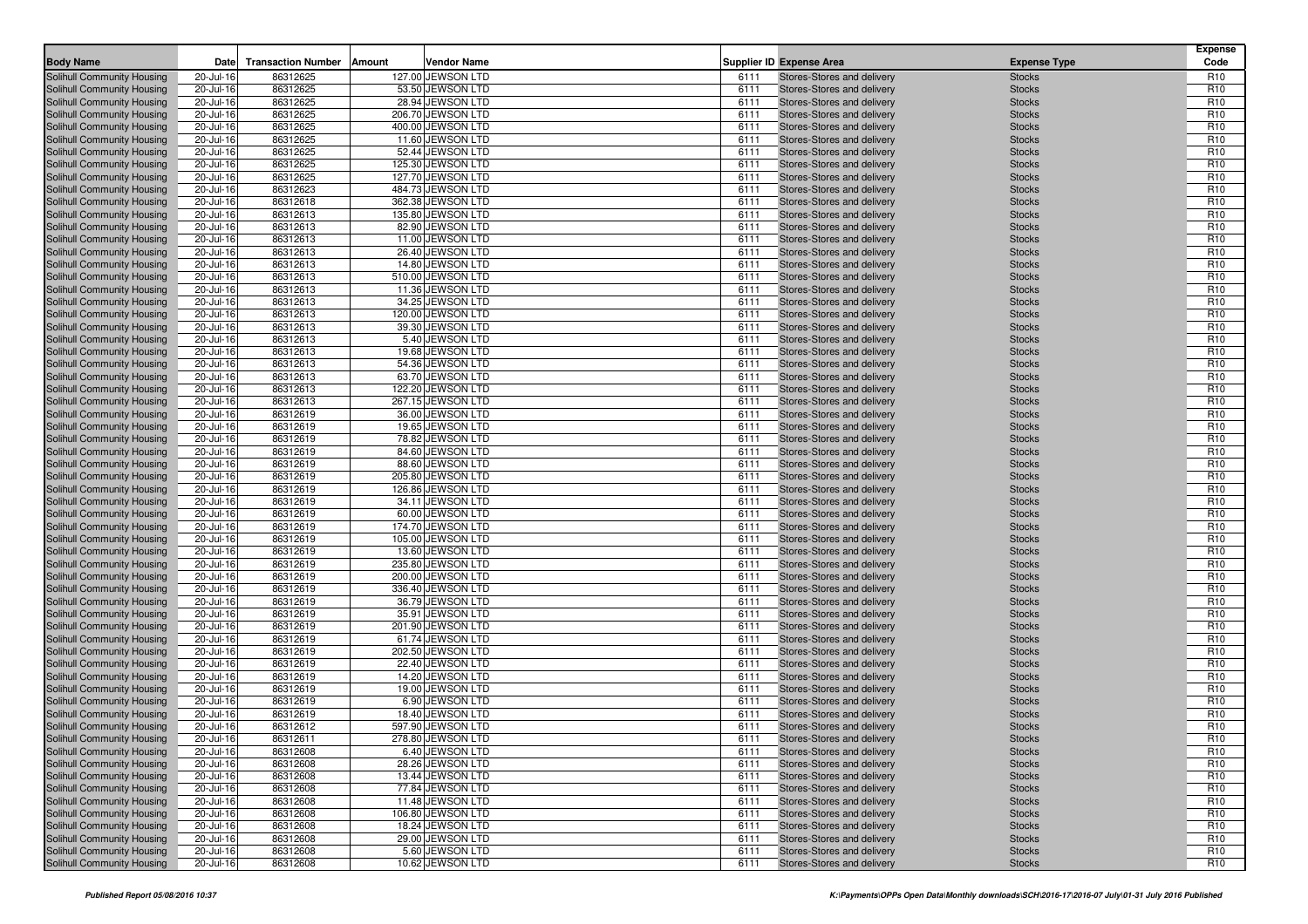| <b>Body Name</b>                                                | Date                   | <b>Transaction Number</b> | Amount<br>Vendor Name                 |              | <b>Supplier ID Expense Area</b>                          | <b>Expense Type</b>            | <b>Expense</b><br>Code             |
|-----------------------------------------------------------------|------------------------|---------------------------|---------------------------------------|--------------|----------------------------------------------------------|--------------------------------|------------------------------------|
|                                                                 | 20-Jul-16              | 86312625                  | 127.00 JEWSON LTD                     | 6111         | Stores-Stores and delivery                               |                                | R <sub>10</sub>                    |
| Solihull Community Housing<br>Solihull Community Housing        | 20-Jul-16              | 86312625                  | 53.50 JEWSON LTD                      | 6111         | Stores-Stores and delivery                               | <b>Stocks</b><br><b>Stocks</b> | R <sub>10</sub>                    |
| Solihull Community Housing                                      | 20-Jul-16              | 86312625                  | 28.94 JEWSON LTD                      | 6111         | Stores-Stores and delivery                               | <b>Stocks</b>                  | R <sub>10</sub>                    |
| Solihull Community Housing                                      | 20-Jul-16              | 86312625                  | 206.70 JEWSON LTD                     | 6111         | Stores-Stores and delivery                               | <b>Stocks</b>                  | R <sub>10</sub>                    |
| Solihull Community Housing                                      | 20-Jul-16              | 86312625                  | 400.00 JEWSON LTD                     | 6111         | Stores-Stores and delivery                               | <b>Stocks</b>                  | R <sub>10</sub>                    |
| Solihull Community Housing                                      | 20-Jul-16              | 86312625                  | 11.60 JEWSON LTD                      | 6111         | Stores-Stores and delivery                               | <b>Stocks</b>                  | R <sub>10</sub>                    |
| Solihull Community Housing                                      | 20-Jul-16              | 86312625                  | 52.44 JEWSON LTD                      | 6111         | Stores-Stores and delivery                               | <b>Stocks</b>                  | R <sub>10</sub>                    |
| Solihull Community Housing                                      | 20-Jul-16              | 86312625                  | 125.30 JEWSON LTD                     | 6111         | Stores-Stores and delivery                               | <b>Stocks</b>                  | R <sub>10</sub>                    |
| Solihull Community Housing                                      | 20-Jul-16              | 86312625                  | 127.70 JEWSON LTD                     | 6111         | Stores-Stores and delivery                               | <b>Stocks</b>                  | R <sub>10</sub>                    |
| Solihull Community Housing                                      | 20-Jul-16              | 86312623                  | 484.73 JEWSON LTD                     | 6111         | Stores-Stores and delivery                               | <b>Stocks</b>                  | R <sub>10</sub>                    |
| Solihull Community Housing                                      | 20-Jul-16              | 86312618                  | 362.38 JEWSON LTD                     | 6111         | Stores-Stores and delivery                               | <b>Stocks</b>                  | R <sub>10</sub>                    |
| Solihull Community Housing                                      | 20-Jul-16              | 86312613                  | 135.80 JEWSON LTD                     | 6111         | Stores-Stores and delivery                               | <b>Stocks</b>                  | R <sub>10</sub>                    |
| Solihull Community Housing                                      | 20-Jul-16              | 86312613                  | 82.90 JEWSON LTD                      | 6111         | Stores-Stores and delivery                               | <b>Stocks</b>                  | R <sub>10</sub>                    |
| Solihull Community Housing                                      | 20-Jul-16              | 86312613                  | 11.00 JEWSON LTD                      | 6111         | Stores-Stores and delivery                               | <b>Stocks</b>                  | R <sub>10</sub>                    |
| Solihull Community Housing                                      | 20-Jul-16              | 86312613                  | 26.40 JEWSON LTD                      | 6111         | Stores-Stores and delivery                               | <b>Stocks</b>                  | R <sub>10</sub>                    |
| Solihull Community Housing                                      | 20-Jul-16              | 86312613                  | 14.80 JEWSON LTD                      | 6111         | Stores-Stores and delivery                               | <b>Stocks</b>                  | R <sub>10</sub>                    |
| Solihull Community Housing                                      | 20-Jul-16              | 86312613                  | 510.00 JEWSON LTD                     | 6111         | Stores-Stores and delivery                               | <b>Stocks</b>                  | R <sub>10</sub>                    |
| Solihull Community Housing                                      | 20-Jul-16              | 86312613                  | 11.36 JEWSON LTD                      | 6111         | Stores-Stores and delivery                               | <b>Stocks</b>                  | R <sub>10</sub><br>R <sub>10</sub> |
| Solihull Community Housing<br>Solihull Community Housing        | 20-Jul-16<br>20-Jul-16 | 86312613<br>86312613      | 34.25 JEWSON LTD<br>120.00 JEWSON LTD | 6111<br>6111 | Stores-Stores and delivery<br>Stores-Stores and delivery | <b>Stocks</b><br><b>Stocks</b> | R <sub>10</sub>                    |
| Solihull Community Housing                                      | 20-Jul-16              | 86312613                  | 39.30 JEWSON LTD                      | 6111         | Stores-Stores and delivery                               | <b>Stocks</b>                  | R <sub>10</sub>                    |
| Solihull Community Housing                                      | 20-Jul-16              | 86312613                  | 5.40 JEWSON LTD                       | 6111         | Stores-Stores and delivery                               | <b>Stocks</b>                  | R <sub>10</sub>                    |
| Solihull Community Housing                                      | 20-Jul-16              | 86312613                  | 19.68 JEWSON LTD                      | 6111         | Stores-Stores and delivery                               | <b>Stocks</b>                  | R <sub>10</sub>                    |
| Solihull Community Housing                                      | 20-Jul-16              | 86312613                  | 54.36 JEWSON LTD                      | 6111         | Stores-Stores and delivery                               | <b>Stocks</b>                  | R <sub>10</sub>                    |
| Solihull Community Housing                                      | 20-Jul-16              | 86312613                  | 63.70 JEWSON LTD                      | 6111         | Stores-Stores and delivery                               | <b>Stocks</b>                  | R <sub>10</sub>                    |
| Solihull Community Housing                                      | 20-Jul-16              | 86312613                  | 122.20 JEWSON LTD                     | 6111         | Stores-Stores and delivery                               | <b>Stocks</b>                  | R <sub>10</sub>                    |
| Solihull Community Housing                                      | 20-Jul-16              | 86312613                  | 267.15 JEWSON LTD                     | 6111         | Stores-Stores and delivery                               | <b>Stocks</b>                  | R <sub>10</sub>                    |
| Solihull Community Housing                                      | 20-Jul-16              | 86312619                  | 36.00 JEWSON LTD                      | 6111         | Stores-Stores and delivery                               | <b>Stocks</b>                  | R <sub>10</sub>                    |
| Solihull Community Housing                                      | 20-Jul-16              | 86312619                  | 19.65 JEWSON LTD                      | 6111         | Stores-Stores and delivery                               | <b>Stocks</b>                  | R <sub>10</sub>                    |
| Solihull Community Housing                                      | 20-Jul-16              | 86312619                  | 78.82 JEWSON LTD                      | 6111         | Stores-Stores and delivery                               | <b>Stocks</b>                  | R <sub>10</sub>                    |
| Solihull Community Housing                                      | 20-Jul-16              | 86312619                  | 84.60 JEWSON LTD                      | 6111         | Stores-Stores and delivery                               | <b>Stocks</b>                  | R <sub>10</sub>                    |
| Solihull Community Housing                                      | 20-Jul-16              | 86312619                  | 88.60 JEWSON LTD                      | 6111         | Stores-Stores and delivery                               | <b>Stocks</b>                  | R <sub>10</sub>                    |
| Solihull Community Housing                                      | 20-Jul-16              | 86312619                  | 205.80 JEWSON LTD                     | 6111         | Stores-Stores and delivery                               | <b>Stocks</b>                  | R <sub>10</sub>                    |
| Solihull Community Housing                                      | 20-Jul-16              | 86312619                  | 126.86 JEWSON LTD                     | 6111         | Stores-Stores and delivery                               | <b>Stocks</b>                  | R <sub>10</sub>                    |
| Solihull Community Housing                                      | 20-Jul-16              | 86312619                  | 34.11 JEWSON LTD                      | 6111         | Stores-Stores and delivery                               | <b>Stocks</b>                  | R <sub>10</sub>                    |
| Solihull Community Housing                                      | 20-Jul-16              | 86312619                  | 60.00 JEWSON LTD                      | 6111         | Stores-Stores and delivery                               | <b>Stocks</b>                  | R <sub>10</sub>                    |
| Solihull Community Housing                                      | 20-Jul-16              | 86312619                  | 174.70 JEWSON LTD                     | 6111         | Stores-Stores and delivery                               | <b>Stocks</b>                  | R <sub>10</sub>                    |
| Solihull Community Housing<br>Solihull Community Housing        | 20-Jul-16<br>20-Jul-16 | 86312619<br>86312619      | 105.00 JEWSON LTD<br>13.60 JEWSON LTD | 6111<br>6111 | Stores-Stores and delivery<br>Stores-Stores and delivery | <b>Stocks</b><br><b>Stocks</b> | R <sub>10</sub><br>R <sub>10</sub> |
| Solihull Community Housing                                      | 20-Jul-16              | 86312619                  | 235.80 JEWSON LTD                     | 6111         | Stores-Stores and delivery                               | <b>Stocks</b>                  | R <sub>10</sub>                    |
| Solihull Community Housing                                      | 20-Jul-16              | 86312619                  | 200.00 JEWSON LTD                     | 6111         | Stores-Stores and delivery                               | <b>Stocks</b>                  | R <sub>10</sub>                    |
| Solihull Community Housing                                      | 20-Jul-16              | 86312619                  | 336.40 JEWSON LTD                     | 6111         | Stores-Stores and delivery                               | <b>Stocks</b>                  | R <sub>10</sub>                    |
| Solihull Community Housing                                      | 20-Jul-16              | 86312619                  | 36.79 JEWSON LTD                      | 6111         | Stores-Stores and delivery                               | <b>Stocks</b>                  | R <sub>10</sub>                    |
| Solihull Community Housing                                      | 20-Jul-16              | 86312619                  | 35.91 JEWSON LTD                      | 6111         | Stores-Stores and delivery                               | <b>Stocks</b>                  | R <sub>10</sub>                    |
| Solihull Community Housing                                      | 20-Jul-16              | 86312619                  | 201.90 JEWSON LTD                     | 6111         | Stores-Stores and delivery                               | <b>Stocks</b>                  | R <sub>10</sub>                    |
| Solihull Community Housing                                      | 20-Jul-16              | 86312619                  | 61.74 JEWSON LTD                      | 6111         | Stores-Stores and delivery                               | <b>Stocks</b>                  | R <sub>10</sub>                    |
| Solihull Community Housing                                      | 20-Jul-16              | 86312619                  | 202.50 JEWSON LTD                     | 6111         | Stores-Stores and delivery                               | <b>Stocks</b>                  | R <sub>10</sub>                    |
| Solihull Community Housing                                      | 20-Jul-16              | 86312619                  | 22.40 JEWSON LTD                      | 6111         | Stores-Stores and delivery                               | <b>Stocks</b>                  | R <sub>10</sub>                    |
| Solihull Community Housing                                      | 20-Jul-16              | 86312619                  | 14.20 JEWSON LTD                      | 6111         | Stores-Stores and delivery                               | <b>Stocks</b>                  | R <sub>10</sub>                    |
| Solihull Community Housing                                      | 20-Jul-16              | 86312619                  | 19.00 JEWSON LTD                      | 6111         | Stores-Stores and delivery                               | <b>Stocks</b>                  | R <sub>10</sub>                    |
| Solihull Community Housing                                      | 20-Jul-16              | 86312619                  | 6.90 JEWSON LTD                       | 6111         | Stores-Stores and delivery                               | <b>Stocks</b>                  | R <sub>10</sub>                    |
| Solihull Community Housing                                      | 20-Jul-16              | 86312619                  | 18.40 JEWSON LTD                      | 6111         | Stores-Stores and delivery                               | <b>Stocks</b>                  | R <sub>10</sub>                    |
| Solihull Community Housing                                      | 20-Jul-16              | 86312612                  | 597.90 JEWSON LTD                     | 6111         | Stores-Stores and delivery                               | <b>Stocks</b>                  | R <sub>10</sub>                    |
| Solihull Community Housing                                      | 20-Jul-16              | 86312611                  | 278.80 JEWSON LTD                     | 6111         | Stores-Stores and delivery                               | <b>Stocks</b>                  | R <sub>10</sub>                    |
| Solihull Community Housing                                      | 20-Jul-16              | 86312608                  | 6.40 JEWSON LTD                       | 6111         | Stores-Stores and delivery                               | <b>Stocks</b>                  | R <sub>10</sub>                    |
| <b>Solihull Community Housing</b><br>Solihull Community Housing | 20-Jul-16<br>20-Jul-16 | 86312608<br>86312608      | 28.26 JEWSON LTD<br>13.44 JEWSON LTD  | 6111<br>6111 | Stores-Stores and delivery<br>Stores-Stores and delivery | <b>Stocks</b><br><b>Stocks</b> | R <sub>10</sub><br>R <sub>10</sub> |
| Solihull Community Housing                                      | 20-Jul-16              | 86312608                  | 77.84 JEWSON LTD                      | 6111         | Stores-Stores and delivery                               | <b>Stocks</b>                  | R <sub>10</sub>                    |
| Solihull Community Housing                                      | 20-Jul-16              | 86312608                  | 11.48 JEWSON LTD                      | 6111         | Stores-Stores and delivery                               | <b>Stocks</b>                  | R <sub>10</sub>                    |
| Solihull Community Housing                                      | 20-Jul-16              | 86312608                  | 106.80 JEWSON LTD                     | 6111         | Stores-Stores and delivery                               | <b>Stocks</b>                  | R <sub>10</sub>                    |
| Solihull Community Housing                                      | 20-Jul-16              | 86312608                  | 18.24 JEWSON LTD                      | 6111         | Stores-Stores and delivery                               | <b>Stocks</b>                  | R <sub>10</sub>                    |
| Solihull Community Housing                                      | 20-Jul-16              | 86312608                  | 29.00 JEWSON LTD                      | 6111         | Stores-Stores and delivery                               | <b>Stocks</b>                  | R <sub>10</sub>                    |
| Solihull Community Housing                                      | 20-Jul-16              | 86312608                  | 5.60 JEWSON LTD                       | 6111         | Stores-Stores and delivery                               | <b>Stocks</b>                  | R <sub>10</sub>                    |
| Solihull Community Housing                                      | 20-Jul-16              | 86312608                  | 10.62 JEWSON LTD                      | 6111         | Stores-Stores and delivery                               | <b>Stocks</b>                  | R <sub>10</sub>                    |
|                                                                 |                        |                           |                                       |              |                                                          |                                |                                    |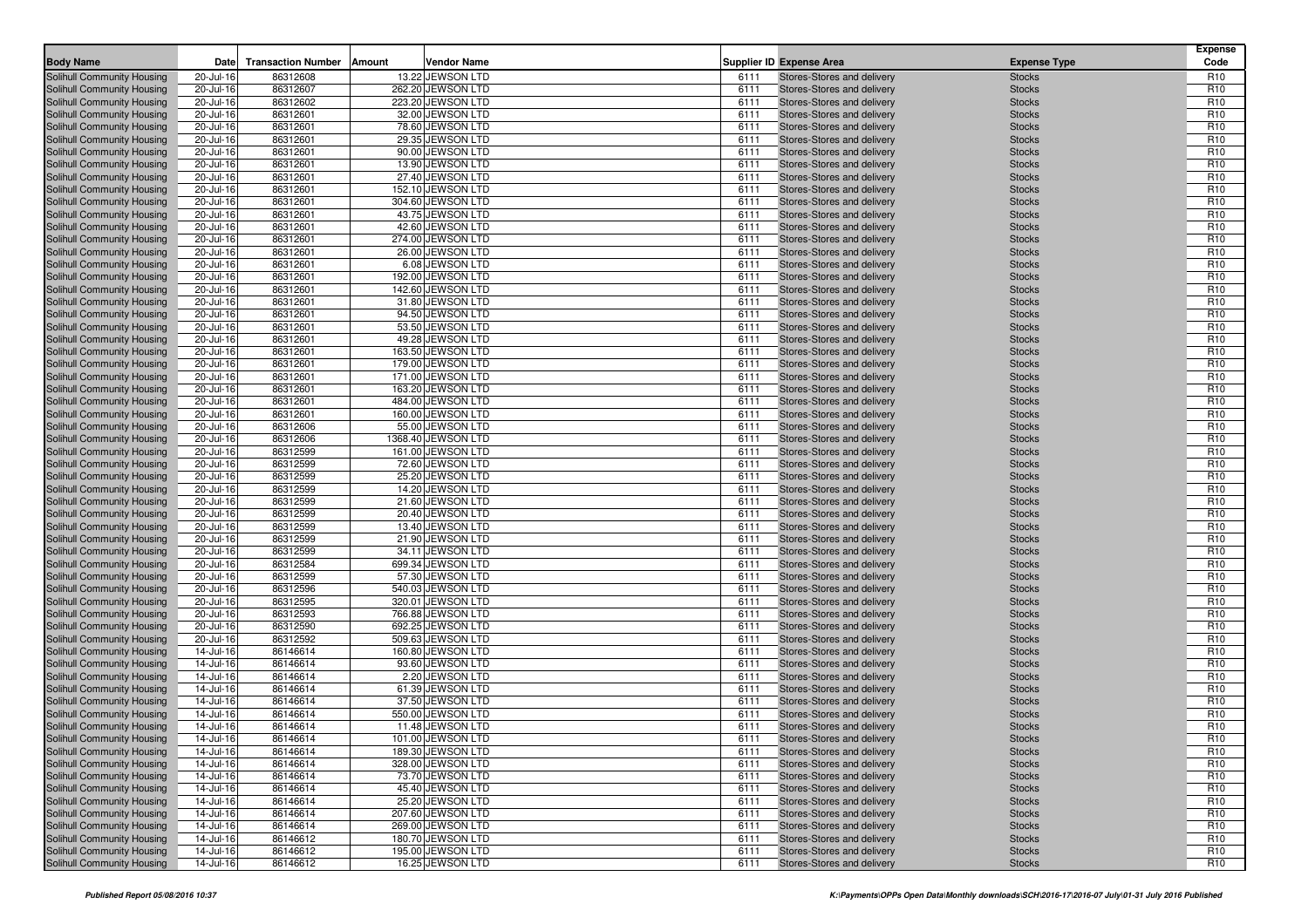| <b>Body Name</b><br>Date<br><b>Transaction Number</b><br>Amount<br>Vendor Name<br>Supplier ID Expense Area<br><b>Expense Type</b><br>Solihull Community Housing<br>20-Jul-16<br>86312608<br>13.22 JEWSON LTD<br>Stores-Stores and delivery<br><b>Stocks</b><br>6111<br>86312607<br><b>Stocks</b><br>Solihull Community Housing<br>20-Jul-16<br>262.20 JEWSON LTD<br>6111<br>Stores-Stores and delivery | Code<br>R <sub>10</sub>            |
|--------------------------------------------------------------------------------------------------------------------------------------------------------------------------------------------------------------------------------------------------------------------------------------------------------------------------------------------------------------------------------------------------------|------------------------------------|
|                                                                                                                                                                                                                                                                                                                                                                                                        |                                    |
|                                                                                                                                                                                                                                                                                                                                                                                                        | R <sub>10</sub>                    |
| Solihull Community Housing<br>20-Jul-16<br>86312602<br>223.20 JEWSON LTD<br>6111<br>Stores-Stores and delivery<br><b>Stocks</b>                                                                                                                                                                                                                                                                        | R <sub>10</sub>                    |
| 86312601<br>32.00 JEWSON LTD<br>Solihull Community Housing<br>20-Jul-16<br>6111<br>Stores-Stores and delivery<br><b>Stocks</b>                                                                                                                                                                                                                                                                         | R <sub>10</sub>                    |
| 86312601<br>Solihull Community Housing<br>20-Jul-16<br>78.60 JEWSON LTD<br>6111<br>Stores-Stores and delivery<br><b>Stocks</b>                                                                                                                                                                                                                                                                         | R <sub>10</sub>                    |
| 29.35 JEWSON LTD<br>Solihull Community Housing<br>20-Jul-16<br>86312601<br>6111<br>Stores-Stores and delivery<br><b>Stocks</b>                                                                                                                                                                                                                                                                         | R <sub>10</sub>                    |
| 86312601<br>90.00 JEWSON LTD<br>20-Jul-16<br>6111<br>Stores-Stores and delivery<br><b>Stocks</b><br>Solihull Community Housing                                                                                                                                                                                                                                                                         | R <sub>10</sub>                    |
| 86312601<br>13.90 JEWSON LTD<br>Solihull Community Housing<br>20-Jul-16<br>6111<br>Stores-Stores and delivery<br><b>Stocks</b>                                                                                                                                                                                                                                                                         | R <sub>10</sub>                    |
| Solihull Community Housing<br>20-Jul-16<br>86312601<br>27.40 JEWSON LTD<br>6111<br>Stores-Stores and delivery<br><b>Stocks</b>                                                                                                                                                                                                                                                                         | R <sub>10</sub>                    |
| 152.10 JEWSON LTD<br>Solihull Community Housing<br>20-Jul-16<br>86312601<br>6111<br>Stores-Stores and delivery<br><b>Stocks</b>                                                                                                                                                                                                                                                                        | R <sub>10</sub>                    |
| Solihull Community Housing<br>20-Jul-16<br>86312601<br>304.60 JEWSON LTD<br>6111<br>Stores-Stores and delivery<br><b>Stocks</b>                                                                                                                                                                                                                                                                        | R <sub>10</sub>                    |
| Solihull Community Housing<br>20-Jul-16<br>86312601<br>43.75 JEWSON LTD<br>6111<br>Stores-Stores and delivery<br><b>Stocks</b>                                                                                                                                                                                                                                                                         | R <sub>10</sub>                    |
| 42.60 JEWSON LTD<br>Solihull Community Housing<br>20-Jul-16<br>86312601<br>6111<br>Stores-Stores and delivery<br><b>Stocks</b>                                                                                                                                                                                                                                                                         | R <sub>10</sub>                    |
| Solihull Community Housing<br>20-Jul-16<br>86312601<br>274.00 JEWSON LTD<br>6111<br>Stores-Stores and delivery<br><b>Stocks</b>                                                                                                                                                                                                                                                                        | R <sub>10</sub>                    |
| 26.00 JEWSON LTD<br>Solihull Community Housing<br>20-Jul-16<br>86312601<br>6111<br>Stores-Stores and delivery<br><b>Stocks</b><br>20-Jul-16<br>86312601<br>6.08 JEWSON LTD<br>6111<br><b>Stocks</b><br>Solihull Community Housing<br>Stores-Stores and delivery                                                                                                                                        | R <sub>10</sub><br>R <sub>10</sub> |
| 86312601<br>192.00 JEWSON LTD<br>Solihull Community Housing<br>20-Jul-16<br>6111<br>Stores-Stores and delivery<br><b>Stocks</b>                                                                                                                                                                                                                                                                        | R <sub>10</sub>                    |
| Solihull Community Housing<br>20-Jul-16<br>86312601<br>142.60 JEWSON LTD<br>6111<br>Stores-Stores and delivery<br><b>Stocks</b>                                                                                                                                                                                                                                                                        | R <sub>10</sub>                    |
| 31.80 JEWSON LTD<br>Solihull Community Housing<br>20-Jul-16<br>86312601<br>6111<br>Stores-Stores and delivery<br><b>Stocks</b>                                                                                                                                                                                                                                                                         | R <sub>10</sub>                    |
| 86312601<br>94.50 JEWSON LTD<br>Solihull Community Housing<br>20-Jul-16<br>6111<br>Stores-Stores and delivery<br><b>Stocks</b>                                                                                                                                                                                                                                                                         | R <sub>10</sub>                    |
| Solihull Community Housing<br>20-Jul-16<br>86312601<br>53.50 JEWSON LTD<br>6111<br><b>Stocks</b><br>Stores-Stores and delivery                                                                                                                                                                                                                                                                         | R <sub>10</sub>                    |
| 49.28 JEWSON LTD<br>Solihull Community Housing<br>20-Jul-16<br>86312601<br>6111<br>Stores-Stores and delivery<br><b>Stocks</b>                                                                                                                                                                                                                                                                         | R <sub>10</sub>                    |
| 86312601<br>163.50 JEWSON LTD<br>Solihull Community Housing<br>20-Jul-16<br>6111<br>Stores-Stores and delivery<br><b>Stocks</b>                                                                                                                                                                                                                                                                        | R <sub>10</sub>                    |
| 86312601<br>179.00 JEWSON LTD<br>Solihull Community Housing<br>20-Jul-16<br>6111<br>Stores-Stores and delivery<br><b>Stocks</b>                                                                                                                                                                                                                                                                        | R <sub>10</sub>                    |
| Solihull Community Housing<br>20-Jul-16<br>86312601<br>171.00 JEWSON LTD<br>6111<br>Stores-Stores and delivery<br><b>Stocks</b>                                                                                                                                                                                                                                                                        | R <sub>10</sub>                    |
| 86312601<br>163.20 JEWSON LTD<br>Solihull Community Housing<br>20-Jul-16<br>6111<br>Stores-Stores and delivery<br><b>Stocks</b>                                                                                                                                                                                                                                                                        | R <sub>10</sub>                    |
| 20-Jul-16<br>86312601<br>484.00 JEWSON LTD<br>6111<br>Stores-Stores and delivery<br><b>Stocks</b><br>Solihull Community Housing                                                                                                                                                                                                                                                                        | R <sub>10</sub>                    |
| 160.00 JEWSON LTD<br>Solihull Community Housing<br>20-Jul-16<br>86312601<br>6111<br>Stores-Stores and delivery<br><b>Stocks</b>                                                                                                                                                                                                                                                                        | R <sub>10</sub>                    |
| 86312606<br>55.00 JEWSON LTD<br>Solihull Community Housing<br>20-Jul-16<br>6111<br>Stores-Stores and delivery<br><b>Stocks</b>                                                                                                                                                                                                                                                                         | R <sub>10</sub>                    |
| 20-Jul-16<br>86312606<br>1368.40 JEWSON LTD<br>6111<br><b>Stocks</b><br>Solihull Community Housing<br>Stores-Stores and delivery<br>86312599<br>161.00 JEWSON LTD<br>Solihull Community Housing<br>20-Jul-16<br>6111<br>Stores-Stores and delivery<br><b>Stocks</b>                                                                                                                                    | R <sub>10</sub><br>R <sub>10</sub> |
| 86312599<br>72.60 JEWSON LTD<br>Solihull Community Housing<br>20-Jul-16<br>6111<br>Stores-Stores and delivery<br><b>Stocks</b>                                                                                                                                                                                                                                                                         | R <sub>10</sub>                    |
| 86312599<br>Solihull Community Housing<br>20-Jul-16<br>25.20 JEWSON LTD<br>6111<br>Stores-Stores and delivery<br><b>Stocks</b>                                                                                                                                                                                                                                                                         | R <sub>10</sub>                    |
| Solihull Community Housing<br>20-Jul-16<br>86312599<br>14.20 JEWSON LTD<br>6111<br>Stores-Stores and delivery<br><b>Stocks</b>                                                                                                                                                                                                                                                                         | R <sub>10</sub>                    |
| 86312599<br>21.60 JEWSON LTD<br>Solihull Community Housing<br>20-Jul-16<br>6111<br>Stores-Stores and delivery<br><b>Stocks</b>                                                                                                                                                                                                                                                                         | R <sub>10</sub>                    |
| Solihull Community Housing<br>20-Jul-16<br>86312599<br>20.40 JEWSON LTD<br>6111<br>Stores-Stores and delivery<br><b>Stocks</b>                                                                                                                                                                                                                                                                         | R <sub>10</sub>                    |
| 86312599<br>Solihull Community Housing<br>20-Jul-16<br>13.40 JEWSON LTD<br>6111<br>Stores-Stores and delivery<br><b>Stocks</b>                                                                                                                                                                                                                                                                         | R <sub>10</sub>                    |
| Solihull Community Housing<br>20-Jul-16<br>86312599<br>21.90 JEWSON LTD<br>6111<br>Stores-Stores and delivery<br><b>Stocks</b>                                                                                                                                                                                                                                                                         | R <sub>10</sub>                    |
| Solihull Community Housing<br>20-Jul-16<br>86312599<br>34.11 JEWSON LTD<br>6111<br>Stores-Stores and delivery<br><b>Stocks</b>                                                                                                                                                                                                                                                                         | R <sub>10</sub>                    |
| 86312584<br>Solihull Community Housing<br>20-Jul-16<br>699.34 JEWSON LTD<br>6111<br>Stores-Stores and delivery<br><b>Stocks</b>                                                                                                                                                                                                                                                                        | R <sub>10</sub>                    |
| Solihull Community Housing<br>20-Jul-16<br>86312599<br>57.30 JEWSON LTD<br>6111<br>Stores-Stores and delivery<br><b>Stocks</b>                                                                                                                                                                                                                                                                         | R <sub>10</sub>                    |
| 86312596<br>540.03 JEWSON LTD<br>Solihull Community Housing<br>20-Jul-16<br>6111<br>Stores-Stores and delivery<br><b>Stocks</b>                                                                                                                                                                                                                                                                        | R <sub>10</sub>                    |
| 86312595<br>Solihull Community Housing<br>20-Jul-16<br>320.01 JEWSON LTD<br>6111<br>Stores-Stores and delivery<br><b>Stocks</b>                                                                                                                                                                                                                                                                        | R <sub>10</sub>                    |
| 766.88 JEWSON LTD<br>Solihull Community Housing<br>20-Jul-16<br>86312593<br>6111<br>Stores-Stores and delivery<br><b>Stocks</b><br>86312590<br>692.25 JEWSON LTD<br>Solihull Community Housing<br>20-Jul-16<br>6111<br>Stores-Stores and delivery<br><b>Stocks</b>                                                                                                                                     | R <sub>10</sub><br>R <sub>10</sub> |
| 86312592<br>509.63 JEWSON LTD<br>Solihull Community Housing<br>20-Jul-16<br>6111<br>Stores-Stores and delivery<br><b>Stocks</b>                                                                                                                                                                                                                                                                        | R <sub>10</sub>                    |
| Solihull Community Housing<br>14-Jul-16<br>86146614<br>160.80 JEWSON LTD<br>6111<br>Stores-Stores and delivery<br><b>Stocks</b>                                                                                                                                                                                                                                                                        | R <sub>10</sub>                    |
| 14-Jul-16<br>86146614<br>93.60 JEWSON LTD<br>6111<br>Stores-Stores and delivery<br><b>Stocks</b><br>Solihull Community Housing                                                                                                                                                                                                                                                                         | R <sub>10</sub>                    |
| 86146614<br>Solihull Community Housing<br>14-Jul-16<br>2.20 JEWSON LTD<br>6111<br>Stores-Stores and delivery<br><b>Stocks</b>                                                                                                                                                                                                                                                                          | R <sub>10</sub>                    |
| Solihull Community Housing<br>14-Jul-16<br>86146614<br>61.39 JEWSON LTD<br>6111<br>Stores-Stores and delivery<br><b>Stocks</b>                                                                                                                                                                                                                                                                         | R <sub>10</sub>                    |
| 86146614<br>37.50 JEWSON LTD<br>Solihull Community Housing<br>14-Jul-16<br>6111<br>Stores-Stores and delivery<br><b>Stocks</b>                                                                                                                                                                                                                                                                         | R <sub>10</sub>                    |
| 86146614<br>550.00 JEWSON LTD<br><b>Stocks</b><br>Solihull Community Housing<br>14-Jul-16<br>6111<br>Stores-Stores and delivery                                                                                                                                                                                                                                                                        | R <sub>10</sub>                    |
| Solihull Community Housing<br>11.48 JEWSON LTD<br>14-Jul-16<br>86146614<br>6111<br>Stores-Stores and delivery<br><b>Stocks</b>                                                                                                                                                                                                                                                                         | R <sub>10</sub>                    |
| Solihull Community Housing<br>14-Jul-16<br>86146614<br>101.00 JEWSON LTD<br>6111<br>Stores-Stores and delivery<br><b>Stocks</b>                                                                                                                                                                                                                                                                        | R <sub>10</sub>                    |
| 189.30 JEWSON LTD<br>Solihull Community Housing<br>14-Jul-16<br>86146614<br>6111<br>Stores-Stores and delivery<br><b>Stocks</b>                                                                                                                                                                                                                                                                        | R <sub>10</sub>                    |
| Solihull Community Housing<br>328.00 JEWSON LTD<br>14-Jul-16<br>86146614<br>6111<br>Stores-Stores and delivery<br><b>Stocks</b>                                                                                                                                                                                                                                                                        | R <sub>10</sub>                    |
| Solihull Community Housing<br>73.70 JEWSON LTD<br>Stores-Stores and delivery<br>14-Jul-16<br>86146614<br>6111<br><b>Stocks</b>                                                                                                                                                                                                                                                                         | R <sub>10</sub>                    |
| Solihull Community Housing<br>86146614<br>45.40 JEWSON LTD<br>14-Jul-16<br>6111<br>Stores-Stores and delivery<br><b>Stocks</b><br>Solihull Community Housing<br>14-Jul-16<br>86146614<br>25.20 JEWSON LTD<br>6111<br>Stores-Stores and delivery<br><b>Stocks</b>                                                                                                                                       | R <sub>10</sub><br>R <sub>10</sub> |
| Solihull Community Housing<br>207.60 JEWSON LTD<br>Stores-Stores and delivery<br>14-Jul-16<br>86146614<br>6111<br><b>Stocks</b>                                                                                                                                                                                                                                                                        | R <sub>10</sub>                    |
| Solihull Community Housing<br>14-Jul-16<br>86146614<br>269.00 JEWSON LTD<br>6111<br>Stores-Stores and delivery<br><b>Stocks</b>                                                                                                                                                                                                                                                                        | R <sub>10</sub>                    |
| Solihull Community Housing<br>180.70 JEWSON LTD<br>Stores-Stores and delivery<br>14-Jul-16<br>86146612<br>6111<br><b>Stocks</b>                                                                                                                                                                                                                                                                        | R <sub>10</sub>                    |
| 195.00 JEWSON LTD<br>Solihull Community Housing<br>14-Jul-16<br>86146612<br>6111<br>Stores-Stores and delivery<br><b>Stocks</b>                                                                                                                                                                                                                                                                        | R <sub>10</sub>                    |
| Solihull Community Housing<br>14-Jul-16<br>86146612<br>16.25 JEWSON LTD<br>Stores-Stores and delivery<br>6111<br><b>Stocks</b>                                                                                                                                                                                                                                                                         | R <sub>10</sub>                    |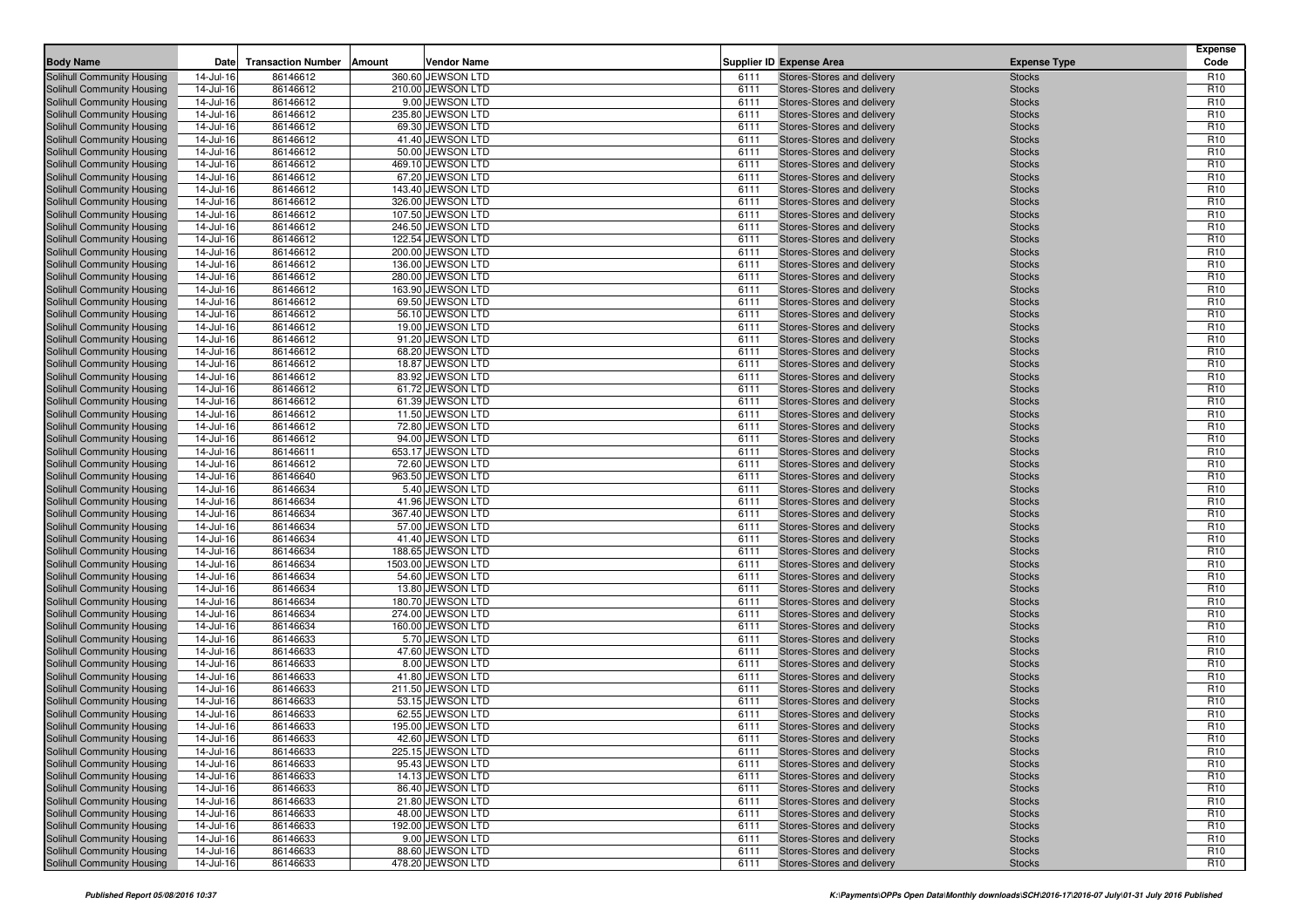| <b>Body Name</b>                                         | Date                   | <b>Transaction Number</b> | Amount<br>Vendor Name                  |              | Supplier ID Expense Area                                 | <b>Expense Type</b>            | <b>Expense</b><br>Code             |
|----------------------------------------------------------|------------------------|---------------------------|----------------------------------------|--------------|----------------------------------------------------------|--------------------------------|------------------------------------|
|                                                          |                        |                           |                                        |              |                                                          |                                |                                    |
| Solihull Community Housing<br>Solihull Community Housing | 14-Jul-16<br>14-Jul-16 | 86146612<br>86146612      | 360.60 JEWSON LTD<br>210.00 JEWSON LTD | 6111<br>6111 | Stores-Stores and delivery<br>Stores-Stores and delivery | <b>Stocks</b><br><b>Stocks</b> | R <sub>10</sub><br>R <sub>10</sub> |
| Solihull Community Housing                               | 14-Jul-16              | 86146612                  | 9.00 JEWSON LTD                        | 6111         | Stores-Stores and delivery                               | <b>Stocks</b>                  | R <sub>10</sub>                    |
| Solihull Community Housing                               | 14-Jul-16              | 86146612                  | 235.80 JEWSON LTD                      | 6111         | Stores-Stores and delivery                               | <b>Stocks</b>                  | R <sub>10</sub>                    |
| Solihull Community Housing                               | 14-Jul-16              | 86146612                  | 69.30 JEWSON LTD                       | 6111         | Stores-Stores and delivery                               | <b>Stocks</b>                  | R <sub>10</sub>                    |
| Solihull Community Housing                               | 14-Jul-16              | 86146612                  | 41.40 JEWSON LTD                       | 6111         | Stores-Stores and delivery                               | <b>Stocks</b>                  | R <sub>10</sub>                    |
| Solihull Community Housing                               | 14-Jul-16              | 86146612                  | 50.00 JEWSON LTD                       | 6111         | Stores-Stores and delivery                               | <b>Stocks</b>                  | R <sub>10</sub>                    |
| Solihull Community Housing                               | 14-Jul-16              | 86146612                  | 469.10 JEWSON LTD                      | 6111         | Stores-Stores and delivery                               | <b>Stocks</b>                  | R <sub>10</sub>                    |
| Solihull Community Housing                               | 14-Jul-16              | 86146612                  | 67.20 JEWSON LTD                       | 6111         | Stores-Stores and delivery                               | <b>Stocks</b>                  | R <sub>10</sub>                    |
| Solihull Community Housing                               | 14-Jul-16              | 86146612                  | 143.40 JEWSON LTD                      | 6111         | Stores-Stores and delivery                               | <b>Stocks</b>                  | R <sub>10</sub>                    |
| Solihull Community Housing                               | 14-Jul-16              | 86146612                  | 326.00 JEWSON LTD                      | 6111         | Stores-Stores and delivery                               | <b>Stocks</b>                  | R <sub>10</sub>                    |
| Solihull Community Housing                               | 14-Jul-16              | 86146612                  | 107.50 JEWSON LTD                      | 6111         | Stores-Stores and delivery                               | <b>Stocks</b>                  | R <sub>10</sub>                    |
| Solihull Community Housing                               | 14-Jul-16              | 86146612                  | 246.50 JEWSON LTD                      | 6111         | Stores-Stores and delivery                               | <b>Stocks</b>                  | R <sub>10</sub>                    |
| Solihull Community Housing                               | 14-Jul-16              | 86146612                  | 122.54 JEWSON LTD                      | 6111         | Stores-Stores and delivery                               | <b>Stocks</b>                  | R <sub>10</sub>                    |
| Solihull Community Housing                               | 14-Jul-16              | 86146612                  | 200.00 JEWSON LTD                      | 6111         | Stores-Stores and delivery                               | <b>Stocks</b>                  | R <sub>10</sub>                    |
| Solihull Community Housing<br>Solihull Community Housing | 14-Jul-16<br>14-Jul-16 | 86146612<br>86146612      | 136.00 JEWSON LTD<br>280.00 JEWSON LTD | 6111<br>6111 | Stores-Stores and delivery<br>Stores-Stores and delivery | <b>Stocks</b><br><b>Stocks</b> | R <sub>10</sub><br>R <sub>10</sub> |
| Solihull Community Housing                               | 14-Jul-16              | 86146612                  | 163.90 JEWSON LTD                      | 6111         | Stores-Stores and delivery                               | <b>Stocks</b>                  | R <sub>10</sub>                    |
| Solihull Community Housing                               | 14-Jul-16              | 86146612                  | 69.50 JEWSON LTD                       | 6111         | Stores-Stores and delivery                               | <b>Stocks</b>                  | R <sub>10</sub>                    |
| Solihull Community Housing                               | 14-Jul-16              | 86146612                  | 56.10 JEWSON LTD                       | 6111         | Stores-Stores and delivery                               | <b>Stocks</b>                  | R <sub>10</sub>                    |
| Solihull Community Housing                               | 14-Jul-16              | 86146612                  | 19.00 JEWSON LTD                       | 6111         | Stores-Stores and delivery                               | <b>Stocks</b>                  | R <sub>10</sub>                    |
| Solihull Community Housing                               | 14-Jul-16              | 86146612                  | 91.20 JEWSON LTD                       | 6111         | Stores-Stores and delivery                               | <b>Stocks</b>                  | R <sub>10</sub>                    |
| Solihull Community Housing                               | 14-Jul-16              | 86146612                  | 68.20 JEWSON LTD                       | 6111         | Stores-Stores and delivery                               | <b>Stocks</b>                  | R <sub>10</sub>                    |
| Solihull Community Housing                               | 14-Jul-16              | 86146612                  | 18.87 JEWSON LTD                       | 6111         | Stores-Stores and delivery                               | <b>Stocks</b>                  | R <sub>10</sub>                    |
| Solihull Community Housing                               | 14-Jul-16              | 86146612                  | 83.92 JEWSON LTD                       | 6111         | Stores-Stores and delivery                               | <b>Stocks</b>                  | R <sub>10</sub>                    |
| Solihull Community Housing                               | 14-Jul-16              | 86146612                  | 61.72 JEWSON LTD                       | 6111         | Stores-Stores and delivery                               | <b>Stocks</b>                  | R <sub>10</sub>                    |
| Solihull Community Housing                               | 14-Jul-16              | 86146612                  | 61.39 JEWSON LTD                       | 6111         | Stores-Stores and delivery                               | <b>Stocks</b>                  | R <sub>10</sub>                    |
| Solihull Community Housing                               | 14-Jul-16              | 86146612                  | 11.50 JEWSON LTD                       | 6111         | Stores-Stores and delivery                               | <b>Stocks</b>                  | R <sub>10</sub>                    |
| Solihull Community Housing                               | 14-Jul-16              | 86146612                  | 72.80 JEWSON LTD                       | 6111         | Stores-Stores and delivery                               | <b>Stocks</b>                  | R <sub>10</sub>                    |
| Solihull Community Housing                               | 14-Jul-16              | 86146612                  | 94.00 JEWSON LTD                       | 6111         | Stores-Stores and delivery                               | <b>Stocks</b>                  | R <sub>10</sub>                    |
| Solihull Community Housing                               | 14-Jul-16              | 86146611                  | 653.17 JEWSON LTD                      | 6111         | Stores-Stores and delivery                               | <b>Stocks</b>                  | R <sub>10</sub><br>R <sub>10</sub> |
| Solihull Community Housing<br>Solihull Community Housing | 14-Jul-16<br>14-Jul-16 | 86146612<br>86146640      | 72.60 JEWSON LTD<br>963.50 JEWSON LTD  | 6111<br>6111 | Stores-Stores and delivery<br>Stores-Stores and delivery | <b>Stocks</b><br><b>Stocks</b> | R <sub>10</sub>                    |
| Solihull Community Housing                               | 14-Jul-16              | 86146634                  | 5.40 JEWSON LTD                        | 6111         | Stores-Stores and delivery                               | <b>Stocks</b>                  | R <sub>10</sub>                    |
| Solihull Community Housing                               | 14-Jul-16              | 86146634                  | 41.96 JEWSON LTD                       | 6111         | Stores-Stores and delivery                               | <b>Stocks</b>                  | R <sub>10</sub>                    |
| Solihull Community Housing                               | 14-Jul-16              | 86146634                  | 367.40 JEWSON LTD                      | 6111         | Stores-Stores and delivery                               | <b>Stocks</b>                  | R <sub>10</sub>                    |
| Solihull Community Housing                               | 14-Jul-16              | 86146634                  | 57.00 JEWSON LTD                       | 6111         | Stores-Stores and delivery                               | <b>Stocks</b>                  | R <sub>10</sub>                    |
| Solihull Community Housing                               | 14-Jul-16              | 86146634                  | 41.40 JEWSON LTD                       | 6111         | Stores-Stores and delivery                               | <b>Stocks</b>                  | R <sub>10</sub>                    |
| Solihull Community Housing                               | 14-Jul-16              | 86146634                  | 188.65 JEWSON LTD                      | 6111         | Stores-Stores and delivery                               | <b>Stocks</b>                  | R <sub>10</sub>                    |
| Solihull Community Housing                               | 14-Jul-16              | 86146634                  | 1503.00 JEWSON LTD                     | 6111         | Stores-Stores and delivery                               | <b>Stocks</b>                  | R <sub>10</sub>                    |
| Solihull Community Housing                               | 14-Jul-16              | 86146634                  | 54.60 JEWSON LTD                       | 6111         | Stores-Stores and delivery                               | <b>Stocks</b>                  | R <sub>10</sub>                    |
| Solihull Community Housing                               | 14-Jul-16              | 86146634                  | 13.80 JEWSON LTD                       | 6111         | Stores-Stores and delivery                               | <b>Stocks</b>                  | R <sub>10</sub>                    |
| Solihull Community Housing                               | 14-Jul-16              | 86146634                  | 180.70 JEWSON LTD                      | 6111         | Stores-Stores and delivery                               | <b>Stocks</b>                  | R <sub>10</sub>                    |
| Solihull Community Housing                               | 14-Jul-16              | 86146634                  | 274.00 JEWSON LTD                      | 6111         | Stores-Stores and delivery                               | <b>Stocks</b>                  | R <sub>10</sub>                    |
| Solihull Community Housing                               | 14-Jul-16              | 86146634                  | 160.00 JEWSON LTD                      | 6111         | Stores-Stores and delivery                               | <b>Stocks</b>                  | R <sub>10</sub>                    |
| Solihull Community Housing<br>Solihull Community Housing | 14-Jul-16<br>14-Jul-16 | 86146633<br>86146633      | 5.70 JEWSON LTD<br>47.60 JEWSON LTD    | 6111<br>6111 | Stores-Stores and delivery<br>Stores-Stores and delivery | <b>Stocks</b><br><b>Stocks</b> | R <sub>10</sub><br>R <sub>10</sub> |
| Solihull Community Housing                               | 14-Jul-16              | 86146633                  | 8.00 JEWSON LTD                        | 6111         | Stores-Stores and delivery                               | <b>Stocks</b>                  | R <sub>10</sub>                    |
| Solihull Community Housing                               | 14-Jul-16              | 86146633                  | 41.80 JEWSON LTD                       | 6111         | Stores-Stores and delivery                               | <b>Stocks</b>                  | R <sub>10</sub>                    |
| Solihull Community Housing                               | 14-Jul-16              | 86146633                  | 211.50 JEWSON LTD                      | 6111         | Stores-Stores and delivery                               | <b>Stocks</b>                  | R <sub>10</sub>                    |
| Solihull Community Housing                               | 14-Jul-16              | 86146633                  | 53.15 JEWSON LTD                       | 6111         | Stores-Stores and delivery                               | <b>Stocks</b>                  | R <sub>10</sub>                    |
| Solihull Community Housing                               | 14-Jul-16              | 86146633                  | 62.55 JEWSON LTD                       | 6111         | Stores-Stores and delivery                               | <b>Stocks</b>                  | R <sub>10</sub>                    |
| Solihull Community Housing                               | 14-Jul-16              | 86146633                  | 195.00 JEWSON LTD                      | 6111         | Stores-Stores and delivery                               | <b>Stocks</b>                  | R <sub>10</sub>                    |
| Solihull Community Housing                               | 14-Jul-16              | 86146633                  | 42.60 JEWSON LTD                       | 6111         | Stores-Stores and delivery                               | <b>Stocks</b>                  | R <sub>10</sub>                    |
| Solihull Community Housing                               | 14-Jul-16              | 86146633                  | 225.15 JEWSON LTD                      | 6111         | Stores-Stores and delivery                               | <b>Stocks</b>                  | R <sub>10</sub>                    |
| Solihull Community Housing                               | 14-Jul-16              | 86146633                  | 95.43 JEWSON LTD                       | 6111         | Stores-Stores and delivery                               | <b>Stocks</b>                  | R <sub>10</sub>                    |
| Solihull Community Housing                               | 14-Jul-16              | 86146633                  | 14.13 JEWSON LTD                       | 6111         | Stores-Stores and delivery                               | <b>Stocks</b>                  | R <sub>10</sub>                    |
| Solihull Community Housing                               | 14-Jul-16              | 86146633                  | 86.40 JEWSON LTD                       | 6111         | Stores-Stores and delivery                               | <b>Stocks</b>                  | R <sub>10</sub>                    |
| Solihull Community Housing                               | 14-Jul-16              | 86146633                  | 21.80 JEWSON LTD                       | 6111         | Stores-Stores and delivery                               | <b>Stocks</b>                  | R <sub>10</sub>                    |
| Solihull Community Housing                               | 14-Jul-16              | 86146633                  | 48.00 JEWSON LTD                       | 6111         | Stores-Stores and delivery                               | <b>Stocks</b>                  | R <sub>10</sub>                    |
| Solihull Community Housing<br>Solihull Community Housing | 14-Jul-16              | 86146633                  | 192.00 JEWSON LTD<br>9.00 JEWSON LTD   | 6111<br>6111 | Stores-Stores and delivery<br>Stores-Stores and delivery | <b>Stocks</b>                  | R <sub>10</sub><br>R <sub>10</sub> |
| Solihull Community Housing                               | 14-Jul-16<br>14-Jul-16 | 86146633<br>86146633      | 88.60 JEWSON LTD                       | 6111         | Stores-Stores and delivery                               | <b>Stocks</b><br><b>Stocks</b> | R <sub>10</sub>                    |
| Solihull Community Housing                               | 14-Jul-16              | 86146633                  | 478.20 JEWSON LTD                      | 6111         | Stores-Stores and delivery                               | <b>Stocks</b>                  | R <sub>10</sub>                    |
|                                                          |                        |                           |                                        |              |                                                          |                                |                                    |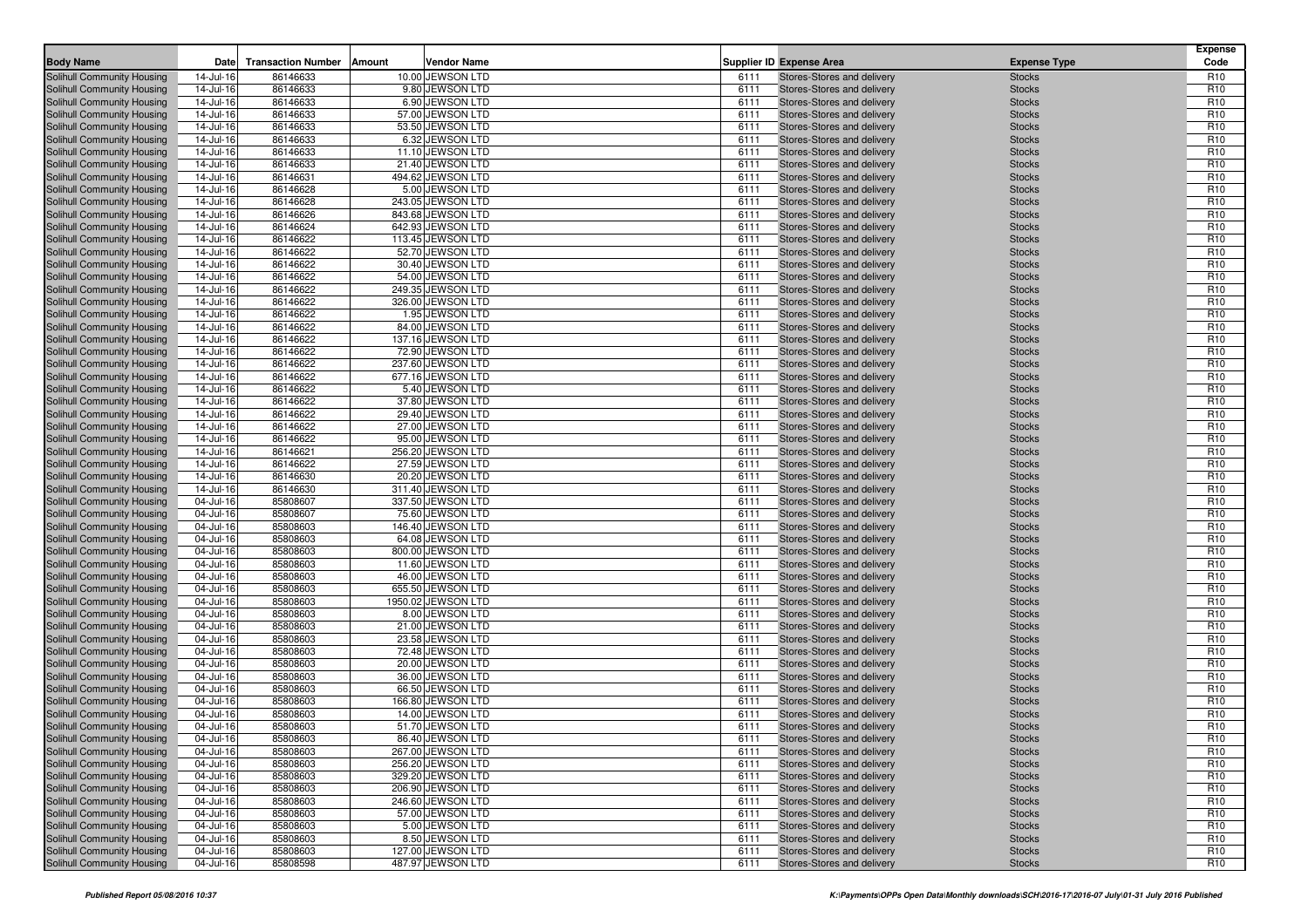| <b>Body Name</b>                                                | Date                   | <b>Transaction Number</b> | Amount<br>Vendor Name                  |              | <b>Supplier ID Expense Area</b>                          | <b>Expense Type</b>            | <b>Expense</b><br>Code             |
|-----------------------------------------------------------------|------------------------|---------------------------|----------------------------------------|--------------|----------------------------------------------------------|--------------------------------|------------------------------------|
|                                                                 | 14-Jul-16              | 86146633                  | 10.00 JEWSON LTD                       | 6111         | Stores-Stores and delivery                               |                                | R <sub>10</sub>                    |
| Solihull Community Housing<br>Solihull Community Housing        | 14-Jul-16              | 86146633                  | 9.80 JEWSON LTD                        | 6111         | Stores-Stores and delivery                               | <b>Stocks</b><br><b>Stocks</b> | R <sub>10</sub>                    |
| Solihull Community Housing                                      | 14-Jul-16              | 86146633                  | 6.90 JEWSON LTD                        | 6111         | Stores-Stores and delivery                               | <b>Stocks</b>                  | R <sub>10</sub>                    |
| Solihull Community Housing                                      | 14-Jul-16              | 86146633                  | 57.00 JEWSON LTD                       | 6111         | Stores-Stores and delivery                               | <b>Stocks</b>                  | R <sub>10</sub>                    |
| Solihull Community Housing                                      | 14-Jul-16              | 86146633                  | 53.50 JEWSON LTD                       | 6111         | Stores-Stores and delivery                               | <b>Stocks</b>                  | R <sub>10</sub>                    |
| Solihull Community Housing                                      | 14-Jul-16              | 86146633                  | 6.32 JEWSON LTD                        | 6111         | Stores-Stores and delivery                               | <b>Stocks</b>                  | R <sub>10</sub>                    |
| Solihull Community Housing                                      | 14-Jul-16              | 86146633                  | 11.10 JEWSON LTD                       | 6111         | Stores-Stores and delivery                               | <b>Stocks</b>                  | R <sub>10</sub>                    |
| Solihull Community Housing                                      | 14-Jul-16              | 86146633                  | 21.40 JEWSON LTD                       | 6111         | Stores-Stores and delivery                               | <b>Stocks</b>                  | R <sub>10</sub>                    |
| Solihull Community Housing                                      | 14-Jul-16              | 86146631                  | 494.62 JEWSON LTD                      | 6111         | Stores-Stores and delivery                               | <b>Stocks</b>                  | R <sub>10</sub>                    |
| Solihull Community Housing                                      | 14-Jul-16              | 86146628                  | 5.00 JEWSON LTD                        | 6111         | Stores-Stores and delivery                               | <b>Stocks</b>                  | R <sub>10</sub>                    |
| Solihull Community Housing                                      | 14-Jul-16              | 86146628                  | 243.05 JEWSON LTD                      | 6111         | Stores-Stores and delivery                               | <b>Stocks</b>                  | R <sub>10</sub>                    |
| Solihull Community Housing                                      | 14-Jul-16              | 86146626                  | 843.68 JEWSON LTD                      | 6111         | Stores-Stores and delivery                               | <b>Stocks</b>                  | R <sub>10</sub>                    |
| Solihull Community Housing                                      | 14-Jul-16              | 86146624                  | 642.93 JEWSON LTD                      | 6111         | Stores-Stores and delivery                               | <b>Stocks</b>                  | R <sub>10</sub>                    |
| Solihull Community Housing                                      | 14-Jul-16              | 86146622                  | 113.45 JEWSON LTD                      | 6111         | Stores-Stores and delivery                               | <b>Stocks</b>                  | R <sub>10</sub>                    |
| Solihull Community Housing                                      | 14-Jul-16              | 86146622                  | 52.70 JEWSON LTD                       | 6111         | Stores-Stores and delivery                               | <b>Stocks</b>                  | R <sub>10</sub>                    |
| Solihull Community Housing                                      | 14-Jul-16              | 86146622                  | 30.40 JEWSON LTD                       | 6111         | Stores-Stores and delivery                               | <b>Stocks</b>                  | R <sub>10</sub>                    |
| Solihull Community Housing                                      | 14-Jul-16              | 86146622                  | 54.00 JEWSON LTD                       | 6111         | Stores-Stores and delivery                               | <b>Stocks</b>                  | R <sub>10</sub>                    |
| Solihull Community Housing                                      | 14-Jul-16              | 86146622                  | 249.35 JEWSON LTD<br>326.00 JEWSON LTD | 6111<br>6111 | Stores-Stores and delivery                               | <b>Stocks</b>                  | R <sub>10</sub><br>R <sub>10</sub> |
| Solihull Community Housing<br>Solihull Community Housing        | 14-Jul-16<br>14-Jul-16 | 86146622<br>86146622      | 1.95 JEWSON LTD                        | 6111         | Stores-Stores and delivery<br>Stores-Stores and delivery | <b>Stocks</b><br><b>Stocks</b> | R <sub>10</sub>                    |
| Solihull Community Housing                                      | 14-Jul-16              | 86146622                  | 84.00 JEWSON LTD                       | 6111         | Stores-Stores and delivery                               | <b>Stocks</b>                  | R <sub>10</sub>                    |
| Solihull Community Housing                                      | 14-Jul-16              | 86146622                  | 137.16 JEWSON LTD                      | 6111         | Stores-Stores and delivery                               | <b>Stocks</b>                  | R <sub>10</sub>                    |
| Solihull Community Housing                                      | 14-Jul-16              | 86146622                  | 72.90 JEWSON LTD                       | 6111         | Stores-Stores and delivery                               | <b>Stocks</b>                  | R <sub>10</sub>                    |
| Solihull Community Housing                                      | 14-Jul-16              | 86146622                  | 237.60 JEWSON LTD                      | 6111         | Stores-Stores and delivery                               | <b>Stocks</b>                  | R <sub>10</sub>                    |
| Solihull Community Housing                                      | 14-Jul-16              | 86146622                  | 677.16 JEWSON LTD                      | 6111         | Stores-Stores and delivery                               | <b>Stocks</b>                  | R <sub>10</sub>                    |
| Solihull Community Housing                                      | 14-Jul-16              | 86146622                  | 5.40 JEWSON LTD                        | 6111         | Stores-Stores and delivery                               | <b>Stocks</b>                  | R <sub>10</sub>                    |
| Solihull Community Housing                                      | 14-Jul-16              | 86146622                  | 37.80 JEWSON LTD                       | 6111         | Stores-Stores and delivery                               | <b>Stocks</b>                  | R <sub>10</sub>                    |
| Solihull Community Housing                                      | 14-Jul-16              | 86146622                  | 29.40 JEWSON LTD                       | 6111         | Stores-Stores and delivery                               | <b>Stocks</b>                  | R <sub>10</sub>                    |
| Solihull Community Housing                                      | 14-Jul-16              | 86146622                  | 27.00 JEWSON LTD                       | 6111         | Stores-Stores and delivery                               | <b>Stocks</b>                  | R <sub>10</sub>                    |
| Solihull Community Housing                                      | 14-Jul-16              | 86146622                  | 95.00 JEWSON LTD                       | 6111         | Stores-Stores and delivery                               | <b>Stocks</b>                  | R <sub>10</sub>                    |
| Solihull Community Housing                                      | 14-Jul-16              | 86146621                  | 256.20 JEWSON LTD                      | 6111         | Stores-Stores and delivery                               | <b>Stocks</b>                  | R <sub>10</sub>                    |
| Solihull Community Housing                                      | 14-Jul-16              | 86146622                  | 27.59 JEWSON LTD                       | 6111         | Stores-Stores and delivery                               | <b>Stocks</b>                  | R <sub>10</sub>                    |
| Solihull Community Housing                                      | 14-Jul-16              | 86146630                  | 20.20 JEWSON LTD                       | 6111         | Stores-Stores and delivery                               | <b>Stocks</b>                  | R <sub>10</sub>                    |
| Solihull Community Housing                                      | 14-Jul-16              | 86146630                  | 311.40 JEWSON LTD                      | 6111         | Stores-Stores and delivery                               | <b>Stocks</b>                  | R <sub>10</sub>                    |
| Solihull Community Housing                                      | 04-Jul-16              | 85808607                  | 337.50 JEWSON LTD                      | 6111         | Stores-Stores and delivery                               | <b>Stocks</b>                  | R <sub>10</sub>                    |
| Solihull Community Housing<br><b>Solihull Community Housing</b> | 04-Jul-16              | 85808607                  | 75.60 JEWSON LTD<br>146.40 JEWSON LTD  | 6111         | Stores-Stores and delivery<br>Stores-Stores and delivery | <b>Stocks</b>                  | R <sub>10</sub><br>R <sub>10</sub> |
| Solihull Community Housing                                      | 04-Jul-16<br>04-Jul-16 | 85808603<br>85808603      | 64.08 JEWSON LTD                       | 6111<br>6111 | Stores-Stores and delivery                               | <b>Stocks</b><br><b>Stocks</b> | R <sub>10</sub>                    |
| Solihull Community Housing                                      | 04-Jul-16              | 85808603                  | 800.00 JEWSON LTD                      | 6111         | Stores-Stores and delivery                               | <b>Stocks</b>                  | R <sub>10</sub>                    |
| Solihull Community Housing                                      | 04-Jul-16              | 85808603                  | 11.60 JEWSON LTD                       | 6111         | Stores-Stores and delivery                               | <b>Stocks</b>                  | R <sub>10</sub>                    |
| Solihull Community Housing                                      | 04-Jul-16              | 85808603                  | 46.00 JEWSON LTD                       | 6111         | Stores-Stores and delivery                               | <b>Stocks</b>                  | R <sub>10</sub>                    |
| Solihull Community Housing                                      | 04-Jul-16              | 85808603                  | 655.50 JEWSON LTD                      | 6111         | Stores-Stores and delivery                               | <b>Stocks</b>                  | R <sub>10</sub>                    |
| Solihull Community Housing                                      | 04-Jul-16              | 85808603                  | 1950.02 JEWSON LTD                     | 6111         | Stores-Stores and delivery                               | <b>Stocks</b>                  | R <sub>10</sub>                    |
| Solihull Community Housing                                      | 04-Jul-16              | 85808603                  | 8.00 JEWSON LTD                        | 6111         | Stores-Stores and delivery                               | <b>Stocks</b>                  | R <sub>10</sub>                    |
| Solihull Community Housing                                      | 04-Jul-16              | 85808603                  | 21.00 JEWSON LTD                       | 6111         | Stores-Stores and delivery                               | <b>Stocks</b>                  | R <sub>10</sub>                    |
| Solihull Community Housing                                      | 04-Jul-16              | 85808603                  | 23.58 JEWSON LTD                       | 6111         | Stores-Stores and delivery                               | <b>Stocks</b>                  | R <sub>10</sub>                    |
| Solihull Community Housing                                      | 04-Jul-16              | 85808603                  | 72.48 JEWSON LTD                       | 6111         | Stores-Stores and delivery                               | <b>Stocks</b>                  | R <sub>10</sub>                    |
| Solihull Community Housing                                      | 04-Jul-16              | 85808603                  | 20.00 JEWSON LTD                       | 6111         | Stores-Stores and delivery                               | <b>Stocks</b>                  | R <sub>10</sub>                    |
| Solihull Community Housing                                      | 04-Jul-16              | 85808603                  | 36.00 JEWSON LTD                       | 6111         | Stores-Stores and delivery                               | <b>Stocks</b>                  | R <sub>10</sub>                    |
| Solihull Community Housing                                      | 04-Jul-16              | 85808603                  | 66.50 JEWSON LTD                       | 6111         | Stores-Stores and delivery                               | <b>Stocks</b>                  | R <sub>10</sub>                    |
| Solihull Community Housing                                      | 04-Jul-16              | 85808603                  | 166.80 JEWSON LTD                      | 6111         | Stores-Stores and delivery                               | <b>Stocks</b>                  | R <sub>10</sub>                    |
| Solihull Community Housing                                      | 04-Jul-16              | 85808603<br>85808603      | 14.00 JEWSON LTD<br>51.70 JEWSON LTD   | 6111<br>6111 | Stores-Stores and delivery                               | <b>Stocks</b><br><b>Stocks</b> | R <sub>10</sub><br>R <sub>10</sub> |
| Solihull Community Housing<br>Solihull Community Housing        | 04-Jul-16<br>04-Jul-16 | 85808603                  | 86.40 JEWSON LTD                       | 6111         | Stores-Stores and delivery<br>Stores-Stores and delivery | <b>Stocks</b>                  | R <sub>10</sub>                    |
| Solihull Community Housing                                      | 04-Jul-16              | 85808603                  | 267.00 JEWSON LTD                      | 6111         | Stores-Stores and delivery                               | <b>Stocks</b>                  | R <sub>10</sub>                    |
| <b>Solihull Community Housing</b>                               | 04-Jul-16              | 85808603                  | 256.20 JEWSON LTD                      | 6111         | Stores-Stores and delivery                               | <b>Stocks</b>                  | R <sub>10</sub>                    |
| Solihull Community Housing                                      | 04-Jul-16              | 85808603                  | 329.20 JEWSON LTD                      | 6111         | Stores-Stores and delivery                               | <b>Stocks</b>                  | R <sub>10</sub>                    |
| Solihull Community Housing                                      | 04-Jul-16              | 85808603                  | 206.90 JEWSON LTD                      | 6111         | Stores-Stores and delivery                               | <b>Stocks</b>                  | R <sub>10</sub>                    |
| Solihull Community Housing                                      | 04-Jul-16              | 85808603                  | 246.60 JEWSON LTD                      | 6111         | Stores-Stores and delivery                               | <b>Stocks</b>                  | R <sub>10</sub>                    |
| Solihull Community Housing                                      | 04-Jul-16              | 85808603                  | 57.00 JEWSON LTD                       | 6111         | Stores-Stores and delivery                               | <b>Stocks</b>                  | R <sub>10</sub>                    |
| Solihull Community Housing                                      | 04-Jul-16              | 85808603                  | 5.00 JEWSON LTD                        | 6111         | Stores-Stores and delivery                               | <b>Stocks</b>                  | R <sub>10</sub>                    |
| Solihull Community Housing                                      | 04-Jul-16              | 85808603                  | 8.50 JEWSON LTD                        | 6111         | Stores-Stores and delivery                               | <b>Stocks</b>                  | R <sub>10</sub>                    |
| Solihull Community Housing                                      | 04-Jul-16              | 85808603                  | 127.00 JEWSON LTD                      | 6111         | Stores-Stores and delivery                               | <b>Stocks</b>                  | R <sub>10</sub>                    |
| Solihull Community Housing                                      | 04-Jul-16              | 85808598                  | 487.97 JEWSON LTD                      | 6111         | Stores-Stores and delivery                               | <b>Stocks</b>                  | R <sub>10</sub>                    |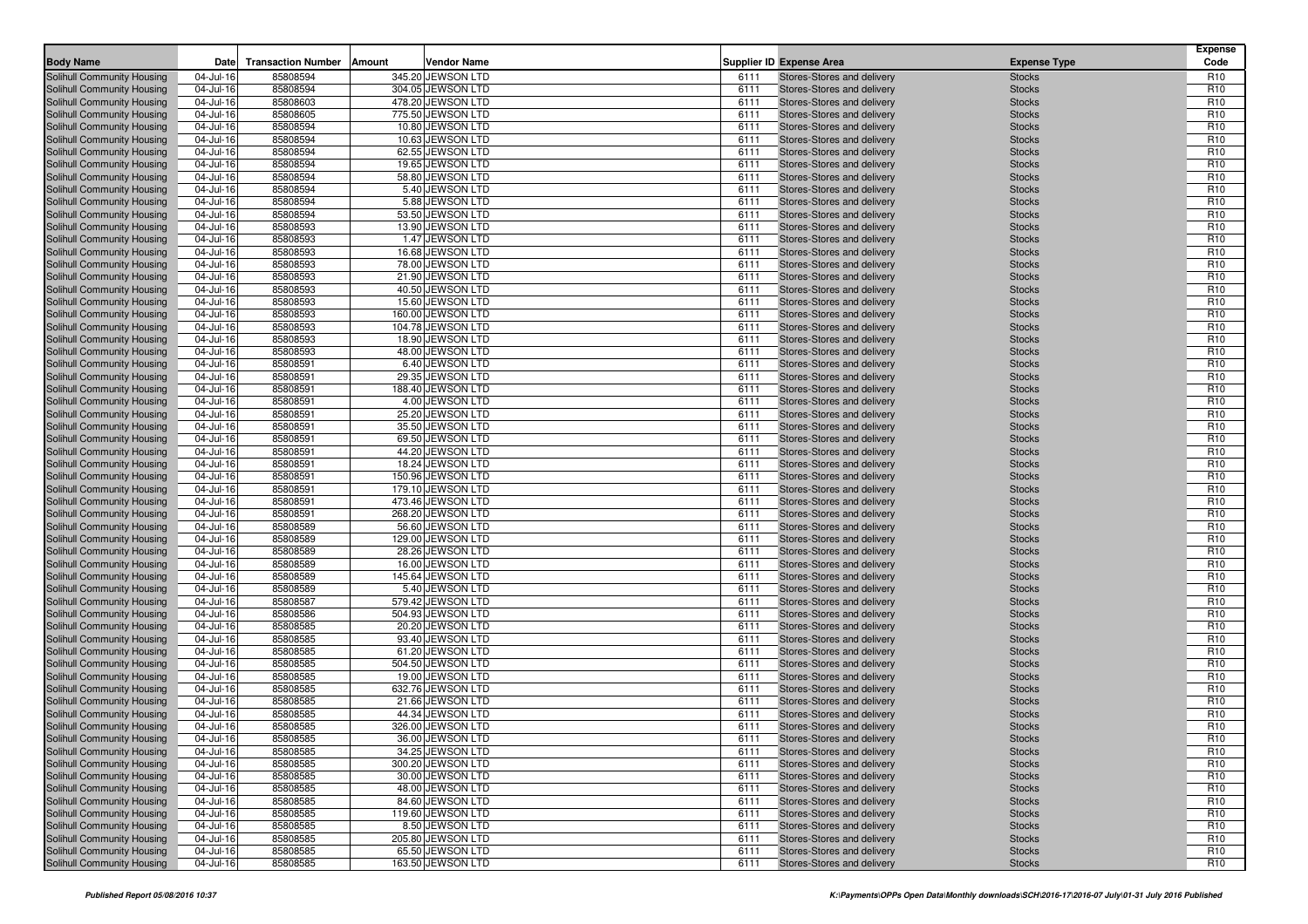| <b>Body Name</b>                                         | Date                   | <b>Transaction Number</b> | Amount<br>Vendor Name                  |              | <b>Supplier ID Expense Area</b>                          | <b>Expense Type</b>            | <b>Expense</b><br>Code             |
|----------------------------------------------------------|------------------------|---------------------------|----------------------------------------|--------------|----------------------------------------------------------|--------------------------------|------------------------------------|
|                                                          |                        |                           |                                        |              |                                                          |                                |                                    |
| Solihull Community Housing<br>Solihull Community Housing | 04-Jul-16<br>04-Jul-16 | 85808594<br>85808594      | 345.20 JEWSON LTD<br>304.05 JEWSON LTD | 6111<br>6111 | Stores-Stores and delivery<br>Stores-Stores and delivery | <b>Stocks</b><br><b>Stocks</b> | R <sub>10</sub><br>R <sub>10</sub> |
| Solihull Community Housing                               | 04-Jul-16              | 85808603                  | 478.20 JEWSON LTD                      | 6111         | Stores-Stores and delivery                               | <b>Stocks</b>                  | R <sub>10</sub>                    |
| Solihull Community Housing                               | 04-Jul-16              | 85808605                  | 775.50 JEWSON LTD                      | 6111         | Stores-Stores and delivery                               | <b>Stocks</b>                  | R <sub>10</sub>                    |
| Solihull Community Housing                               | 04-Jul-16              | 85808594                  | 10.80 JEWSON LTD                       | 6111         | Stores-Stores and delivery                               | <b>Stocks</b>                  | R <sub>10</sub>                    |
| Solihull Community Housing                               | 04-Jul-16              | 85808594                  | 10.63 JEWSON LTD                       | 6111         | Stores-Stores and delivery                               | <b>Stocks</b>                  | R <sub>10</sub>                    |
| Solihull Community Housing                               | 04-Jul-16              | 85808594                  | 62.55 JEWSON LTD                       | 6111         | Stores-Stores and delivery                               | <b>Stocks</b>                  | R <sub>10</sub>                    |
| Solihull Community Housing                               | 04-Jul-16              | 85808594                  | 19.65 JEWSON LTD                       | 6111         | Stores-Stores and delivery                               | <b>Stocks</b>                  | R <sub>10</sub>                    |
| Solihull Community Housing                               | 04-Jul-16              | 85808594                  | 58.80 JEWSON LTD                       | 6111         | Stores-Stores and delivery                               | <b>Stocks</b>                  | R <sub>10</sub>                    |
| Solihull Community Housing                               | 04-Jul-16              | 85808594                  | 5.40 JEWSON LTD                        | 6111         | Stores-Stores and delivery                               | <b>Stocks</b>                  | R <sub>10</sub>                    |
| Solihull Community Housing                               | 04-Jul-16              | 85808594                  | 5.88 JEWSON LTD                        | 6111         | Stores-Stores and delivery                               | <b>Stocks</b>                  | R <sub>10</sub>                    |
| Solihull Community Housing                               | 04-Jul-16              | 85808594                  | 53.50 JEWSON LTD                       | 6111         | Stores-Stores and delivery                               | <b>Stocks</b>                  | R <sub>10</sub>                    |
| Solihull Community Housing                               | 04-Jul-16              | 85808593                  | 13.90 JEWSON LTD                       | 6111         | Stores-Stores and delivery                               | <b>Stocks</b>                  | R <sub>10</sub>                    |
| Solihull Community Housing                               | 04-Jul-16              | 85808593                  | 1.47 JEWSON LTD                        | 6111         | Stores-Stores and delivery                               | <b>Stocks</b>                  | R <sub>10</sub>                    |
| Solihull Community Housing                               | 04-Jul-16              | 85808593                  | 16.68 JEWSON LTD                       | 6111         | Stores-Stores and delivery                               | <b>Stocks</b>                  | R <sub>10</sub>                    |
| Solihull Community Housing                               | 04-Jul-16              | 85808593                  | 78.00 JEWSON LTD                       | 6111         | Stores-Stores and delivery                               | <b>Stocks</b>                  | R <sub>10</sub><br>R <sub>10</sub> |
| Solihull Community Housing<br>Solihull Community Housing | 04-Jul-16<br>04-Jul-16 | 85808593<br>85808593      | 21.90 JEWSON LTD<br>40.50 JEWSON LTD   | 6111<br>6111 | Stores-Stores and delivery<br>Stores-Stores and delivery | <b>Stocks</b><br><b>Stocks</b> | R <sub>10</sub>                    |
| Solihull Community Housing                               | 04-Jul-16              | 85808593                  | 15.60 JEWSON LTD                       | 6111         | Stores-Stores and delivery                               | <b>Stocks</b>                  | R <sub>10</sub>                    |
| Solihull Community Housing                               | 04-Jul-16              | 85808593                  | 160.00 JEWSON LTD                      | 6111         | Stores-Stores and delivery                               | <b>Stocks</b>                  | R <sub>10</sub>                    |
| Solihull Community Housing                               | 04-Jul-16              | 85808593                  | 104.78 JEWSON LTD                      | 6111         | Stores-Stores and delivery                               | <b>Stocks</b>                  | R <sub>10</sub>                    |
| Solihull Community Housing                               | 04-Jul-16              | 85808593                  | 18.90 JEWSON LTD                       | 6111         | Stores-Stores and delivery                               | <b>Stocks</b>                  | R <sub>10</sub>                    |
| Solihull Community Housing                               | 04-Jul-16              | 85808593                  | 48.00 JEWSON LTD                       | 6111         | Stores-Stores and delivery                               | <b>Stocks</b>                  | R <sub>10</sub>                    |
| Solihull Community Housing                               | 04-Jul-16              | 85808591                  | 6.40 JEWSON LTD                        | 6111         | Stores-Stores and delivery                               | <b>Stocks</b>                  | R <sub>10</sub>                    |
| Solihull Community Housing                               | 04-Jul-16              | 85808591                  | 29.35 JEWSON LTD                       | 6111         | Stores-Stores and delivery                               | <b>Stocks</b>                  | R <sub>10</sub>                    |
| Solihull Community Housing                               | 04-Jul-16              | 85808591                  | 188.40 JEWSON LTD                      | 6111         | Stores-Stores and delivery                               | <b>Stocks</b>                  | R <sub>10</sub>                    |
| Solihull Community Housing                               | 04-Jul-16              | 85808591                  | 4.00 JEWSON LTD                        | 6111         | Stores-Stores and delivery                               | <b>Stocks</b>                  | R <sub>10</sub>                    |
| Solihull Community Housing                               | 04-Jul-16              | 85808591                  | 25.20 JEWSON LTD                       | 6111         | Stores-Stores and delivery                               | <b>Stocks</b>                  | R <sub>10</sub>                    |
| Solihull Community Housing                               | 04-Jul-16              | 85808591                  | 35.50 JEWSON LTD                       | 6111         | Stores-Stores and delivery                               | <b>Stocks</b>                  | R <sub>10</sub>                    |
| Solihull Community Housing                               | 04-Jul-16              | 85808591                  | 69.50 JEWSON LTD                       | 6111         | Stores-Stores and delivery                               | <b>Stocks</b>                  | R <sub>10</sub>                    |
| Solihull Community Housing                               | 04-Jul-16              | 85808591                  | 44.20 JEWSON LTD                       | 6111         | Stores-Stores and delivery                               | <b>Stocks</b>                  | R <sub>10</sub>                    |
| Solihull Community Housing                               | 04-Jul-16              | 85808591                  | 18.24 JEWSON LTD                       | 6111         | Stores-Stores and delivery                               | <b>Stocks</b>                  | R <sub>10</sub>                    |
| Solihull Community Housing<br>Solihull Community Housing | 04-Jul-16<br>04-Jul-16 | 85808591<br>85808591      | 150.96 JEWSON LTD<br>179.10 JEWSON LTD | 6111<br>6111 | Stores-Stores and delivery<br>Stores-Stores and delivery | <b>Stocks</b><br><b>Stocks</b> | R <sub>10</sub><br>R <sub>10</sub> |
| Solihull Community Housing                               | 04-Jul-16              | 85808591                  | 473.46 JEWSON LTD                      | 6111         | Stores-Stores and delivery                               | <b>Stocks</b>                  | R <sub>10</sub>                    |
| Solihull Community Housing                               | 04-Jul-16              | 85808591                  | 268.20 JEWSON LTD                      | 6111         | Stores-Stores and delivery                               | <b>Stocks</b>                  | R <sub>10</sub>                    |
| <b>Solihull Community Housing</b>                        | 04-Jul-16              | 85808589                  | 56.60 JEWSON LTD                       | 6111         | Stores-Stores and delivery                               | <b>Stocks</b>                  | R <sub>10</sub>                    |
| Solihull Community Housing                               | 04-Jul-16              | 85808589                  | 129.00 JEWSON LTD                      | 6111         | Stores-Stores and delivery                               | <b>Stocks</b>                  | R <sub>10</sub>                    |
| Solihull Community Housing                               | 04-Jul-16              | 85808589                  | 28.26 JEWSON LTD                       | 6111         | Stores-Stores and delivery                               | <b>Stocks</b>                  | R <sub>10</sub>                    |
| Solihull Community Housing                               | 04-Jul-16              | 85808589                  | 16.00 JEWSON LTD                       | 6111         | Stores-Stores and delivery                               | <b>Stocks</b>                  | R <sub>10</sub>                    |
| Solihull Community Housing                               | 04-Jul-16              | 85808589                  | 145.64 JEWSON LTD                      | 6111         | Stores-Stores and delivery                               | <b>Stocks</b>                  | R <sub>10</sub>                    |
| Solihull Community Housing                               | 04-Jul-16              | 85808589                  | 5.40 JEWSON LTD                        | 6111         | Stores-Stores and delivery                               | <b>Stocks</b>                  | R <sub>10</sub>                    |
| Solihull Community Housing                               | 04-Jul-16              | 85808587                  | 579.42 JEWSON LTD                      | 6111         | Stores-Stores and delivery                               | <b>Stocks</b>                  | R <sub>10</sub>                    |
| Solihull Community Housing                               | 04-Jul-16              | 85808586                  | 504.93 JEWSON LTD                      | 6111         | Stores-Stores and delivery                               | <b>Stocks</b>                  | R <sub>10</sub>                    |
| Solihull Community Housing                               | 04-Jul-16              | 85808585                  | 20.20 JEWSON LTD                       | 6111         | Stores-Stores and delivery                               | <b>Stocks</b>                  | R <sub>10</sub>                    |
| Solihull Community Housing                               | 04-Jul-16              | 85808585                  | 93.40 JEWSON LTD                       | 6111         | Stores-Stores and delivery                               | <b>Stocks</b>                  | R <sub>10</sub>                    |
| Solihull Community Housing<br>Solihull Community Housing | 04-Jul-16<br>04-Jul-16 | 85808585<br>85808585      | 61.20 JEWSON LTD<br>504.50 JEWSON LTD  | 6111<br>6111 | Stores-Stores and delivery<br>Stores-Stores and delivery | <b>Stocks</b><br><b>Stocks</b> | R <sub>10</sub><br>R <sub>10</sub> |
| Solihull Community Housing                               | 04-Jul-16              | 85808585                  | 19.00 JEWSON LTD                       | 6111         | Stores-Stores and delivery                               | <b>Stocks</b>                  | R <sub>10</sub>                    |
| Solihull Community Housing                               | 04-Jul-16              | 85808585                  | 632.76 JEWSON LTD                      | 6111         | Stores-Stores and delivery                               | <b>Stocks</b>                  | R <sub>10</sub>                    |
| Solihull Community Housing                               | 04-Jul-16              | 85808585                  | 21.66 JEWSON LTD                       | 6111         | Stores-Stores and delivery                               | <b>Stocks</b>                  | R <sub>10</sub>                    |
| Solihull Community Housing                               | 04-Jul-16              | 85808585                  | 44.34 JEWSON LTD                       | 6111         | Stores-Stores and delivery                               | <b>Stocks</b>                  | R <sub>10</sub>                    |
| Solihull Community Housing                               | 04-Jul-16              | 85808585                  | 326.00 JEWSON LTD                      | 6111         | Stores-Stores and delivery                               | <b>Stocks</b>                  | R <sub>10</sub>                    |
| Solihull Community Housing                               | 04-Jul-16              | 85808585                  | 36.00 JEWSON LTD                       | 6111         | Stores-Stores and delivery                               | <b>Stocks</b>                  | R <sub>10</sub>                    |
| Solihull Community Housing                               | 04-Jul-16              | 85808585                  | 34.25 JEWSON LTD                       | 6111         | Stores-Stores and delivery                               | <b>Stocks</b>                  | R <sub>10</sub>                    |
| <b>Solihull Community Housing</b>                        | 04-Jul-16              | 85808585                  | 300.20 JEWSON LTD                      | 6111         | Stores-Stores and delivery                               | <b>Stocks</b>                  | R <sub>10</sub>                    |
| Solihull Community Housing                               | 04-Jul-16              | 85808585                  | 30.00 JEWSON LTD                       | 6111         | Stores-Stores and delivery                               | <b>Stocks</b>                  | R <sub>10</sub>                    |
| Solihull Community Housing                               | 04-Jul-16              | 85808585                  | 48.00 JEWSON LTD                       | 6111         | Stores-Stores and delivery                               | <b>Stocks</b>                  | R <sub>10</sub>                    |
| Solihull Community Housing                               | 04-Jul-16              | 85808585                  | 84.60 JEWSON LTD                       | 6111         | Stores-Stores and delivery                               | <b>Stocks</b>                  | R <sub>10</sub>                    |
| Solihull Community Housing                               | 04-Jul-16              | 85808585                  | 119.60 JEWSON LTD                      | 6111         | Stores-Stores and delivery                               | <b>Stocks</b>                  | R <sub>10</sub>                    |
| Solihull Community Housing                               | 04-Jul-16              | 85808585                  | 8.50 JEWSON LTD                        | 6111         | Stores-Stores and delivery                               | <b>Stocks</b>                  | R <sub>10</sub>                    |
| Solihull Community Housing                               | 04-Jul-16              | 85808585                  | 205.80 JEWSON LTD                      | 6111         | Stores-Stores and delivery                               | <b>Stocks</b>                  | R <sub>10</sub>                    |
| Solihull Community Housing                               | 04-Jul-16              | 85808585                  | 65.50 JEWSON LTD                       | 6111         | Stores-Stores and delivery                               | <b>Stocks</b>                  | R <sub>10</sub>                    |
| Solihull Community Housing                               | 04-Jul-16              | 85808585                  | 163.50 JEWSON LTD                      | 6111         | Stores-Stores and delivery                               | <b>Stocks</b>                  | R <sub>10</sub>                    |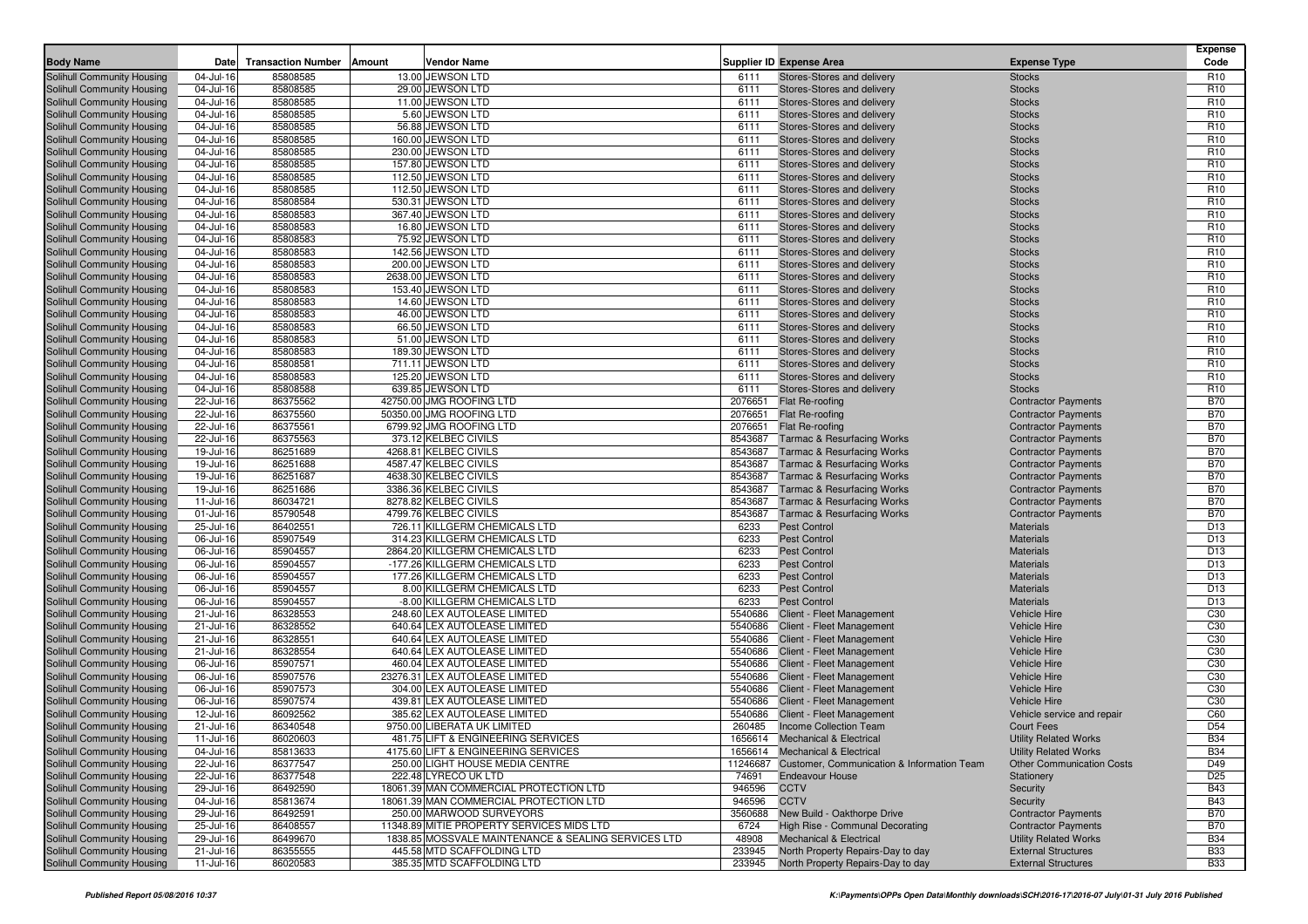|                            |               |                           |        |                                                     |         |                                                     |                                  | <b>Expense</b>  |
|----------------------------|---------------|---------------------------|--------|-----------------------------------------------------|---------|-----------------------------------------------------|----------------------------------|-----------------|
| <b>Body Name</b>           | Date          | <b>Transaction Number</b> | Amount | <b>Vendor Name</b>                                  |         | Supplier ID Expense Area                            | <b>Expense Type</b>              | Code            |
| Solihull Community Housing | 04-Jul-16     | 85808585                  |        | 13.00 JEWSON LTD                                    | 6111    | Stores-Stores and delivery                          | <b>Stocks</b>                    | R <sub>10</sub> |
| Solihull Community Housing | 04-Jul-16     | 85808585                  |        | 29.00 JEWSON LTD                                    | 6111    | Stores-Stores and delivery                          | <b>Stocks</b>                    | R <sub>10</sub> |
| Solihull Community Housing | 04-Jul-16     | 85808585                  |        | 11.00 JEWSON LTD                                    | 6111    | Stores-Stores and delivery                          | <b>Stocks</b>                    | R <sub>10</sub> |
| Solihull Community Housing | 04-Jul-16     | 85808585                  |        | 5.60 JEWSON LTD                                     | 6111    | Stores-Stores and delivery                          | <b>Stocks</b>                    | R <sub>10</sub> |
| Solihull Community Housing | 04-Jul-16     | 85808585                  |        | 56.88 JEWSON LTD                                    | 6111    | Stores-Stores and delivery                          | <b>Stocks</b>                    | R <sub>10</sub> |
| Solihull Community Housing | 04-Jul-16     | 85808585                  |        | 160.00 JEWSON LTD                                   | 6111    | Stores-Stores and delivery                          | <b>Stocks</b>                    | R <sub>10</sub> |
| Solihull Community Housing | 04-Jul-16     | 85808585                  |        | 230.00 JEWSON LTD                                   | 6111    | Stores-Stores and delivery                          | <b>Stocks</b>                    | R <sub>10</sub> |
| Solihull Community Housing | 04-Jul-16     | 85808585                  |        | 157.80 JEWSON LTD                                   | 6111    | Stores-Stores and delivery                          | <b>Stocks</b>                    | R <sub>10</sub> |
| Solihull Community Housing | 04-Jul-16     | 85808585                  |        | 112.50 JEWSON LTD                                   | 6111    | Stores-Stores and delivery                          | <b>Stocks</b>                    | R <sub>10</sub> |
| Solihull Community Housing | 04-Jul-16     | 85808585                  |        | 112.50 JEWSON LTD                                   | 6111    | Stores-Stores and delivery                          | <b>Stocks</b>                    | R <sub>10</sub> |
| Solihull Community Housing | 04-Jul-16     | 85808584                  |        | 530.31 JEWSON LTD                                   | 6111    | Stores-Stores and delivery                          | <b>Stocks</b>                    | R <sub>10</sub> |
| Solihull Community Housing | 04-Jul-16     | 85808583                  |        | 367.40 JEWSON LTD                                   | 6111    | Stores-Stores and delivery                          | <b>Stocks</b>                    | R <sub>10</sub> |
| Solihull Community Housing | 04-Jul-16     | 85808583                  |        | 16.80 JEWSON LTD                                    | 6111    | Stores-Stores and delivery                          | <b>Stocks</b>                    | R <sub>10</sub> |
| Solihull Community Housing | 04-Jul-16     | 85808583                  |        | 75.92 JEWSON LTD                                    | 6111    | Stores-Stores and delivery                          | <b>Stocks</b>                    | R <sub>10</sub> |
| Solihull Community Housing | 04-Jul-16     | 85808583                  |        | 142.56 JEWSON LTD                                   | 6111    | Stores-Stores and delivery                          | <b>Stocks</b>                    | R <sub>10</sub> |
| Solihull Community Housing | 04-Jul-16     | 85808583                  |        | 200.00 JEWSON LTD                                   | 6111    | Stores-Stores and delivery                          | <b>Stocks</b>                    | R <sub>10</sub> |
| Solihull Community Housing | 04-Jul-16     | 85808583                  |        | 2638.00 JEWSON LTD                                  | 6111    | Stores-Stores and delivery                          | <b>Stocks</b>                    | R <sub>10</sub> |
| Solihull Community Housing | 04-Jul-16     | 85808583                  |        | 153.40 JEWSON LTD                                   | 6111    | Stores-Stores and delivery                          | <b>Stocks</b>                    | R <sub>10</sub> |
| Solihull Community Housing | 04-Jul-16     | 85808583                  |        | 14.60 JEWSON LTD                                    | 6111    | Stores-Stores and delivery                          | <b>Stocks</b>                    | R <sub>10</sub> |
| Solihull Community Housing | 04-Jul-16     | 85808583                  |        | 46.00 JEWSON LTD                                    | 6111    | Stores-Stores and delivery                          | <b>Stocks</b>                    | R <sub>10</sub> |
| Solihull Community Housing | 04-Jul-16     | 85808583                  |        | 66.50 JEWSON LTD                                    | 6111    | Stores-Stores and delivery                          | <b>Stocks</b>                    | R <sub>10</sub> |
| Solihull Community Housing | 04-Jul-16     | 85808583                  |        | 51.00 JEWSON LTD                                    | 6111    | Stores-Stores and delivery                          | <b>Stocks</b>                    | R <sub>10</sub> |
| Solihull Community Housing | 04-Jul-16     | 85808583                  |        | 189.30 JEWSON LTD                                   | 6111    | Stores-Stores and delivery                          | <b>Stocks</b>                    | R <sub>10</sub> |
| Solihull Community Housing | 04-Jul-16     | 85808581                  |        | 711.11 JEWSON LTD                                   | 6111    | Stores-Stores and delivery                          | <b>Stocks</b>                    | R <sub>10</sub> |
| Solihull Community Housing | 04-Jul-16     | 85808583                  |        | 125.20 JEWSON LTD                                   | 6111    | Stores-Stores and delivery                          | <b>Stocks</b>                    | R <sub>10</sub> |
| Solihull Community Housing | 04-Jul-16     | 85808588                  |        | 639.85 JEWSON LTD                                   | 6111    | Stores-Stores and delivery                          | <b>Stocks</b>                    | R <sub>10</sub> |
| Solihull Community Housing | 22-Jul-16     | 86375562                  |        | 42750.00 JMG ROOFING LTD                            | 2076651 | <b>Flat Re-roofing</b>                              | <b>Contractor Payments</b>       | <b>B70</b>      |
| Solihull Community Housing | 22-Jul-16     | 86375560                  |        | 50350.00 JMG ROOFING LTD                            | 2076651 | Flat Re-roofing                                     | <b>Contractor Payments</b>       | <b>B70</b>      |
| Solihull Community Housing | 22-Jul-16     | 86375561                  |        | 6799.92 JMG ROOFING LTD                             | 2076651 | Flat Re-roofing                                     | <b>Contractor Payments</b>       | <b>B70</b>      |
| Solihull Community Housing | 22-Jul-16     | 86375563                  |        | 373.12 KELBEC CIVILS                                | 8543687 | <b>Tarmac &amp; Resurfacing Works</b>               | <b>Contractor Payments</b>       | <b>B70</b>      |
| Solihull Community Housing | 19-Jul-16     | 86251689                  |        | 4268.81 KELBEC CIVILS                               | 8543687 | <b>Tarmac &amp; Resurfacing Works</b>               | <b>Contractor Payments</b>       | <b>B70</b>      |
| Solihull Community Housing | 19-Jul-16     | 86251688                  |        | 4587.47 KELBEC CIVILS                               | 8543687 | <b>Tarmac &amp; Resurfacing Works</b>               | <b>Contractor Payments</b>       | <b>B70</b>      |
| Solihull Community Housing | 19-Jul-16     | 86251687                  |        | 4638.30 KELBEC CIVILS                               | 8543687 | <b>Tarmac &amp; Resurfacing Works</b>               | <b>Contractor Payments</b>       | <b>B70</b>      |
| Solihull Community Housing | 19-Jul-16     | 86251686                  |        | 3386.36 KELBEC CIVILS                               | 8543687 | <b>Tarmac &amp; Resurfacing Works</b>               | <b>Contractor Payments</b>       | <b>B70</b>      |
| Solihull Community Housing | 11-Jul-16     | 86034721                  |        | 8278.82 KELBEC CIVILS                               | 8543687 | <b>Tarmac &amp; Resurfacing Works</b>               | <b>Contractor Payments</b>       | <b>B70</b>      |
| Solihull Community Housing | 01-Jul-16     | 85790548                  |        | 4799.76 KELBEC CIVILS                               | 8543687 | <b>Tarmac &amp; Resurfacing Works</b>               | <b>Contractor Payments</b>       | <b>B70</b>      |
| Solihull Community Housing | 25-Jul-16     | 86402551                  |        | 726.11 KILLGERM CHEMICALS LTD                       | 6233    | <b>Pest Control</b>                                 | <b>Materials</b>                 | D <sub>13</sub> |
| Solihull Community Housing | 06-Jul-16     | 85907549                  |        | 314.23 KILLGERM CHEMICALS LTD                       | 6233    | <b>Pest Control</b>                                 | <b>Materials</b>                 | D <sub>13</sub> |
| Solihull Community Housing | 06-Jul-16     | 85904557                  |        | 2864.20 KILLGERM CHEMICALS LTD                      | 6233    | <b>Pest Control</b>                                 | <b>Materials</b>                 | D <sub>13</sub> |
| Solihull Community Housing | 06-Jul-16     | 85904557                  |        | -177.26 KILLGERM CHEMICALS LTD                      | 6233    | <b>Pest Control</b>                                 | <b>Materials</b>                 | D <sub>13</sub> |
| Solihull Community Housing | 06-Jul-16     | 85904557                  |        | 177.26 KILLGERM CHEMICALS LTD                       | 6233    | <b>Pest Control</b>                                 | <b>Materials</b>                 | D <sub>13</sub> |
| Solihull Community Housing | 06-Jul-16     | 85904557                  |        | 8.00 KILLGERM CHEMICALS LTD                         | 6233    | <b>Pest Control</b>                                 | <b>Materials</b>                 | D <sub>13</sub> |
| Solihull Community Housing | 06-Jul-16     | 85904557                  |        | -8.00 KILLGERM CHEMICALS LTD                        | 6233    | <b>Pest Control</b>                                 | <b>Materials</b>                 | D <sub>13</sub> |
| Solihull Community Housing | 21-Jul-16     | 86328553                  |        | 248.60 LEX AUTOLEASE LIMITED                        |         | 5540686 Client - Fleet Management                   | Vehicle Hire                     | C <sub>30</sub> |
| Solihull Community Housing | 21-Jul-16     | 86328552                  |        | 640.64 LEX AUTOLEASE LIMITED                        | 5540686 | Client - Fleet Management                           | <b>Vehicle Hire</b>              | C <sub>30</sub> |
| Solihull Community Housing | 21-Jul-16     | 86328551                  |        | 640.64 LEX AUTOLEASE LIMITED                        | 5540686 | Client - Fleet Management                           | <b>Vehicle Hire</b>              | C <sub>30</sub> |
| Solihull Community Housing | 21-Jul-16     | 86328554                  |        | 640.64 LEX AUTOLEASE LIMITED                        |         | 5540686 Client - Fleet Management                   | Vehicle Hire                     | C <sub>30</sub> |
| Solihull Community Housing | 06-Jul-16     | 85907571                  |        | 460.04 LEX AUTOLEASE LIMITED                        | 5540686 | Client - Fleet Management                           | <b>Vehicle Hire</b>              | C <sub>30</sub> |
| Solihull Community Housing | 06-Jul-16     | 85907576                  |        | 23276.31 LEX AUTOLEASE LIMITED                      | 5540686 | Client - Fleet Management                           | <b>Vehicle Hire</b>              | C <sub>30</sub> |
| Solihull Community Housing | 06-Jul-16     | 85907573                  |        | 304.00 LEX AUTOLEASE LIMITED                        |         | 5540686 Client - Fleet Management                   | Vehicle Hire                     | C <sub>30</sub> |
| Solihull Community Housing | 06-Jul-16     | 85907574                  |        | 439.81 LEX AUTOLEASE LIMITED                        | 5540686 | Client - Fleet Management                           | <b>Vehicle Hire</b>              | C <sub>30</sub> |
| Solihull Community Housing | 12-Jul-16     | 86092562                  |        | 385.62 LEX AUTOLEASE LIMITED                        | 5540686 | Client - Fleet Management                           | Vehicle service and repair       | C60             |
| Solihull Community Housing | 21-Jul-16     | 86340548                  |        | 9750.00 LIBERATA UK LIMITED                         | 260485  | <b>Income Collection Team</b>                       | Court Fees                       | D <sub>54</sub> |
| Solihull Community Housing | $11 -$ Jul-16 | 86020603                  |        | 481.75 LIFT & ENGINEERING SERVICES                  |         | 1656614 Mechanical & Electrical                     | <b>Utility Related Works</b>     | <b>B34</b>      |
| Solihull Community Housing | 04-Jul-16     | 85813633                  |        | 4175.60 LIFT & ENGINEERING SERVICES                 |         | 1656614 Mechanical & Electrical                     | <b>Utility Related Works</b>     | <b>B34</b>      |
| Solihull Community Housing | 22-Jul-16     | 86377547                  |        | 250.00 LIGHT HOUSE MEDIA CENTRE                     |         | 11246687 Customer, Communication & Information Team | <b>Other Communication Costs</b> | D49             |
| Solihull Community Housing | 22-Jul-16     | 86377548                  |        | 222.48 LYRECO UK LTD                                | 74691   | <b>Endeavour House</b>                              | Stationery                       | D <sub>25</sub> |
| Solihull Community Housing | 29-Jul-16     | 86492590                  |        | 18061.39 MAN COMMERCIAL PROTECTION LTD              | 946596  | <b>CCTV</b>                                         | Security                         | <b>B43</b>      |
| Solihull Community Housing | 04-Jul-16     | 85813674                  |        | 18061.39 MAN COMMERCIAL PROTECTION LTD              | 946596  | <b>CCTV</b>                                         | Security                         | <b>B43</b>      |
| Solihull Community Housing | 29-Jul-16     | 86492591                  |        | 250.00 MARWOOD SURVEYORS                            | 3560688 | New Build - Oakthorpe Drive                         | <b>Contractor Payments</b>       | <b>B70</b>      |
| Solihull Community Housing | 25-Jul-16     | 86408557                  |        | 11348.89 MITIE PROPERTY SERVICES MIDS LTD           | 6724    | High Rise - Communal Decorating                     | <b>Contractor Payments</b>       | <b>B70</b>      |
| Solihull Community Housing | 29-Jul-16     | 86499670                  |        | 1838.85 MOSSVALE MAINTENANCE & SEALING SERVICES LTD | 48908   | <b>Mechanical &amp; Electrical</b>                  | <b>Utility Related Works</b>     | <b>B34</b>      |
| Solihull Community Housing | 21-Jul-16     | 86355555                  |        | 445.58 MTD SCAFFOLDING LTD                          | 233945  | North Property Repairs-Day to day                   | <b>External Structures</b>       | <b>B33</b>      |
| Solihull Community Housing | $11$ -Jul-16  | 86020583                  |        | 385.35 MTD SCAFFOLDING LTD                          | 233945  | North Property Repairs-Day to day                   | <b>External Structures</b>       | <b>B33</b>      |
|                            |               |                           |        |                                                     |         |                                                     |                                  |                 |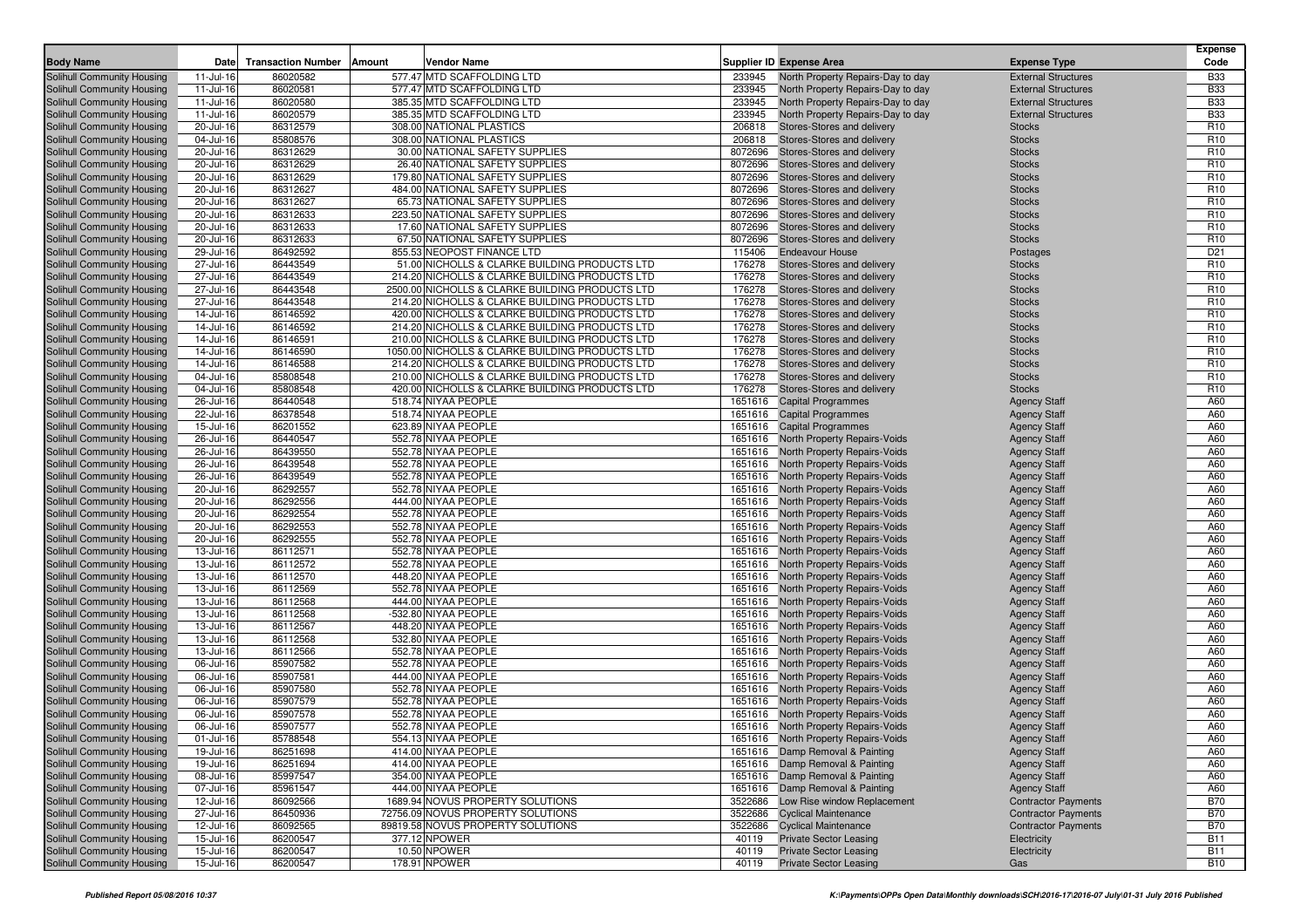| <b>Body Name</b>                                         | Date                   | <b>Transaction Number</b> | <b>Amount</b><br>Vendor Name                                                                     |                  | Supplier ID Expense Area                                                     | <b>Expense Type</b>                        | <b>Expense</b><br>Code             |
|----------------------------------------------------------|------------------------|---------------------------|--------------------------------------------------------------------------------------------------|------------------|------------------------------------------------------------------------------|--------------------------------------------|------------------------------------|
| Solihull Community Housing                               | 11-Jul-16              | 86020582                  | 577.47 MTD SCAFFOLDING LTD                                                                       | 233945           | North Property Repairs-Day to day                                            | <b>External Structures</b>                 | <b>B33</b>                         |
| Solihull Community Housing                               | 11-Jul-16              | 86020581                  | 577.47 MTD SCAFFOLDING LTD                                                                       | 233945           | North Property Repairs-Day to day                                            | <b>External Structures</b>                 | <b>B33</b>                         |
| Solihull Community Housing                               | 11-Jul-16              | 86020580                  | 385.35 MTD SCAFFOLDING LTD                                                                       | 233945           | North Property Repairs-Day to day                                            | <b>External Structures</b>                 | <b>B33</b>                         |
| Solihull Community Housing                               | 11-Jul-16              | 86020579                  | 385.35 MTD SCAFFOLDING LTD                                                                       | 233945           | North Property Repairs-Day to day                                            | <b>External Structures</b>                 | <b>B33</b>                         |
| Solihull Community Housing                               | 20-Jul-16              | 86312579                  | 308.00 NATIONAL PLASTICS                                                                         | 206818           | Stores-Stores and delivery                                                   | <b>Stocks</b>                              | R <sub>10</sub>                    |
| Solihull Community Housing                               | 04-Jul-16              | 85808576                  | 308.00 NATIONAL PLASTICS                                                                         | 206818           | Stores-Stores and delivery                                                   | <b>Stocks</b>                              | R <sub>10</sub>                    |
| Solihull Community Housing                               | 20-Jul-16              | 86312629                  | 30.00 NATIONAL SAFETY SUPPLIES                                                                   | 8072696          | Stores-Stores and delivery                                                   | <b>Stocks</b>                              | R <sub>10</sub>                    |
| Solihull Community Housing                               | 20-Jul-16              | 86312629                  | 26.40 NATIONAL SAFETY SUPPLIES                                                                   | 8072696          | Stores-Stores and delivery                                                   | <b>Stocks</b>                              | R <sub>10</sub>                    |
| Solihull Community Housing                               | 20-Jul-16              | 86312629                  | 179.80 NATIONAL SAFETY SUPPLIES                                                                  | 8072696          | Stores-Stores and delivery                                                   | <b>Stocks</b>                              | R <sub>10</sub>                    |
| Solihull Community Housing                               | 20-Jul-16              | 86312627                  | 484.00 NATIONAL SAFETY SUPPLIES                                                                  | 8072696          | Stores-Stores and delivery                                                   | <b>Stocks</b>                              | R <sub>10</sub>                    |
| Solihull Community Housing                               | 20-Jul-16              | 86312627                  | 65.73 NATIONAL SAFETY SUPPLIES                                                                   | 8072696          | Stores-Stores and delivery                                                   | <b>Stocks</b>                              | R <sub>10</sub>                    |
| Solihull Community Housing                               | 20-Jul-16              | 86312633                  | 223.50 NATIONAL SAFETY SUPPLIES                                                                  | 8072696          | Stores-Stores and delivery                                                   | <b>Stocks</b>                              | R <sub>10</sub>                    |
| Solihull Community Housing                               | 20-Jul-16              | 86312633                  | 17.60 NATIONAL SAFETY SUPPLIES                                                                   | 8072696          | Stores-Stores and delivery                                                   | <b>Stocks</b>                              | R <sub>10</sub>                    |
| Solihull Community Housing                               | 20-Jul-16              | 86312633                  | 67.50 NATIONAL SAFETY SUPPLIES                                                                   | 8072696          | Stores-Stores and delivery                                                   | <b>Stocks</b>                              | R <sub>10</sub>                    |
| Solihull Community Housing                               | 29-Jul-16              | 86492592                  | 855.53 NEOPOST FINANCE LTD                                                                       | 115406           | <b>Endeavour House</b>                                                       | Postages                                   | D <sub>21</sub>                    |
| Solihull Community Housing                               | 27-Jul-16              | 86443549                  | 51.00 NICHOLLS & CLARKE BUILDING PRODUCTS LTD                                                    | 176278           | Stores-Stores and delivery                                                   | <b>Stocks</b>                              | R <sub>10</sub>                    |
| Solihull Community Housing                               | 27-Jul-16              | 86443549                  | 214.20 NICHOLLS & CLARKE BUILDING PRODUCTS LTD                                                   | 176278           | Stores-Stores and delivery                                                   | <b>Stocks</b>                              | R <sub>10</sub>                    |
| Solihull Community Housing                               | 27-Jul-16              | 86443548                  | 2500.00 NICHOLLS & CLARKE BUILDING PRODUCTS LTD                                                  | 176278           | Stores-Stores and delivery                                                   | <b>Stocks</b>                              | R <sub>10</sub>                    |
| Solihull Community Housing                               | 27-Jul-16              | 86443548                  | 214.20 NICHOLLS & CLARKE BUILDING PRODUCTS LTD                                                   | 176278           | Stores-Stores and delivery                                                   | <b>Stocks</b>                              | R <sub>10</sub>                    |
| Solihull Community Housing                               | 14-Jul-16              | 86146592<br>86146592      | 420.00 NICHOLLS & CLARKE BUILDING PRODUCTS LTD<br>214.20 NICHOLLS & CLARKE BUILDING PRODUCTS LTD | 176278<br>176278 | Stores-Stores and delivery<br>Stores-Stores and delivery                     | <b>Stocks</b><br><b>Stocks</b>             | R <sub>10</sub><br>R <sub>10</sub> |
| Solihull Community Housing<br>Solihull Community Housing | 14-Jul-16<br>14-Jul-16 | 86146591                  | 210.00 NICHOLLS & CLARKE BUILDING PRODUCTS LTD                                                   | 176278           | Stores-Stores and delivery                                                   | <b>Stocks</b>                              | R <sub>10</sub>                    |
| Solihull Community Housing                               | 14-Jul-16              | 86146590                  | 1050.00 NICHOLLS & CLARKE BUILDING PRODUCTS LTD                                                  | 176278           | Stores-Stores and delivery                                                   | <b>Stocks</b>                              | R <sub>10</sub>                    |
| Solihull Community Housing                               | 14-Jul-16              | 86146588                  | 214.20 NICHOLLS & CLARKE BUILDING PRODUCTS LTD                                                   | 176278           | Stores-Stores and delivery                                                   | <b>Stocks</b>                              | R <sub>10</sub>                    |
| Solihull Community Housing                               | 04-Jul-16              | 85808548                  | 210.00 NICHOLLS & CLARKE BUILDING PRODUCTS LTD                                                   | 176278           | Stores-Stores and delivery                                                   | <b>Stocks</b>                              | R <sub>10</sub>                    |
| Solihull Community Housing                               | 04-Jul-16              | 85808548                  | 420.00 NICHOLLS & CLARKE BUILDING PRODUCTS LTD                                                   | 176278           | Stores-Stores and delivery                                                   | <b>Stocks</b>                              | R <sub>10</sub>                    |
| Solihull Community Housing                               | 26-Jul-16              | 86440548                  | 518.74 NIYAA PEOPLE                                                                              | 1651616          | <b>Capital Programmes</b>                                                    | <b>Agency Staff</b>                        | A60                                |
| Solihull Community Housing                               | 22-Jul-16              | 86378548                  | 518.74 NIYAA PEOPLE                                                                              |                  | 1651616 Capital Programmes                                                   | <b>Agency Staff</b>                        | A60                                |
| Solihull Community Housing                               | 15-Jul-16              | 86201552                  | 623.89 NIYAA PEOPLE                                                                              | 1651616          | <b>Capital Programmes</b>                                                    | <b>Agency Staff</b>                        | A60                                |
| Solihull Community Housing                               | 26-Jul-16              | 86440547                  | 552.78 NIYAA PEOPLE                                                                              |                  | 1651616 North Property Repairs-Voids                                         | <b>Agency Staff</b>                        | A60                                |
| Solihull Community Housing                               | 26-Jul-16              | 86439550                  | 552.78 NIYAA PEOPLE                                                                              |                  | 1651616 North Property Repairs-Voids                                         | <b>Agency Staff</b>                        | A60                                |
| Solihull Community Housing                               | 26-Jul-16              | 86439548                  | 552.78 NIYAA PEOPLE                                                                              |                  | 1651616 North Property Repairs-Voids                                         | <b>Agency Staff</b>                        | A60                                |
| Solihull Community Housing                               | 26-Jul-16              | 86439549                  | 552.78 NIYAA PEOPLE                                                                              |                  | 1651616 North Property Repairs-Voids                                         | <b>Agency Staff</b>                        | A60                                |
| Solihull Community Housing                               | 20-Jul-16              | 86292557                  | 552.78 NIYAA PEOPLE                                                                              |                  | 1651616 North Property Repairs-Voids                                         | <b>Agency Staff</b>                        | A60                                |
| Solihull Community Housing                               | 20-Jul-16              | 86292556                  | 444.00 NIYAA PEOPLE                                                                              |                  | 1651616 North Property Repairs-Voids                                         | <b>Agency Staff</b>                        | A60                                |
| Solihull Community Housing                               | 20-Jul-16              | 86292554                  | 552.78 NIYAA PEOPLE                                                                              |                  | 1651616 North Property Repairs-Voids                                         | <b>Agency Staff</b>                        | A60                                |
| Solihull Community Housing                               | 20-Jul-16              | 86292553                  | 552.78 NIYAA PEOPLE                                                                              |                  | 1651616 North Property Repairs-Voids                                         | <b>Agency Staff</b>                        | A60                                |
| Solihull Community Housing                               | 20-Jul-16              | 86292555                  | 552.78 NIYAA PEOPLE                                                                              |                  | 1651616 North Property Repairs-Voids                                         | <b>Agency Staff</b>                        | A60                                |
| Solihull Community Housing                               | 13-Jul-16              | 86112571                  | 552.78 NIYAA PEOPLE                                                                              |                  | 1651616 North Property Repairs-Voids                                         | <b>Agency Staff</b>                        | A60                                |
| Solihull Community Housing                               | 13-Jul-16              | 86112572                  | 552.78 NIYAA PEOPLE                                                                              |                  | 1651616 North Property Repairs-Voids                                         | <b>Agency Staff</b>                        | A60                                |
| Solihull Community Housing                               | 13-Jul-16              | 86112570                  | 448.20 NIYAA PEOPLE                                                                              |                  | 1651616 North Property Repairs-Voids                                         | <b>Agency Staff</b>                        | A60                                |
| Solihull Community Housing                               | 13-Jul-16              | 86112569                  | 552.78 NIYAA PEOPLE                                                                              |                  | 1651616 North Property Repairs-Voids                                         | <b>Agency Staff</b>                        | A60                                |
| Solihull Community Housing                               | 13-Jul-16              | 86112568                  | 444.00 NIYAA PEOPLE                                                                              |                  | 1651616 North Property Repairs-Voids                                         | <b>Agency Staff</b>                        | A60                                |
| Solihull Community Housing<br>Solihull Community Housing | 13-Jul-16<br>13-Jul-16 | 86112568<br>86112567      | -532.80 NIYAA PEOPLE<br>448.20 NIYAA PEOPLE                                                      |                  | 1651616 North Property Repairs-Voids<br>1651616 North Property Repairs-Voids | <b>Agency Staff</b>                        | A60<br>A60                         |
| Solihull Community Housing                               | 13-Jul-16              | 86112568                  | 532.80 NIYAA PEOPLE                                                                              | 1651616          | <b>North Property Repairs-Voids</b>                                          | <b>Agency Staff</b>                        | A60                                |
| Solihull Community Housing                               | 13-Jul-16              | 86112566                  | 552.78 NIYAA PEOPLE                                                                              |                  | 1651616 North Property Repairs-Voids                                         | <b>Agency Staff</b><br><b>Agency Staff</b> | A60                                |
| Solihull Community Housing                               | 06-Jul-16              | 85907582                  | 552.78 NIYAA PEOPLE                                                                              |                  | 1651616 North Property Repairs-Voids                                         | <b>Agency Staff</b>                        | A60                                |
| Solihull Community Housing                               | 06-Jul-16              | 85907581                  | 444.00 NIYAA PEOPLE                                                                              | 1651616          | <b>North Property Repairs-Voids</b>                                          | <b>Agency Staff</b>                        | A60                                |
| Solihull Community Housing                               | 06-Jul-16              | 85907580                  | 552.78 NIYAA PEOPLE                                                                              |                  | 1651616 North Property Repairs-Voids                                         | <b>Agency Staff</b>                        | A60                                |
| Solihull Community Housing                               | 06-Jul-16              | 85907579                  | 552.78 NIYAA PEOPLE                                                                              |                  | 1651616 North Property Repairs-Voids                                         | <b>Agency Staff</b>                        | A60                                |
| Solihull Community Housing                               | 06-Jul-16              | 85907578                  | 552.78 NIYAA PEOPLE                                                                              |                  | 1651616 North Property Repairs-Voids                                         | <b>Agency Staff</b>                        | A60                                |
| Solihull Community Housing                               | 06-Jul-16              | 85907577                  | 552.78 NIYAA PEOPLE                                                                              |                  | 1651616 North Property Repairs-Voids                                         | <b>Agency Staff</b>                        | A60                                |
| Solihull Community Housing                               | 01-Jul-16              | 85788548                  | 554.13 NIYAA PEOPLE                                                                              |                  | 1651616 North Property Repairs-Voids                                         | <b>Agency Staff</b>                        | A60                                |
| Solihull Community Housing                               | 19-Jul-16              | 86251698                  | 414.00 NIYAA PEOPLE                                                                              |                  | 1651616 Damp Removal & Painting                                              | <b>Agency Staff</b>                        | A60                                |
| Solihull Community Housing                               | 19-Jul-16              | 86251694                  | 414.00 NIYAA PEOPLE                                                                              |                  | 1651616 Damp Removal & Painting                                              | <b>Agency Staff</b>                        | A60                                |
| Solihull Community Housing                               | 08-Jul-16              | 85997547                  | 354.00 NIYAA PEOPLE                                                                              |                  | 1651616 Damp Removal & Painting                                              | <b>Agency Staff</b>                        | A60                                |
| Solihull Community Housing                               | 07-Jul-16              | 85961547                  | 444.00 NIYAA PEOPLE                                                                              |                  | 1651616 Damp Removal & Painting                                              | <b>Agency Staff</b>                        | A60                                |
| Solihull Community Housing                               | 12-Jul-16              | 86092566                  | 1689.94 NOVUS PROPERTY SOLUTIONS                                                                 |                  | 3522686 Low Rise window Replacement                                          | <b>Contractor Payments</b>                 | <b>B70</b>                         |
| Solihull Community Housing                               | 27-Jul-16              | 86450936                  | 72756.09 NOVUS PROPERTY SOLUTIONS                                                                |                  | 3522686 Cyclical Maintenance                                                 | <b>Contractor Payments</b>                 | <b>B70</b>                         |
| Solihull Community Housing                               | 12-Jul-16              | 86092565                  | 89819.58 NOVUS PROPERTY SOLUTIONS                                                                |                  | 3522686 Cyclical Maintenance                                                 | <b>Contractor Payments</b>                 | <b>B70</b>                         |
| Solihull Community Housing                               | 15-Jul-16              | 86200547                  | 377.12 NPOWER                                                                                    | 40119            | <b>Private Sector Leasing</b>                                                | Electricity                                | <b>B11</b>                         |
| Solihull Community Housing                               | 15-Jul-16              | 86200547                  | 10.50 NPOWER                                                                                     | 40119            | <b>Private Sector Leasing</b>                                                | Electricity                                | <b>B11</b>                         |
| Solihull Community Housing                               | 15-Jul-16              | 86200547                  | 178.91 NPOWER                                                                                    | 40119            | <b>Private Sector Leasing</b>                                                | Gas                                        | <b>B10</b>                         |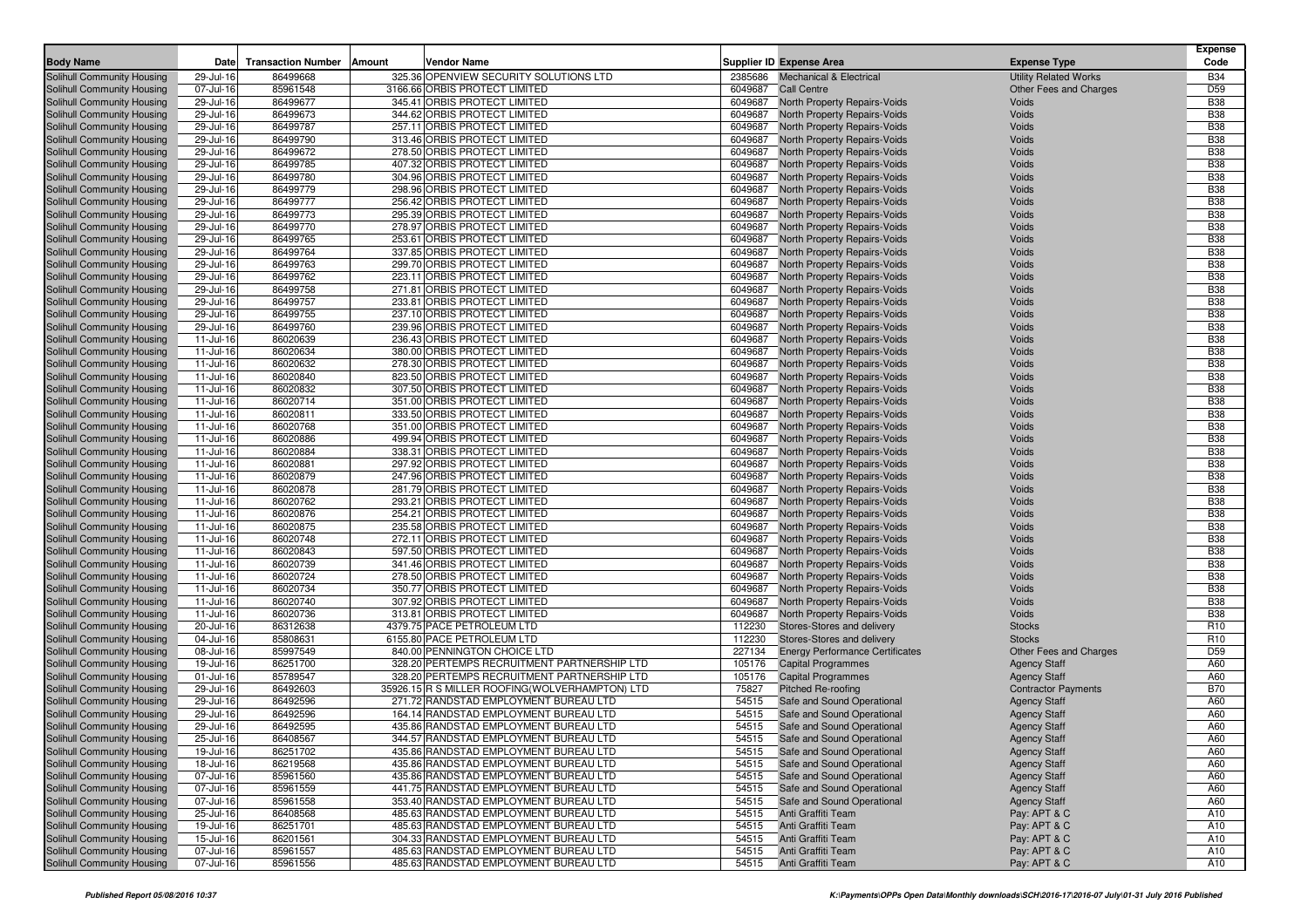| <b>Body Name</b>                                         | Date                   | <b>Transaction Number</b> | Amount<br>Vendor Name                                        | Supplier ID Expense Area                                                | <b>Expense Type</b>          | <b>Expense</b><br>Code   |
|----------------------------------------------------------|------------------------|---------------------------|--------------------------------------------------------------|-------------------------------------------------------------------------|------------------------------|--------------------------|
| Solihull Community Housing                               | 29-Jul-16              | 86499668                  | 325.36 OPENVIEW SECURITY SOLUTIONS LTD                       | 2385686 Mechanical & Electrical                                         | <b>Utility Related Works</b> | <b>B34</b>               |
| Solihull Community Housing                               | 07-Jul-16              | 85961548                  | 3166.66 ORBIS PROTECT LIMITED                                | 6049687<br><b>Call Centre</b>                                           | Other Fees and Charges       | D <sub>59</sub>          |
| Solihull Community Housing                               | 29-Jul-16              | 86499677                  | 345.41 ORBIS PROTECT LIMITED                                 | 6049687<br>North Property Repairs-Voids                                 | Voids                        | <b>B38</b>               |
| Solihull Community Housing                               | 29-Jul-16              | 86499673                  | 344.62 ORBIS PROTECT LIMITED                                 | 6049687<br>North Property Repairs-Voids                                 | <b>Voids</b>                 | <b>B38</b>               |
| Solihull Community Housing                               | 29-Jul-16              | 86499787                  | 257.11 ORBIS PROTECT LIMITED                                 | 6049687<br>North Property Repairs-Voids                                 | Voids                        | <b>B38</b>               |
| Solihull Community Housing                               | 29-Jul-16              | 86499790                  | 313.46 ORBIS PROTECT LIMITED                                 | 6049687<br>North Property Repairs-Voids                                 | Voids                        | <b>B38</b>               |
| Solihull Community Housing                               | 29-Jul-16              | 86499672                  | 278.50 ORBIS PROTECT LIMITED                                 | 6049687<br>North Property Repairs-Voids                                 | Voids                        | <b>B38</b>               |
| Solihull Community Housing                               | 29-Jul-16              | 86499785                  | 407.32 ORBIS PROTECT LIMITED                                 | 6049687<br>North Property Repairs-Voids                                 | Voids                        | <b>B38</b>               |
| Solihull Community Housing                               | 29-Jul-16              | 86499780                  | 304.96 ORBIS PROTECT LIMITED                                 | 6049687<br>North Property Repairs-Voids                                 | Voids                        | <b>B38</b>               |
| Solihull Community Housing                               | 29-Jul-16              | 86499779                  | 298.96 ORBIS PROTECT LIMITED                                 | 6049687<br>North Property Repairs-Voids                                 | Voids                        | <b>B38</b>               |
| Solihull Community Housing                               | 29-Jul-16              | 86499777                  | 256.42 ORBIS PROTECT LIMITED                                 | 6049687<br>North Property Repairs-Voids                                 | Voids                        | <b>B38</b>               |
| Solihull Community Housing                               | 29-Jul-16              | 86499773                  | 295.39 ORBIS PROTECT LIMITED                                 | 6049687<br><b>North Property Repairs-Voids</b>                          | Voids                        | <b>B38</b>               |
| Solihull Community Housing                               | 29-Jul-16              | 86499770                  | 278.97 ORBIS PROTECT LIMITED                                 | 6049687<br>North Property Repairs-Voids                                 | Voids                        | <b>B38</b>               |
| Solihull Community Housing                               | 29-Jul-16              | 86499765                  | 253.61 ORBIS PROTECT LIMITED                                 | 6049687<br>North Property Repairs-Voids                                 | Voids                        | <b>B38</b>               |
| Solihull Community Housing                               | 29-Jul-16              | 86499764                  | 337.85 ORBIS PROTECT LIMITED                                 | 6049687<br>North Property Repairs-Voids                                 | Voids                        | <b>B38</b>               |
| Solihull Community Housing                               | 29-Jul-16              | 86499763                  | 299.70 ORBIS PROTECT LIMITED                                 | 6049687<br>North Property Repairs-Voids                                 | Voids                        | <b>B38</b>               |
| Solihull Community Housing                               | 29-Jul-16              | 86499762                  | 223.11 ORBIS PROTECT LIMITED                                 | 6049687<br>North Property Repairs-Voids<br>6049687                      | Voids<br>Voids               | <b>B38</b><br><b>B38</b> |
| Solihull Community Housing                               | 29-Jul-16              | 86499758                  | 271.81 ORBIS PROTECT LIMITED<br>233.81 ORBIS PROTECT LIMITED | North Property Repairs-Voids<br>6049687                                 | Voids                        | <b>B38</b>               |
| Solihull Community Housing<br>Solihull Community Housing | 29-Jul-16<br>29-Jul-16 | 86499757<br>86499755      | 237.10 ORBIS PROTECT LIMITED                                 | North Property Repairs-Voids<br>6049687<br>North Property Repairs-Voids | Voids                        | <b>B38</b>               |
| Solihull Community Housing                               | 29-Jul-16              | 86499760                  | 239.96 ORBIS PROTECT LIMITED                                 | 6049687<br>North Property Repairs-Voids                                 | Voids                        | <b>B38</b>               |
| Solihull Community Housing                               | 11-Jul-16              | 86020639                  | 236.43 ORBIS PROTECT LIMITED                                 | 6049687<br>North Property Repairs-Voids                                 | Voids                        | <b>B38</b>               |
| Solihull Community Housing                               | 11-Jul-16              | 86020634                  | 380.00 ORBIS PROTECT LIMITED                                 | 6049687<br>North Property Repairs-Voids                                 | Voids                        | <b>B38</b>               |
| Solihull Community Housing                               | 11-Jul-16              | 86020632                  | 278.30 ORBIS PROTECT LIMITED                                 | 6049687<br>North Property Repairs-Voids                                 | Voids                        | <b>B38</b>               |
| Solihull Community Housing                               | 11-Jul-16              | 86020840                  | 823.50 ORBIS PROTECT LIMITED                                 | 6049687<br>North Property Repairs-Voids                                 | Voids                        | <b>B38</b>               |
| Solihull Community Housing                               | 11-Jul-16              | 86020832                  | 307.50 ORBIS PROTECT LIMITED                                 | 6049687<br>North Property Repairs-Voids                                 | Voids                        | <b>B38</b>               |
| <b>Solihull Community Housing</b>                        | 11-Jul-16              | 86020714                  | 351.00 ORBIS PROTECT LIMITED                                 | 6049687<br><b>North Property Repairs-Voids</b>                          | Voids                        | <b>B38</b>               |
| Solihull Community Housing                               | 11-Jul-16              | 86020811                  | 333.50 ORBIS PROTECT LIMITED                                 | 6049687<br>North Property Repairs-Voids                                 | Voids                        | <b>B38</b>               |
| Solihull Community Housing                               | 11-Jul-16              | 86020768                  | 351.00 ORBIS PROTECT LIMITED                                 | 6049687<br>North Property Repairs-Voids                                 | Voids                        | <b>B38</b>               |
| <b>Solihull Community Housing</b>                        | 11-Jul-16              | 86020886                  | 499.94 ORBIS PROTECT LIMITED                                 | 6049687<br><b>North Property Repairs-Voids</b>                          | Voids                        | <b>B38</b>               |
| Solihull Community Housing                               | 11-Jul-16              | 86020884                  | 338.31 ORBIS PROTECT LIMITED                                 | 6049687<br>North Property Repairs-Voids                                 | Voids                        | <b>B38</b>               |
| Solihull Community Housing                               | 11-Jul-16              | 86020881                  | 297.92 ORBIS PROTECT LIMITED                                 | 6049687<br>North Property Repairs-Voids                                 | Voids                        | <b>B38</b>               |
| Solihull Community Housing                               | 11-Jul-16              | 86020879                  | 247.96 ORBIS PROTECT LIMITED                                 | 6049687<br>North Property Repairs-Voids                                 | Voids                        | <b>B38</b>               |
| Solihull Community Housing                               | 11-Jul-16              | 86020878                  | 281.79 ORBIS PROTECT LIMITED                                 | 6049687<br>North Property Repairs-Voids                                 | Voids                        | <b>B38</b>               |
| Solihull Community Housing                               | 11-Jul-16              | 86020762                  | 293.21 ORBIS PROTECT LIMITED                                 | 6049687<br>North Property Repairs-Voids                                 | Voids                        | <b>B38</b>               |
| Solihull Community Housing                               | 11-Jul-16              | 86020876                  | 254.21 ORBIS PROTECT LIMITED                                 | 6049687<br>North Property Repairs-Voids                                 | Voids                        | <b>B38</b>               |
| Solihull Community Housing                               | 11-Jul-16              | 86020875                  | 235.58 ORBIS PROTECT LIMITED                                 | 6049687<br>North Property Repairs-Voids                                 | Voids                        | <b>B38</b>               |
| Solihull Community Housing                               | 11-Jul-16              | 86020748                  | 272.11 ORBIS PROTECT LIMITED                                 | 6049687<br>North Property Repairs-Voids                                 | Voids                        | <b>B38</b>               |
| <b>Solihull Community Housing</b>                        | 11-Jul-16              | 86020843                  | 597.50 ORBIS PROTECT LIMITED                                 | 6049687<br>North Property Repairs-Voids                                 | Voids                        | <b>B38</b>               |
| Solihull Community Housing                               | 11-Jul-16              | 86020739                  | 341.46 ORBIS PROTECT LIMITED                                 | 6049687<br>North Property Repairs-Voids                                 | Voids                        | <b>B38</b>               |
| Solihull Community Housing                               | 11-Jul-16              | 86020724                  | 278.50 ORBIS PROTECT LIMITED                                 | 6049687<br>North Property Repairs-Voids                                 | Voids                        | <b>B38</b>               |
| Solihull Community Housing                               | 11-Jul-16              | 86020734                  | 350.77 ORBIS PROTECT LIMITED                                 | 6049687<br>North Property Repairs-Voids<br>6049687                      | Voids                        | <b>B38</b><br><b>B38</b> |
| Solihull Community Housing<br>Solihull Community Housing | 11-Jul-16<br>11-Jul-16 | 86020740<br>86020736      | 307.92 ORBIS PROTECT LIMITED<br>313.81 ORBIS PROTECT LIMITED | North Property Repairs-Voids<br>6049687<br>North Property Repairs-Voids | Voids<br>Voids               | <b>B38</b>               |
| Solihull Community Housing                               | 20-Jul-16              | 86312638                  | 4379.75 PACE PETROLEUM LTD                                   | 112230<br>Stores-Stores and delivery                                    | <b>Stocks</b>                | R <sub>10</sub>          |
| Solihull Community Housing                               | 04-Jul-16              | 85808631                  | 6155.80 PACE PETROLEUM LTD                                   | 112230<br>Stores-Stores and delivery                                    | <b>Stocks</b>                | R <sub>10</sub>          |
| Solihull Community Housing                               | 08-Jul-16              | 85997549                  | 840.00 PENNINGTON CHOICE LTD                                 | 227134<br><b>Energy Performance Certificates</b>                        | Other Fees and Charges       | D <sub>59</sub>          |
| Solihull Community Housing                               | 19-Jul-16              | 86251700                  | 328.20 PERTEMPS RECRUITMENT PARTNERSHIP LTD                  | 105176<br><b>Capital Programmes</b>                                     | <b>Agency Staff</b>          | A60                      |
| Solihull Community Housing                               | 01-Jul-16              | 85789547                  | 328.20 PERTEMPS RECRUITMENT PARTNERSHIP LTD                  | 105176<br><b>Capital Programmes</b>                                     | <b>Agency Staff</b>          | A60                      |
| Solihull Community Housing                               | 29-Jul-16              | 86492603                  | 35926.15 R S MILLER ROOFING(WOLVERHAMPTON) LTD               | 75827<br><b>Pitched Re-roofing</b>                                      | <b>Contractor Payments</b>   | <b>B70</b>               |
| Solihull Community Housing                               | 29-Jul-16              | 86492596                  | 271.72 RANDSTAD EMPLOYMENT BUREAU LTD                        | 54515<br>Safe and Sound Operational                                     | <b>Agency Staff</b>          | A60                      |
| Solihull Community Housing                               | 29-Jul-16              | 86492596                  | 164.14 RANDSTAD EMPLOYMENT BUREAU LTD                        | 54515<br>Safe and Sound Operational                                     | <b>Agency Staff</b>          | A60                      |
| Solihull Community Housing                               | 29-Jul-16              | 86492595                  | 435.86 RANDSTAD EMPLOYMENT BUREAU LTD                        | 54515<br>Safe and Sound Operational                                     | <b>Agency Staff</b>          | A60                      |
| Solihull Community Housing                               | 25-Jul-16              | 86408567                  | 344.57 RANDSTAD EMPLOYMENT BUREAU LTD                        | 54515<br>Safe and Sound Operational                                     | <b>Agency Staff</b>          | A60                      |
| Solihull Community Housing                               | 19-Jul-16              | 86251702                  | 435.86 RANDSTAD EMPLOYMENT BUREAU LTD                        | 54515 Safe and Sound Operational                                        | <b>Agency Staff</b>          | A60                      |
| Solihull Community Housing                               | 18-Jul-16              | 86219568                  | 435.86 RANDSTAD EMPLOYMENT BUREAU LTD                        | Safe and Sound Operational<br>54515                                     | <b>Agency Staff</b>          | A60                      |
| Solihull Community Housing                               | 07-Jul-16              | 85961560                  | 435.86 RANDSTAD EMPLOYMENT BUREAU LTD                        | Safe and Sound Operational<br>54515                                     | <b>Agency Staff</b>          | A60                      |
| Solihull Community Housing                               | 07-Jul-16              | 85961559                  | 441.75 RANDSTAD EMPLOYMENT BUREAU LTD                        | 54515<br>Safe and Sound Operational                                     | <b>Agency Staff</b>          | A60                      |
| Solihull Community Housing                               | 07-Jul-16              | 85961558                  | 353.40 RANDSTAD EMPLOYMENT BUREAU LTD                        | 54515<br>Safe and Sound Operational                                     | <b>Agency Staff</b>          | A60                      |
| Solihull Community Housing                               | 25-Jul-16              | 86408568                  | 485.63 RANDSTAD EMPLOYMENT BUREAU LTD                        | 54515<br>Anti Graffiti Team                                             | Pay: APT & C                 | A10                      |
| Solihull Community Housing                               | 19-Jul-16              | 86251701                  | 485.63 RANDSTAD EMPLOYMENT BUREAU LTD                        | Anti Graffiti Team<br>54515                                             | Pay: APT & C                 | A10                      |
| Solihull Community Housing                               | 15-Jul-16              | 86201561                  | 304.33 RANDSTAD EMPLOYMENT BUREAU LTD                        | Anti Graffiti Team<br>54515                                             | Pay: APT & C                 | A10                      |
| Solihull Community Housing                               | 07-Jul-16              | 85961557                  | 485.63 RANDSTAD EMPLOYMENT BUREAU LTD                        | Anti Graffiti Team<br>54515                                             | Pay: APT & C                 | A10                      |
| Solihull Community Housing                               | 07-Jul-16              | 85961556                  | 485.63 RANDSTAD EMPLOYMENT BUREAU LTD                        | 54515<br>Anti Graffiti Team                                             | Pay: APT & C                 | A10                      |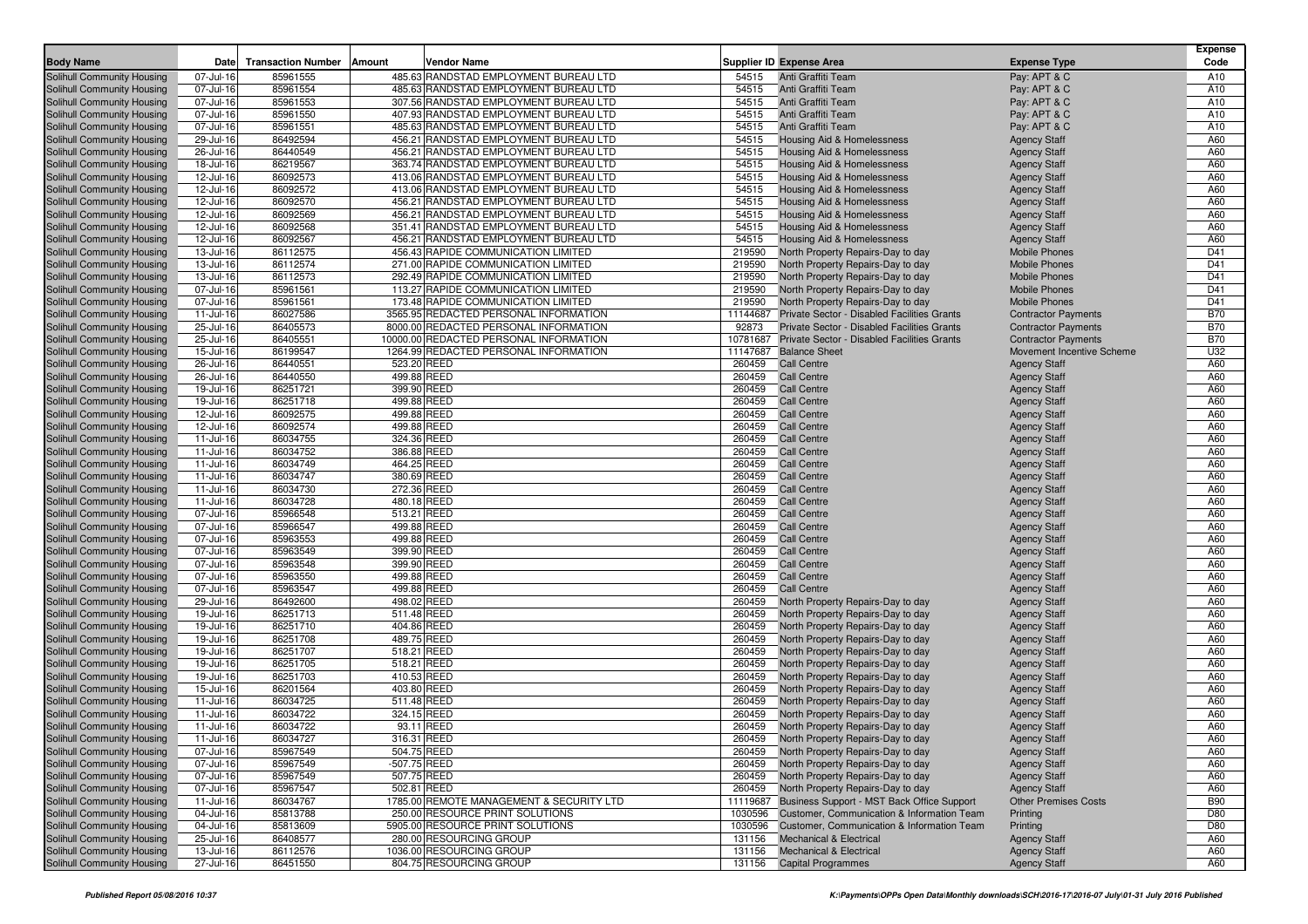|                                                          |                        |                           |                            |                                          |                  |                                                      |                                            | <b>Expense</b> |
|----------------------------------------------------------|------------------------|---------------------------|----------------------------|------------------------------------------|------------------|------------------------------------------------------|--------------------------------------------|----------------|
| <b>Body Name</b>                                         | Date                   | <b>Transaction Number</b> | Amount                     | Vendor Name                              |                  | <b>Supplier ID Expense Area</b>                      | <b>Expense Type</b>                        | Code           |
| Solihull Community Housing                               | 07-Jul-16              | 85961555                  |                            | 485.63 RANDSTAD EMPLOYMENT BUREAU LTD    | 54515            | Anti Graffiti Team                                   | Pay: APT & C                               | A10            |
| Solihull Community Housing                               | 07-Jul-16              | 85961554                  |                            | 485.63 RANDSTAD EMPLOYMENT BUREAU LTD    | 54515            | Anti Graffiti Team                                   | Pay: APT & C                               | A10            |
| Solihull Community Housing                               | 07-Jul-16              | 85961553                  |                            | 307.56 RANDSTAD EMPLOYMENT BUREAU LTD    | 54515            | Anti Graffiti Team                                   | Pay: APT & C                               | A10            |
| Solihull Community Housing                               | 07-Jul-16              | 85961550                  |                            | 407.93 RANDSTAD EMPLOYMENT BUREAU LTD    | 54515            | Anti Graffiti Team                                   | Pay: APT & C                               | A10            |
| Solihull Community Housing                               | 07-Jul-16              | 85961551                  |                            | 485.63 RANDSTAD EMPLOYMENT BUREAU LTD    | 54515            | Anti Graffiti Team                                   | Pay: APT & C                               | A10            |
| Solihull Community Housing                               | 29-Jul-16              | 86492594                  |                            | 456.21 RANDSTAD EMPLOYMENT BUREAU LTD    | 54515            | <b>Housing Aid &amp; Homelessness</b>                | <b>Agency Staff</b>                        | A60            |
| Solihull Community Housing                               | 26-Jul-16              | 86440549                  |                            | 456.21 RANDSTAD EMPLOYMENT BUREAU LTD    | 54515            | Housing Aid & Homelessness                           | <b>Agency Staff</b>                        | A60            |
| Solihull Community Housing                               | 18-Jul-16              | 86219567                  |                            | 363.74 RANDSTAD EMPLOYMENT BUREAU LTD    | 54515            | Housing Aid & Homelessness                           | <b>Agency Staff</b>                        | A60            |
| Solihull Community Housing                               | 12-Jul-16              | 86092573                  |                            | 413.06 RANDSTAD EMPLOYMENT BUREAU LTD    | 54515            | Housing Aid & Homelessness                           | <b>Agency Staff</b>                        | A60            |
| Solihull Community Housing                               | 12-Jul-16              | 86092572                  |                            | 413.06 RANDSTAD EMPLOYMENT BUREAU LTD    | 54515            | Housing Aid & Homelessness                           | <b>Agency Staff</b>                        | A60            |
| Solihull Community Housing                               | 12-Jul-16              | 86092570                  |                            | 456.21 RANDSTAD EMPLOYMENT BUREAU LTD    | 54515            | <b>Housing Aid &amp; Homelessness</b>                | <b>Agency Staff</b>                        | A60            |
| Solihull Community Housing                               | 12-Jul-16              | 86092569                  |                            | 456.21 RANDSTAD EMPLOYMENT BUREAU LTD    | 54515            | <b>Housing Aid &amp; Homelessness</b>                | <b>Agency Staff</b>                        | A60            |
| Solihull Community Housing                               | 12-Jul-16              | 86092568                  |                            | 351.41 RANDSTAD EMPLOYMENT BUREAU LTD    | 54515            | Housing Aid & Homelessness                           | <b>Agency Staff</b>                        | A60            |
| Solihull Community Housing                               | 12-Jul-16              | 86092567                  |                            | 456.21 RANDSTAD EMPLOYMENT BUREAU LTD    | 54515            | Housing Aid & Homelessness                           | <b>Agency Staff</b>                        | A60            |
| Solihull Community Housing                               | 13-Jul-16              | 86112575                  |                            | 456.43 RAPIDE COMMUNICATION LIMITED      | 219590           | North Property Repairs-Day to day                    | <b>Mobile Phones</b>                       | D41            |
| Solihull Community Housing                               | 13-Jul-16              | 86112574                  |                            | 271.00 RAPIDE COMMUNICATION LIMITED      | 219590           | North Property Repairs-Day to day                    | <b>Mobile Phones</b>                       | D41            |
| Solihull Community Housing                               | 13-Jul-16              | 86112573                  |                            | 292.49 RAPIDE COMMUNICATION LIMITED      | 219590           | North Property Repairs-Day to day                    | <b>Mobile Phones</b>                       | D41            |
| Solihull Community Housing                               | 07-Jul-16              | 85961561                  |                            | 113.27 RAPIDE COMMUNICATION LIMITED      | 219590           | North Property Repairs-Day to day                    | <b>Mobile Phones</b>                       | D41            |
| Solihull Community Housing                               | 07-Jul-16              | 85961561                  |                            | 173.48 RAPIDE COMMUNICATION LIMITED      | 219590           | North Property Repairs-Day to day                    | <b>Mobile Phones</b>                       | D41            |
| Solihull Community Housing                               | 11-Jul-16              | 86027586                  |                            | 3565.95 REDACTED PERSONAL INFORMATION    | 11144687         | Private Sector - Disabled Facilities Grants          | <b>Contractor Payments</b>                 | <b>B70</b>     |
| Solihull Community Housing                               | 25-Jul-16              | 86405573                  |                            | 8000.00 REDACTED PERSONAL INFORMATION    | 92873            | Private Sector - Disabled Facilities Grants          | <b>Contractor Payments</b>                 | <b>B70</b>     |
| Solihull Community Housing                               | 25-Jul-16              | 86405551                  |                            | 10000.00 REDACTED PERSONAL INFORMATION   |                  | 10781687 Private Sector - Disabled Facilities Grants | <b>Contractor Payments</b>                 | <b>B70</b>     |
| Solihull Community Housing                               | 15-Jul-16              | 86199547                  |                            | 1264.99 REDACTED PERSONAL INFORMATION    |                  | 11147687 Balance Sheet                               | Movement Incentive Scheme                  | U32            |
| Solihull Community Housing                               | 26-Jul-16              | 86440551                  | 523.20 REED                |                                          | 260459           | <b>Call Centre</b>                                   | <b>Agency Staff</b>                        | A60            |
| Solihull Community Housing                               | 26-Jul-16              | 86440550                  | 499.88 REED                |                                          | 260459           | <b>Call Centre</b>                                   | <b>Agency Staff</b>                        | A60            |
| Solihull Community Housing                               | 19-Jul-16              | 86251721                  | 399.90 REED                |                                          | 260459           | <b>Call Centre</b>                                   | <b>Agency Staff</b>                        | A60            |
| Solihull Community Housing                               | 19-Jul-16              | 86251718                  | 499.88 REED                |                                          | 260459           | <b>Call Centre</b>                                   | <b>Agency Staff</b>                        | A60            |
| Solihull Community Housing                               | 12-Jul-16              | 86092575                  | 499.88 REED                |                                          | 260459<br>260459 | <b>Call Centre</b>                                   | <b>Agency Staff</b><br><b>Agency Staff</b> | A60<br>A60     |
| Solihull Community Housing                               | 12-Jul-16              | 86092574                  | 499.88 REED                |                                          | 260459           | <b>Call Centre</b><br><b>Call Centre</b>             |                                            | A60            |
| Solihull Community Housing                               | 11-Jul-16              | 86034755<br>86034752      | 324.36 REED<br>386.88 REED |                                          | 260459           | Call Centre                                          | <b>Agency Staff</b>                        | A60            |
| Solihull Community Housing<br>Solihull Community Housing | 11-Jul-16<br>11-Jul-16 | 86034749                  | 464.25 REED                |                                          | 260459           | <b>Call Centre</b>                                   | <b>Agency Staff</b><br><b>Agency Staff</b> | A60            |
|                                                          |                        | 86034747                  |                            |                                          | 260459           | Call Centre                                          |                                            |                |
| Solihull Community Housing<br>Solihull Community Housing | 11-Jul-16<br>11-Jul-16 | 86034730                  | 380.69 REED<br>272.36 REED |                                          | 260459           | Call Centre                                          | <b>Agency Staff</b>                        | A60<br>A60     |
|                                                          |                        | 86034728                  | 480.18 REED                |                                          | 260459           | <b>Call Centre</b>                                   | <b>Agency Staff</b>                        | A60            |
| Solihull Community Housing<br>Solihull Community Housing | 11-Jul-16<br>07-Jul-16 | 85966548                  | 513.21 REED                |                                          | 260459           | Call Centre                                          | <b>Agency Staff</b>                        | A60            |
| Solihull Community Housing                               | 07-Jul-16              | 85966547                  | 499.88 REED                |                                          | 260459           | <b>Call Centre</b>                                   | <b>Agency Staff</b><br><b>Agency Staff</b> | A60            |
| Solihull Community Housing                               | 07-Jul-16              | 85963553                  | 499.88 REED                |                                          | 260459           | <b>Call Centre</b>                                   | <b>Agency Staff</b>                        | A60            |
| Solihull Community Housing                               | 07-Jul-16              | 85963549                  | 399.90 REED                |                                          | 260459           | <b>Call Centre</b>                                   | <b>Agency Staff</b>                        | A60            |
| Solihull Community Housing                               | 07-Jul-16              | 85963548                  | 399.90 REED                |                                          | 260459           | <b>Call Centre</b>                                   | <b>Agency Staff</b>                        | A60            |
| Solihull Community Housing                               | 07-Jul-16              | 85963550                  | 499.88 REED                |                                          | 260459           | Call Centre                                          | <b>Agency Staff</b>                        | A60            |
| Solihull Community Housing                               | 07-Jul-16              | 85963547                  | 499.88 REED                |                                          | 260459           | <b>Call Centre</b>                                   | <b>Agency Staff</b>                        | A60            |
| Solihull Community Housing                               | 29-Jul-16              | 86492600                  | 498.02 REED                |                                          | 260459           | North Property Repairs-Day to day                    | <b>Agency Staff</b>                        | A60            |
| Solihull Community Housing                               | 19-Jul-16              | 86251713                  | 511.48 REED                |                                          | 260459           | North Property Repairs-Day to day                    | <b>Agency Staff</b>                        | A60            |
| Solihull Community Housing                               | 19-Jul-16              | 86251710                  | 404.86 REED                |                                          | 260459           | North Property Repairs-Day to day                    | <b>Agency Staff</b>                        | A60            |
| Solihull Community Housing                               | 19-Jul-16              | 86251708                  | 489.75 REED                |                                          | 260459           | North Property Repairs-Day to day                    | <b>Agency Staff</b>                        | A60            |
| Solihull Community Housing                               | 19-Jul-16              | 86251707                  | 518.21 REED                |                                          | 260459           | North Property Repairs-Day to day                    | <b>Agency Staff</b>                        | A60            |
| Solihull Community Housing                               | 19-Jul-16              | 86251705                  | 518.21 REED                |                                          | 260459           | North Property Repairs-Day to day                    | <b>Agency Staff</b>                        | A60            |
| Solihull Community Housing                               | 19-Jul-16              | 86251703                  | 410.53 REED                |                                          | 260459           | North Property Repairs-Day to day                    | <b>Agency Staff</b>                        | A60            |
| Solihull Community Housing                               | 15-Jul-16              | 86201564                  | 403.80 REED                |                                          | 260459           | North Property Repairs-Day to day                    | <b>Agency Staff</b>                        | A60            |
| Solihull Community Housing                               | 11-Jul-16              | 86034725                  | 511.48 REED                |                                          | 260459           | North Property Repairs-Day to day                    | <b>Agency Staff</b>                        | A60            |
| Solihull Community Housing                               | 11-Jul-16              | 86034722                  | 324.15 REED                |                                          | 260459           | North Property Repairs-Day to day                    | <b>Agency Staff</b>                        | A60            |
| Solihull Community Housing                               | 11-Jul-16              | 86034722                  |                            | 93.11 REED                               | 260459           | North Property Repairs-Day to day                    | <b>Agency Staff</b>                        | A60            |
| Solihull Community Housing                               | $11 -$ Jul-16          | 86034727                  | 316.31 REED                |                                          |                  | 260459 North Property Repairs-Day to day             | <b>Agency Staff</b>                        | A60            |
| Solihull Community Housing                               | 07-Jul-16              | 85967549                  | 504.75 REED                |                                          |                  | 260459 North Property Repairs-Day to day             | <b>Agency Staff</b>                        | A60            |
| Solihull Community Housing                               | 07-Jul-16              | 85967549                  | -507.75 REED               |                                          |                  | 260459 North Property Repairs-Day to day             | <b>Agency Staff</b>                        | A60            |
| <b>Solihull Community Housing</b>                        | 07-Jul-16              | 85967549                  | 507.75 REED                |                                          | 260459           | North Property Repairs-Day to day                    | <b>Agency Staff</b>                        | A60            |
| Solihull Community Housing                               | 07-Jul-16              | 85967547                  | 502.81 REED                |                                          | 260459           | North Property Repairs-Day to day                    | <b>Agency Staff</b>                        | A60            |
| Solihull Community Housing                               | 11-Jul-16              | 86034767                  |                            | 1785.00 REMOTE MANAGEMENT & SECURITY LTD |                  | 11119687 Business Support - MST Back Office Support  | <b>Other Premises Costs</b>                | <b>B90</b>     |
| <b>Solihull Community Housing</b>                        | 04-Jul-16              | 85813788                  |                            | 250.00 RESOURCE PRINT SOLUTIONS          |                  | 1030596 Customer, Communication & Information Team   | Printing                                   | D80            |
| Solihull Community Housing                               | 04-Jul-16              | 85813609                  |                            | 5905.00 RESOURCE PRINT SOLUTIONS         |                  | 1030596 Customer, Communication & Information Team   | Printing                                   | D80            |
| Solihull Community Housing                               | 25-Jul-16              | 86408577                  |                            | 280.00 RESOURCING GROUP                  | 131156           | <b>Mechanical &amp; Electrical</b>                   | <b>Agency Staff</b>                        | A60            |
| Solihull Community Housing                               | 13-Jul-16              | 86112576                  |                            | 1036.00 RESOURCING GROUP                 |                  | 131156 Mechanical & Electrical                       | <b>Agency Staff</b>                        | A60            |
| Solihull Community Housing                               | 27-Jul-16              | 86451550                  |                            | 804.75 RESOURCING GROUP                  |                  | 131156 Capital Programmes                            | <b>Agency Staff</b>                        | A60            |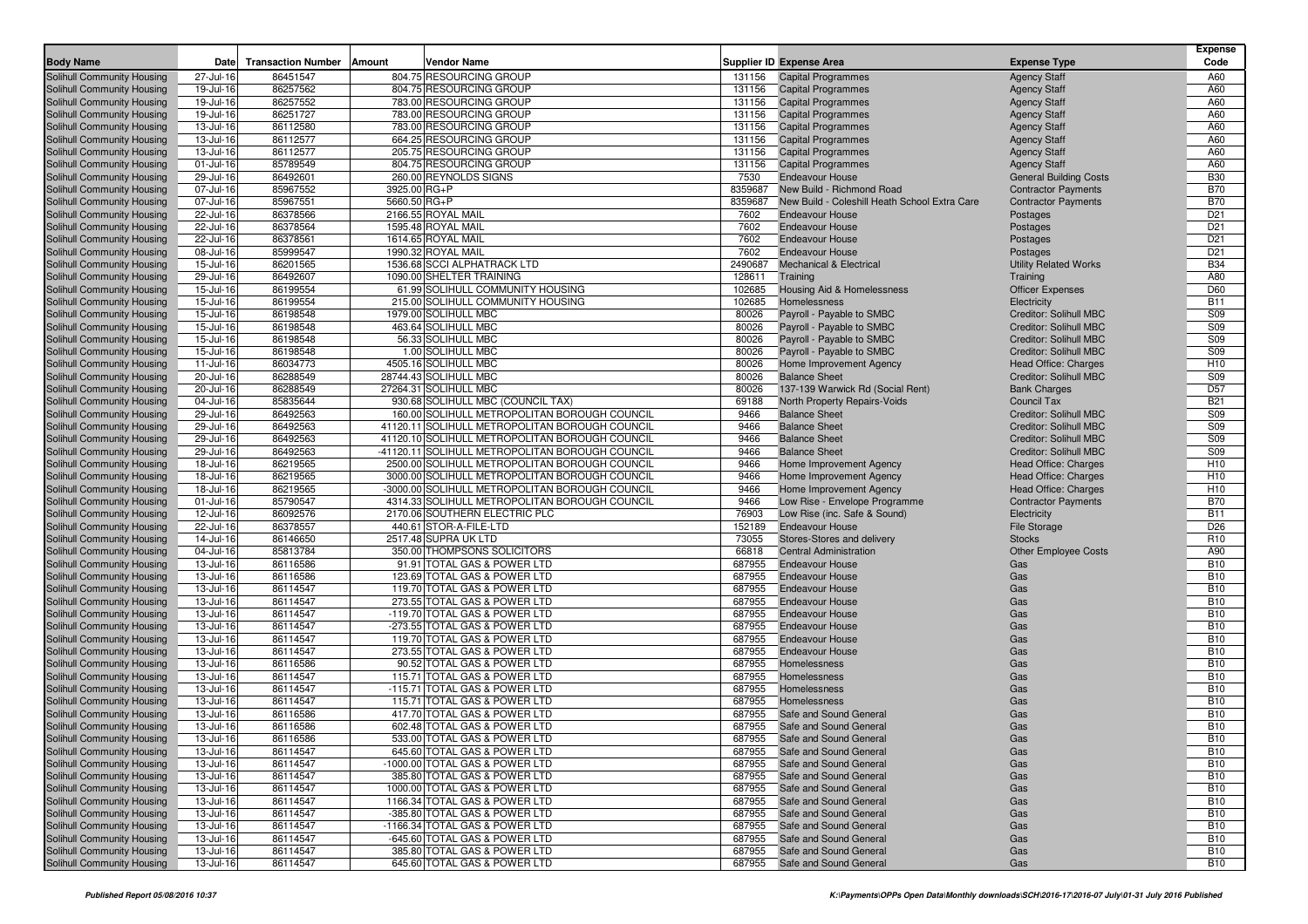|                                                                 |                        |                           |                                                                                                   |                  |                                                     |                                                      | <b>Expense</b>           |
|-----------------------------------------------------------------|------------------------|---------------------------|---------------------------------------------------------------------------------------------------|------------------|-----------------------------------------------------|------------------------------------------------------|--------------------------|
| <b>Body Name</b>                                                | Date                   | <b>Transaction Number</b> | <b>Vendor Name</b><br>Amount                                                                      |                  | <b>Supplier ID Expense Area</b>                     | <b>Expense Type</b>                                  | Code                     |
| Solihull Community Housing                                      | 27-Jul-16              | 86451547                  | 804.75 RESOURCING GROUP                                                                           | 131156           | <b>Capital Programmes</b>                           | <b>Agency Staff</b>                                  | A60                      |
| Solihull Community Housing                                      | 19-Jul-16              | 86257562                  | 804.75 RESOURCING GROUP                                                                           | 131156           | <b>Capital Programmes</b>                           | <b>Agency Staff</b>                                  | A60                      |
| Solihull Community Housing                                      | 19-Jul-16              | 86257552                  | 783.00 RESOURCING GROUP                                                                           | 131156           | <b>Capital Programmes</b>                           | <b>Agency Staff</b>                                  | A60                      |
| Solihull Community Housing                                      | 19-Jul-16              | 86251727                  | 783.00 RESOURCING GROUP                                                                           | 131156           | <b>Capital Programmes</b>                           | <b>Agency Staff</b>                                  | A60                      |
| Solihull Community Housing                                      | 13-Jul-16              | 86112580                  | 783.00 RESOURCING GROUP                                                                           | 131156           | <b>Capital Programmes</b>                           | <b>Agency Staff</b>                                  | A60                      |
| Solihull Community Housing                                      | 13-Jul-16              | 86112577                  | 664.25 RESOURCING GROUP                                                                           | 131156           | <b>Capital Programmes</b>                           | <b>Agency Staff</b>                                  | A60                      |
| Solihull Community Housing                                      | 13-Jul-16              | 86112577                  | 205.75 RESOURCING GROUP                                                                           | 131156           | <b>Capital Programmes</b>                           | <b>Agency Staff</b>                                  | A60                      |
| Solihull Community Housing<br>Solihull Community Housing        | 01-Jul-16<br>29-Jul-16 | 85789549<br>86492601      | 804.75 RESOURCING GROUP<br>260.00 REYNOLDS SIGNS                                                  | 131156<br>7530   | <b>Capital Programmes</b><br><b>Endeavour House</b> | <b>Agency Staff</b><br><b>General Building Costs</b> | A60<br><b>B30</b>        |
| Solihull Community Housing                                      | 07-Jul-16              | 85967552                  | 3925.00 RG+P                                                                                      | 8359687          | New Build - Richmond Road                           | <b>Contractor Payments</b>                           | <b>B70</b>               |
| Solihull Community Housing                                      | 07-Jul-16              | 85967551                  | 5660.50 RG+P                                                                                      | 8359687          | New Build - Coleshill Heath School Extra Care       | <b>Contractor Payments</b>                           | <b>B70</b>               |
| Solihull Community Housing                                      | 22-Jul-16              | 86378566                  | 2166.55 ROYAL MAIL                                                                                | 7602             | <b>Endeavour House</b>                              | Postages                                             | D <sub>21</sub>          |
| Solihull Community Housing                                      | 22-Jul-16              | 86378564                  | 1595.48 ROYAL MAIL                                                                                | 7602             | <b>Endeavour House</b>                              | Postages                                             | D <sub>21</sub>          |
| Solihull Community Housing                                      | 22-Jul-16              | 86378561                  | 1614.65 ROYAL MAIL                                                                                | 7602             | <b>Endeavour House</b>                              | Postages                                             | D <sub>21</sub>          |
| Solihull Community Housing                                      | 08-Jul-16              | 85999547                  | 1990.32 ROYAL MAIL                                                                                | 7602             | Endeavour House                                     | Postages                                             | D <sub>21</sub>          |
| Solihull Community Housing                                      | 15-Jul-16              | 86201565                  | 1536.68 SCCI ALPHATRACK LTD                                                                       | 2490687          | <b>Mechanical &amp; Electrical</b>                  | <b>Utility Related Works</b>                         | <b>B34</b>               |
| Solihull Community Housing                                      | 29-Jul-16              | 86492607                  | 1090.00 SHELTER TRAINING                                                                          | 128611           | Training                                            | Training                                             | A80                      |
| Solihull Community Housing                                      | 15-Jul-16              | 86199554                  | 61.99 SOLIHULL COMMUNITY HOUSING                                                                  | 102685           | Housing Aid & Homelessness                          | <b>Officer Expenses</b>                              | D60                      |
| Solihull Community Housing                                      | 15-Jul-16              | 86199554                  | 215.00 SOLIHULL COMMUNITY HOUSING                                                                 | 102685           | Homelessness                                        | Electricity                                          | <b>B11</b>               |
| Solihull Community Housing                                      | 15-Jul-16              | 86198548                  | 1979.00 SOLIHULL MBC                                                                              | 80026            | Payroll - Payable to SMBC                           | <b>Creditor: Solihull MBC</b>                        | S09                      |
| Solihull Community Housing                                      | 15-Jul-16              | 86198548                  | 463.64 SOLIHULL MBC                                                                               | 80026            | Payroll - Payable to SMBC                           | Creditor: Solihull MBC                               | <b>S09</b>               |
| Solihull Community Housing                                      | 15-Jul-16              | 86198548                  | 56.33 SOLIHULL MBC                                                                                | 80026            | Payroll - Payable to SMBC                           | <b>Creditor: Solihull MBC</b>                        | S09                      |
| Solihull Community Housing                                      | 15-Jul-16              | 86198548                  | 1.00 SOLIHULL MBC                                                                                 | 80026            | Payroll - Payable to SMBC                           | <b>Creditor: Solihull MBC</b>                        | S09                      |
| Solihull Community Housing                                      | 11-Jul-16              | 86034773                  | 4505.16 SOLIHULL MBC                                                                              | 80026            | Home Improvement Agency                             | Head Office: Charges                                 | H <sub>10</sub>          |
| Solihull Community Housing                                      | 20-Jul-16              | 86288549                  | 28744.43 SOLIHULL MBC                                                                             | 80026            | <b>Balance Sheet</b>                                | <b>Creditor: Solihull MBC</b>                        | S09                      |
| Solihull Community Housing                                      | 20-Jul-16              | 86288549                  | 27264.31 SOLIHULL MBC                                                                             | 80026            | 137-139 Warwick Rd (Social Rent)                    | <b>Bank Charges</b>                                  | D <sub>57</sub>          |
| Solihull Community Housing                                      | 04-Jul-16              | 85835644                  | 930.68 SOLIHULL MBC (COUNCIL TAX)                                                                 | 69188            | North Property Repairs-Voids                        | Council Tax                                          | <b>B21</b>               |
| Solihull Community Housing                                      | 29-Jul-16              | 86492563                  | 160.00 SOLIHULL METROPOLITAN BOROUGH COUNCIL                                                      | 9466             | <b>Balance Sheet</b>                                | Creditor: Solihull MBC                               | <b>S09</b>               |
| Solihull Community Housing                                      | 29-Jul-16              | 86492563                  | 41120.11 SOLIHULL METROPOLITAN BOROUGH COUNCIL                                                    | 9466             | <b>Balance Sheet</b>                                | Creditor: Solihull MBC                               | <b>S09</b>               |
| Solihull Community Housing                                      | 29-Jul-16              | 86492563                  | 41120.10 SOLIHULL METROPOLITAN BOROUGH COUNCIL<br>-41120.11 SOLIHULL METROPOLITAN BOROUGH COUNCIL | 9466             | <b>Balance Sheet</b>                                | Creditor: Solihull MBC                               | <b>S09</b>               |
| Solihull Community Housing<br>Solihull Community Housing        | 29-Jul-16              | 86492563<br>86219565      | 2500.00 SOLIHULL METROPOLITAN BOROUGH COUNCIL                                                     | 9466<br>9466     | <b>Balance Sheet</b><br>Home Improvement Agency     | <b>Creditor: Solihull MBC</b>                        | S09<br>H <sub>10</sub>   |
| Solihull Community Housing                                      | 18-Jul-16<br>18-Jul-16 | 86219565                  | 3000.00 SOLIHULL METROPOLITAN BOROUGH COUNCIL                                                     | 9466             | Home Improvement Agency                             | Head Office: Charges<br>Head Office: Charges         | H <sub>10</sub>          |
| Solihull Community Housing                                      | 18-Jul-16              | 86219565                  | -3000.00 SOLIHULL METROPOLITAN BOROUGH COUNCIL                                                    | 9466             | Home Improvement Agency                             | Head Office: Charges                                 | H <sub>10</sub>          |
| Solihull Community Housing                                      | 01-Jul-16              | 85790547                  | 4314.33 SOLIHULL METROPOLITAN BOROUGH COUNCIL                                                     | 9466             | Low Rise - Envelope Programme                       | <b>Contractor Payments</b>                           | <b>B70</b>               |
| Solihull Community Housing                                      | 12-Jul-16              | 86092576                  | 2170.06 SOUTHERN ELECTRIC PLC                                                                     | 76903            | Low Rise (inc. Safe & Sound)                        | Electricity                                          | <b>B11</b>               |
| Solihull Community Housing                                      | 22-Jul-16              | 86378557                  | 440.61 STOR-A-FILE-LTD                                                                            | 152189           | <b>Endeavour House</b>                              | File Storage                                         | D <sub>26</sub>          |
| Solihull Community Housing                                      | 14-Jul-16              | 86146650                  | 2517.48 SUPRA UK LTD                                                                              | 73055            | Stores-Stores and delivery                          | <b>Stocks</b>                                        | R <sub>10</sub>          |
| Solihull Community Housing                                      | 04-Jul-16              | 85813784                  | 350.00 THOMPSONS SOLICITORS                                                                       | 66818            | <b>Central Administration</b>                       | <b>Other Employee Costs</b>                          | A90                      |
| Solihull Community Housing                                      | 13-Jul-16              | 86116586                  | 91.91 TOTAL GAS & POWER LTD                                                                       | 687955           | <b>Endeavour House</b>                              | Gas                                                  | <b>B10</b>               |
| Solihull Community Housing                                      | 13-Jul-16              | 86116586                  | 123.69 TOTAL GAS & POWER LTD                                                                      | 687955           | <b>Endeavour House</b>                              | Gas                                                  | <b>B10</b>               |
| Solihull Community Housing                                      | 13-Jul-16              | 86114547                  | 119.70 TOTAL GAS & POWER LTD                                                                      | 687955           | <b>Endeavour House</b>                              | Gas                                                  | <b>B10</b>               |
| Solihull Community Housing                                      | 13-Jul-16              | 86114547                  | 273.55 TOTAL GAS & POWER LTD                                                                      | 687955           | <b>Endeavour House</b>                              | Gas                                                  | <b>B10</b>               |
| Solihull Community Housing                                      | 13-Jul-16              | 86114547                  | -119.70 TOTAL GAS & POWER LTD                                                                     | 687955           | <b>Endeavour House</b>                              | Gas                                                  | <b>B10</b>               |
| Solihull Community Housing                                      | 13-Jul-16              | 86114547                  | -273.55 TOTAL GAS & POWER LTD                                                                     | 687955           | <b>Endeavour House</b>                              | Gas                                                  | <b>B10</b>               |
| Solihull Community Housing                                      | 13-Jul-16              | 86114547                  | 119.70 TOTAL GAS & POWER LTD                                                                      | 687955           | <b>Endeavour House</b>                              | Gas                                                  | <b>B10</b>               |
| <b>Solihull Community Housing</b><br>Solihull Community Housing | 13-Jul-16              | 86114547<br>86116586      | 273.55 TOTAL GAS & POWER LTD<br>90.52 TOTAL GAS & POWER LTD                                       | 687955<br>687955 | <b>Endeavour House</b><br>Homelessness              | Gas<br>Gas                                           | <b>B10</b><br><b>B10</b> |
|                                                                 | 13-Jul-16              |                           |                                                                                                   | 687955           |                                                     | Gas                                                  | <b>B10</b>               |
| Solihull Community Housing<br>Solihull Community Housing        | 13-Jul-16<br>13-Jul-16 | 86114547<br>86114547      | 115.71 TOTAL GAS & POWER LTD<br>-115.71 TOTAL GAS & POWER LTD                                     | 687955           | Homelessness<br>Homelessness                        | Gas                                                  | <b>B10</b>               |
| Solihull Community Housing                                      | 13-Jul-16              | 86114547                  | 115.71 TOTAL GAS & POWER LTD                                                                      | 687955           | Homelessness                                        | Gas                                                  | <b>B10</b>               |
| Solihull Community Housing                                      | 13-Jul-16              | 86116586                  | 417.70 TOTAL GAS & POWER LTD                                                                      | 687955           | Safe and Sound General                              | Gas                                                  | <b>B10</b>               |
| Solihull Community Housing                                      | 13-Jul-16              | 86116586                  | 602.48 TOTAL GAS & POWER LTD                                                                      |                  | 687955 Safe and Sound General                       | Gas                                                  | <b>B10</b>               |
| Solihull Community Housing                                      | 13-Jul-16              | 86116586                  | 533.00 TOTAL GAS & POWER LTD                                                                      |                  | 687955 Safe and Sound General                       | Gas                                                  | <b>B10</b>               |
| Solihull Community Housing                                      | 13-Jul-16              | 86114547                  | 645.60 TOTAL GAS & POWER LTD                                                                      |                  | 687955 Safe and Sound General                       | Gas                                                  | <b>B10</b>               |
| Solihull Community Housing                                      | 13-Jul-16              | 86114547                  | -1000.00 TOTAL GAS & POWER LTD                                                                    | 687955           | Safe and Sound General                              | Gas                                                  | <b>B10</b>               |
| Solihull Community Housing                                      | 13-Jul-16              | 86114547                  | 385.80 TOTAL GAS & POWER LTD                                                                      | 687955           | Safe and Sound General                              | Gas                                                  | <b>B10</b>               |
| Solihull Community Housing                                      | 13-Jul-16              | 86114547                  | 1000.00 TOTAL GAS & POWER LTD                                                                     | 687955           | Safe and Sound General                              | Gas                                                  | <b>B10</b>               |
| Solihull Community Housing                                      | 13-Jul-16              | 86114547                  | 1166.34 TOTAL GAS & POWER LTD                                                                     | 687955           | Safe and Sound General                              | Gas                                                  | <b>B10</b>               |
| Solihull Community Housing                                      | 13-Jul-16              | 86114547                  | -385.80 TOTAL GAS & POWER LTD                                                                     | 687955           | Safe and Sound General                              | Gas                                                  | <b>B10</b>               |
| Solihull Community Housing                                      | 13-Jul-16              | 86114547                  | -1166.34 TOTAL GAS & POWER LTD                                                                    | 687955           | Safe and Sound General                              | Gas                                                  | <b>B10</b>               |
| Solihull Community Housing                                      | 13-Jul-16              | 86114547                  | -645.60 TOTAL GAS & POWER LTD                                                                     | 687955           | Safe and Sound General                              | Gas                                                  | <b>B10</b>               |
| Solihull Community Housing                                      | 13-Jul-16              | 86114547                  | 385.80 TOTAL GAS & POWER LTD                                                                      | 687955           | Safe and Sound General                              | Gas                                                  | <b>B10</b>               |
| Solihull Community Housing                                      | 13-Jul-16              | 86114547                  | 645.60 TOTAL GAS & POWER LTD                                                                      |                  | 687955 Safe and Sound General                       | Gas                                                  | <b>B10</b>               |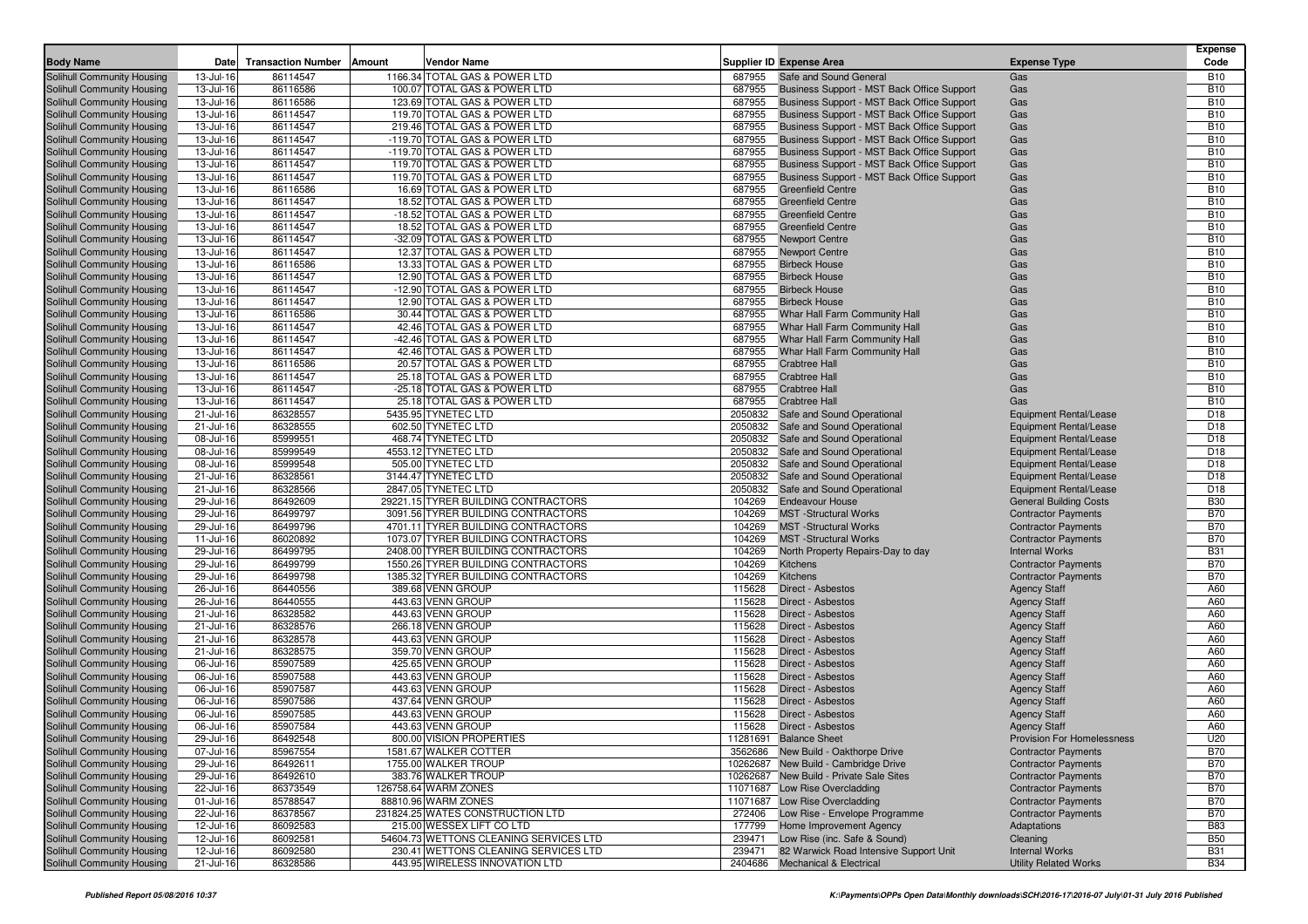| <b>Body Name</b>                                         | Date                   | <b>Transaction Number</b> | Amount<br>Vendor Name                                                    |                  | <b>Supplier ID Expense Area</b>            | <b>Expense Type</b>                                      | <b>Expense</b><br>Code   |
|----------------------------------------------------------|------------------------|---------------------------|--------------------------------------------------------------------------|------------------|--------------------------------------------|----------------------------------------------------------|--------------------------|
| Solihull Community Housing                               | 13-Jul-16              | 86114547                  | 1166.34 TOTAL GAS & POWER LTD                                            | 687955           | Safe and Sound General                     | Gas                                                      | <b>B10</b>               |
| Solihull Community Housing                               | 13-Jul-16              | 86116586                  | 100.07 TOTAL GAS & POWER LTD                                             | 687955           | Business Support - MST Back Office Support | Gas                                                      | <b>B10</b>               |
| Solihull Community Housing                               | 13-Jul-16              | 86116586                  | 123.69 TOTAL GAS & POWER LTD                                             | 687955           | Business Support - MST Back Office Support | Gas                                                      | <b>B10</b>               |
| Solihull Community Housing                               | 13-Jul-16              | 86114547                  | 119.70 TOTAL GAS & POWER LTD                                             | 687955           | Business Support - MST Back Office Support | Gas                                                      | <b>B10</b>               |
| Solihull Community Housing                               | 13-Jul-16              | 86114547                  | 219.46 TOTAL GAS & POWER LTD                                             | 687955           | Business Support - MST Back Office Support | Gas                                                      | <b>B10</b>               |
| Solihull Community Housing                               | 13-Jul-16              | 86114547                  | -119.70 TOTAL GAS & POWER LTD                                            | 687955           | Business Support - MST Back Office Support | Gas                                                      | <b>B10</b>               |
| Solihull Community Housing                               | 13-Jul-16              | 86114547                  | -119.70 TOTAL GAS & POWER LTD                                            | 687955           | Business Support - MST Back Office Support | Gas                                                      | <b>B10</b>               |
| Solihull Community Housing                               | 13-Jul-16              | 86114547                  | 119.70 TOTAL GAS & POWER LTD                                             | 687955           | Business Support - MST Back Office Support | Gas                                                      | <b>B10</b>               |
| Solihull Community Housing                               | 13-Jul-16              | 86114547                  | 119.70 TOTAL GAS & POWER LTD                                             | 687955           | Business Support - MST Back Office Support | Gas                                                      | <b>B10</b>               |
| Solihull Community Housing                               | 13-Jul-16              | 86116586                  | 16.69 TOTAL GAS & POWER LTD                                              | 687955           | <b>Greenfield Centre</b>                   | Gas                                                      | <b>B10</b>               |
| Solihull Community Housing                               | 13-Jul-16              | 86114547                  | 18.52 TOTAL GAS & POWER LTD                                              | 687955           | <b>Greenfield Centre</b>                   | Gas                                                      | <b>B10</b>               |
| Solihull Community Housing                               | 13-Jul-16              | 86114547                  | -18.52 TOTAL GAS & POWER LTD                                             | 687955           | <b>Greenfield Centre</b>                   | Gas                                                      | <b>B10</b>               |
| Solihull Community Housing                               | 13-Jul-16              | 86114547                  | 18.52 TOTAL GAS & POWER LTD                                              | 687955           | <b>Greenfield Centre</b>                   | Gas                                                      | <b>B10</b>               |
| Solihull Community Housing                               | 13-Jul-16              | 86114547                  | -32.09 TOTAL GAS & POWER LTD                                             | 687955           | <b>Newport Centre</b>                      | Gas                                                      | <b>B10</b>               |
| Solihull Community Housing                               | 13-Jul-16              | 86114547                  | 12.37 TOTAL GAS & POWER LTD                                              | 687955           | <b>Newport Centre</b>                      | Gas                                                      | <b>B10</b>               |
| Solihull Community Housing                               | 13-Jul-16              | 86116586                  | 13.33 TOTAL GAS & POWER LTD                                              | 687955           | <b>Birbeck House</b>                       | Gas                                                      | <b>B10</b>               |
| Solihull Community Housing                               | 13-Jul-16              | 86114547                  | 12.90 TOTAL GAS & POWER LTD                                              | 687955           | <b>Birbeck House</b>                       | Gas                                                      | <b>B10</b>               |
| Solihull Community Housing                               | 13-Jul-16              | 86114547                  | -12.90 TOTAL GAS & POWER LTD                                             | 687955           | <b>Birbeck House</b>                       | Gas                                                      | <b>B10</b>               |
| Solihull Community Housing                               | 13-Jul-16              | 86114547                  | 12.90 TOTAL GAS & POWER LTD                                              | 687955           | <b>Birbeck House</b>                       | Gas                                                      | <b>B10</b>               |
| Solihull Community Housing                               | 13-Jul-16              | 86116586                  | 30.44 TOTAL GAS & POWER LTD                                              | 687955           | Whar Hall Farm Community Hall              | Gas                                                      | <b>B10</b>               |
| Solihull Community Housing                               | 13-Jul-16              | 86114547                  | 42.46 TOTAL GAS & POWER LTD                                              | 687955           | Whar Hall Farm Community Hall              | Gas                                                      | <b>B10</b>               |
| Solihull Community Housing                               | 13-Jul-16              | 86114547                  | -42.46 TOTAL GAS & POWER LTD                                             | 687955           | Whar Hall Farm Community Hall              | Gas                                                      | <b>B10</b>               |
| Solihull Community Housing                               | 13-Jul-16              | 86114547                  | 42.46 TOTAL GAS & POWER LTD                                              | 687955           | Whar Hall Farm Community Hall              | Gas                                                      | <b>B10</b>               |
| Solihull Community Housing                               | 13-Jul-16              | 86116586                  | 20.57 TOTAL GAS & POWER LTD                                              | 687955           | <b>Crabtree Hall</b>                       | Gas                                                      | <b>B10</b>               |
| Solihull Community Housing                               | 13-Jul-16              | 86114547                  | 25.18 TOTAL GAS & POWER LTD                                              | 687955           | <b>Crabtree Hall</b>                       | Gas                                                      | <b>B10</b>               |
| Solihull Community Housing                               | 13-Jul-16              | 86114547                  | -25.18 TOTAL GAS & POWER LTD                                             | 687955           | <b>Crabtree Hall</b>                       | Gas                                                      | <b>B10</b>               |
| Solihull Community Housing                               | 13-Jul-16              | 86114547                  | 25.18 TOTAL GAS & POWER LTD                                              | 687955           | <b>Crabtree Hall</b>                       | Gas                                                      | <b>B10</b>               |
| Solihull Community Housing                               | 21-Jul-16              | 86328557                  | 5435.95 TYNETEC LTD                                                      | 2050832          | Safe and Sound Operational                 | Equipment Rental/Lease                                   | D <sub>18</sub>          |
| Solihull Community Housing                               | 21-Jul-16              | 86328555                  | 602.50 TYNETEC LTD                                                       | 2050832          | Safe and Sound Operational                 | Equipment Rental/Lease                                   | D <sub>18</sub>          |
| Solihull Community Housing                               | 08-Jul-16              | 85999551                  | 468.74 TYNETEC LTD                                                       | 2050832          | Safe and Sound Operational                 | Equipment Rental/Lease                                   | D <sub>18</sub>          |
| Solihull Community Housing                               | 08-Jul-16              | 85999549                  | 4553.12 TYNETEC LTD                                                      | 2050832          | Safe and Sound Operational                 | Equipment Rental/Lease                                   | D <sub>18</sub>          |
| Solihull Community Housing                               | 08-Jul-16              | 85999548                  | 505.00 TYNETEC LTD                                                       | 2050832          | Safe and Sound Operational                 | Equipment Rental/Lease                                   | D <sub>18</sub>          |
| Solihull Community Housing                               | 21-Jul-16              | 86328561                  | 3144.47 TYNETEC LTD                                                      | 2050832          | Safe and Sound Operational                 | Equipment Rental/Lease                                   | D <sub>18</sub>          |
| Solihull Community Housing                               | 21-Jul-16              | 86328566                  | 2847.05 TYNETEC LTD                                                      | 2050832          | Safe and Sound Operational                 | <b>Equipment Rental/Lease</b>                            | D <sub>18</sub>          |
| Solihull Community Housing                               | 29-Jul-16              | 86492609                  | 29221.15 TYRER BUILDING CONTRACTORS                                      | 104269           | <b>Endeavour House</b>                     | <b>General Building Costs</b>                            | <b>B30</b>               |
| Solihull Community Housing                               | 29-Jul-16              | 86499797                  | 3091.56 TYRER BUILDING CONTRACTORS                                       | 104269           | <b>MST</b> -Structural Works               | <b>Contractor Payments</b>                               | <b>B70</b>               |
| Solihull Community Housing                               | 29-Jul-16              | 86499796                  | 4701.11 TYRER BUILDING CONTRACTORS                                       | 104269           | <b>MST</b> -Structural Works               | <b>Contractor Payments</b>                               | <b>B70</b>               |
| Solihull Community Housing                               | 11-Jul-16              | 86020892                  | 1073.07 TYRER BUILDING CONTRACTORS                                       | 104269           | <b>MST</b> -Structural Works               | <b>Contractor Payments</b>                               | <b>B70</b>               |
| Solihull Community Housing                               | 29-Jul-16              | 86499795                  | 2408.00 TYRER BUILDING CONTRACTORS                                       | 104269<br>104269 | North Property Repairs-Day to day          | <b>Internal Works</b>                                    | <b>B31</b><br><b>B70</b> |
| Solihull Community Housing<br>Solihull Community Housing | 29-Jul-16<br>29-Jul-16 | 86499799<br>86499798      | 1550.26 TYRER BUILDING CONTRACTORS<br>1385.32 TYRER BUILDING CONTRACTORS | 104269           | <b>Kitchens</b><br>Kitchens                | <b>Contractor Payments</b><br><b>Contractor Payments</b> | <b>B70</b>               |
|                                                          |                        | 86440556                  |                                                                          |                  | <b>Direct - Asbestos</b>                   |                                                          | A60                      |
| Solihull Community Housing<br>Solihull Community Housing | 26-Jul-16<br>26-Jul-16 | 86440555                  | 389.68 VENN GROUP<br>443.63 VENN GROUP                                   | 115628<br>115628 | <b>Direct - Asbestos</b>                   | <b>Agency Staff</b><br><b>Agency Staff</b>               | A60                      |
| Solihull Community Housing                               | 21-Jul-16              | 86328582                  | 443.63 VENN GROUP                                                        | 115628           | <b>Direct - Asbestos</b>                   | <b>Agency Staff</b>                                      | A60                      |
| Solihull Community Housing                               | 21-Jul-16              | 86328576                  | 266.18 VENN GROUP                                                        | 115628           | <b>Direct - Asbestos</b>                   | <b>Agency Staff</b>                                      | A60                      |
| Solihull Community Housing                               | 21-Jul-16              | 86328578                  | 443.63 VENN GROUP                                                        | 115628           | <b>Direct - Asbestos</b>                   | <b>Agency Staff</b>                                      | A60                      |
| Solihull Community Housing                               | 21-Jul-16              | 86328575                  | 359.70 VENN GROUP                                                        | 115628           | <b>Direct - Asbestos</b>                   | <b>Agency Staff</b>                                      | A60                      |
| Solihull Community Housing                               | 06-Jul-16              | 85907589                  | 425.65 VENN GROUP                                                        | 115628           | <b>Direct - Asbestos</b>                   | <b>Agency Staff</b>                                      | A60                      |
| Solihull Community Housing                               | 06-Jul-16              | 85907588                  | 443.63 VENN GROUP                                                        | 115628           | Direct - Asbestos                          | <b>Agency Staff</b>                                      | A60                      |
| Solihull Community Housing                               | 06-Jul-16              | 85907587                  | 443.63 VENN GROUP                                                        | 115628           | Direct - Asbestos                          | <b>Agency Staff</b>                                      | A60                      |
| Solihull Community Housing                               | 06-Jul-16              | 85907586                  | 437.64 VENN GROUP                                                        | 115628           | Direct - Asbestos                          | <b>Agency Staff</b>                                      | A60                      |
| Solihull Community Housing                               | 06-Jul-16              | 85907585                  | 443.63 VENN GROUP                                                        | 115628           | Direct - Asbestos                          | <b>Agency Staff</b>                                      | A60                      |
| Solihull Community Housing                               | 06-Jul-16              | 85907584                  | 443.63 VENN GROUP                                                        | 115628           | <b>Direct - Asbestos</b>                   | <b>Agency Staff</b>                                      | A60                      |
| Solihull Community Housing                               | 29-Jul-16              | 86492548                  | 800.00 VISION PROPERTIES                                                 |                  | 11281691 Balance Sheet                     | Provision For Homelessness                               | U20                      |
| Solihull Community Housing                               | 07-Jul-16              | 85967554                  | 1581.67 WALKER COTTER                                                    |                  | 3562686 New Build - Oakthorpe Drive        | <b>Contractor Payments</b>                               | <b>B70</b>               |
| Solihull Community Housing                               | 29-Jul-16              | 86492611                  | 1755.00 WALKER TROUP                                                     |                  | 10262687 New Build - Cambridge Drive       | <b>Contractor Payments</b>                               | <b>B70</b>               |
| Solihull Community Housing                               | 29-Jul-16              | 86492610                  | 383.76 WALKER TROUP                                                      |                  | 10262687 New Build - Private Sale Sites    | <b>Contractor Payments</b>                               | <b>B70</b>               |
| Solihull Community Housing                               | 22-Jul-16              | 86373549                  | 126758.64 WARM ZONES                                                     |                  | 11071687 Low Rise Overcladding             | <b>Contractor Payments</b>                               | <b>B70</b>               |
| Solihull Community Housing                               | 01-Jul-16              | 85788547                  | 88810.96 WARM ZONES                                                      |                  | 11071687 Low Rise Overcladding             | <b>Contractor Payments</b>                               | <b>B70</b>               |
| Solihull Community Housing                               | 22-Jul-16              | 86378567                  | 231824.25 WATES CONSTRUCTION LTD                                         | 272406           | Low Rise - Envelope Programme              | <b>Contractor Payments</b>                               | <b>B70</b>               |
| Solihull Community Housing                               | 12-Jul-16              | 86092583                  | 215.00 WESSEX LIFT CO LTD                                                | 177799           | Home Improvement Agency                    | Adaptations                                              | <b>B83</b>               |
| Solihull Community Housing                               | 12-Jul-16              | 86092581                  | 54604.73 WETTONS CLEANING SERVICES LTD                                   | 239471           | Low Rise (inc. Safe & Sound)               | Cleaning                                                 | <b>B50</b>               |
| Solihull Community Housing                               | 12-Jul-16              | 86092580                  | 230.41 WETTONS CLEANING SERVICES LTD                                     | 239471           | 82 Warwick Road Intensive Support Unit     | <b>Internal Works</b>                                    | <b>B31</b>               |
| Solihull Community Housing                               | 21-Jul-16              | 86328586                  | 443.95 WIRELESS INNOVATION LTD                                           |                  | 2404686 Mechanical & Electrical            | <b>Utility Related Works</b>                             | <b>B34</b>               |